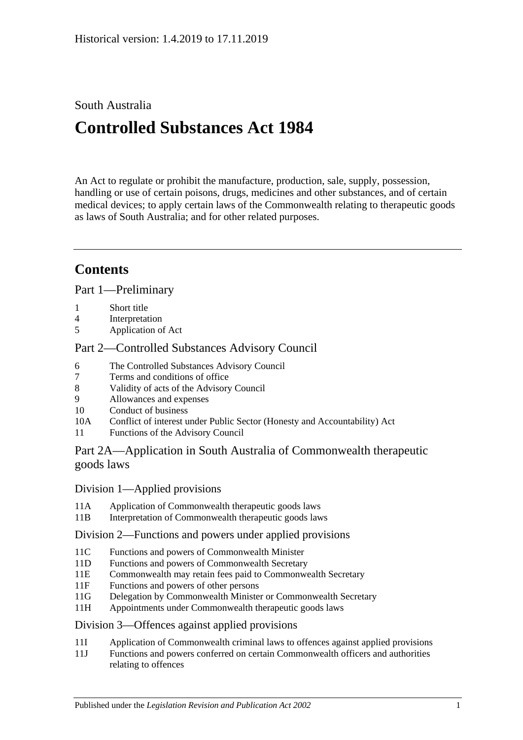## South Australia

# **Controlled Substances Act 1984**

An Act to regulate or prohibit the manufacture, production, sale, supply, possession, handling or use of certain poisons, drugs, medicines and other substances, and of certain medical devices; to apply certain laws of the Commonwealth relating to therapeutic goods as laws of South Australia; and for other related purposes.

## **Contents**

[Part 1—Preliminary](#page-5-0)

- 1 [Short title](#page-5-1)
- 4 [Interpretation](#page-5-2)
- 5 [Application of Act](#page-12-0)

## [Part 2—Controlled Substances Advisory Council](#page-12-1)

- 6 [The Controlled Substances Advisory Council](#page-12-2)
- 7 [Terms and conditions of office](#page-13-0)
- 8 [Validity of acts of the Advisory Council](#page-13-1)
- 9 [Allowances and expenses](#page-13-2)
- 10 [Conduct of business](#page-13-3)
- 10A Conflict of interest [under Public Sector \(Honesty and Accountability\) Act](#page-14-0)
- 11 [Functions of the Advisory Council](#page-14-1)

## [Part 2A—Application in South Australia of Commonwealth therapeutic](#page-15-0)  [goods laws](#page-15-0)

## Division [1—Applied provisions](#page-15-1)

- 11A [Application of Commonwealth therapeutic goods laws](#page-15-2)
- 11B [Interpretation of Commonwealth therapeutic goods laws](#page-15-3)

## Division [2—Functions and powers under applied provisions](#page-15-4)

- 11C [Functions and powers of Commonwealth Minister](#page-15-5)
- 11D [Functions and powers of Commonwealth Secretary](#page-16-0)
- 11E [Commonwealth may retain fees paid to Commonwealth Secretary](#page-16-1)
- 11F [Functions and powers of other persons](#page-16-2)
- 11G [Delegation by Commonwealth Minister or Commonwealth Secretary](#page-16-3)
- 11H [Appointments under Commonwealth therapeutic goods laws](#page-16-4)

## Division [3—Offences against applied provisions](#page-16-5)

- 11I [Application of Commonwealth criminal laws to offences against applied provisions](#page-16-6)
- 11J [Functions and powers conferred on certain Commonwealth officers and authorities](#page-17-0)  [relating to offences](#page-17-0)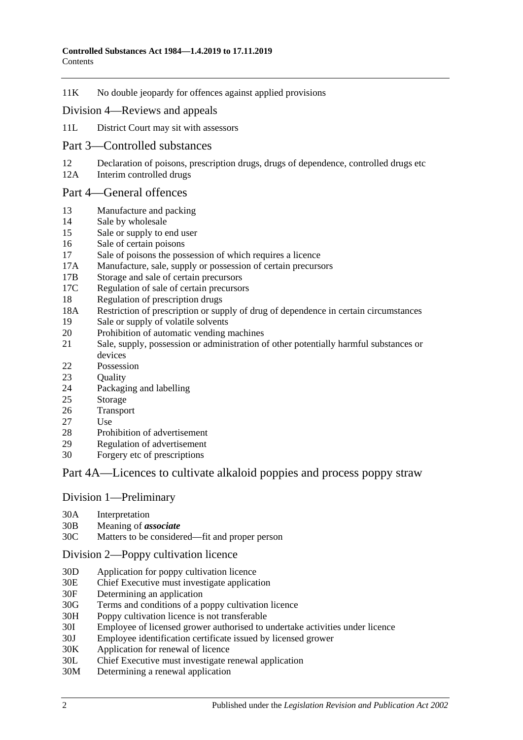11K [No double jeopardy for offences against applied provisions](#page-17-1)

### Division [4—Reviews and appeals](#page-17-2)

- 11L [District Court may sit with assessors](#page-17-3)
- [Part 3—Controlled substances](#page-18-0)
- 12 [Declaration of poisons, prescription drugs, drugs of dependence, controlled drugs etc](#page-18-1)<br>12A Interim controlled drugs
- [Interim controlled drugs](#page-18-2)

#### [Part 4—General offences](#page-19-0)

- 13 [Manufacture and packing](#page-19-1)
- 14 [Sale by wholesale](#page-19-2)
- 15 [Sale or supply to end user](#page-20-0)
- 16 [Sale of certain poisons](#page-20-1)
- 17 [Sale of poisons the possession of which requires a licence](#page-20-2)
- 17A [Manufacture, sale, supply or possession of certain precursors](#page-20-3)
- 17B [Storage and sale of certain precursors](#page-21-0)
- 17C [Regulation of sale of certain precursors](#page-22-0)
- 18 [Regulation of prescription drugs](#page-23-0)
- 18A [Restriction of prescription or supply of drug of dependence in certain circumstances](#page-26-0)
- 19 [Sale or supply of volatile solvents](#page-28-0)
- 20 [Prohibition of automatic vending machines](#page-29-0)
- 21 [Sale, supply, possession or administration of other potentially harmful substances or](#page-29-1)  [devices](#page-29-1)
- 22 [Possession](#page-29-2)
- 23 Ouality
- 24 [Packaging and](#page-30-0) labelling
- 25 [Storage](#page-30-1)
- 26 [Transport](#page-30-2)
- 27 [Use](#page-30-3)
- 28 [Prohibition of advertisement](#page-30-4)
- 29 [Regulation of advertisement](#page-30-5)
- 30 Forgery [etc of prescriptions](#page-31-0)

## [Part 4A—Licences to cultivate alkaloid poppies and process poppy straw](#page-31-1)

#### Division [1—Preliminary](#page-31-2)

- 30A [Interpretation](#page-31-3)
- 30B [Meaning of](#page-33-0) *associate*
- 30C [Matters to be considered—fit and proper person](#page-34-0)

#### Division [2—Poppy cultivation licence](#page-36-0)

- 30D [Application for poppy cultivation licence](#page-36-1)
- 30E [Chief Executive must investigate application](#page-37-0)
- 30F [Determining an application](#page-37-1)
- 30G [Terms and conditions of a poppy cultivation licence](#page-38-0)
- 30H [Poppy cultivation licence is not transferable](#page-39-0)
- 30I [Employee of licensed grower authorised to undertake activities under licence](#page-39-1)
- 30J [Employee identification certificate issued by licensed grower](#page-39-2)
- 30K [Application for renewal of licence](#page-39-3)
- 30L [Chief Executive must investigate renewal application](#page-40-0)
- 30M [Determining a renewal application](#page-40-1)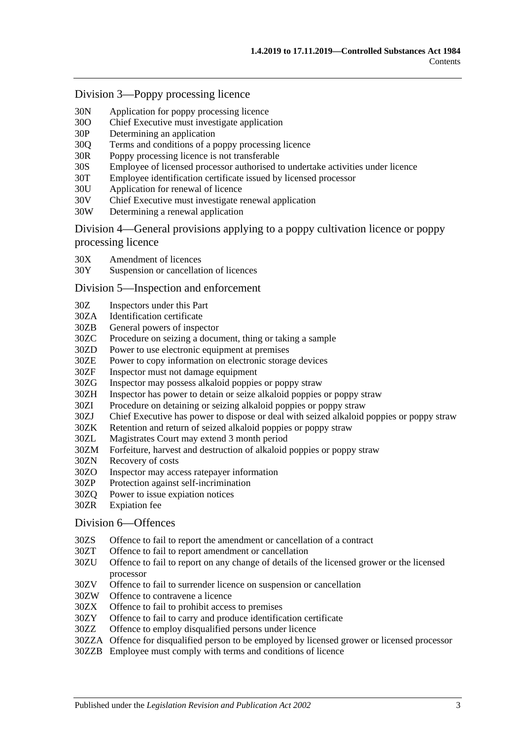#### Division [3—Poppy processing licence](#page-41-0)

- 30N [Application for poppy processing licence](#page-41-1)
- 30O [Chief Executive must investigate application](#page-42-0)
- 30P [Determining an application](#page-42-1)
- 30Q [Terms and conditions of a poppy processing licence](#page-43-0)
- 30R [Poppy processing licence is not transferable](#page-43-1)
- 30S [Employee of licensed processor authorised to undertake activities under licence](#page-44-0)
- 30T [Employee identification certificate issued by licensed processor](#page-44-1)
- 30U [Application for renewal of licence](#page-44-2)
- 30V [Chief Executive must investigate renewal application](#page-45-0)
- 30W [Determining a renewal application](#page-45-1)

Division [4—General provisions applying to a poppy cultivation licence or poppy](#page-46-0)  [processing licence](#page-46-0)

- 30X [Amendment of licences](#page-46-1)
- 30Y [Suspension or cancellation of licences](#page-46-2)

#### Division [5—Inspection and enforcement](#page-47-0)

- 30Z [Inspectors under this Part](#page-47-1)
- 30ZA [Identification certificate](#page-48-0)
- 30ZB [General powers of inspector](#page-48-1)
- 30ZC [Procedure on seizing a document, thing or taking a sample](#page-49-0)
- 30ZD [Power to use electronic equipment at premises](#page-49-1)
- 30ZE [Power to copy information on electronic storage devices](#page-50-0)
- 30ZF [Inspector must not damage equipment](#page-50-1)
- 30ZG [Inspector may possess alkaloid poppies or poppy straw](#page-50-2)
- 30ZH [Inspector has power to detain or seize alkaloid poppies or poppy straw](#page-50-3)
- 30ZI [Procedure on detaining or seizing alkaloid poppies or poppy straw](#page-50-4)
- 30ZJ [Chief Executive has power to dispose or deal with seized alkaloid poppies or poppy straw](#page-51-0)
- 30ZK [Retention and return of seized alkaloid poppies or poppy straw](#page-51-1)
- 30ZL [Magistrates Court may extend 3 month period](#page-52-0)
- 30ZM [Forfeiture, harvest and destruction of alkaloid poppies or poppy straw](#page-52-1)
- 30ZN [Recovery of costs](#page-53-0)
- 30ZO [Inspector may access ratepayer information](#page-53-1)
- 30ZP [Protection against self-incrimination](#page-53-2)
- 30ZQ [Power to issue expiation notices](#page-53-3)
- 30ZR [Expiation fee](#page-53-4)

#### Division [6—Offences](#page-54-0)

- 30ZS [Offence to fail to report the amendment or cancellation of a contract](#page-54-1)
- 30ZT [Offence to fail to report amendment or cancellation](#page-54-2)
- 30ZU [Offence to fail to report on any change of details of the licensed grower or the licensed](#page-54-3)  [processor](#page-54-3)
- 30ZV [Offence to fail to surrender licence on suspension or cancellation](#page-55-0)
- 30ZW [Offence to contravene a licence](#page-55-1)
- 30ZX [Offence to fail to prohibit access to premises](#page-55-2)
- 30ZY [Offence to fail to carry and produce identification certificate](#page-56-0)
- 30ZZ [Offence to employ disqualified persons under licence](#page-56-1)
- 30ZZA [Offence for disqualified person to be employed by licensed grower or licensed processor](#page-57-0)
- 30ZZB Employee [must comply with terms and conditions of licence](#page-57-1)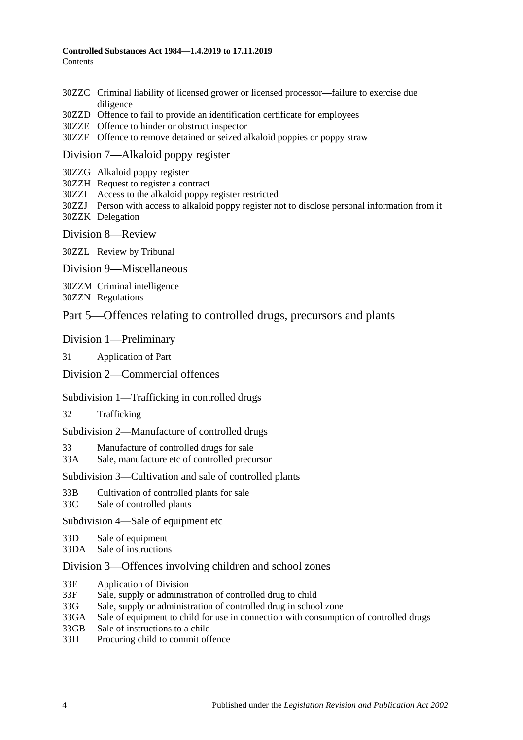- 30ZZC [Criminal liability of licensed grower or licensed processor—failure to exercise due](#page-58-0)  [diligence](#page-58-0)
- 30ZZD [Offence to fail to provide an identification certificate for employees](#page-58-1)
- 30ZZE [Offence to hinder or obstruct inspector](#page-58-2)
- 30ZZF [Offence to remove detained or seized alkaloid poppies or poppy straw](#page-59-0)

#### Division [7—Alkaloid poppy register](#page-59-1)

- 30ZZG [Alkaloid poppy register](#page-59-2)
- 30ZZH [Request to register a contract](#page-59-3)
- 30ZZI [Access to the alkaloid poppy register restricted](#page-60-0)
- 30ZZJ [Person with access to alkaloid poppy register not to disclose personal information from it](#page-60-1) 30ZZK [Delegation](#page-60-2)
- Division [8—Review](#page-61-0)

30ZZL [Review by Tribunal](#page-61-1)

Division [9—Miscellaneous](#page-61-2)

30ZZM [Criminal intelligence](#page-61-3)

30ZZN [Regulations](#page-62-0)

### [Part 5—Offences relating to controlled drugs, precursors and plants](#page-63-0)

#### [Division 1—Preliminary](#page-63-1)

31 [Application of Part](#page-63-2)

#### [Division 2—Commercial offences](#page-65-0)

#### [Subdivision 1—Trafficking in controlled drugs](#page-65-1)

32 [Trafficking](#page-65-2)

[Subdivision 2—Manufacture of controlled drugs](#page-67-0)

33 [Manufacture of controlled drugs for sale](#page-67-1)

33A [Sale, manufacture etc of controlled precursor](#page-68-0)

#### [Subdivision 3—Cultivation and sale of controlled plants](#page-70-0)

- 33B [Cultivation of controlled plants for sale](#page-70-1)
- 33C [Sale of controlled plants](#page-71-0)

[Subdivision 4—Sale of equipment etc](#page-72-0)

- 33D [Sale of equipment](#page-72-1)
- 33DA [Sale of instructions](#page-72-2)

#### [Division 3—Offences involving children and school zones](#page-72-3)

- 33E [Application of Division](#page-72-4)
- 33F [Sale, supply or administration of controlled drug to child](#page-73-0)
- 33G [Sale, supply or administration of controlled drug in school zone](#page-73-1)
- 33GA [Sale of equipment to child for use in connection with consumption of controlled drugs](#page-73-2)
- 33GB [Sale of instructions to a child](#page-74-0)

33H [Procuring child to commit offence](#page-74-1)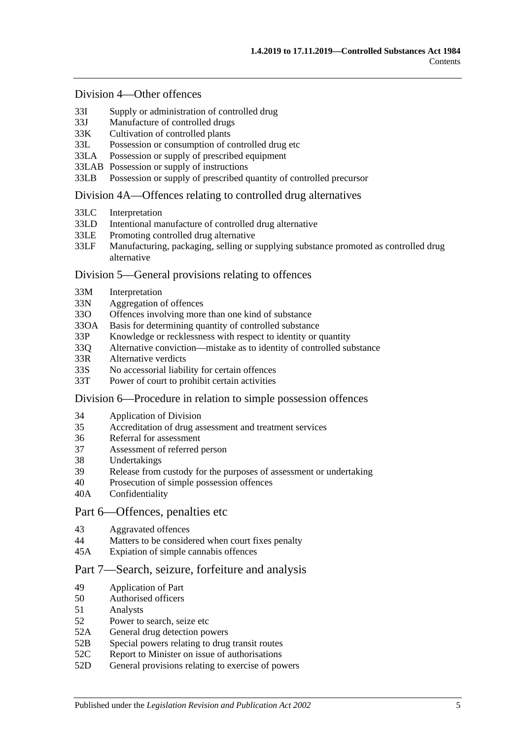#### [Division 4—Other offences](#page-74-2)

- 33I [Supply or administration of controlled drug](#page-74-3)
- 33J [Manufacture of controlled drugs](#page-75-0)
- 33K [Cultivation of controlled plants](#page-75-1)
- 33L [Possession or consumption of controlled drug etc](#page-76-0)
- 33LA [Possession or supply of prescribed equipment](#page-76-1)
- 33LAB [Possession or supply of instructions](#page-77-0)
- 33LB [Possession or supply of prescribed quantity of controlled precursor](#page-77-1)

#### [Division 4A—Offences relating to controlled drug alternatives](#page-78-0)

- 33LC [Interpretation](#page-78-1)
- 33LD [Intentional manufacture of controlled drug alternative](#page-79-0)
- 33LE [Promoting controlled drug alternative](#page-79-1)
- 33LF [Manufacturing, packaging, selling or supplying substance promoted as controlled drug](#page-80-0)  [alternative](#page-80-0)

#### [Division 5—General provisions relating to offences](#page-81-0)

- 33M [Interpretation](#page-81-1)
- 33N [Aggregation of offences](#page-81-2)
- 33O [Offences involving more than one kind of substance](#page-82-0)
- 33OA [Basis for determining quantity of controlled substance](#page-82-1)
- 33P [Knowledge or recklessness with respect to identity or quantity](#page-83-0)
- 33Q [Alternative conviction—mistake as to identity of controlled substance](#page-83-1)
- 33R [Alternative verdicts](#page-84-0)
- 33S [No accessorial liability for certain offences](#page-84-1)
- 33T [Power of court to prohibit certain activities](#page-84-2)

#### [Division 6—Procedure in relation to simple possession offences](#page-84-3)

- 34 [Application of Division](#page-84-4)
- 35 [Accreditation of drug assessment and treatment services](#page-85-0)
- 36 [Referral for assessment](#page-85-1)
- 37 [Assessment of referred person](#page-85-2)
- 38 [Undertakings](#page-87-0)
- 39 [Release from custody for the purposes of assessment or undertaking](#page-87-1)
- 40 [Prosecution of simple possession offences](#page-87-2)
- 40A [Confidentiality](#page-88-0)

#### [Part 6—Offences, penalties etc](#page-88-1)

- 43 [Aggravated offences](#page-88-2)
- 44 [Matters to be considered when court fixes penalty](#page-89-0)
- 45A [Expiation of simple cannabis offences](#page-90-0)

### [Part 7—Search, seizure, forfeiture and analysis](#page-91-0)

- 49 [Application of Part](#page-91-1)
- 50 [Authorised officers](#page-91-2)
- 51 [Analysts](#page-91-3)
- 52 [Power to search, seize etc](#page-91-4)
- 52A [General drug detection powers](#page-93-0)
- 52B [Special powers relating to drug transit routes](#page-94-0)
- 52C [Report to Minister on issue of authorisations](#page-96-0)
- 52D [General provisions relating to exercise of powers](#page-96-1)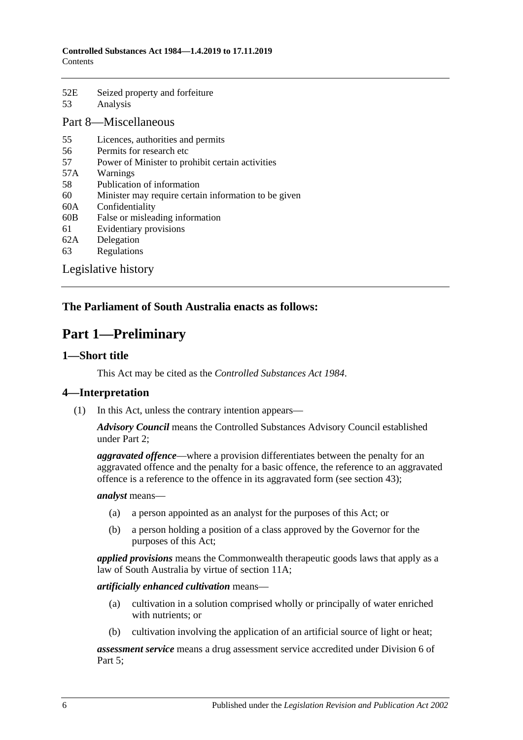| 52E          | Seized property and forfeiture |
|--------------|--------------------------------|
| 53           | Analysis                       |
| T.<br>$\sim$ | <b>A <i>r</i></b> .            |

## [Part 8—Miscellaneous](#page-99-0)

- 55 [Licences, authorities and permits](#page-99-1)
- 56 [Permits for research etc](#page-100-0)
- 57 [Power of Minister to prohibit certain activities](#page-100-1)
- 57A [Warnings](#page-101-0)
- 58 [Publication of information](#page-101-1)
- 60 [Minister may require certain information to be given](#page-102-0)
- 60A [Confidentiality](#page-102-1)
- 60B [False or misleading information](#page-103-0)
- 61 [Evidentiary provisions](#page-103-1)
- 62A [Delegation](#page-104-0)
- 63 [Regulations](#page-104-1)

[Legislative history](#page-107-0)

## <span id="page-5-0"></span>**The Parliament of South Australia enacts as follows:**

## **Part 1—Preliminary**

### <span id="page-5-1"></span>**1—Short title**

This Act may be cited as the *Controlled Substances Act 1984*.

## <span id="page-5-2"></span>**4—Interpretation**

(1) In this Act, unless the contrary intention appears—

*Advisory Council* means the Controlled Substances Advisory Council established under [Part 2;](#page-12-1)

*aggravated offence*—where a provision differentiates between the penalty for an aggravated offence and the penalty for a basic offence, the reference to an aggravated offence is a reference to the offence in its aggravated form (see [section](#page-88-2) 43);

#### *analyst* means—

- (a) a person appointed as an analyst for the purposes of this Act; or
- (b) a person holding a position of a class approved by the Governor for the purposes of this Act;

*applied provisions* means the Commonwealth therapeutic goods laws that apply as a law of South Australia by virtue of [section](#page-15-2) 11A;

#### *artificially enhanced cultivation* means—

- (a) cultivation in a solution comprised wholly or principally of water enriched with nutrients; or
- (b) cultivation involving the application of an artificial source of light or heat;

*assessment service* means a drug assessment service accredited under [Division](#page-84-3) 6 of [Part 5;](#page-63-0)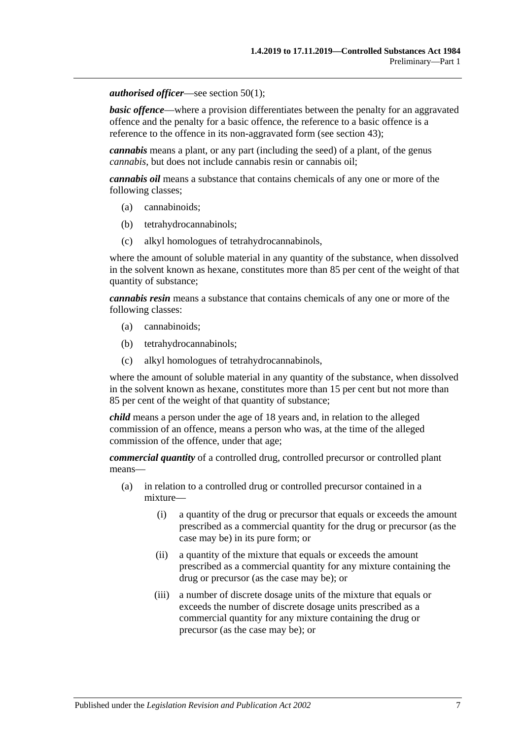#### *authorised officer*—see [section](#page-91-5) 50(1);

**basic offence—where a provision differentiates between the penalty for an aggravated** offence and the penalty for a basic offence, the reference to a basic offence is a reference to the offence in its non-aggravated form (see [section](#page-88-2) 43);

*cannabis* means a plant, or any part (including the seed) of a plant, of the genus *cannabis*, but does not include cannabis resin or cannabis oil;

*cannabis oil* means a substance that contains chemicals of any one or more of the following classes;

- (a) cannabinoids;
- (b) tetrahydrocannabinols;
- (c) alkyl homologues of tetrahydrocannabinols,

where the amount of soluble material in any quantity of the substance, when dissolved in the solvent known as hexane, constitutes more than 85 per cent of the weight of that quantity of substance;

*cannabis resin* means a substance that contains chemicals of any one or more of the following classes:

- (a) cannabinoids;
- (b) tetrahydrocannabinols;
- (c) alkyl homologues of tetrahydrocannabinols,

where the amount of soluble material in any quantity of the substance, when dissolved in the solvent known as hexane, constitutes more than 15 per cent but not more than 85 per cent of the weight of that quantity of substance;

*child* means a person under the age of 18 years and, in relation to the alleged commission of an offence, means a person who was, at the time of the alleged commission of the offence, under that age;

*commercial quantity* of a controlled drug, controlled precursor or controlled plant means—

- (a) in relation to a controlled drug or controlled precursor contained in a mixture—
	- (i) a quantity of the drug or precursor that equals or exceeds the amount prescribed as a commercial quantity for the drug or precursor (as the case may be) in its pure form; or
	- (ii) a quantity of the mixture that equals or exceeds the amount prescribed as a commercial quantity for any mixture containing the drug or precursor (as the case may be); or
	- (iii) a number of discrete dosage units of the mixture that equals or exceeds the number of discrete dosage units prescribed as a commercial quantity for any mixture containing the drug or precursor (as the case may be); or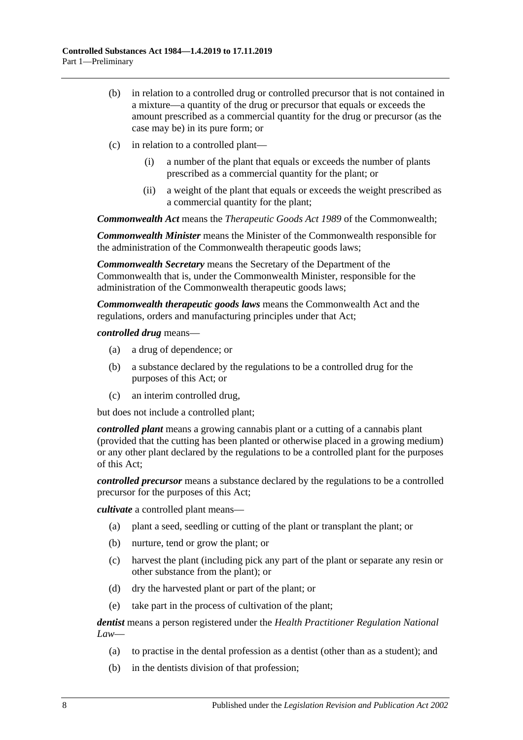- (b) in relation to a controlled drug or controlled precursor that is not contained in a mixture—a quantity of the drug or precursor that equals or exceeds the amount prescribed as a commercial quantity for the drug or precursor (as the case may be) in its pure form; or
- (c) in relation to a controlled plant—
	- (i) a number of the plant that equals or exceeds the number of plants prescribed as a commercial quantity for the plant; or
	- (ii) a weight of the plant that equals or exceeds the weight prescribed as a commercial quantity for the plant;

*Commonwealth Act* means the *Therapeutic Goods Act 1989* of the Commonwealth;

*Commonwealth Minister* means the Minister of the Commonwealth responsible for the administration of the Commonwealth therapeutic goods laws;

*Commonwealth Secretary* means the Secretary of the Department of the Commonwealth that is, under the Commonwealth Minister, responsible for the administration of the Commonwealth therapeutic goods laws;

*Commonwealth therapeutic goods laws* means the Commonwealth Act and the regulations, orders and manufacturing principles under that Act;

*controlled drug* means—

- (a) a drug of dependence; or
- (b) a substance declared by the regulations to be a controlled drug for the purposes of this Act; or
- (c) an interim controlled drug,

but does not include a controlled plant;

*controlled plant* means a growing cannabis plant or a cutting of a cannabis plant (provided that the cutting has been planted or otherwise placed in a growing medium) or any other plant declared by the regulations to be a controlled plant for the purposes of this Act;

*controlled precursor* means a substance declared by the regulations to be a controlled precursor for the purposes of this Act;

*cultivate* a controlled plant means—

- (a) plant a seed, seedling or cutting of the plant or transplant the plant; or
- (b) nurture, tend or grow the plant; or
- (c) harvest the plant (including pick any part of the plant or separate any resin or other substance from the plant); or
- (d) dry the harvested plant or part of the plant; or
- (e) take part in the process of cultivation of the plant;

*dentist* means a person registered under the *Health Practitioner Regulation National Law*—

- (a) to practise in the dental profession as a dentist (other than as a student); and
- (b) in the dentists division of that profession;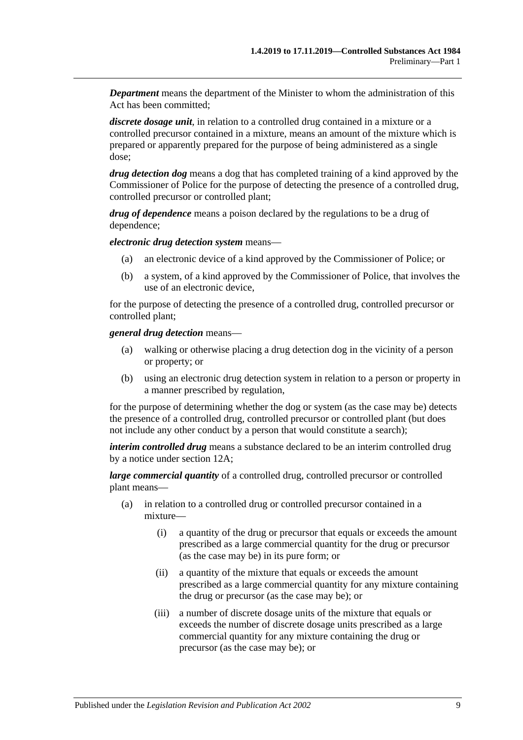*Department* means the department of the Minister to whom the administration of this Act has been committed;

*discrete dosage unit*, in relation to a controlled drug contained in a mixture or a controlled precursor contained in a mixture, means an amount of the mixture which is prepared or apparently prepared for the purpose of being administered as a single dose;

*drug detection dog* means a dog that has completed training of a kind approved by the Commissioner of Police for the purpose of detecting the presence of a controlled drug, controlled precursor or controlled plant;

*drug of dependence* means a poison declared by the regulations to be a drug of dependence;

*electronic drug detection system* means—

- (a) an electronic device of a kind approved by the Commissioner of Police; or
- (b) a system, of a kind approved by the Commissioner of Police, that involves the use of an electronic device,

for the purpose of detecting the presence of a controlled drug, controlled precursor or controlled plant;

*general drug detection* means—

- (a) walking or otherwise placing a drug detection dog in the vicinity of a person or property; or
- (b) using an electronic drug detection system in relation to a person or property in a manner prescribed by regulation,

for the purpose of determining whether the dog or system (as the case may be) detects the presence of a controlled drug, controlled precursor or controlled plant (but does not include any other conduct by a person that would constitute a search);

*interim controlled drug* means a substance declared to be an interim controlled drug by a notice under [section](#page-18-2) 12A;

*large commercial quantity* of a controlled drug, controlled precursor or controlled plant means—

- (a) in relation to a controlled drug or controlled precursor contained in a mixture—
	- (i) a quantity of the drug or precursor that equals or exceeds the amount prescribed as a large commercial quantity for the drug or precursor (as the case may be) in its pure form; or
	- (ii) a quantity of the mixture that equals or exceeds the amount prescribed as a large commercial quantity for any mixture containing the drug or precursor (as the case may be); or
	- (iii) a number of discrete dosage units of the mixture that equals or exceeds the number of discrete dosage units prescribed as a large commercial quantity for any mixture containing the drug or precursor (as the case may be); or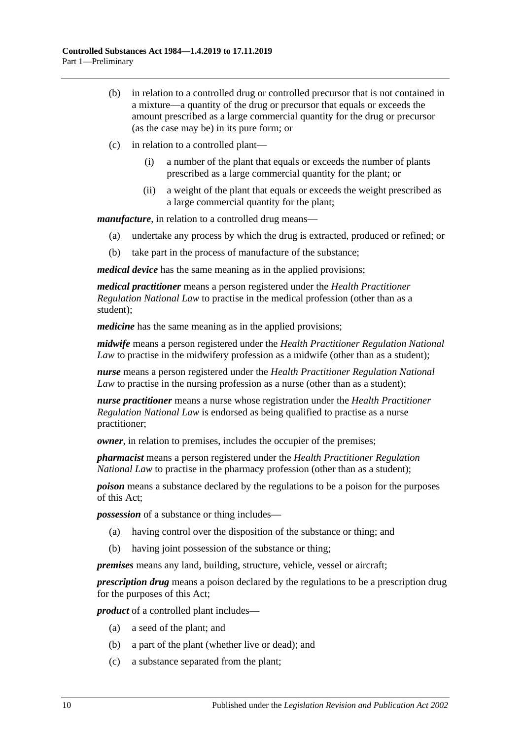- (b) in relation to a controlled drug or controlled precursor that is not contained in a mixture—a quantity of the drug or precursor that equals or exceeds the amount prescribed as a large commercial quantity for the drug or precursor (as the case may be) in its pure form; or
- (c) in relation to a controlled plant—
	- (i) a number of the plant that equals or exceeds the number of plants prescribed as a large commercial quantity for the plant; or
	- (ii) a weight of the plant that equals or exceeds the weight prescribed as a large commercial quantity for the plant;

*manufacture*, in relation to a controlled drug means—

- (a) undertake any process by which the drug is extracted, produced or refined; or
- (b) take part in the process of manufacture of the substance;

*medical device* has the same meaning as in the applied provisions;

*medical practitioner* means a person registered under the *Health Practitioner Regulation National Law* to practise in the medical profession (other than as a student);

*medicine* has the same meaning as in the applied provisions;

*midwife* means a person registered under the *Health Practitioner Regulation National Law* to practise in the midwifery profession as a midwife (other than as a student);

*nurse* means a person registered under the *Health Practitioner Regulation National Law* to practise in the nursing profession as a nurse (other than as a student);

*nurse practitioner* means a nurse whose registration under the *Health Practitioner Regulation National Law* is endorsed as being qualified to practise as a nurse practitioner;

*owner*, in relation to premises, includes the occupier of the premises;

*pharmacist* means a person registered under the *Health Practitioner Regulation National Law* to practise in the pharmacy profession (other than as a student);

*poison* means a substance declared by the regulations to be a poison for the purposes of this Act;

*possession* of a substance or thing includes—

- (a) having control over the disposition of the substance or thing; and
- (b) having joint possession of the substance or thing;

*premises* means any land, building, structure, vehicle, vessel or aircraft;

*prescription drug* means a poison declared by the regulations to be a prescription drug for the purposes of this Act;

*product* of a controlled plant includes—

- (a) a seed of the plant; and
- (b) a part of the plant (whether live or dead); and
- (c) a substance separated from the plant;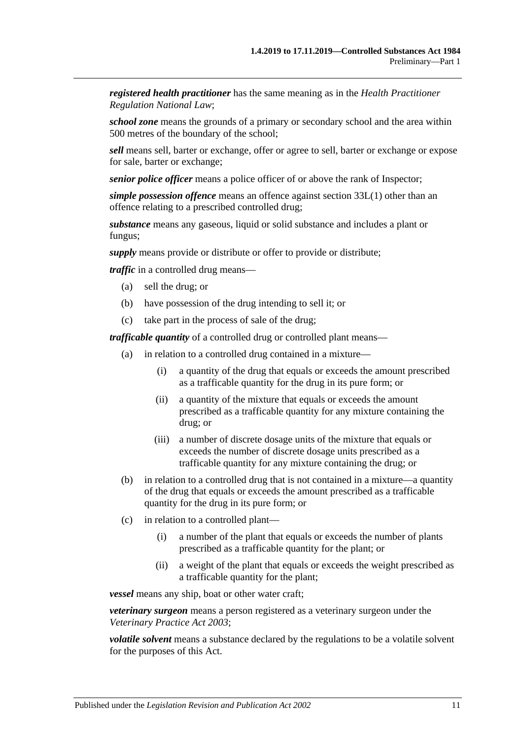*registered health practitioner* has the same meaning as in the *Health Practitioner Regulation National Law*;

*school zone* means the grounds of a primary or secondary school and the area within 500 metres of the boundary of the school;

*sell* means sell, barter or exchange, offer or agree to sell, barter or exchange or expose for sale, barter or exchange;

*senior police officer* means a police officer of or above the rank of Inspector;

*simple possession offence* means an offence against [section](#page-76-2) 33L(1) other than an offence relating to a prescribed controlled drug;

*substance* means any gaseous, liquid or solid substance and includes a plant or fungus;

*supply* means provide or distribute or offer to provide or distribute;

*traffic* in a controlled drug means—

- (a) sell the drug; or
- (b) have possession of the drug intending to sell it; or
- (c) take part in the process of sale of the drug;

*trafficable quantity* of a controlled drug or controlled plant means—

- (a) in relation to a controlled drug contained in a mixture—
	- (i) a quantity of the drug that equals or exceeds the amount prescribed as a trafficable quantity for the drug in its pure form; or
	- (ii) a quantity of the mixture that equals or exceeds the amount prescribed as a trafficable quantity for any mixture containing the drug; or
	- (iii) a number of discrete dosage units of the mixture that equals or exceeds the number of discrete dosage units prescribed as a trafficable quantity for any mixture containing the drug; or
- (b) in relation to a controlled drug that is not contained in a mixture—a quantity of the drug that equals or exceeds the amount prescribed as a trafficable quantity for the drug in its pure form; or
- (c) in relation to a controlled plant—
	- (i) a number of the plant that equals or exceeds the number of plants prescribed as a trafficable quantity for the plant; or
	- (ii) a weight of the plant that equals or exceeds the weight prescribed as a trafficable quantity for the plant;

*vessel* means any ship, boat or other water craft;

*veterinary surgeon* means a person registered as a veterinary surgeon under the *[Veterinary Practice Act](http://www.legislation.sa.gov.au/index.aspx?action=legref&type=act&legtitle=Veterinary%20Practice%20Act%202003) 2003*;

*volatile solvent* means a substance declared by the regulations to be a volatile solvent for the purposes of this Act.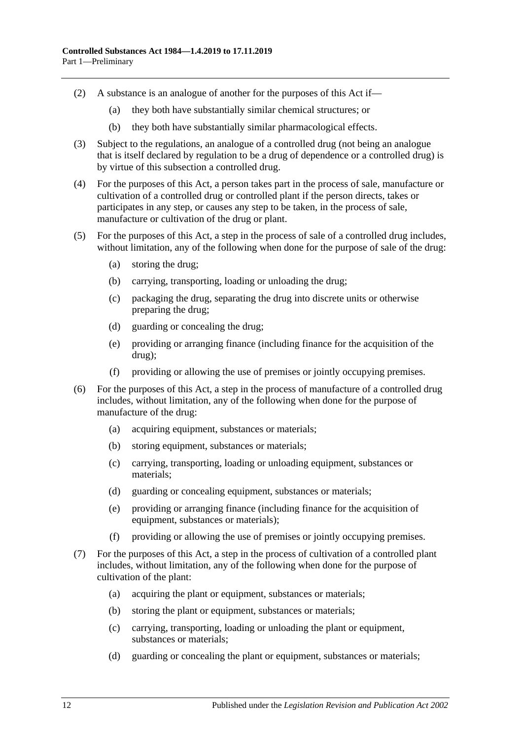- (2) A substance is an analogue of another for the purposes of this Act if—
	- (a) they both have substantially similar chemical structures; or
	- (b) they both have substantially similar pharmacological effects.
- (3) Subject to the regulations, an analogue of a controlled drug (not being an analogue that is itself declared by regulation to be a drug of dependence or a controlled drug) is by virtue of this subsection a controlled drug.
- (4) For the purposes of this Act, a person takes part in the process of sale, manufacture or cultivation of a controlled drug or controlled plant if the person directs, takes or participates in any step, or causes any step to be taken, in the process of sale, manufacture or cultivation of the drug or plant.
- (5) For the purposes of this Act, a step in the process of sale of a controlled drug includes, without limitation, any of the following when done for the purpose of sale of the drug:
	- (a) storing the drug;
	- (b) carrying, transporting, loading or unloading the drug;
	- (c) packaging the drug, separating the drug into discrete units or otherwise preparing the drug;
	- (d) guarding or concealing the drug;
	- (e) providing or arranging finance (including finance for the acquisition of the drug);
	- (f) providing or allowing the use of premises or jointly occupying premises.
- (6) For the purposes of this Act, a step in the process of manufacture of a controlled drug includes, without limitation, any of the following when done for the purpose of manufacture of the drug:
	- (a) acquiring equipment, substances or materials;
	- (b) storing equipment, substances or materials;
	- (c) carrying, transporting, loading or unloading equipment, substances or materials;
	- (d) guarding or concealing equipment, substances or materials;
	- (e) providing or arranging finance (including finance for the acquisition of equipment, substances or materials);
	- (f) providing or allowing the use of premises or jointly occupying premises.
- <span id="page-11-0"></span>(7) For the purposes of this Act, a step in the process of cultivation of a controlled plant includes, without limitation, any of the following when done for the purpose of cultivation of the plant:
	- (a) acquiring the plant or equipment, substances or materials;
	- (b) storing the plant or equipment, substances or materials;
	- (c) carrying, transporting, loading or unloading the plant or equipment, substances or materials;
	- (d) guarding or concealing the plant or equipment, substances or materials;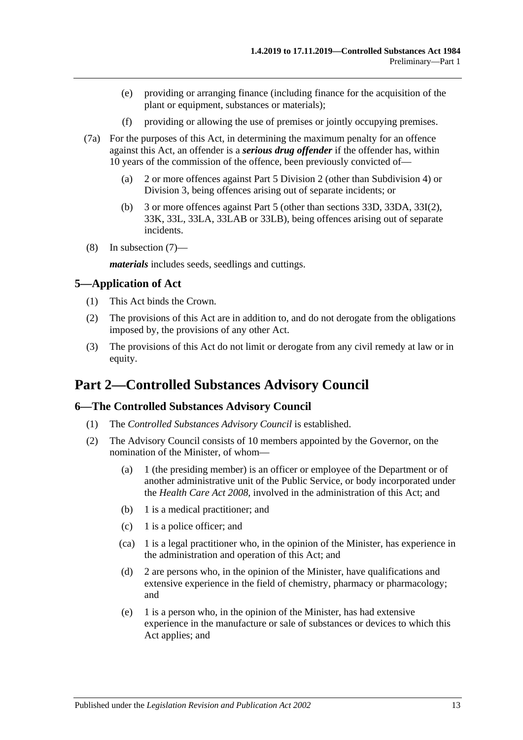- (e) providing or arranging finance (including finance for the acquisition of the plant or equipment, substances or materials);
- (f) providing or allowing the use of premises or jointly occupying premises.
- (7a) For the purposes of this Act, in determining the maximum penalty for an offence against this Act, an offender is a *serious drug offender* if the offender has, within 10 years of the commission of the offence, been previously convicted of—
	- (a) 2 or more offences against [Part 5 Division 2](#page-65-0) (other than [Subdivision 4\)](#page-72-0) or [Division 3,](#page-72-3) being offences arising out of separate incidents; or
	- (b) 3 or more offences against [Part 5](#page-63-0) (other than [sections](#page-72-1) 33D, [33DA,](#page-72-2) 33I(2), 33K, 33L, 33LA, 33LAB or 33LB), being offences arising out of separate incidents.
- (8) In [subsection](#page-11-0) (7)—

*materials* includes seeds, seedlings and cuttings.

#### <span id="page-12-0"></span>**5—Application of Act**

- (1) This Act binds the Crown.
- (2) The provisions of this Act are in addition to, and do not derogate from the obligations imposed by, the provisions of any other Act.
- (3) The provisions of this Act do not limit or derogate from any civil remedy at law or in equity.

## <span id="page-12-1"></span>**Part 2—Controlled Substances Advisory Council**

#### <span id="page-12-2"></span>**6—The Controlled Substances Advisory Council**

- (1) The *Controlled Substances Advisory Council* is established.
- (2) The Advisory Council consists of 10 members appointed by the Governor, on the nomination of the Minister, of whom—
	- (a) 1 (the presiding member) is an officer or employee of the Department or of another administrative unit of the Public Service, or body incorporated under the *[Health Care Act](http://www.legislation.sa.gov.au/index.aspx?action=legref&type=act&legtitle=Health%20Care%20Act%202008) 2008*, involved in the administration of this Act; and
	- (b) 1 is a medical practitioner; and
	- (c) 1 is a police officer; and
	- (ca) 1 is a legal practitioner who, in the opinion of the Minister, has experience in the administration and operation of this Act; and
	- (d) 2 are persons who, in the opinion of the Minister, have qualifications and extensive experience in the field of chemistry, pharmacy or pharmacology; and
	- (e) 1 is a person who, in the opinion of the Minister, has had extensive experience in the manufacture or sale of substances or devices to which this Act applies; and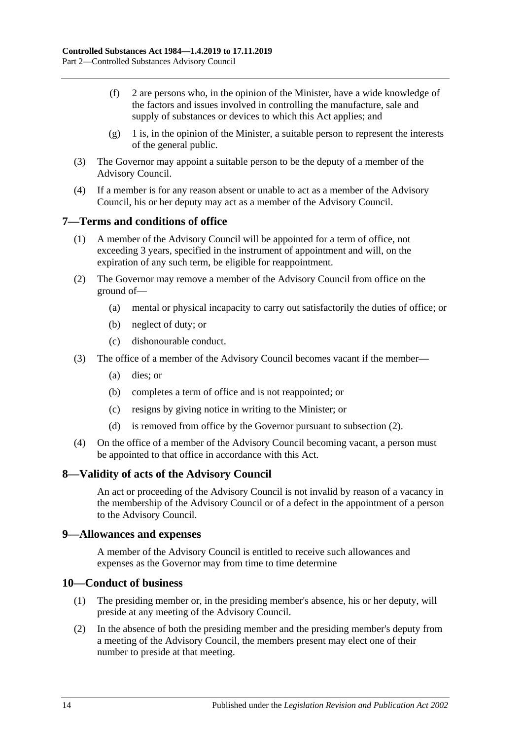- (f) 2 are persons who, in the opinion of the Minister, have a wide knowledge of the factors and issues involved in controlling the manufacture, sale and supply of substances or devices to which this Act applies; and
- $(g)$  1 is, in the opinion of the Minister, a suitable person to represent the interests of the general public.
- (3) The Governor may appoint a suitable person to be the deputy of a member of the Advisory Council.
- (4) If a member is for any reason absent or unable to act as a member of the Advisory Council, his or her deputy may act as a member of the Advisory Council.

## <span id="page-13-0"></span>**7—Terms and conditions of office**

- (1) A member of the Advisory Council will be appointed for a term of office, not exceeding 3 years, specified in the instrument of appointment and will, on the expiration of any such term, be eligible for reappointment.
- <span id="page-13-4"></span>(2) The Governor may remove a member of the Advisory Council from office on the ground of—
	- (a) mental or physical incapacity to carry out satisfactorily the duties of office; or
	- (b) neglect of duty; or
	- (c) dishonourable conduct.
- (3) The office of a member of the Advisory Council becomes vacant if the member—
	- (a) dies; or
	- (b) completes a term of office and is not reappointed; or
	- (c) resigns by giving notice in writing to the Minister; or
	- (d) is removed from office by the Governor pursuant to [subsection](#page-13-4) (2).
- (4) On the office of a member of the Advisory Council becoming vacant, a person must be appointed to that office in accordance with this Act.

#### <span id="page-13-1"></span>**8—Validity of acts of the Advisory Council**

An act or proceeding of the Advisory Council is not invalid by reason of a vacancy in the membership of the Advisory Council or of a defect in the appointment of a person to the Advisory Council.

#### <span id="page-13-2"></span>**9—Allowances and expenses**

A member of the Advisory Council is entitled to receive such allowances and expenses as the Governor may from time to time determine

#### <span id="page-13-3"></span>**10—Conduct of business**

- (1) The presiding member or, in the presiding member's absence, his or her deputy, will preside at any meeting of the Advisory Council.
- (2) In the absence of both the presiding member and the presiding member's deputy from a meeting of the Advisory Council, the members present may elect one of their number to preside at that meeting.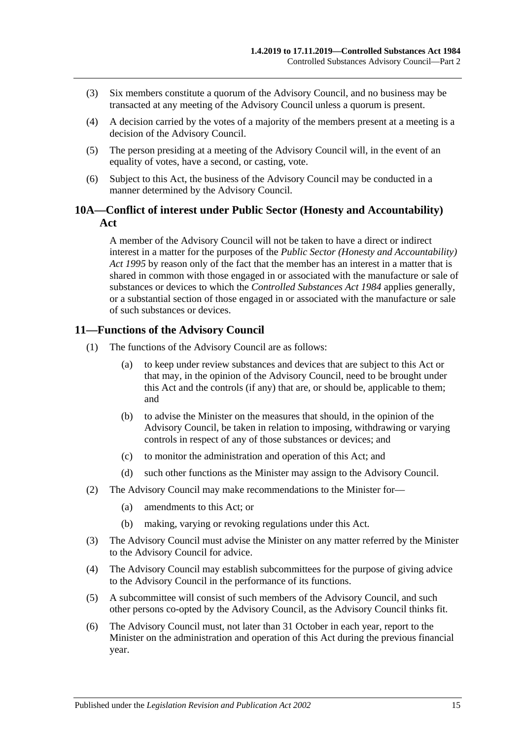- (3) Six members constitute a quorum of the Advisory Council, and no business may be transacted at any meeting of the Advisory Council unless a quorum is present.
- (4) A decision carried by the votes of a majority of the members present at a meeting is a decision of the Advisory Council.
- (5) The person presiding at a meeting of the Advisory Council will, in the event of an equality of votes, have a second, or casting, vote.
- (6) Subject to this Act, the business of the Advisory Council may be conducted in a manner determined by the Advisory Council.

## <span id="page-14-0"></span>**10A—Conflict of interest under Public Sector (Honesty and Accountability) Act**

A member of the Advisory Council will not be taken to have a direct or indirect interest in a matter for the purposes of the *[Public Sector \(Honesty](http://www.legislation.sa.gov.au/index.aspx?action=legref&type=act&legtitle=Public%20Sector%20(Honesty%20and%20Accountability)%20Act%201995) and Accountability) Act [1995](http://www.legislation.sa.gov.au/index.aspx?action=legref&type=act&legtitle=Public%20Sector%20(Honesty%20and%20Accountability)%20Act%201995)* by reason only of the fact that the member has an interest in a matter that is shared in common with those engaged in or associated with the manufacture or sale of substances or devices to which the *[Controlled Substances Act](http://www.legislation.sa.gov.au/index.aspx?action=legref&type=act&legtitle=Controlled%20Substances%20Act%201984) 1984* applies generally, or a substantial section of those engaged in or associated with the manufacture or sale of such substances or devices.

## <span id="page-14-1"></span>**11—Functions of the Advisory Council**

- (1) The functions of the Advisory Council are as follows:
	- (a) to keep under review substances and devices that are subject to this Act or that may, in the opinion of the Advisory Council, need to be brought under this Act and the controls (if any) that are, or should be, applicable to them; and
	- (b) to advise the Minister on the measures that should, in the opinion of the Advisory Council, be taken in relation to imposing, withdrawing or varying controls in respect of any of those substances or devices; and
	- (c) to monitor the administration and operation of this Act; and
	- (d) such other functions as the Minister may assign to the Advisory Council.
- (2) The Advisory Council may make recommendations to the Minister for—
	- (a) amendments to this Act; or
	- (b) making, varying or revoking regulations under this Act.
- (3) The Advisory Council must advise the Minister on any matter referred by the Minister to the Advisory Council for advice.
- (4) The Advisory Council may establish subcommittees for the purpose of giving advice to the Advisory Council in the performance of its functions.
- (5) A subcommittee will consist of such members of the Advisory Council, and such other persons co-opted by the Advisory Council, as the Advisory Council thinks fit.
- <span id="page-14-2"></span>(6) The Advisory Council must, not later than 31 October in each year, report to the Minister on the administration and operation of this Act during the previous financial year.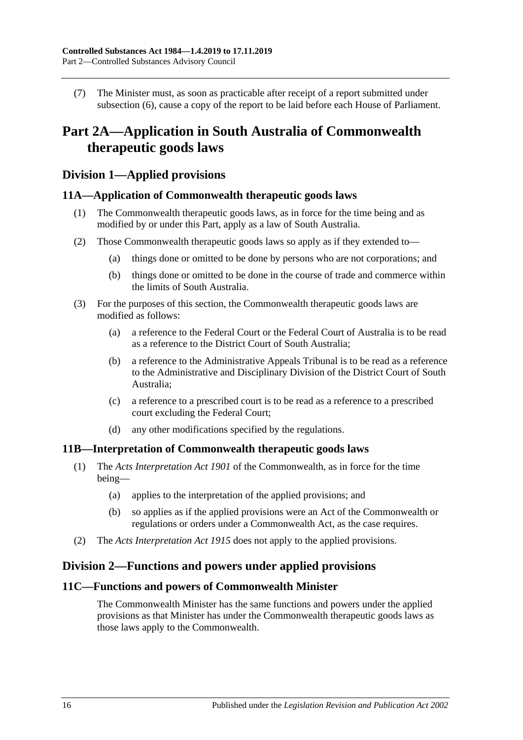(7) The Minister must, as soon as practicable after receipt of a report submitted under [subsection](#page-14-2) (6), cause a copy of the report to be laid before each House of Parliament.

## <span id="page-15-0"></span>**Part 2A—Application in South Australia of Commonwealth therapeutic goods laws**

## <span id="page-15-1"></span>**Division 1—Applied provisions**

### <span id="page-15-2"></span>**11A—Application of Commonwealth therapeutic goods laws**

- (1) The Commonwealth therapeutic goods laws, as in force for the time being and as modified by or under this Part, apply as a law of South Australia.
- (2) Those Commonwealth therapeutic goods laws so apply as if they extended to—
	- (a) things done or omitted to be done by persons who are not corporations; and
	- (b) things done or omitted to be done in the course of trade and commerce within the limits of South Australia.
- (3) For the purposes of this section, the Commonwealth therapeutic goods laws are modified as follows:
	- (a) a reference to the Federal Court or the Federal Court of Australia is to be read as a reference to the District Court of South Australia;
	- (b) a reference to the Administrative Appeals Tribunal is to be read as a reference to the Administrative and Disciplinary Division of the District Court of South Australia;
	- (c) a reference to a prescribed court is to be read as a reference to a prescribed court excluding the Federal Court;
	- (d) any other modifications specified by the regulations.

#### <span id="page-15-3"></span>**11B—Interpretation of Commonwealth therapeutic goods laws**

- (1) The *Acts Interpretation Act 1901* of the Commonwealth, as in force for the time being—
	- (a) applies to the interpretation of the applied provisions; and
	- (b) so applies as if the applied provisions were an Act of the Commonwealth or regulations or orders under a Commonwealth Act, as the case requires.
- (2) The *[Acts Interpretation Act](http://www.legislation.sa.gov.au/index.aspx?action=legref&type=act&legtitle=Acts%20Interpretation%20Act%201915) 1915* does not apply to the applied provisions.

## <span id="page-15-4"></span>**Division 2—Functions and powers under applied provisions**

### <span id="page-15-5"></span>**11C—Functions and powers of Commonwealth Minister**

The Commonwealth Minister has the same functions and powers under the applied provisions as that Minister has under the Commonwealth therapeutic goods laws as those laws apply to the Commonwealth.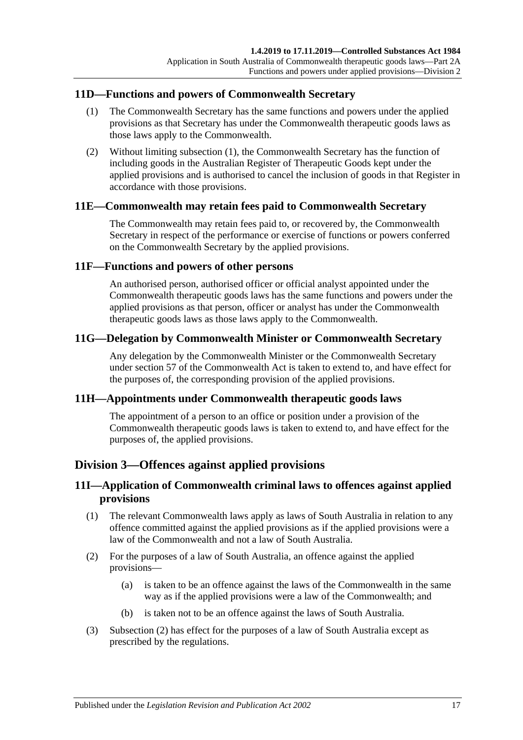## <span id="page-16-7"></span><span id="page-16-0"></span>**11D—Functions and powers of Commonwealth Secretary**

- (1) The Commonwealth Secretary has the same functions and powers under the applied provisions as that Secretary has under the Commonwealth therapeutic goods laws as those laws apply to the Commonwealth.
- (2) Without limiting [subsection](#page-16-7) (1), the Commonwealth Secretary has the function of including goods in the Australian Register of Therapeutic Goods kept under the applied provisions and is authorised to cancel the inclusion of goods in that Register in accordance with those provisions.

## <span id="page-16-1"></span>**11E—Commonwealth may retain fees paid to Commonwealth Secretary**

The Commonwealth may retain fees paid to, or recovered by, the Commonwealth Secretary in respect of the performance or exercise of functions or powers conferred on the Commonwealth Secretary by the applied provisions.

### <span id="page-16-2"></span>**11F—Functions and powers of other persons**

An authorised person, authorised officer or official analyst appointed under the Commonwealth therapeutic goods laws has the same functions and powers under the applied provisions as that person, officer or analyst has under the Commonwealth therapeutic goods laws as those laws apply to the Commonwealth.

## <span id="page-16-3"></span>**11G—Delegation by Commonwealth Minister or Commonwealth Secretary**

Any delegation by the Commonwealth Minister or the Commonwealth Secretary under section 57 of the Commonwealth Act is taken to extend to, and have effect for the purposes of, the corresponding provision of the applied provisions.

#### <span id="page-16-4"></span>**11H—Appointments under Commonwealth therapeutic goods laws**

The appointment of a person to an office or position under a provision of the Commonwealth therapeutic goods laws is taken to extend to, and have effect for the purposes of, the applied provisions.

## <span id="page-16-5"></span>**Division 3—Offences against applied provisions**

## <span id="page-16-6"></span>**11I—Application of Commonwealth criminal laws to offences against applied provisions**

- (1) The relevant Commonwealth laws apply as laws of South Australia in relation to any offence committed against the applied provisions as if the applied provisions were a law of the Commonwealth and not a law of South Australia.
- <span id="page-16-8"></span>(2) For the purposes of a law of South Australia, an offence against the applied provisions—
	- (a) is taken to be an offence against the laws of the Commonwealth in the same way as if the applied provisions were a law of the Commonwealth; and
	- (b) is taken not to be an offence against the laws of South Australia.
- (3) [Subsection](#page-16-8) (2) has effect for the purposes of a law of South Australia except as prescribed by the regulations.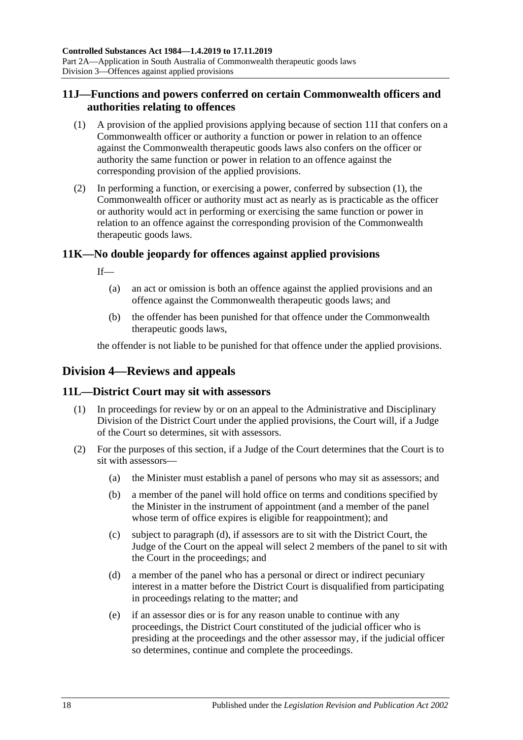## <span id="page-17-0"></span>**11J—Functions and powers conferred on certain Commonwealth officers and authorities relating to offences**

- <span id="page-17-4"></span>(1) A provision of the applied provisions applying because of [section](#page-16-6) 11I that confers on a Commonwealth officer or authority a function or power in relation to an offence against the Commonwealth therapeutic goods laws also confers on the officer or authority the same function or power in relation to an offence against the corresponding provision of the applied provisions.
- (2) In performing a function, or exercising a power, conferred by [subsection](#page-17-4) (1), the Commonwealth officer or authority must act as nearly as is practicable as the officer or authority would act in performing or exercising the same function or power in relation to an offence against the corresponding provision of the Commonwealth therapeutic goods laws.

## <span id="page-17-1"></span>**11K—No double jeopardy for offences against applied provisions**

If—

- (a) an act or omission is both an offence against the applied provisions and an offence against the Commonwealth therapeutic goods laws; and
- (b) the offender has been punished for that offence under the Commonwealth therapeutic goods laws,

the offender is not liable to be punished for that offence under the applied provisions.

## <span id="page-17-2"></span>**Division 4—Reviews and appeals**

## <span id="page-17-3"></span>**11L—District Court may sit with assessors**

- (1) In proceedings for review by or on an appeal to the Administrative and Disciplinary Division of the District Court under the applied provisions, the Court will, if a Judge of the Court so determines, sit with assessors.
- <span id="page-17-5"></span>(2) For the purposes of this section, if a Judge of the Court determines that the Court is to sit with assessors—
	- (a) the Minister must establish a panel of persons who may sit as assessors; and
	- (b) a member of the panel will hold office on terms and conditions specified by the Minister in the instrument of appointment (and a member of the panel whose term of office expires is eligible for reappointment); and
	- (c) subject to [paragraph](#page-17-5) (d), if assessors are to sit with the District Court, the Judge of the Court on the appeal will select 2 members of the panel to sit with the Court in the proceedings; and
	- (d) a member of the panel who has a personal or direct or indirect pecuniary interest in a matter before the District Court is disqualified from participating in proceedings relating to the matter; and
	- (e) if an assessor dies or is for any reason unable to continue with any proceedings, the District Court constituted of the judicial officer who is presiding at the proceedings and the other assessor may, if the judicial officer so determines, continue and complete the proceedings.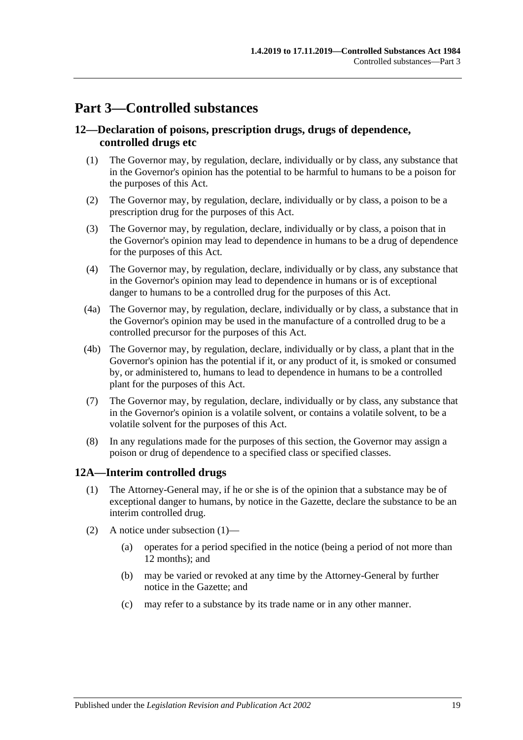## <span id="page-18-0"></span>**Part 3—Controlled substances**

## <span id="page-18-1"></span>**12—Declaration of poisons, prescription drugs, drugs of dependence, controlled drugs etc**

- (1) The Governor may, by regulation, declare, individually or by class, any substance that in the Governor's opinion has the potential to be harmful to humans to be a poison for the purposes of this Act.
- (2) The Governor may, by regulation, declare, individually or by class, a poison to be a prescription drug for the purposes of this Act.
- (3) The Governor may, by regulation, declare, individually or by class, a poison that in the Governor's opinion may lead to dependence in humans to be a drug of dependence for the purposes of this Act.
- (4) The Governor may, by regulation, declare, individually or by class, any substance that in the Governor's opinion may lead to dependence in humans or is of exceptional danger to humans to be a controlled drug for the purposes of this Act.
- (4a) The Governor may, by regulation, declare, individually or by class, a substance that in the Governor's opinion may be used in the manufacture of a controlled drug to be a controlled precursor for the purposes of this Act.
- (4b) The Governor may, by regulation, declare, individually or by class, a plant that in the Governor's opinion has the potential if it, or any product of it, is smoked or consumed by, or administered to, humans to lead to dependence in humans to be a controlled plant for the purposes of this Act.
- (7) The Governor may, by regulation, declare, individually or by class, any substance that in the Governor's opinion is a volatile solvent, or contains a volatile solvent, to be a volatile solvent for the purposes of this Act.
- (8) In any regulations made for the purposes of this section, the Governor may assign a poison or drug of dependence to a specified class or specified classes.

## <span id="page-18-3"></span><span id="page-18-2"></span>**12A—Interim controlled drugs**

- (1) The Attorney-General may, if he or she is of the opinion that a substance may be of exceptional danger to humans, by notice in the Gazette, declare the substance to be an interim controlled drug.
- (2) A notice under [subsection](#page-18-3) (1)—
	- (a) operates for a period specified in the notice (being a period of not more than 12 months); and
	- (b) may be varied or revoked at any time by the Attorney-General by further notice in the Gazette; and
	- (c) may refer to a substance by its trade name or in any other manner.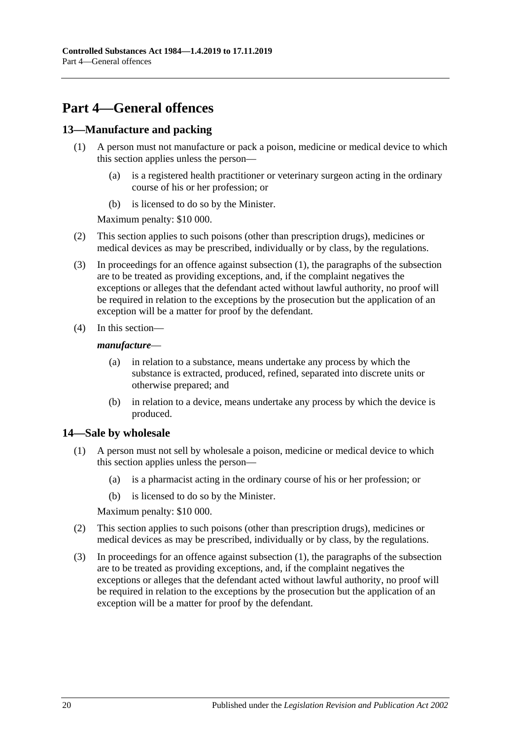## <span id="page-19-0"></span>**Part 4—General offences**

## <span id="page-19-3"></span><span id="page-19-1"></span>**13—Manufacture and packing**

- (1) A person must not manufacture or pack a poison, medicine or medical device to which this section applies unless the person—
	- (a) is a registered health practitioner or veterinary surgeon acting in the ordinary course of his or her profession; or
	- (b) is licensed to do so by the Minister.

Maximum penalty: \$10 000.

- (2) This section applies to such poisons (other than prescription drugs), medicines or medical devices as may be prescribed, individually or by class, by the regulations.
- (3) In proceedings for an offence against [subsection](#page-19-3) (1), the paragraphs of the subsection are to be treated as providing exceptions, and, if the complaint negatives the exceptions or alleges that the defendant acted without lawful authority, no proof will be required in relation to the exceptions by the prosecution but the application of an exception will be a matter for proof by the defendant.
- (4) In this section—

#### *manufacture*—

- (a) in relation to a substance, means undertake any process by which the substance is extracted, produced, refined, separated into discrete units or otherwise prepared; and
- (b) in relation to a device, means undertake any process by which the device is produced.

## <span id="page-19-4"></span><span id="page-19-2"></span>**14—Sale by wholesale**

- (1) A person must not sell by wholesale a poison, medicine or medical device to which this section applies unless the person—
	- (a) is a pharmacist acting in the ordinary course of his or her profession; or
	- (b) is licensed to do so by the Minister.

Maximum penalty: \$10 000.

- (2) This section applies to such poisons (other than prescription drugs), medicines or medical devices as may be prescribed, individually or by class, by the regulations.
- (3) In proceedings for an offence against [subsection](#page-19-4) (1), the paragraphs of the subsection are to be treated as providing exceptions, and, if the complaint negatives the exceptions or alleges that the defendant acted without lawful authority, no proof will be required in relation to the exceptions by the prosecution but the application of an exception will be a matter for proof by the defendant.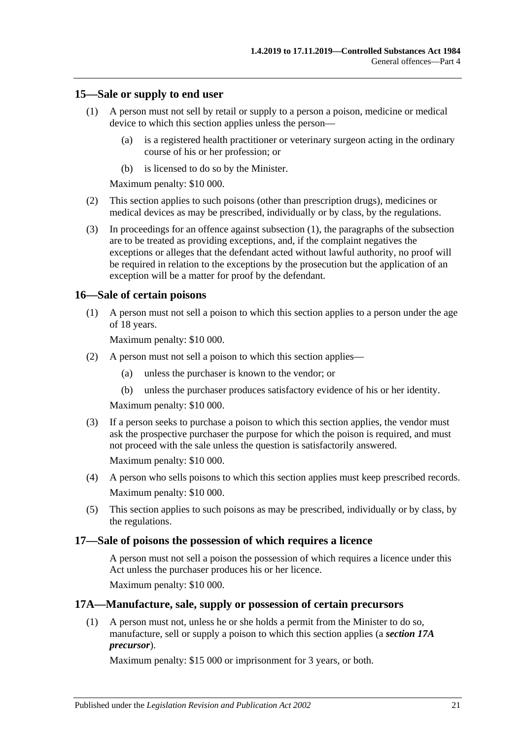### <span id="page-20-4"></span><span id="page-20-0"></span>**15—Sale or supply to end user**

- (1) A person must not sell by retail or supply to a person a poison, medicine or medical device to which this section applies unless the person—
	- (a) is a registered health practitioner or veterinary surgeon acting in the ordinary course of his or her profession; or
	- (b) is licensed to do so by the Minister.

Maximum penalty: \$10 000.

- (2) This section applies to such poisons (other than prescription drugs), medicines or medical devices as may be prescribed, individually or by class, by the regulations.
- (3) In proceedings for an offence against [subsection](#page-20-4) (1), the paragraphs of the subsection are to be treated as providing exceptions, and, if the complaint negatives the exceptions or alleges that the defendant acted without lawful authority, no proof will be required in relation to the exceptions by the prosecution but the application of an exception will be a matter for proof by the defendant.

### <span id="page-20-1"></span>**16—Sale of certain poisons**

(1) A person must not sell a poison to which this section applies to a person under the age of 18 years.

Maximum penalty: \$10 000.

- (2) A person must not sell a poison to which this section applies—
	- (a) unless the purchaser is known to the vendor; or
	- (b) unless the purchaser produces satisfactory evidence of his or her identity.

Maximum penalty: \$10 000.

(3) If a person seeks to purchase a poison to which this section applies, the vendor must ask the prospective purchaser the purpose for which the poison is required, and must not proceed with the sale unless the question is satisfactorily answered.

Maximum penalty: \$10 000.

- (4) A person who sells poisons to which this section applies must keep prescribed records. Maximum penalty: \$10 000.
- (5) This section applies to such poisons as may be prescribed, individually or by class, by the regulations.

#### <span id="page-20-2"></span>**17—Sale of poisons the possession of which requires a licence**

A person must not sell a poison the possession of which requires a licence under this Act unless the purchaser produces his or her licence.

Maximum penalty: \$10 000.

#### <span id="page-20-3"></span>**17A—Manufacture, sale, supply or possession of certain precursors**

(1) A person must not, unless he or she holds a permit from the Minister to do so, manufacture, sell or supply a poison to which this section applies (a *section 17A precursor*).

Maximum penalty: \$15 000 or imprisonment for 3 years, or both.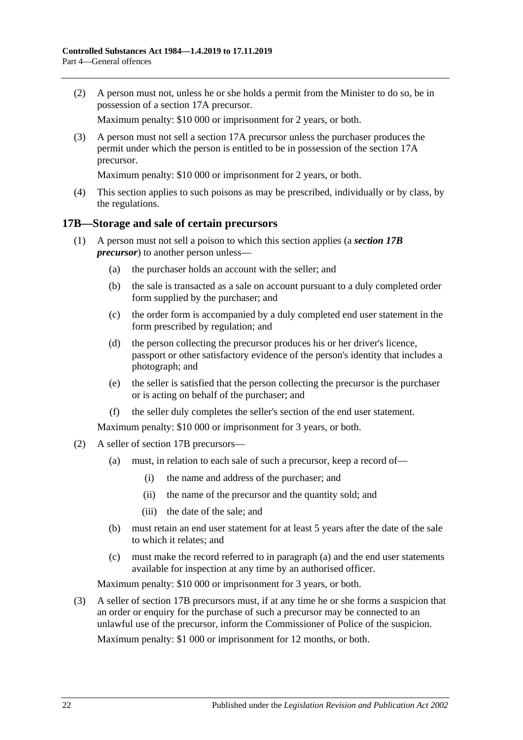(2) A person must not, unless he or she holds a permit from the Minister to do so, be in possession of a section 17A precursor.

Maximum penalty: \$10 000 or imprisonment for 2 years, or both.

(3) A person must not sell a section 17A precursor unless the purchaser produces the permit under which the person is entitled to be in possession of the section 17A precursor.

Maximum penalty: \$10 000 or imprisonment for 2 years, or both.

(4) This section applies to such poisons as may be prescribed, individually or by class, by the regulations.

### <span id="page-21-0"></span>**17B—Storage and sale of certain precursors**

- (1) A person must not sell a poison to which this section applies (a *section 17B precursor*) to another person unless—
	- (a) the purchaser holds an account with the seller; and
	- (b) the sale is transacted as a sale on account pursuant to a duly completed order form supplied by the purchaser; and
	- (c) the order form is accompanied by a duly completed end user statement in the form prescribed by regulation; and
	- (d) the person collecting the precursor produces his or her driver's licence, passport or other satisfactory evidence of the person's identity that includes a photograph; and
	- (e) the seller is satisfied that the person collecting the precursor is the purchaser or is acting on behalf of the purchaser; and
	- (f) the seller duly completes the seller's section of the end user statement.

Maximum penalty: \$10 000 or imprisonment for 3 years, or both.

- <span id="page-21-1"></span>(2) A seller of section 17B precursors—
	- (a) must, in relation to each sale of such a precursor, keep a record of—
		- (i) the name and address of the purchaser; and
		- (ii) the name of the precursor and the quantity sold; and
		- (iii) the date of the sale; and
	- (b) must retain an end user statement for at least 5 years after the date of the sale to which it relates; and
	- (c) must make the record referred to in [paragraph](#page-21-1) (a) and the end user statements available for inspection at any time by an authorised officer.

Maximum penalty: \$10 000 or imprisonment for 3 years, or both.

(3) A seller of section 17B precursors must, if at any time he or she forms a suspicion that an order or enquiry for the purchase of such a precursor may be connected to an unlawful use of the precursor, inform the Commissioner of Police of the suspicion.

Maximum penalty: \$1 000 or imprisonment for 12 months, or both.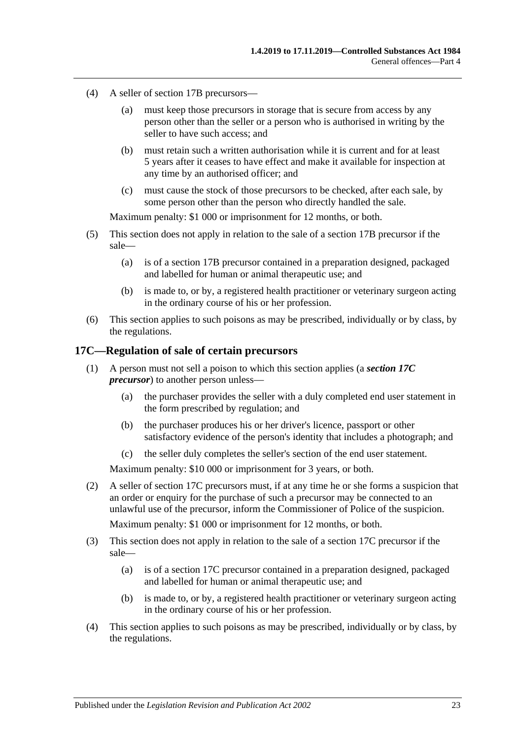- (4) A seller of section 17B precursors—
	- (a) must keep those precursors in storage that is secure from access by any person other than the seller or a person who is authorised in writing by the seller to have such access; and
	- (b) must retain such a written authorisation while it is current and for at least 5 years after it ceases to have effect and make it available for inspection at any time by an authorised officer; and
	- (c) must cause the stock of those precursors to be checked, after each sale, by some person other than the person who directly handled the sale.

Maximum penalty: \$1 000 or imprisonment for 12 months, or both.

- (5) This section does not apply in relation to the sale of a section 17B precursor if the sale—
	- (a) is of a section 17B precursor contained in a preparation designed, packaged and labelled for human or animal therapeutic use; and
	- (b) is made to, or by, a registered health practitioner or veterinary surgeon acting in the ordinary course of his or her profession.
- (6) This section applies to such poisons as may be prescribed, individually or by class, by the regulations.

#### <span id="page-22-0"></span>**17C—Regulation of sale of certain precursors**

- (1) A person must not sell a poison to which this section applies (a *section 17C precursor*) to another person unless—
	- (a) the purchaser provides the seller with a duly completed end user statement in the form prescribed by regulation; and
	- (b) the purchaser produces his or her driver's licence, passport or other satisfactory evidence of the person's identity that includes a photograph; and
	- (c) the seller duly completes the seller's section of the end user statement.

Maximum penalty: \$10 000 or imprisonment for 3 years, or both.

(2) A seller of section 17C precursors must, if at any time he or she forms a suspicion that an order or enquiry for the purchase of such a precursor may be connected to an unlawful use of the precursor, inform the Commissioner of Police of the suspicion.

Maximum penalty: \$1 000 or imprisonment for 12 months, or both.

- (3) This section does not apply in relation to the sale of a section 17C precursor if the sale—
	- (a) is of a section 17C precursor contained in a preparation designed, packaged and labelled for human or animal therapeutic use; and
	- (b) is made to, or by, a registered health practitioner or veterinary surgeon acting in the ordinary course of his or her profession.
- (4) This section applies to such poisons as may be prescribed, individually or by class, by the regulations.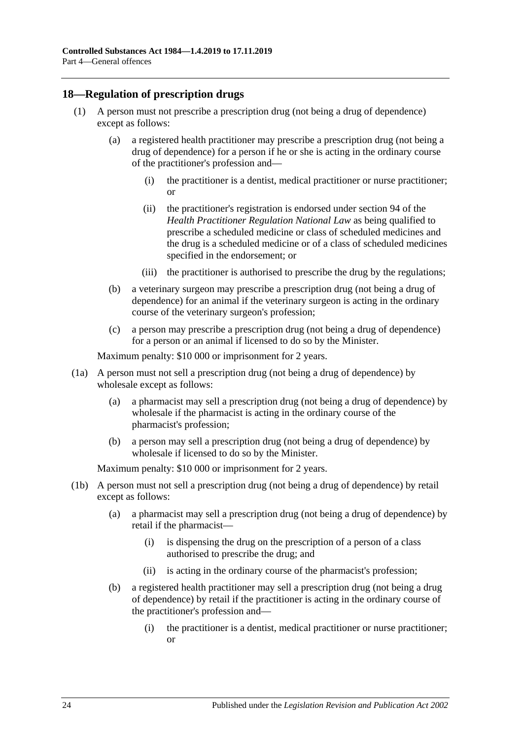## <span id="page-23-1"></span><span id="page-23-0"></span>**18—Regulation of prescription drugs**

- (1) A person must not prescribe a prescription drug (not being a drug of dependence) except as follows:
	- (a) a registered health practitioner may prescribe a prescription drug (not being a drug of dependence) for a person if he or she is acting in the ordinary course of the practitioner's profession and—
		- (i) the practitioner is a dentist, medical practitioner or nurse practitioner; or
		- (ii) the practitioner's registration is endorsed under section 94 of the *Health Practitioner Regulation National Law* as being qualified to prescribe a scheduled medicine or class of scheduled medicines and the drug is a scheduled medicine or of a class of scheduled medicines specified in the endorsement; or
		- (iii) the practitioner is authorised to prescribe the drug by the regulations;
	- (b) a veterinary surgeon may prescribe a prescription drug (not being a drug of dependence) for an animal if the veterinary surgeon is acting in the ordinary course of the veterinary surgeon's profession;
	- (c) a person may prescribe a prescription drug (not being a drug of dependence) for a person or an animal if licensed to do so by the Minister.

Maximum penalty: \$10 000 or imprisonment for 2 years.

- (1a) A person must not sell a prescription drug (not being a drug of dependence) by wholesale except as follows:
	- (a) a pharmacist may sell a prescription drug (not being a drug of dependence) by wholesale if the pharmacist is acting in the ordinary course of the pharmacist's profession;
	- (b) a person may sell a prescription drug (not being a drug of dependence) by wholesale if licensed to do so by the Minister.

- (1b) A person must not sell a prescription drug (not being a drug of dependence) by retail except as follows:
	- (a) a pharmacist may sell a prescription drug (not being a drug of dependence) by retail if the pharmacist—
		- (i) is dispensing the drug on the prescription of a person of a class authorised to prescribe the drug; and
		- (ii) is acting in the ordinary course of the pharmacist's profession;
	- (b) a registered health practitioner may sell a prescription drug (not being a drug of dependence) by retail if the practitioner is acting in the ordinary course of the practitioner's profession and—
		- (i) the practitioner is a dentist, medical practitioner or nurse practitioner; or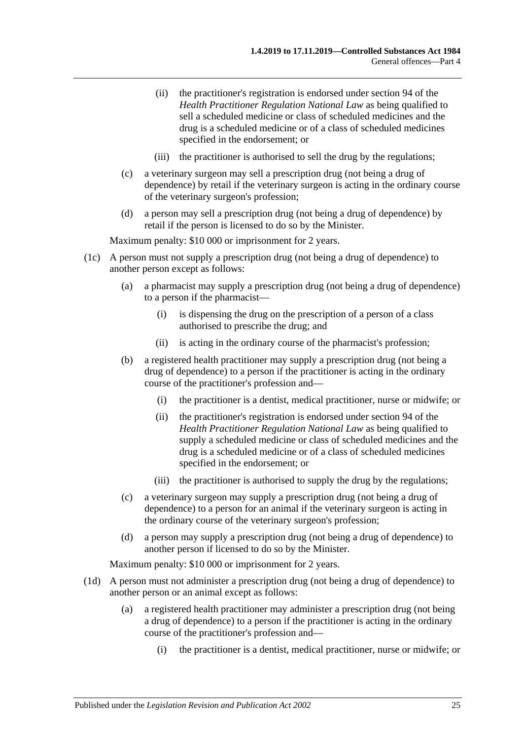- (ii) the practitioner's registration is endorsed under section 94 of the *Health Practitioner Regulation National Law* as being qualified to sell a scheduled medicine or class of scheduled medicines and the drug is a scheduled medicine or of a class of scheduled medicines specified in the endorsement; or
- (iii) the practitioner is authorised to sell the drug by the regulations;
- (c) a veterinary surgeon may sell a prescription drug (not being a drug of dependence) by retail if the veterinary surgeon is acting in the ordinary course of the veterinary surgeon's profession;
- (d) a person may sell a prescription drug (not being a drug of dependence) by retail if the person is licensed to do so by the Minister.

- (1c) A person must not supply a prescription drug (not being a drug of dependence) to another person except as follows:
	- (a) a pharmacist may supply a prescription drug (not being a drug of dependence) to a person if the pharmacist—
		- (i) is dispensing the drug on the prescription of a person of a class authorised to prescribe the drug; and
		- (ii) is acting in the ordinary course of the pharmacist's profession;
	- (b) a registered health practitioner may supply a prescription drug (not being a drug of dependence) to a person if the practitioner is acting in the ordinary course of the practitioner's profession and—
		- (i) the practitioner is a dentist, medical practitioner, nurse or midwife; or
		- (ii) the practitioner's registration is endorsed under section 94 of the *Health Practitioner Regulation National Law* as being qualified to supply a scheduled medicine or class of scheduled medicines and the drug is a scheduled medicine or of a class of scheduled medicines specified in the endorsement; or
		- (iii) the practitioner is authorised to supply the drug by the regulations;
	- (c) a veterinary surgeon may supply a prescription drug (not being a drug of dependence) to a person for an animal if the veterinary surgeon is acting in the ordinary course of the veterinary surgeon's profession;
	- (d) a person may supply a prescription drug (not being a drug of dependence) to another person if licensed to do so by the Minister.

- (1d) A person must not administer a prescription drug (not being a drug of dependence) to another person or an animal except as follows:
	- (a) a registered health practitioner may administer a prescription drug (not being a drug of dependence) to a person if the practitioner is acting in the ordinary course of the practitioner's profession and—
		- (i) the practitioner is a dentist, medical practitioner, nurse or midwife; or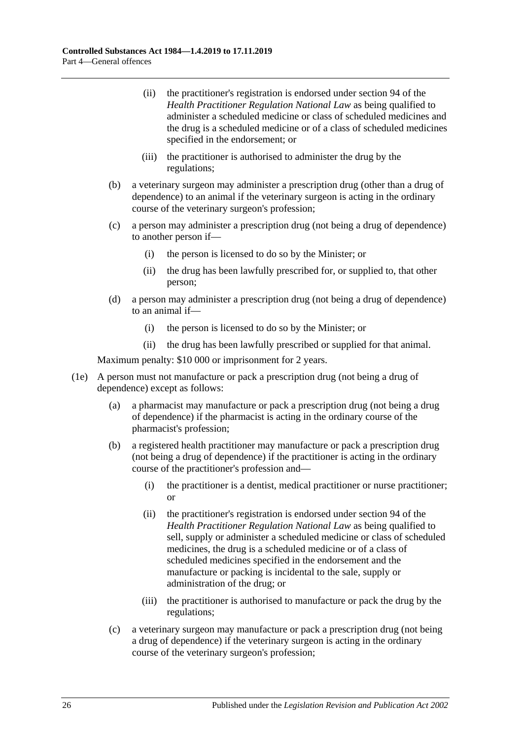- (ii) the practitioner's registration is endorsed under section 94 of the *Health Practitioner Regulation National Law* as being qualified to administer a scheduled medicine or class of scheduled medicines and the drug is a scheduled medicine or of a class of scheduled medicines specified in the endorsement; or
- (iii) the practitioner is authorised to administer the drug by the regulations;
- (b) a veterinary surgeon may administer a prescription drug (other than a drug of dependence) to an animal if the veterinary surgeon is acting in the ordinary course of the veterinary surgeon's profession;
- (c) a person may administer a prescription drug (not being a drug of dependence) to another person if—
	- (i) the person is licensed to do so by the Minister; or
	- (ii) the drug has been lawfully prescribed for, or supplied to, that other person;
- (d) a person may administer a prescription drug (not being a drug of dependence) to an animal if—
	- (i) the person is licensed to do so by the Minister; or
	- (ii) the drug has been lawfully prescribed or supplied for that animal.

- (1e) A person must not manufacture or pack a prescription drug (not being a drug of dependence) except as follows:
	- (a) a pharmacist may manufacture or pack a prescription drug (not being a drug of dependence) if the pharmacist is acting in the ordinary course of the pharmacist's profession;
	- (b) a registered health practitioner may manufacture or pack a prescription drug (not being a drug of dependence) if the practitioner is acting in the ordinary course of the practitioner's profession and—
		- (i) the practitioner is a dentist, medical practitioner or nurse practitioner; or
		- (ii) the practitioner's registration is endorsed under section 94 of the *Health Practitioner Regulation National Law* as being qualified to sell, supply or administer a scheduled medicine or class of scheduled medicines, the drug is a scheduled medicine or of a class of scheduled medicines specified in the endorsement and the manufacture or packing is incidental to the sale, supply or administration of the drug; or
		- (iii) the practitioner is authorised to manufacture or pack the drug by the regulations;
	- (c) a veterinary surgeon may manufacture or pack a prescription drug (not being a drug of dependence) if the veterinary surgeon is acting in the ordinary course of the veterinary surgeon's profession;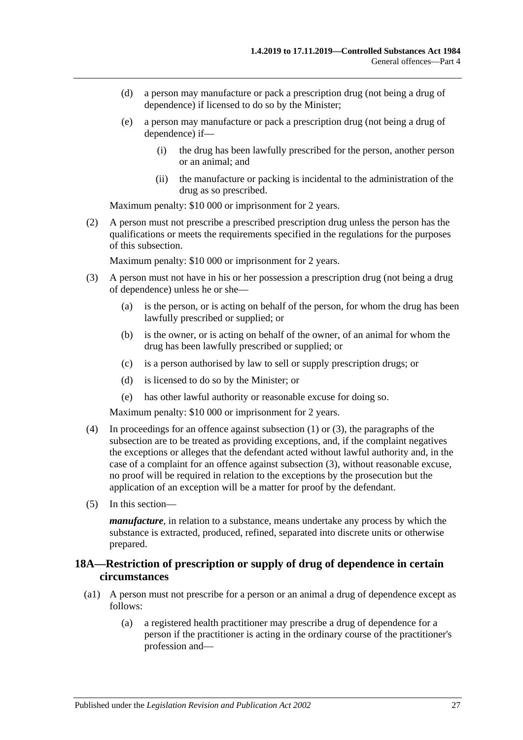- (d) a person may manufacture or pack a prescription drug (not being a drug of dependence) if licensed to do so by the Minister;
- (e) a person may manufacture or pack a prescription drug (not being a drug of dependence) if—
	- (i) the drug has been lawfully prescribed for the person, another person or an animal; and
	- (ii) the manufacture or packing is incidental to the administration of the drug as so prescribed.

(2) A person must not prescribe a prescribed prescription drug unless the person has the qualifications or meets the requirements specified in the regulations for the purposes of this subsection.

Maximum penalty: \$10 000 or imprisonment for 2 years.

- <span id="page-26-1"></span>(3) A person must not have in his or her possession a prescription drug (not being a drug of dependence) unless he or she—
	- (a) is the person, or is acting on behalf of the person, for whom the drug has been lawfully prescribed or supplied; or
	- (b) is the owner, or is acting on behalf of the owner, of an animal for whom the drug has been lawfully prescribed or supplied; or
	- (c) is a person authorised by law to sell or supply prescription drugs; or
	- (d) is licensed to do so by the Minister; or
	- (e) has other lawful authority or reasonable excuse for doing so.

Maximum penalty: \$10 000 or imprisonment for 2 years.

- (4) In proceedings for an offence against [subsection](#page-23-1) (1) or [\(3\),](#page-26-1) the paragraphs of the subsection are to be treated as providing exceptions, and, if the complaint negatives the exceptions or alleges that the defendant acted without lawful authority and, in the case of a complaint for an offence against [subsection](#page-26-1) (3), without reasonable excuse, no proof will be required in relation to the exceptions by the prosecution but the application of an exception will be a matter for proof by the defendant.
- (5) In this section—

*manufacture*, in relation to a substance, means undertake any process by which the substance is extracted, produced, refined, separated into discrete units or otherwise prepared.

## <span id="page-26-0"></span>**18A—Restriction of prescription or supply of drug of dependence in certain circumstances**

- (a1) A person must not prescribe for a person or an animal a drug of dependence except as follows:
	- (a) a registered health practitioner may prescribe a drug of dependence for a person if the practitioner is acting in the ordinary course of the practitioner's profession and—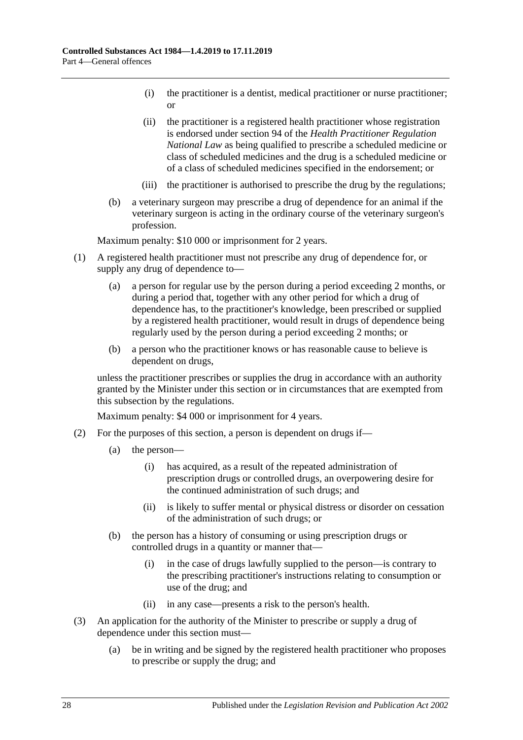- (i) the practitioner is a dentist, medical practitioner or nurse practitioner; or
- (ii) the practitioner is a registered health practitioner whose registration is endorsed under section 94 of the *Health Practitioner Regulation National Law* as being qualified to prescribe a scheduled medicine or class of scheduled medicines and the drug is a scheduled medicine or of a class of scheduled medicines specified in the endorsement; or
- (iii) the practitioner is authorised to prescribe the drug by the regulations;
- (b) a veterinary surgeon may prescribe a drug of dependence for an animal if the veterinary surgeon is acting in the ordinary course of the veterinary surgeon's profession.

- (1) A registered health practitioner must not prescribe any drug of dependence for, or supply any drug of dependence to—
	- (a) a person for regular use by the person during a period exceeding 2 months, or during a period that, together with any other period for which a drug of dependence has, to the practitioner's knowledge, been prescribed or supplied by a registered health practitioner, would result in drugs of dependence being regularly used by the person during a period exceeding 2 months; or
	- (b) a person who the practitioner knows or has reasonable cause to believe is dependent on drugs,

unless the practitioner prescribes or supplies the drug in accordance with an authority granted by the Minister under this section or in circumstances that are exempted from this subsection by the regulations.

- (2) For the purposes of this section, a person is dependent on drugs if—
	- (a) the person—
		- (i) has acquired, as a result of the repeated administration of prescription drugs or controlled drugs, an overpowering desire for the continued administration of such drugs; and
		- (ii) is likely to suffer mental or physical distress or disorder on cessation of the administration of such drugs; or
	- (b) the person has a history of consuming or using prescription drugs or controlled drugs in a quantity or manner that—
		- (i) in the case of drugs lawfully supplied to the person—is contrary to the prescribing practitioner's instructions relating to consumption or use of the drug; and
		- (ii) in any case—presents a risk to the person's health.
- (3) An application for the authority of the Minister to prescribe or supply a drug of dependence under this section must—
	- (a) be in writing and be signed by the registered health practitioner who proposes to prescribe or supply the drug; and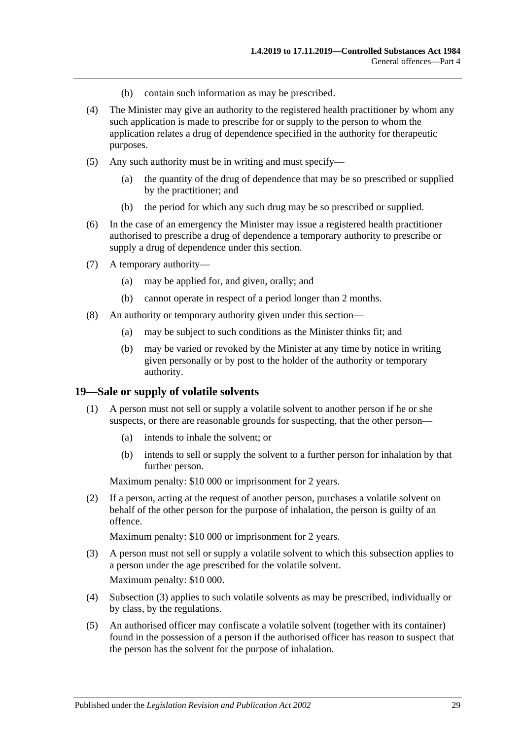- (b) contain such information as may be prescribed.
- (4) The Minister may give an authority to the registered health practitioner by whom any such application is made to prescribe for or supply to the person to whom the application relates a drug of dependence specified in the authority for therapeutic purposes.
- (5) Any such authority must be in writing and must specify—
	- (a) the quantity of the drug of dependence that may be so prescribed or supplied by the practitioner; and
	- (b) the period for which any such drug may be so prescribed or supplied.
- (6) In the case of an emergency the Minister may issue a registered health practitioner authorised to prescribe a drug of dependence a temporary authority to prescribe or supply a drug of dependence under this section.
- (7) A temporary authority—
	- (a) may be applied for, and given, orally; and
	- (b) cannot operate in respect of a period longer than 2 months.
- (8) An authority or temporary authority given under this section—
	- (a) may be subject to such conditions as the Minister thinks fit; and
	- (b) may be varied or revoked by the Minister at any time by notice in writing given personally or by post to the holder of the authority or temporary authority.

#### <span id="page-28-0"></span>**19—Sale or supply of volatile solvents**

- (1) A person must not sell or supply a volatile solvent to another person if he or she suspects, or there are reasonable grounds for suspecting, that the other person—
	- (a) intends to inhale the solvent; or
	- (b) intends to sell or supply the solvent to a further person for inhalation by that further person.

Maximum penalty: \$10 000 or imprisonment for 2 years.

(2) If a person, acting at the request of another person, purchases a volatile solvent on behalf of the other person for the purpose of inhalation, the person is guilty of an offence.

- <span id="page-28-1"></span>(3) A person must not sell or supply a volatile solvent to which this subsection applies to a person under the age prescribed for the volatile solvent. Maximum penalty: \$10 000.
- (4) [Subsection](#page-28-1) (3) applies to such volatile solvents as may be prescribed, individually or by class, by the regulations.
- <span id="page-28-2"></span>(5) An authorised officer may confiscate a volatile solvent (together with its container) found in the possession of a person if the authorised officer has reason to suspect that the person has the solvent for the purpose of inhalation.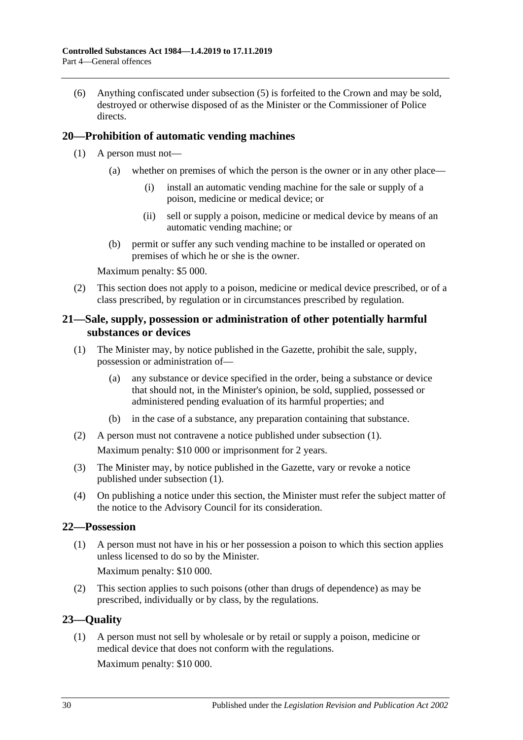(6) Anything confiscated under [subsection](#page-28-2) (5) is forfeited to the Crown and may be sold, destroyed or otherwise disposed of as the Minister or the Commissioner of Police directs.

## <span id="page-29-0"></span>**20—Prohibition of automatic vending machines**

- (1) A person must not—
	- (a) whether on premises of which the person is the owner or in any other place—
		- (i) install an automatic vending machine for the sale or supply of a poison, medicine or medical device; or
		- (ii) sell or supply a poison, medicine or medical device by means of an automatic vending machine; or
	- (b) permit or suffer any such vending machine to be installed or operated on premises of which he or she is the owner.

Maximum penalty: \$5 000.

(2) This section does not apply to a poison, medicine or medical device prescribed, or of a class prescribed, by regulation or in circumstances prescribed by regulation.

## <span id="page-29-1"></span>**21—Sale, supply, possession or administration of other potentially harmful substances or devices**

- <span id="page-29-4"></span>(1) The Minister may, by notice published in the Gazette, prohibit the sale, supply, possession or administration of—
	- (a) any substance or device specified in the order, being a substance or device that should not, in the Minister's opinion, be sold, supplied, possessed or administered pending evaluation of its harmful properties; and
	- (b) in the case of a substance, any preparation containing that substance.
- (2) A person must not contravene a notice published under [subsection](#page-29-4) (1). Maximum penalty: \$10 000 or imprisonment for 2 years.
- (3) The Minister may, by notice published in the Gazette, vary or revoke a notice published under [subsection](#page-29-4) (1).
- (4) On publishing a notice under this section, the Minister must refer the subject matter of the notice to the Advisory Council for its consideration.

## <span id="page-29-2"></span>**22—Possession**

(1) A person must not have in his or her possession a poison to which this section applies unless licensed to do so by the Minister.

Maximum penalty: \$10 000.

(2) This section applies to such poisons (other than drugs of dependence) as may be prescribed, individually or by class, by the regulations.

## <span id="page-29-3"></span>**23—Quality**

(1) A person must not sell by wholesale or by retail or supply a poison, medicine or medical device that does not conform with the regulations.

Maximum penalty: \$10 000.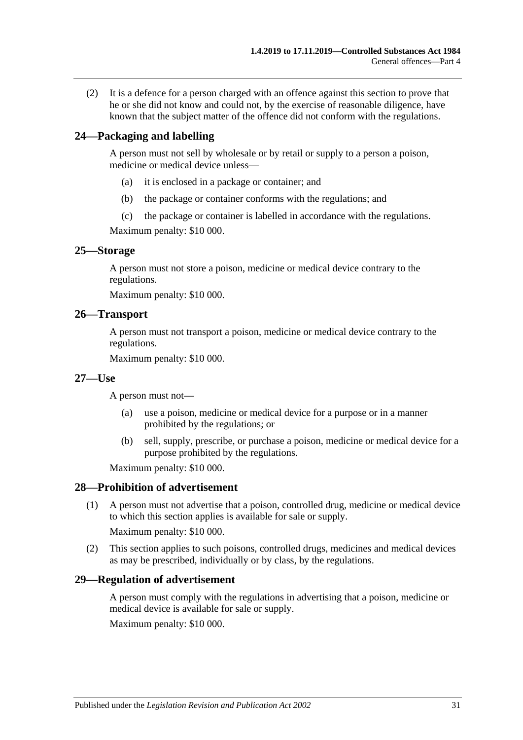(2) It is a defence for a person charged with an offence against this section to prove that he or she did not know and could not, by the exercise of reasonable diligence, have known that the subject matter of the offence did not conform with the regulations.

## <span id="page-30-0"></span>**24—Packaging and labelling**

A person must not sell by wholesale or by retail or supply to a person a poison, medicine or medical device unless—

- (a) it is enclosed in a package or container; and
- (b) the package or container conforms with the regulations; and
- (c) the package or container is labelled in accordance with the regulations.

Maximum penalty: \$10 000.

#### <span id="page-30-1"></span>**25—Storage**

A person must not store a poison, medicine or medical device contrary to the regulations.

Maximum penalty: \$10 000.

#### <span id="page-30-2"></span>**26—Transport**

A person must not transport a poison, medicine or medical device contrary to the regulations.

Maximum penalty: \$10 000.

#### <span id="page-30-3"></span>**27—Use**

A person must not—

- (a) use a poison, medicine or medical device for a purpose or in a manner prohibited by the regulations; or
- (b) sell, supply, prescribe, or purchase a poison, medicine or medical device for a purpose prohibited by the regulations.

Maximum penalty: \$10 000.

#### <span id="page-30-4"></span>**28—Prohibition of advertisement**

(1) A person must not advertise that a poison, controlled drug, medicine or medical device to which this section applies is available for sale or supply.

Maximum penalty: \$10 000.

(2) This section applies to such poisons, controlled drugs, medicines and medical devices as may be prescribed, individually or by class, by the regulations.

#### <span id="page-30-5"></span>**29—Regulation of advertisement**

A person must comply with the regulations in advertising that a poison, medicine or medical device is available for sale or supply.

Maximum penalty: \$10 000.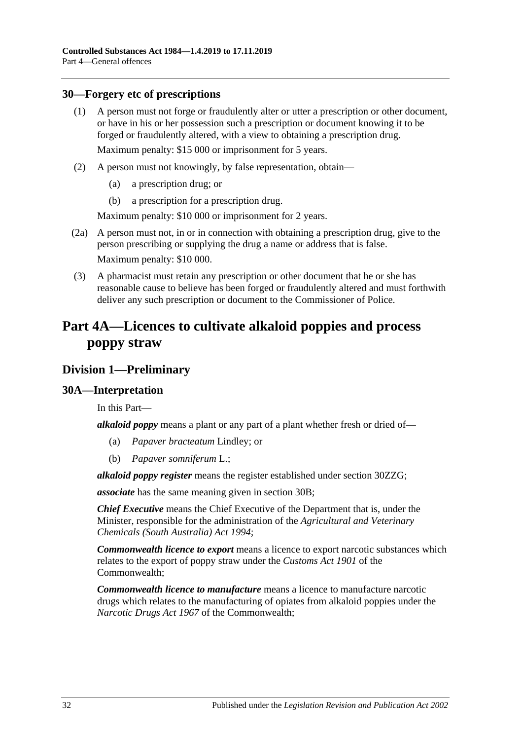### <span id="page-31-0"></span>**30—Forgery etc of prescriptions**

- (1) A person must not forge or fraudulently alter or utter a prescription or other document, or have in his or her possession such a prescription or document knowing it to be forged or fraudulently altered, with a view to obtaining a prescription drug. Maximum penalty: \$15 000 or imprisonment for 5 years.
- (2) A person must not knowingly, by false representation, obtain—
	- (a) a prescription drug; or
	- (b) a prescription for a prescription drug.

Maximum penalty: \$10 000 or imprisonment for 2 years.

- (2a) A person must not, in or in connection with obtaining a prescription drug, give to the person prescribing or supplying the drug a name or address that is false. Maximum penalty: \$10 000.
- (3) A pharmacist must retain any prescription or other document that he or she has reasonable cause to believe has been forged or fraudulently altered and must forthwith deliver any such prescription or document to the Commissioner of Police.

## <span id="page-31-1"></span>**Part 4A—Licences to cultivate alkaloid poppies and process poppy straw**

## <span id="page-31-2"></span>**Division 1—Preliminary**

#### <span id="page-31-3"></span>**30A—Interpretation**

In this Part—

*alkaloid poppy* means a plant or any part of a plant whether fresh or dried of—

- (a) *Papaver bracteatum* Lindley; or
- (b) *Papaver somniferum* L.;

*alkaloid poppy register* means the register established under section [30ZZG;](#page-59-2)

*associate* has the same meaning given in [section](#page-33-0) 30B;

*Chief Executive* means the Chief Executive of the Department that is, under the Minister, responsible for the administration of the *[Agricultural and Veterinary](http://www.legislation.sa.gov.au/index.aspx?action=legref&type=act&legtitle=Agricultural%20and%20Veterinary%20Chemicals%20(South%20Australia)%20Act%201994)  [Chemicals \(South Australia\) Act](http://www.legislation.sa.gov.au/index.aspx?action=legref&type=act&legtitle=Agricultural%20and%20Veterinary%20Chemicals%20(South%20Australia)%20Act%201994) 1994*;

*Commonwealth licence to export* means a licence to export narcotic substances which relates to the export of poppy straw under the *Customs Act 1901* of the Commonwealth;

*Commonwealth licence to manufacture* means a licence to manufacture narcotic drugs which relates to the manufacturing of opiates from alkaloid poppies under the *Narcotic Drugs Act 1967* of the Commonwealth;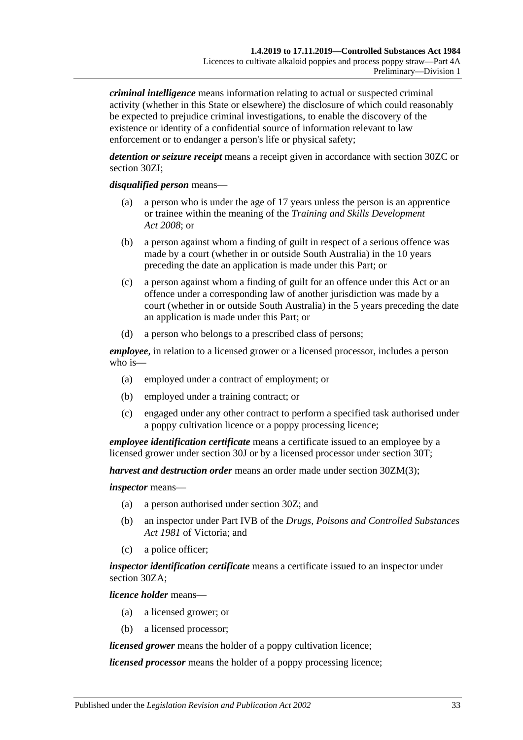*criminal intelligence* means information relating to actual or suspected criminal activity (whether in this State or elsewhere) the disclosure of which could reasonably be expected to prejudice criminal investigations, to enable the discovery of the existence or identity of a confidential source of information relevant to law enforcement or to endanger a person's life or physical safety;

*detention or seizure receipt* means a receipt given in accordance with [section](#page-49-0) 30ZC or [section](#page-50-4) 30ZI;

#### *disqualified person* means—

- (a) a person who is under the age of 17 years unless the person is an apprentice or trainee within the meaning of the *[Training and Skills Development](http://www.legislation.sa.gov.au/index.aspx?action=legref&type=act&legtitle=Training%20and%20Skills%20Development%20Act%202008)  Act [2008](http://www.legislation.sa.gov.au/index.aspx?action=legref&type=act&legtitle=Training%20and%20Skills%20Development%20Act%202008)*; or
- (b) a person against whom a finding of guilt in respect of a serious offence was made by a court (whether in or outside South Australia) in the 10 years preceding the date an application is made under this Part; or
- (c) a person against whom a finding of guilt for an offence under this Act or an offence under a corresponding law of another jurisdiction was made by a court (whether in or outside South Australia) in the 5 years preceding the date an application is made under this Part; or
- (d) a person who belongs to a prescribed class of persons;

*employee*, in relation to a licensed grower or a licensed processor, includes a person who is—

- (a) employed under a contract of employment; or
- (b) employed under a training contract; or
- (c) engaged under any other contract to perform a specified task authorised under a poppy cultivation licence or a poppy processing licence;

*employee identification certificate* means a certificate issued to an employee by a licensed grower under [section](#page-39-2) 30J or by a licensed processor under [section](#page-44-1) 30T;

*harvest and destruction order* means an order made under section [30ZM\(3\);](#page-52-2)

#### *inspector* means—

- (a) a person authorised under [section](#page-47-1) 30Z; and
- (b) an inspector under Part IVB of the *Drugs, Poisons and Controlled Substances Act 1981* of Victoria; and
- (c) a police officer;

*inspector identification certificate* means a certificate issued to an inspector under [section](#page-48-0) 30ZA;

*licence holder* means—

- (a) a licensed grower; or
- (b) a licensed processor;

*licensed grower* means the holder of a poppy cultivation licence;

*licensed processor* means the holder of a poppy processing licence;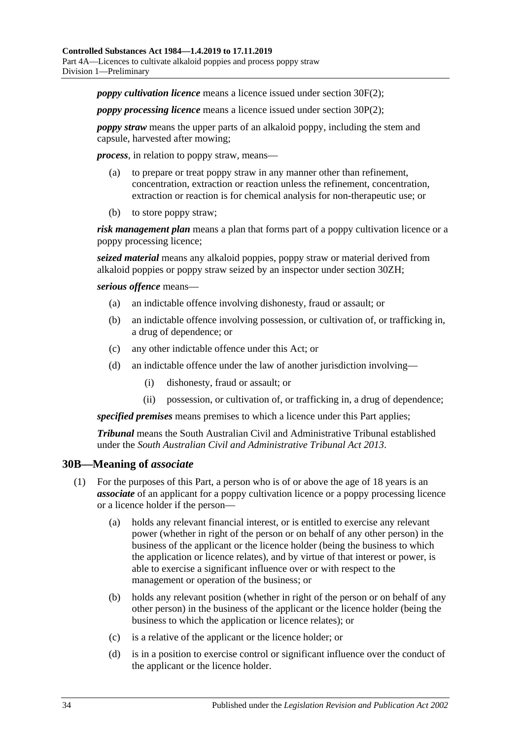*poppy cultivation licence* means a licence issued under [section](#page-37-2) 30F(2);

*poppy processing licence* means a licence issued under [section](#page-42-2) 30P(2);

*poppy straw* means the upper parts of an alkaloid poppy, including the stem and capsule, harvested after mowing;

*process*, in relation to poppy straw, means—

- (a) to prepare or treat poppy straw in any manner other than refinement, concentration, extraction or reaction unless the refinement, concentration, extraction or reaction is for chemical analysis for non-therapeutic use; or
- (b) to store poppy straw;

*risk management plan* means a plan that forms part of a poppy cultivation licence or a poppy processing licence;

*seized material* means any alkaloid poppies, poppy straw or material derived from alkaloid poppies or poppy straw seized by an inspector under [section](#page-50-3) 30ZH;

*serious offence* means—

- (a) an indictable offence involving dishonesty, fraud or assault; or
- (b) an indictable offence involving possession, or cultivation of, or trafficking in, a drug of dependence; or
- (c) any other indictable offence under this Act; or
- (d) an indictable offence under the law of another jurisdiction involving—
	- (i) dishonesty, fraud or assault; or
	- (ii) possession, or cultivation of, or trafficking in, a drug of dependence;

*specified premises* means premises to which a licence under this Part applies;

*Tribunal* means the South Australian Civil and Administrative Tribunal established under the *[South Australian Civil and Administrative Tribunal Act](http://www.legislation.sa.gov.au/index.aspx?action=legref&type=act&legtitle=South%20Australian%20Civil%20and%20Administrative%20Tribunal%20Act%202013) 2013*.

#### <span id="page-33-0"></span>**30B—Meaning of** *associate*

- (1) For the purposes of this Part, a person who is of or above the age of 18 years is an *associate* of an applicant for a poppy cultivation licence or a poppy processing licence or a licence holder if the person—
	- (a) holds any relevant financial interest, or is entitled to exercise any relevant power (whether in right of the person or on behalf of any other person) in the business of the applicant or the licence holder (being the business to which the application or licence relates), and by virtue of that interest or power, is able to exercise a significant influence over or with respect to the management or operation of the business; or
	- (b) holds any relevant position (whether in right of the person or on behalf of any other person) in the business of the applicant or the licence holder (being the business to which the application or licence relates); or
	- (c) is a relative of the applicant or the licence holder; or
	- (d) is in a position to exercise control or significant influence over the conduct of the applicant or the licence holder.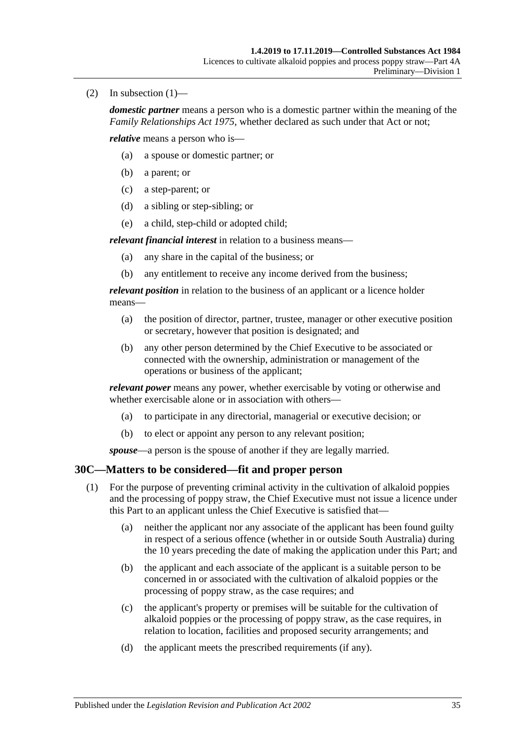(2) In subsection  $(1)$ —

*domestic partner* means a person who is a domestic partner within the meaning of the *[Family Relationships Act](http://www.legislation.sa.gov.au/index.aspx?action=legref&type=act&legtitle=Family%20Relationships%20Act%201975) 1975*, whether declared as such under that Act or not;

*relative* means a person who is—

- (a) a spouse or domestic partner; or
- (b) a parent; or
- (c) a step-parent; or
- (d) a sibling or step-sibling; or
- (e) a child, step-child or adopted child;

*relevant financial interest* in relation to a business means—

- (a) any share in the capital of the business; or
- (b) any entitlement to receive any income derived from the business;

*relevant position* in relation to the business of an applicant or a licence holder means—

- (a) the position of director, partner, trustee, manager or other executive position or secretary, however that position is designated; and
- (b) any other person determined by the Chief Executive to be associated or connected with the ownership, administration or management of the operations or business of the applicant;

*relevant power* means any power, whether exercisable by voting or otherwise and whether exercisable alone or in association with others—

- (a) to participate in any directorial, managerial or executive decision; or
- (b) to elect or appoint any person to any relevant position;

*spouse*—a person is the spouse of another if they are legally married.

## <span id="page-34-1"></span><span id="page-34-0"></span>**30C—Matters to be considered—fit and proper person**

- (1) For the purpose of preventing criminal activity in the cultivation of alkaloid poppies and the processing of poppy straw, the Chief Executive must not issue a licence under this Part to an applicant unless the Chief Executive is satisfied that—
	- (a) neither the applicant nor any associate of the applicant has been found guilty in respect of a serious offence (whether in or outside South Australia) during the 10 years preceding the date of making the application under this Part; and
	- (b) the applicant and each associate of the applicant is a suitable person to be concerned in or associated with the cultivation of alkaloid poppies or the processing of poppy straw, as the case requires; and
	- (c) the applicant's property or premises will be suitable for the cultivation of alkaloid poppies or the processing of poppy straw, as the case requires, in relation to location, facilities and proposed security arrangements; and
	- (d) the applicant meets the prescribed requirements (if any).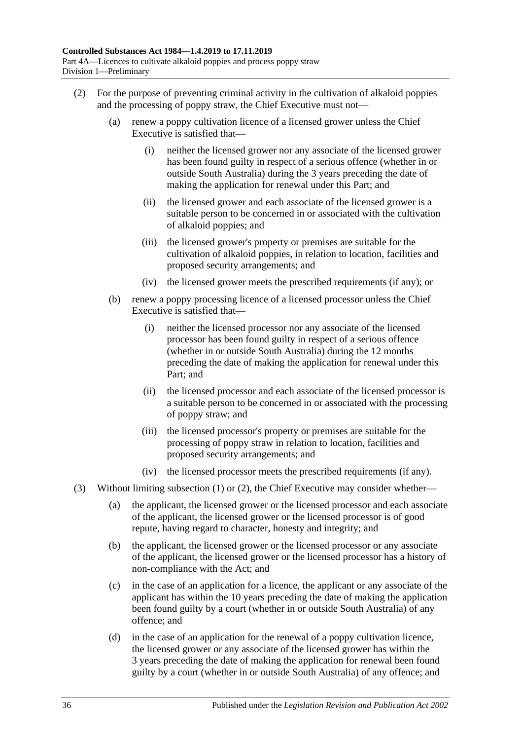- <span id="page-35-0"></span>(2) For the purpose of preventing criminal activity in the cultivation of alkaloid poppies and the processing of poppy straw, the Chief Executive must not—
	- (a) renew a poppy cultivation licence of a licensed grower unless the Chief Executive is satisfied that—
		- (i) neither the licensed grower nor any associate of the licensed grower has been found guilty in respect of a serious offence (whether in or outside South Australia) during the 3 years preceding the date of making the application for renewal under this Part; and
		- (ii) the licensed grower and each associate of the licensed grower is a suitable person to be concerned in or associated with the cultivation of alkaloid poppies; and
		- (iii) the licensed grower's property or premises are suitable for the cultivation of alkaloid poppies, in relation to location, facilities and proposed security arrangements; and
		- (iv) the licensed grower meets the prescribed requirements (if any); or
	- (b) renew a poppy processing licence of a licensed processor unless the Chief Executive is satisfied that—
		- (i) neither the licensed processor nor any associate of the licensed processor has been found guilty in respect of a serious offence (whether in or outside South Australia) during the 12 months preceding the date of making the application for renewal under this Part; and
		- (ii) the licensed processor and each associate of the licensed processor is a suitable person to be concerned in or associated with the processing of poppy straw; and
		- (iii) the licensed processor's property or premises are suitable for the processing of poppy straw in relation to location, facilities and proposed security arrangements; and
		- (iv) the licensed processor meets the prescribed requirements (if any).
- (3) Without limiting [subsection](#page-34-1) (1) or [\(2\),](#page-35-0) the Chief Executive may consider whether—
	- (a) the applicant, the licensed grower or the licensed processor and each associate of the applicant, the licensed grower or the licensed processor is of good repute, having regard to character, honesty and integrity; and
	- (b) the applicant, the licensed grower or the licensed processor or any associate of the applicant, the licensed grower or the licensed processor has a history of non-compliance with the Act; and
	- (c) in the case of an application for a licence, the applicant or any associate of the applicant has within the 10 years preceding the date of making the application been found guilty by a court (whether in or outside South Australia) of any offence; and
	- (d) in the case of an application for the renewal of a poppy cultivation licence, the licensed grower or any associate of the licensed grower has within the 3 years preceding the date of making the application for renewal been found guilty by a court (whether in or outside South Australia) of any offence; and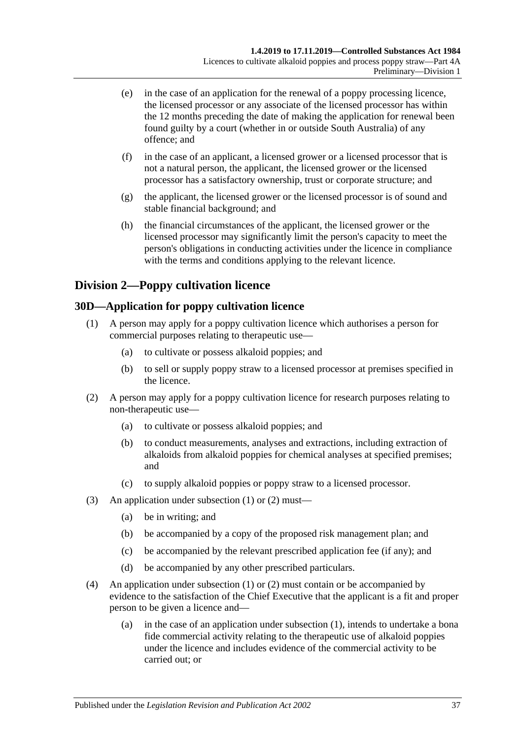- (e) in the case of an application for the renewal of a poppy processing licence, the licensed processor or any associate of the licensed processor has within the 12 months preceding the date of making the application for renewal been found guilty by a court (whether in or outside South Australia) of any offence; and
- (f) in the case of an applicant, a licensed grower or a licensed processor that is not a natural person, the applicant, the licensed grower or the licensed processor has a satisfactory ownership, trust or corporate structure; and
- (g) the applicant, the licensed grower or the licensed processor is of sound and stable financial background; and
- (h) the financial circumstances of the applicant, the licensed grower or the licensed processor may significantly limit the person's capacity to meet the person's obligations in conducting activities under the licence in compliance with the terms and conditions applying to the relevant licence.

# **Division 2—Poppy cultivation licence**

# <span id="page-36-2"></span><span id="page-36-0"></span>**30D—Application for poppy cultivation licence**

- (1) A person may apply for a poppy cultivation licence which authorises a person for commercial purposes relating to therapeutic use—
	- (a) to cultivate or possess alkaloid poppies; and
	- (b) to sell or supply poppy straw to a licensed processor at premises specified in the licence.
- <span id="page-36-1"></span>(2) A person may apply for a poppy cultivation licence for research purposes relating to non-therapeutic use—
	- (a) to cultivate or possess alkaloid poppies; and
	- (b) to conduct measurements, analyses and extractions, including extraction of alkaloids from alkaloid poppies for chemical analyses at specified premises; and
	- (c) to supply alkaloid poppies or poppy straw to a licensed processor.
- (3) An application under [subsection](#page-36-0) (1) or [\(2\)](#page-36-1) must—
	- (a) be in writing; and
	- (b) be accompanied by a copy of the proposed risk management plan; and
	- (c) be accompanied by the relevant prescribed application fee (if any); and
	- (d) be accompanied by any other prescribed particulars.
- (4) An application under [subsection](#page-36-0) (1) or [\(2\)](#page-36-1) must contain or be accompanied by evidence to the satisfaction of the Chief Executive that the applicant is a fit and proper person to be given a licence and—
	- (a) in the case of an application under [subsection](#page-36-0) (1), intends to undertake a bona fide commercial activity relating to the therapeutic use of alkaloid poppies under the licence and includes evidence of the commercial activity to be carried out; or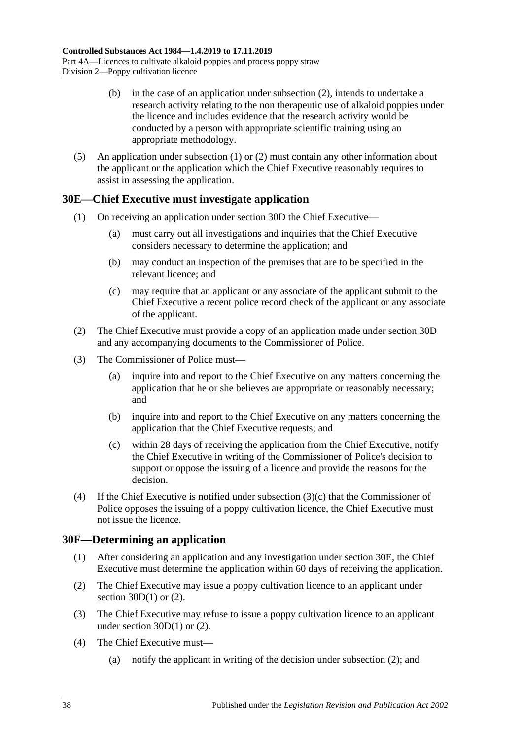- (b) in the case of an application under [subsection](#page-36-1) (2), intends to undertake a research activity relating to the non therapeutic use of alkaloid poppies under the licence and includes evidence that the research activity would be conducted by a person with appropriate scientific training using an appropriate methodology.
- (5) An application under [subsection](#page-36-0) (1) or [\(2\)](#page-36-1) must contain any other information about the applicant or the application which the Chief Executive reasonably requires to assist in assessing the application.

## <span id="page-37-1"></span>**30E—Chief Executive must investigate application**

- (1) On receiving an application under [section](#page-36-2) 30D the Chief Executive—
	- (a) must carry out all investigations and inquiries that the Chief Executive considers necessary to determine the application; and
	- (b) may conduct an inspection of the premises that are to be specified in the relevant licence; and
	- (c) may require that an applicant or any associate of the applicant submit to the Chief Executive a recent police record check of the applicant or any associate of the applicant.
- (2) The Chief Executive must provide a copy of an application made under [section](#page-36-2) 30D and any accompanying documents to the Commissioner of Police.
- (3) The Commissioner of Police must—
	- (a) inquire into and report to the Chief Executive on any matters concerning the application that he or she believes are appropriate or reasonably necessary; and
	- (b) inquire into and report to the Chief Executive on any matters concerning the application that the Chief Executive requests; and
	- (c) within 28 days of receiving the application from the Chief Executive, notify the Chief Executive in writing of the Commissioner of Police's decision to support or oppose the issuing of a licence and provide the reasons for the decision.
- <span id="page-37-0"></span>(4) If the Chief Executive is notified under [subsection](#page-37-0)  $(3)(c)$  that the Commissioner of Police opposes the issuing of a poppy cultivation licence, the Chief Executive must not issue the licence.

## **30F—Determining an application**

- (1) After considering an application and any investigation under [section](#page-37-1) 30E, the Chief Executive must determine the application within 60 days of receiving the application.
- <span id="page-37-2"></span>(2) The Chief Executive may issue a poppy cultivation licence to an applicant under section  $30D(1)$  or  $(2)$ .
- <span id="page-37-3"></span>(3) The Chief Executive may refuse to issue a poppy cultivation licence to an applicant under [section](#page-36-0)  $30D(1)$  or  $(2)$ .
- (4) The Chief Executive must—
	- (a) notify the applicant in writing of the decision under [subsection](#page-37-2) (2); and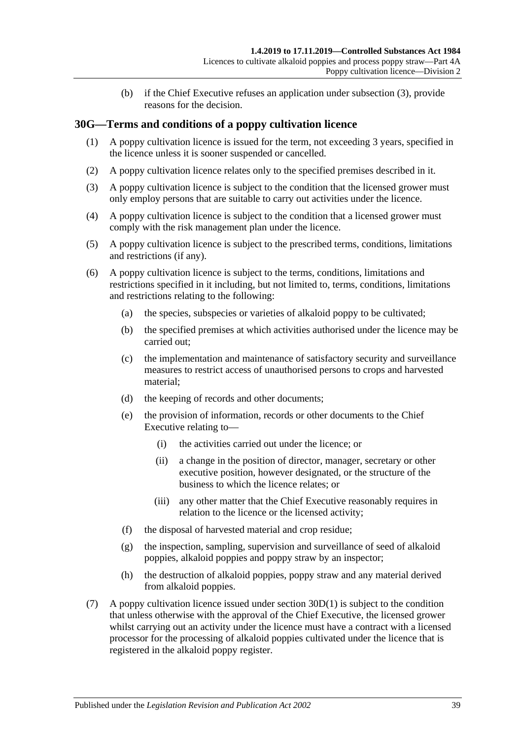(b) if the Chief Executive refuses an application under [subsection](#page-37-3) (3), provide reasons for the decision.

## **30G—Terms and conditions of a poppy cultivation licence**

- (1) A poppy cultivation licence is issued for the term, not exceeding 3 years, specified in the licence unless it is sooner suspended or cancelled.
- (2) A poppy cultivation licence relates only to the specified premises described in it.
- (3) A poppy cultivation licence is subject to the condition that the licensed grower must only employ persons that are suitable to carry out activities under the licence.
- (4) A poppy cultivation licence is subject to the condition that a licensed grower must comply with the risk management plan under the licence.
- (5) A poppy cultivation licence is subject to the prescribed terms, conditions, limitations and restrictions (if any).
- (6) A poppy cultivation licence is subject to the terms, conditions, limitations and restrictions specified in it including, but not limited to, terms, conditions, limitations and restrictions relating to the following:
	- (a) the species, subspecies or varieties of alkaloid poppy to be cultivated;
	- (b) the specified premises at which activities authorised under the licence may be carried out;
	- (c) the implementation and maintenance of satisfactory security and surveillance measures to restrict access of unauthorised persons to crops and harvested material;
	- (d) the keeping of records and other documents;
	- (e) the provision of information, records or other documents to the Chief Executive relating to—
		- (i) the activities carried out under the licence; or
		- (ii) a change in the position of director, manager, secretary or other executive position, however designated, or the structure of the business to which the licence relates; or
		- (iii) any other matter that the Chief Executive reasonably requires in relation to the licence or the licensed activity;
	- (f) the disposal of harvested material and crop residue;
	- (g) the inspection, sampling, supervision and surveillance of seed of alkaloid poppies, alkaloid poppies and poppy straw by an inspector;
	- (h) the destruction of alkaloid poppies, poppy straw and any material derived from alkaloid poppies.
- (7) A poppy cultivation licence issued under [section](#page-36-0) 30D(1) is subject to the condition that unless otherwise with the approval of the Chief Executive, the licensed grower whilst carrying out an activity under the licence must have a contract with a licensed processor for the processing of alkaloid poppies cultivated under the licence that is registered in the alkaloid poppy register.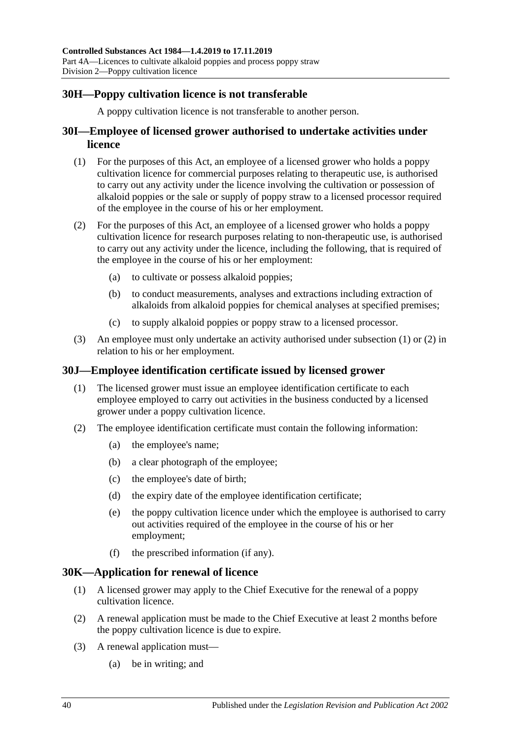## **30H—Poppy cultivation licence is not transferable**

A poppy cultivation licence is not transferable to another person.

## **30I—Employee of licensed grower authorised to undertake activities under licence**

- <span id="page-39-0"></span>(1) For the purposes of this Act, an employee of a licensed grower who holds a poppy cultivation licence for commercial purposes relating to therapeutic use, is authorised to carry out any activity under the licence involving the cultivation or possession of alkaloid poppies or the sale or supply of poppy straw to a licensed processor required of the employee in the course of his or her employment.
- <span id="page-39-1"></span>(2) For the purposes of this Act, an employee of a licensed grower who holds a poppy cultivation licence for research purposes relating to non-therapeutic use, is authorised to carry out any activity under the licence, including the following, that is required of the employee in the course of his or her employment:
	- (a) to cultivate or possess alkaloid poppies;
	- (b) to conduct measurements, analyses and extractions including extraction of alkaloids from alkaloid poppies for chemical analyses at specified premises;
	- (c) to supply alkaloid poppies or poppy straw to a licensed processor.
- (3) An employee must only undertake an activity authorised under [subsection](#page-39-0) (1) or [\(2\)](#page-39-1) in relation to his or her employment.

## **30J—Employee identification certificate issued by licensed grower**

- (1) The licensed grower must issue an employee identification certificate to each employee employed to carry out activities in the business conducted by a licensed grower under a poppy cultivation licence.
- <span id="page-39-3"></span>(2) The employee identification certificate must contain the following information:
	- (a) the employee's name;
	- (b) a clear photograph of the employee;
	- (c) the employee's date of birth;
	- (d) the expiry date of the employee identification certificate;
	- (e) the poppy cultivation licence under which the employee is authorised to carry out activities required of the employee in the course of his or her employment;
	- (f) the prescribed information (if any).

#### <span id="page-39-2"></span>**30K—Application for renewal of licence**

- (1) A licensed grower may apply to the Chief Executive for the renewal of a poppy cultivation licence.
- (2) A renewal application must be made to the Chief Executive at least 2 months before the poppy cultivation licence is due to expire.
- (3) A renewal application must—
	- (a) be in writing; and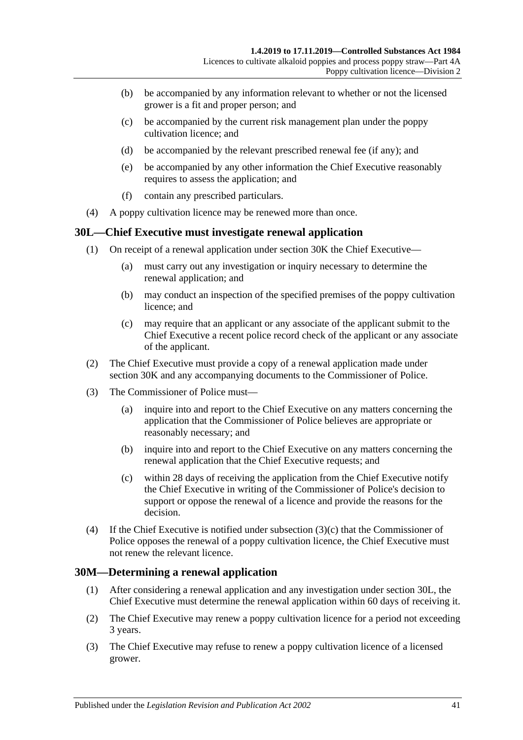- (b) be accompanied by any information relevant to whether or not the licensed grower is a fit and proper person; and
- (c) be accompanied by the current risk management plan under the poppy cultivation licence; and
- (d) be accompanied by the relevant prescribed renewal fee (if any); and
- (e) be accompanied by any other information the Chief Executive reasonably requires to assess the application; and
- (f) contain any prescribed particulars.
- (4) A poppy cultivation licence may be renewed more than once.

#### <span id="page-40-1"></span>**30L—Chief Executive must investigate renewal application**

- (1) On receipt of a renewal application under [section](#page-39-2) 30K the Chief Executive—
	- (a) must carry out any investigation or inquiry necessary to determine the renewal application; and
	- (b) may conduct an inspection of the specified premises of the poppy cultivation licence; and
	- (c) may require that an applicant or any associate of the applicant submit to the Chief Executive a recent police record check of the applicant or any associate of the applicant.
- (2) The Chief Executive must provide a copy of a renewal application made under [section](#page-39-2) 30K and any accompanying documents to the Commissioner of Police.
- (3) The Commissioner of Police must—
	- (a) inquire into and report to the Chief Executive on any matters concerning the application that the Commissioner of Police believes are appropriate or reasonably necessary; and
	- (b) inquire into and report to the Chief Executive on any matters concerning the renewal application that the Chief Executive requests; and
	- (c) within 28 days of receiving the application from the Chief Executive notify the Chief Executive in writing of the Commissioner of Police's decision to support or oppose the renewal of a licence and provide the reasons for the decision.
- <span id="page-40-0"></span>(4) If the Chief Executive is notified under [subsection](#page-40-0)  $(3)(c)$  that the Commissioner of Police opposes the renewal of a poppy cultivation licence, the Chief Executive must not renew the relevant licence.

## **30M—Determining a renewal application**

- (1) After considering a renewal application and any investigation under [section](#page-40-1) 30L, the Chief Executive must determine the renewal application within 60 days of receiving it.
- <span id="page-40-2"></span>(2) The Chief Executive may renew a poppy cultivation licence for a period not exceeding 3 years.
- <span id="page-40-3"></span>(3) The Chief Executive may refuse to renew a poppy cultivation licence of a licensed grower.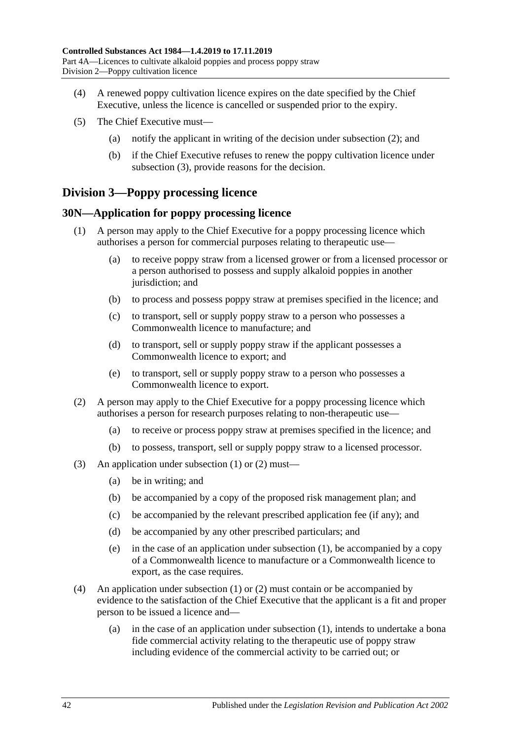- (4) A renewed poppy cultivation licence expires on the date specified by the Chief Executive, unless the licence is cancelled or suspended prior to the expiry.
- (5) The Chief Executive must—
	- (a) notify the applicant in writing of the decision under [subsection](#page-40-2) (2); and
	- (b) if the Chief Executive refuses to renew the poppy cultivation licence under [subsection](#page-40-3) (3), provide reasons for the decision.

# **Division 3—Poppy processing licence**

#### <span id="page-41-2"></span><span id="page-41-0"></span>**30N—Application for poppy processing licence**

- (1) A person may apply to the Chief Executive for a poppy processing licence which authorises a person for commercial purposes relating to therapeutic use—
	- (a) to receive poppy straw from a licensed grower or from a licensed processor or a person authorised to possess and supply alkaloid poppies in another jurisdiction; and
	- (b) to process and possess poppy straw at premises specified in the licence; and
	- (c) to transport, sell or supply poppy straw to a person who possesses a Commonwealth licence to manufacture; and
	- (d) to transport, sell or supply poppy straw if the applicant possesses a Commonwealth licence to export; and
	- (e) to transport, sell or supply poppy straw to a person who possesses a Commonwealth licence to export.
- <span id="page-41-1"></span>(2) A person may apply to the Chief Executive for a poppy processing licence which authorises a person for research purposes relating to non-therapeutic use—
	- (a) to receive or process poppy straw at premises specified in the licence; and
	- (b) to possess, transport, sell or supply poppy straw to a licensed processor.
- (3) An application under [subsection](#page-41-0) (1) or [\(2\)](#page-41-1) must—
	- (a) be in writing; and
	- (b) be accompanied by a copy of the proposed risk management plan; and
	- (c) be accompanied by the relevant prescribed application fee (if any); and
	- (d) be accompanied by any other prescribed particulars; and
	- (e) in the case of an application under [subsection](#page-41-0) (1), be accompanied by a copy of a Commonwealth licence to manufacture or a Commonwealth licence to export, as the case requires.
- (4) An application under [subsection](#page-41-0) (1) or [\(2\)](#page-41-1) must contain or be accompanied by evidence to the satisfaction of the Chief Executive that the applicant is a fit and proper person to be issued a licence and—
	- (a) in the case of an application under [subsection](#page-41-0) (1), intends to undertake a bona fide commercial activity relating to the therapeutic use of poppy straw including evidence of the commercial activity to be carried out; or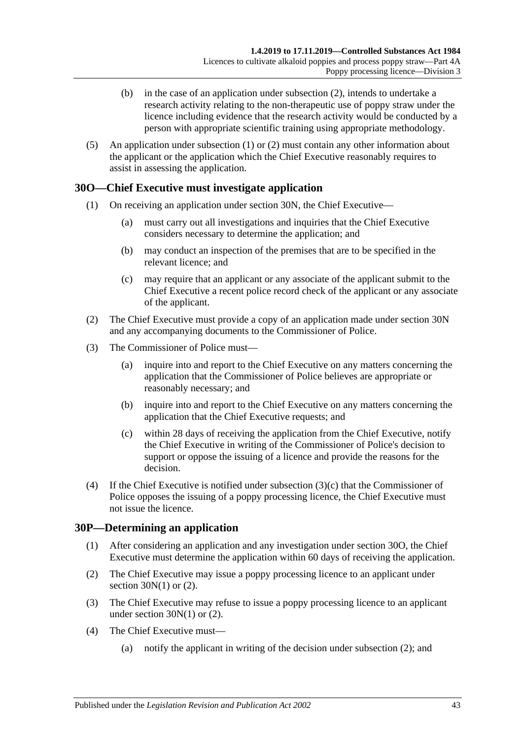- (b) in the case of an application under [subsection](#page-41-1) (2), intends to undertake a research activity relating to the non-therapeutic use of poppy straw under the licence including evidence that the research activity would be conducted by a person with appropriate scientific training using appropriate methodology.
- (5) An application under [subsection](#page-41-0) (1) or [\(2\)](#page-41-1) must contain any other information about the applicant or the application which the Chief Executive reasonably requires to assist in assessing the application.

## <span id="page-42-1"></span>**30O—Chief Executive must investigate application**

- (1) On receiving an application under [section](#page-41-2) 30N, the Chief Executive—
	- (a) must carry out all investigations and inquiries that the Chief Executive considers necessary to determine the application; and
	- (b) may conduct an inspection of the premises that are to be specified in the relevant licence; and
	- (c) may require that an applicant or any associate of the applicant submit to the Chief Executive a recent police record check of the applicant or any associate of the applicant.
- (2) The Chief Executive must provide a copy of an application made under [section](#page-41-2) 30N and any accompanying documents to the Commissioner of Police.
- (3) The Commissioner of Police must—
	- (a) inquire into and report to the Chief Executive on any matters concerning the application that the Commissioner of Police believes are appropriate or reasonably necessary; and
	- (b) inquire into and report to the Chief Executive on any matters concerning the application that the Chief Executive requests; and
	- (c) within 28 days of receiving the application from the Chief Executive, notify the Chief Executive in writing of the Commissioner of Police's decision to support or oppose the issuing of a licence and provide the reasons for the decision.
- <span id="page-42-0"></span>(4) If the Chief Executive is notified under [subsection](#page-42-0) (3)(c) that the Commissioner of Police opposes the issuing of a poppy processing licence, the Chief Executive must not issue the licence.

#### **30P—Determining an application**

- (1) After considering an application and any investigation under [section](#page-42-1) 30O, the Chief Executive must determine the application within 60 days of receiving the application.
- <span id="page-42-2"></span>(2) The Chief Executive may issue a poppy processing licence to an applicant under section  $30N(1)$  or  $(2)$ .
- <span id="page-42-3"></span>(3) The Chief Executive may refuse to issue a poppy processing licence to an applicant under [section](#page-41-0)  $30N(1)$  or  $(2)$ .
- (4) The Chief Executive must—
	- (a) notify the applicant in writing of the decision under [subsection](#page-42-2) (2); and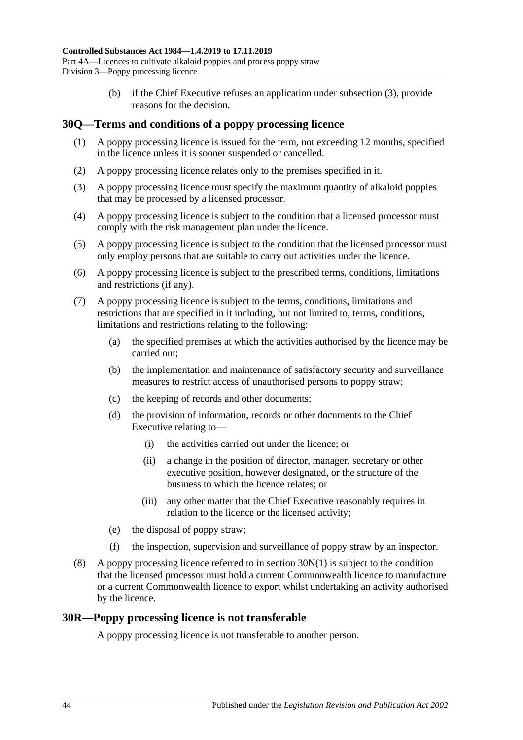(b) if the Chief Executive refuses an application under [subsection](#page-42-3) (3), provide reasons for the decision.

## **30Q—Terms and conditions of a poppy processing licence**

- (1) A poppy processing licence is issued for the term, not exceeding 12 months, specified in the licence unless it is sooner suspended or cancelled.
- (2) A poppy processing licence relates only to the premises specified in it.
- (3) A poppy processing licence must specify the maximum quantity of alkaloid poppies that may be processed by a licensed processor.
- (4) A poppy processing licence is subject to the condition that a licensed processor must comply with the risk management plan under the licence.
- (5) A poppy processing licence is subject to the condition that the licensed processor must only employ persons that are suitable to carry out activities under the licence.
- (6) A poppy processing licence is subject to the prescribed terms, conditions, limitations and restrictions (if any).
- (7) A poppy processing licence is subject to the terms, conditions, limitations and restrictions that are specified in it including, but not limited to, terms, conditions, limitations and restrictions relating to the following:
	- (a) the specified premises at which the activities authorised by the licence may be carried out;
	- (b) the implementation and maintenance of satisfactory security and surveillance measures to restrict access of unauthorised persons to poppy straw;
	- (c) the keeping of records and other documents;
	- (d) the provision of information, records or other documents to the Chief Executive relating to—
		- (i) the activities carried out under the licence; or
		- (ii) a change in the position of director, manager, secretary or other executive position, however designated, or the structure of the business to which the licence relates; or
		- (iii) any other matter that the Chief Executive reasonably requires in relation to the licence or the licensed activity;
	- (e) the disposal of poppy straw;
	- (f) the inspection, supervision and surveillance of poppy straw by an inspector.
- (8) A poppy processing licence referred to in [section](#page-41-0) 30N(1) is subject to the condition that the licensed processor must hold a current Commonwealth licence to manufacture or a current Commonwealth licence to export whilst undertaking an activity authorised by the licence.

#### **30R—Poppy processing licence is not transferable**

A poppy processing licence is not transferable to another person.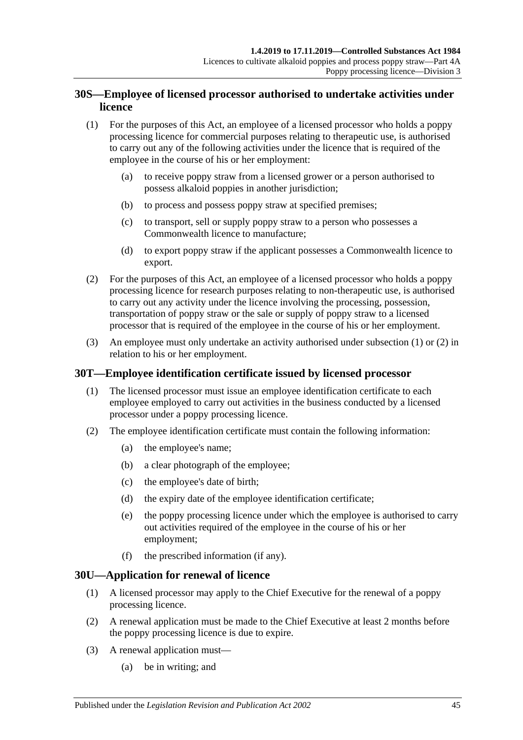## **30S—Employee of licensed processor authorised to undertake activities under licence**

- <span id="page-44-0"></span>(1) For the purposes of this Act, an employee of a licensed processor who holds a poppy processing licence for commercial purposes relating to therapeutic use, is authorised to carry out any of the following activities under the licence that is required of the employee in the course of his or her employment:
	- (a) to receive poppy straw from a licensed grower or a person authorised to possess alkaloid poppies in another jurisdiction;
	- (b) to process and possess poppy straw at specified premises;
	- (c) to transport, sell or supply poppy straw to a person who possesses a Commonwealth licence to manufacture;
	- (d) to export poppy straw if the applicant possesses a Commonwealth licence to export.
- <span id="page-44-1"></span>(2) For the purposes of this Act, an employee of a licensed processor who holds a poppy processing licence for research purposes relating to non-therapeutic use, is authorised to carry out any activity under the licence involving the processing, possession, transportation of poppy straw or the sale or supply of poppy straw to a licensed processor that is required of the employee in the course of his or her employment.
- (3) An employee must only undertake an activity authorised under [subsection](#page-44-0) (1) or [\(2\)](#page-44-1) in relation to his or her employment.

# **30T—Employee identification certificate issued by licensed processor**

- (1) The licensed processor must issue an employee identification certificate to each employee employed to carry out activities in the business conducted by a licensed processor under a poppy processing licence.
- <span id="page-44-3"></span>(2) The employee identification certificate must contain the following information:
	- (a) the employee's name;
	- (b) a clear photograph of the employee;
	- (c) the employee's date of birth;
	- (d) the expiry date of the employee identification certificate;
	- (e) the poppy processing licence under which the employee is authorised to carry out activities required of the employee in the course of his or her employment;
	- (f) the prescribed information (if any).

## <span id="page-44-2"></span>**30U—Application for renewal of licence**

- (1) A licensed processor may apply to the Chief Executive for the renewal of a poppy processing licence.
- (2) A renewal application must be made to the Chief Executive at least 2 months before the poppy processing licence is due to expire.
- (3) A renewal application must—
	- (a) be in writing; and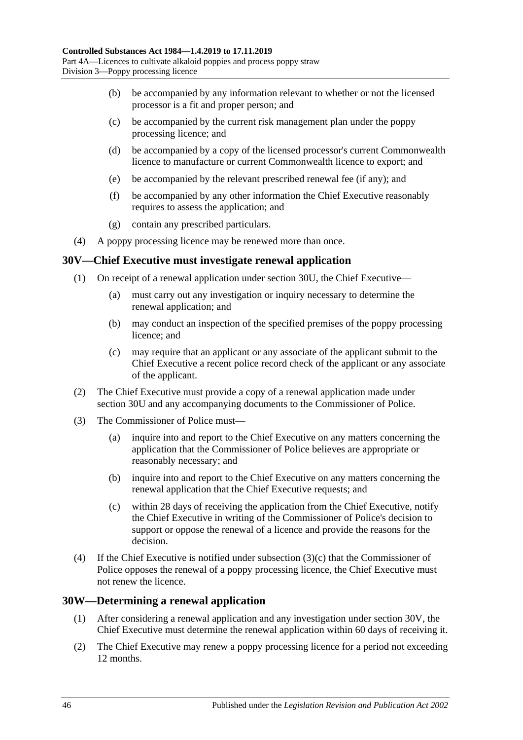- (b) be accompanied by any information relevant to whether or not the licensed processor is a fit and proper person; and
- (c) be accompanied by the current risk management plan under the poppy processing licence; and
- (d) be accompanied by a copy of the licensed processor's current Commonwealth licence to manufacture or current Commonwealth licence to export; and
- (e) be accompanied by the relevant prescribed renewal fee (if any); and
- (f) be accompanied by any other information the Chief Executive reasonably requires to assess the application; and
- (g) contain any prescribed particulars.
- (4) A poppy processing licence may be renewed more than once.

#### <span id="page-45-1"></span>**30V—Chief Executive must investigate renewal application**

- (1) On receipt of a renewal application under [section](#page-44-2) 30U, the Chief Executive—
	- (a) must carry out any investigation or inquiry necessary to determine the renewal application; and
	- (b) may conduct an inspection of the specified premises of the poppy processing licence; and
	- (c) may require that an applicant or any associate of the applicant submit to the Chief Executive a recent police record check of the applicant or any associate of the applicant.
- (2) The Chief Executive must provide a copy of a renewal application made under [section](#page-44-2) 30U and any accompanying documents to the Commissioner of Police.
- (3) The Commissioner of Police must—
	- (a) inquire into and report to the Chief Executive on any matters concerning the application that the Commissioner of Police believes are appropriate or reasonably necessary; and
	- (b) inquire into and report to the Chief Executive on any matters concerning the renewal application that the Chief Executive requests; and
	- (c) within 28 days of receiving the application from the Chief Executive, notify the Chief Executive in writing of the Commissioner of Police's decision to support or oppose the renewal of a licence and provide the reasons for the decision.
- <span id="page-45-0"></span>(4) If the Chief Executive is notified under [subsection](#page-45-0) (3)(c) that the Commissioner of Police opposes the renewal of a poppy processing licence, the Chief Executive must not renew the licence.

#### **30W—Determining a renewal application**

- (1) After considering a renewal application and any investigation under [section](#page-45-1) 30V, the Chief Executive must determine the renewal application within 60 days of receiving it.
- <span id="page-45-2"></span>(2) The Chief Executive may renew a poppy processing licence for a period not exceeding 12 months.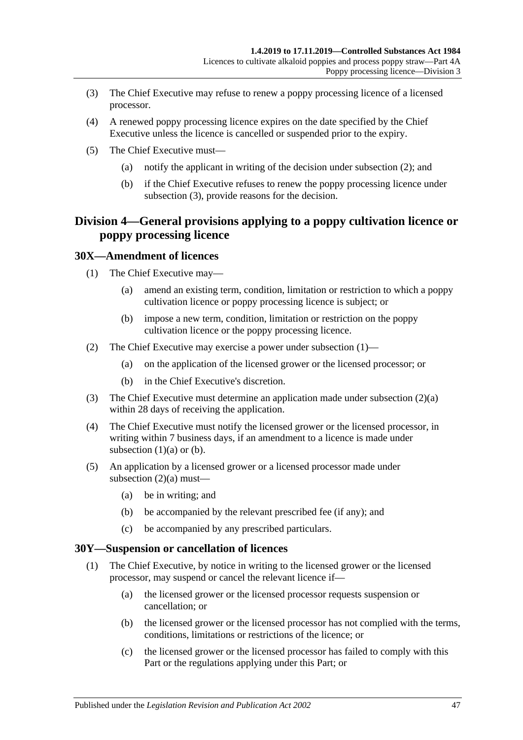- <span id="page-46-0"></span>(3) The Chief Executive may refuse to renew a poppy processing licence of a licensed processor.
- (4) A renewed poppy processing licence expires on the date specified by the Chief Executive unless the licence is cancelled or suspended prior to the expiry.
- (5) The Chief Executive must—
	- (a) notify the applicant in writing of the decision under [subsection](#page-45-2) (2); and
	- (b) if the Chief Executive refuses to renew the poppy processing licence under [subsection](#page-46-0) (3), provide reasons for the decision.

# **Division 4—General provisions applying to a poppy cultivation licence or poppy processing licence**

#### <span id="page-46-1"></span>**30X—Amendment of licences**

- <span id="page-46-3"></span>(1) The Chief Executive may—
	- (a) amend an existing term, condition, limitation or restriction to which a poppy cultivation licence or poppy processing licence is subject; or
	- (b) impose a new term, condition, limitation or restriction on the poppy cultivation licence or the poppy processing licence.
- <span id="page-46-4"></span><span id="page-46-2"></span>(2) The Chief Executive may exercise a power under [subsection](#page-46-1) (1)—
	- (a) on the application of the licensed grower or the licensed processor; or
	- (b) in the Chief Executive's discretion.
- (3) The Chief Executive must determine an application made under [subsection](#page-46-2) (2)(a) within 28 days of receiving the application.
- (4) The Chief Executive must notify the licensed grower or the licensed processor, in writing within 7 business days, if an amendment to a licence is made under [subsection](#page-46-3)  $(1)(a)$  or  $(b)$ .
- (5) An application by a licensed grower or a licensed processor made under [subsection](#page-46-2)  $(2)(a)$  must—
	- (a) be in writing; and
	- (b) be accompanied by the relevant prescribed fee (if any); and
	- (c) be accompanied by any prescribed particulars.

#### <span id="page-46-6"></span><span id="page-46-5"></span>**30Y—Suspension or cancellation of licences**

- (1) The Chief Executive, by notice in writing to the licensed grower or the licensed processor, may suspend or cancel the relevant licence if—
	- (a) the licensed grower or the licensed processor requests suspension or cancellation; or
	- (b) the licensed grower or the licensed processor has not complied with the terms, conditions, limitations or restrictions of the licence; or
	- (c) the licensed grower or the licensed processor has failed to comply with this Part or the regulations applying under this Part; or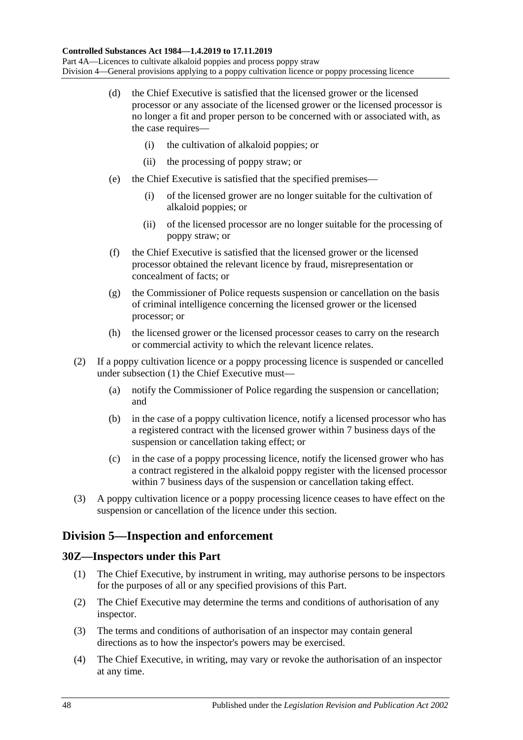- (d) the Chief Executive is satisfied that the licensed grower or the licensed processor or any associate of the licensed grower or the licensed processor is no longer a fit and proper person to be concerned with or associated with, as the case requires-
	- (i) the cultivation of alkaloid poppies; or
	- (ii) the processing of poppy straw; or
- (e) the Chief Executive is satisfied that the specified premises—
	- (i) of the licensed grower are no longer suitable for the cultivation of alkaloid poppies; or
	- (ii) of the licensed processor are no longer suitable for the processing of poppy straw; or
- (f) the Chief Executive is satisfied that the licensed grower or the licensed processor obtained the relevant licence by fraud, misrepresentation or concealment of facts; or
- (g) the Commissioner of Police requests suspension or cancellation on the basis of criminal intelligence concerning the licensed grower or the licensed processor; or
- (h) the licensed grower or the licensed processor ceases to carry on the research or commercial activity to which the relevant licence relates.
- (2) If a poppy cultivation licence or a poppy processing licence is suspended or cancelled under [subsection](#page-46-5) (1) the Chief Executive must—
	- (a) notify the Commissioner of Police regarding the suspension or cancellation; and
	- (b) in the case of a poppy cultivation licence, notify a licensed processor who has a registered contract with the licensed grower within 7 business days of the suspension or cancellation taking effect; or
	- (c) in the case of a poppy processing licence, notify the licensed grower who has a contract registered in the alkaloid poppy register with the licensed processor within 7 business days of the suspension or cancellation taking effect.
- (3) A poppy cultivation licence or a poppy processing licence ceases to have effect on the suspension or cancellation of the licence under this section.

# **Division 5—Inspection and enforcement**

## **30Z—Inspectors under this Part**

- (1) The Chief Executive, by instrument in writing, may authorise persons to be inspectors for the purposes of all or any specified provisions of this Part.
- (2) The Chief Executive may determine the terms and conditions of authorisation of any inspector.
- (3) The terms and conditions of authorisation of an inspector may contain general directions as to how the inspector's powers may be exercised.
- (4) The Chief Executive, in writing, may vary or revoke the authorisation of an inspector at any time.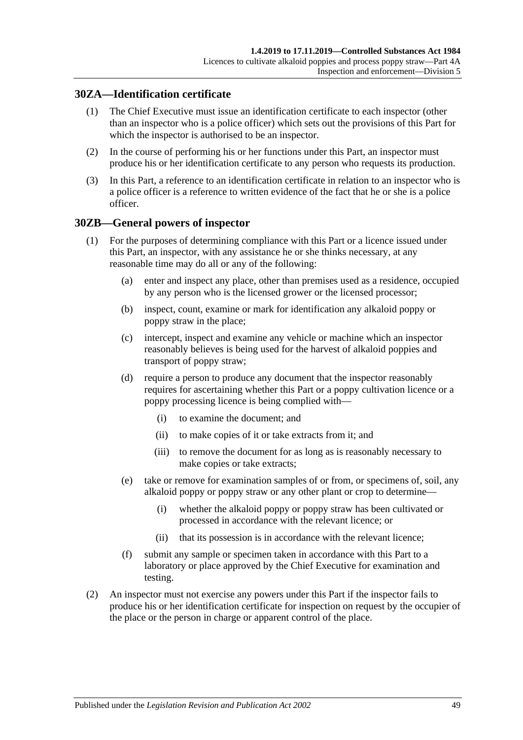## **30ZA—Identification certificate**

- (1) The Chief Executive must issue an identification certificate to each inspector (other than an inspector who is a police officer) which sets out the provisions of this Part for which the inspector is authorised to be an inspector.
- (2) In the course of performing his or her functions under this Part, an inspector must produce his or her identification certificate to any person who requests its production.
- (3) In this Part, a reference to an identification certificate in relation to an inspector who is a police officer is a reference to written evidence of the fact that he or she is a police officer.

## <span id="page-48-1"></span>**30ZB—General powers of inspector**

- (1) For the purposes of determining compliance with this Part or a licence issued under this Part, an inspector, with any assistance he or she thinks necessary, at any reasonable time may do all or any of the following:
	- (a) enter and inspect any place, other than premises used as a residence, occupied by any person who is the licensed grower or the licensed processor;
	- (b) inspect, count, examine or mark for identification any alkaloid poppy or poppy straw in the place;
	- (c) intercept, inspect and examine any vehicle or machine which an inspector reasonably believes is being used for the harvest of alkaloid poppies and transport of poppy straw;
	- (d) require a person to produce any document that the inspector reasonably requires for ascertaining whether this Part or a poppy cultivation licence or a poppy processing licence is being complied with—
		- (i) to examine the document; and
		- (ii) to make copies of it or take extracts from it; and
		- (iii) to remove the document for as long as is reasonably necessary to make copies or take extracts;
	- (e) take or remove for examination samples of or from, or specimens of, soil, any alkaloid poppy or poppy straw or any other plant or crop to determine—
		- (i) whether the alkaloid poppy or poppy straw has been cultivated or processed in accordance with the relevant licence; or
		- (ii) that its possession is in accordance with the relevant licence;
	- (f) submit any sample or specimen taken in accordance with this Part to a laboratory or place approved by the Chief Executive for examination and testing.
- <span id="page-48-0"></span>(2) An inspector must not exercise any powers under this Part if the inspector fails to produce his or her identification certificate for inspection on request by the occupier of the place or the person in charge or apparent control of the place.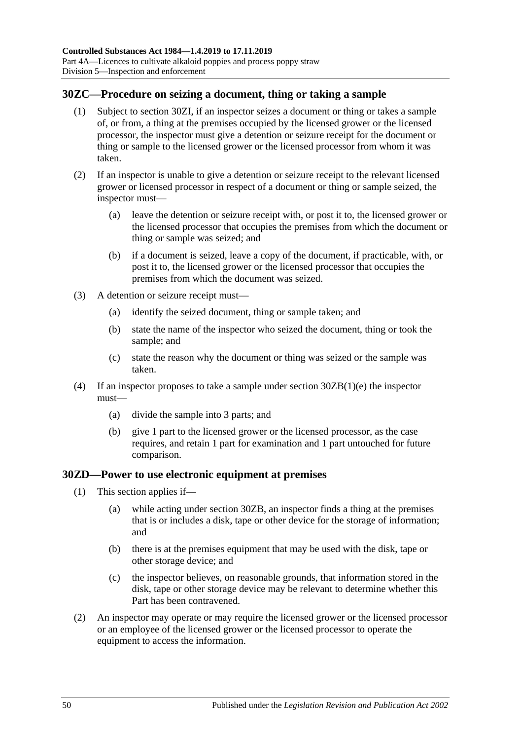## **30ZC—Procedure on seizing a document, thing or taking a sample**

- (1) Subject to [section](#page-50-0) 30ZI, if an inspector seizes a document or thing or takes a sample of, or from, a thing at the premises occupied by the licensed grower or the licensed processor, the inspector must give a detention or seizure receipt for the document or thing or sample to the licensed grower or the licensed processor from whom it was taken.
- (2) If an inspector is unable to give a detention or seizure receipt to the relevant licensed grower or licensed processor in respect of a document or thing or sample seized, the inspector must—
	- (a) leave the detention or seizure receipt with, or post it to, the licensed grower or the licensed processor that occupies the premises from which the document or thing or sample was seized; and
	- (b) if a document is seized, leave a copy of the document, if practicable, with, or post it to, the licensed grower or the licensed processor that occupies the premises from which the document was seized.
- (3) A detention or seizure receipt must—
	- (a) identify the seized document, thing or sample taken; and
	- (b) state the name of the inspector who seized the document, thing or took the sample; and
	- (c) state the reason why the document or thing was seized or the sample was taken.
- (4) If an inspector proposes to take a sample under section [30ZB\(1\)\(e\)](#page-48-0) the inspector must—
	- (a) divide the sample into 3 parts; and
	- (b) give 1 part to the licensed grower or the licensed processor, as the case requires, and retain 1 part for examination and 1 part untouched for future comparison.

## <span id="page-49-0"></span>**30ZD—Power to use electronic equipment at premises**

- (1) This section applies if—
	- (a) while acting under [section](#page-48-1) 30ZB, an inspector finds a thing at the premises that is or includes a disk, tape or other device for the storage of information; and
	- (b) there is at the premises equipment that may be used with the disk, tape or other storage device; and
	- (c) the inspector believes, on reasonable grounds, that information stored in the disk, tape or other storage device may be relevant to determine whether this Part has been contravened.
- (2) An inspector may operate or may require the licensed grower or the licensed processor or an employee of the licensed grower or the licensed processor to operate the equipment to access the information.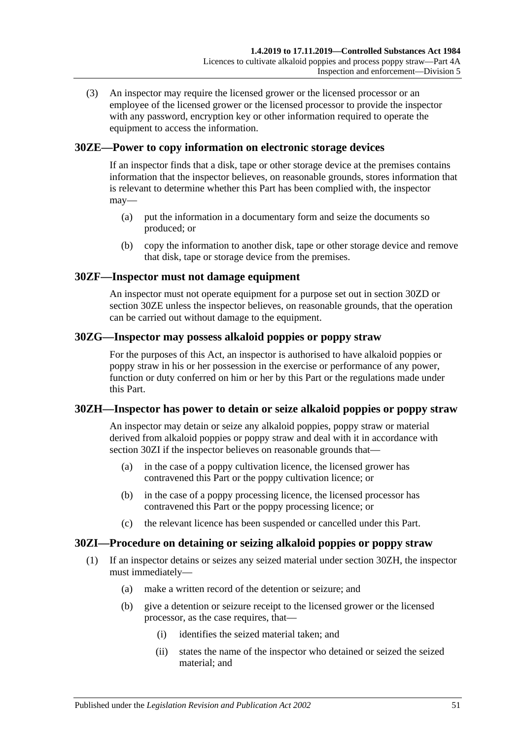(3) An inspector may require the licensed grower or the licensed processor or an employee of the licensed grower or the licensed processor to provide the inspector with any password, encryption key or other information required to operate the equipment to access the information.

## <span id="page-50-1"></span>**30ZE—Power to copy information on electronic storage devices**

If an inspector finds that a disk, tape or other storage device at the premises contains information that the inspector believes, on reasonable grounds, stores information that is relevant to determine whether this Part has been complied with, the inspector may—

- (a) put the information in a documentary form and seize the documents so produced; or
- (b) copy the information to another disk, tape or other storage device and remove that disk, tape or storage device from the premises.

## **30ZF—Inspector must not damage equipment**

An inspector must not operate equipment for a purpose set out in [section](#page-49-0) 30ZD or [section](#page-50-1) 30ZE unless the inspector believes, on reasonable grounds, that the operation can be carried out without damage to the equipment.

## **30ZG—Inspector may possess alkaloid poppies or poppy straw**

For the purposes of this Act, an inspector is authorised to have alkaloid poppies or poppy straw in his or her possession in the exercise or performance of any power, function or duty conferred on him or her by this Part or the regulations made under this Part.

## <span id="page-50-2"></span>**30ZH—Inspector has power to detain or seize alkaloid poppies or poppy straw**

An inspector may detain or seize any alkaloid poppies, poppy straw or material derived from alkaloid poppies or poppy straw and deal with it in accordance with [section](#page-50-0) 30ZI if the inspector believes on reasonable grounds that—

- (a) in the case of a poppy cultivation licence, the licensed grower has contravened this Part or the poppy cultivation licence; or
- (b) in the case of a poppy processing licence, the licensed processor has contravened this Part or the poppy processing licence; or
- (c) the relevant licence has been suspended or cancelled under this Part.

# <span id="page-50-0"></span>**30ZI—Procedure on detaining or seizing alkaloid poppies or poppy straw**

- (1) If an inspector detains or seizes any seized material under [section](#page-50-2) 30ZH, the inspector must immediately—
	- (a) make a written record of the detention or seizure; and
	- (b) give a detention or seizure receipt to the licensed grower or the licensed processor, as the case requires, that—
		- (i) identifies the seized material taken; and
		- (ii) states the name of the inspector who detained or seized the seized material; and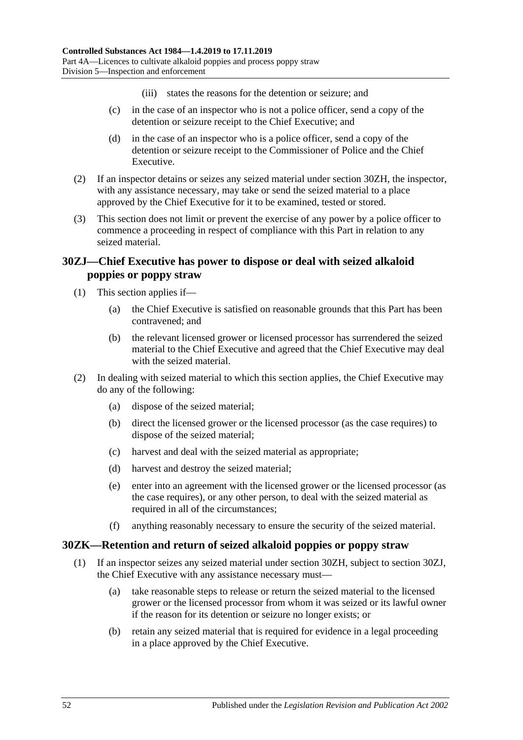- (iii) states the reasons for the detention or seizure; and
- (c) in the case of an inspector who is not a police officer, send a copy of the detention or seizure receipt to the Chief Executive; and
- (d) in the case of an inspector who is a police officer, send a copy of the detention or seizure receipt to the Commissioner of Police and the Chief Executive.
- (2) If an inspector detains or seizes any seized material under [section](#page-50-2) 30ZH, the inspector, with any assistance necessary, may take or send the seized material to a place approved by the Chief Executive for it to be examined, tested or stored.
- (3) This section does not limit or prevent the exercise of any power by a police officer to commence a proceeding in respect of compliance with this Part in relation to any seized material.

## <span id="page-51-0"></span>**30ZJ—Chief Executive has power to dispose or deal with seized alkaloid poppies or poppy straw**

- (1) This section applies if—
	- (a) the Chief Executive is satisfied on reasonable grounds that this Part has been contravened; and
	- (b) the relevant licensed grower or licensed processor has surrendered the seized material to the Chief Executive and agreed that the Chief Executive may deal with the seized material.
- (2) In dealing with seized material to which this section applies, the Chief Executive may do any of the following:
	- (a) dispose of the seized material;
	- (b) direct the licensed grower or the licensed processor (as the case requires) to dispose of the seized material;
	- (c) harvest and deal with the seized material as appropriate;
	- (d) harvest and destroy the seized material;
	- (e) enter into an agreement with the licensed grower or the licensed processor (as the case requires), or any other person, to deal with the seized material as required in all of the circumstances;
	- (f) anything reasonably necessary to ensure the security of the seized material.

## **30ZK—Retention and return of seized alkaloid poppies or poppy straw**

- (1) If an inspector seizes any seized material under [section](#page-50-2) 30ZH, subject to [section](#page-51-0) 30ZJ, the Chief Executive with any assistance necessary must—
	- (a) take reasonable steps to release or return the seized material to the licensed grower or the licensed processor from whom it was seized or its lawful owner if the reason for its detention or seizure no longer exists; or
	- (b) retain any seized material that is required for evidence in a legal proceeding in a place approved by the Chief Executive.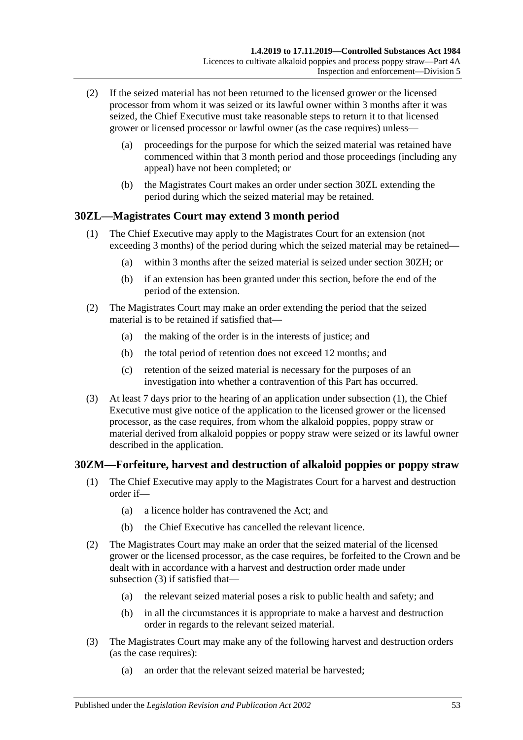- (2) If the seized material has not been returned to the licensed grower or the licensed processor from whom it was seized or its lawful owner within 3 months after it was seized, the Chief Executive must take reasonable steps to return it to that licensed grower or licensed processor or lawful owner (as the case requires) unless—
	- (a) proceedings for the purpose for which the seized material was retained have commenced within that 3 month period and those proceedings (including any appeal) have not been completed; or
	- (b) the Magistrates Court makes an order under [section](#page-52-0) 30ZL extending the period during which the seized material may be retained.

## <span id="page-52-1"></span><span id="page-52-0"></span>**30ZL—Magistrates Court may extend 3 month period**

- (1) The Chief Executive may apply to the Magistrates Court for an extension (not exceeding 3 months) of the period during which the seized material may be retained—
	- (a) within 3 months after the seized material is seized under [section](#page-50-2) 30ZH; or
	- (b) if an extension has been granted under this section, before the end of the period of the extension.
- (2) The Magistrates Court may make an order extending the period that the seized material is to be retained if satisfied that—
	- (a) the making of the order is in the interests of justice; and
	- (b) the total period of retention does not exceed 12 months; and
	- (c) retention of the seized material is necessary for the purposes of an investigation into whether a contravention of this Part has occurred.
- (3) At least 7 days prior to the hearing of an application under [subsection](#page-52-1) (1), the Chief Executive must give notice of the application to the licensed grower or the licensed processor, as the case requires, from whom the alkaloid poppies, poppy straw or material derived from alkaloid poppies or poppy straw were seized or its lawful owner described in the application.

## **30ZM—Forfeiture, harvest and destruction of alkaloid poppies or poppy straw**

- (1) The Chief Executive may apply to the Magistrates Court for a harvest and destruction order if—
	- (a) a licence holder has contravened the Act; and
	- (b) the Chief Executive has cancelled the relevant licence.
- (2) The Magistrates Court may make an order that the seized material of the licensed grower or the licensed processor, as the case requires, be forfeited to the Crown and be dealt with in accordance with a harvest and destruction order made under [subsection](#page-52-2) (3) if satisfied that—
	- (a) the relevant seized material poses a risk to public health and safety; and
	- (b) in all the circumstances it is appropriate to make a harvest and destruction order in regards to the relevant seized material.
- <span id="page-52-2"></span>(3) The Magistrates Court may make any of the following harvest and destruction orders (as the case requires):
	- (a) an order that the relevant seized material be harvested;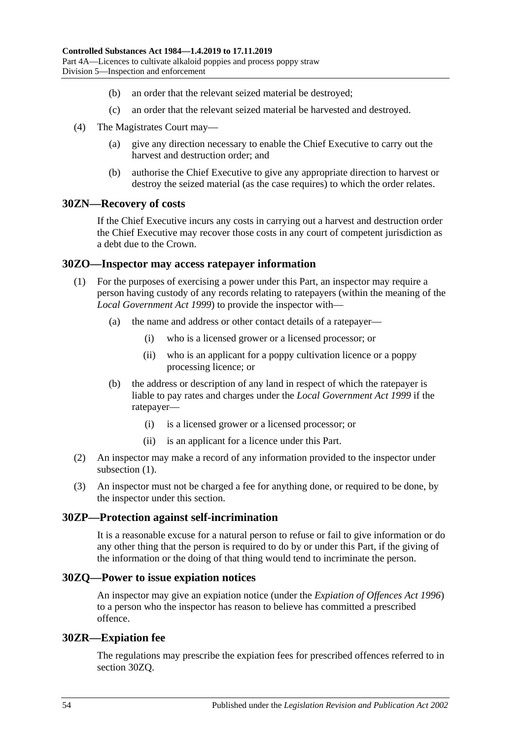- (b) an order that the relevant seized material be destroyed;
- (c) an order that the relevant seized material be harvested and destroyed.
- (4) The Magistrates Court may—
	- (a) give any direction necessary to enable the Chief Executive to carry out the harvest and destruction order; and
	- (b) authorise the Chief Executive to give any appropriate direction to harvest or destroy the seized material (as the case requires) to which the order relates.

#### **30ZN—Recovery of costs**

If the Chief Executive incurs any costs in carrying out a harvest and destruction order the Chief Executive may recover those costs in any court of competent jurisdiction as a debt due to the Crown.

#### <span id="page-53-0"></span>**30ZO—Inspector may access ratepayer information**

- (1) For the purposes of exercising a power under this Part, an inspector may require a person having custody of any records relating to ratepayers (within the meaning of the *[Local Government Act](http://www.legislation.sa.gov.au/index.aspx?action=legref&type=act&legtitle=Local%20Government%20Act%201999) 1999*) to provide the inspector with—
	- (a) the name and address or other contact details of a ratepayer—
		- (i) who is a licensed grower or a licensed processor; or
		- (ii) who is an applicant for a poppy cultivation licence or a poppy processing licence; or
	- (b) the address or description of any land in respect of which the ratepayer is liable to pay rates and charges under the *[Local Government Act](http://www.legislation.sa.gov.au/index.aspx?action=legref&type=act&legtitle=Local%20Government%20Act%201999) 1999* if the ratepayer—
		- (i) is a licensed grower or a licensed processor; or
		- (ii) is an applicant for a licence under this Part.
- (2) An inspector may make a record of any information provided to the inspector under [subsection](#page-53-0)  $(1)$ .
- (3) An inspector must not be charged a fee for anything done, or required to be done, by the inspector under this section.

#### **30ZP—Protection against self-incrimination**

It is a reasonable excuse for a natural person to refuse or fail to give information or do any other thing that the person is required to do by or under this Part, if the giving of the information or the doing of that thing would tend to incriminate the person.

#### <span id="page-53-1"></span>**30ZQ—Power to issue expiation notices**

An inspector may give an expiation notice (under the *[Expiation of Offences Act](http://www.legislation.sa.gov.au/index.aspx?action=legref&type=act&legtitle=Expiation%20of%20Offences%20Act%201996) 1996*) to a person who the inspector has reason to believe has committed a prescribed offence.

#### **30ZR—Expiation fee**

The regulations may prescribe the expiation fees for prescribed offences referred to in [section](#page-53-1) 30ZQ.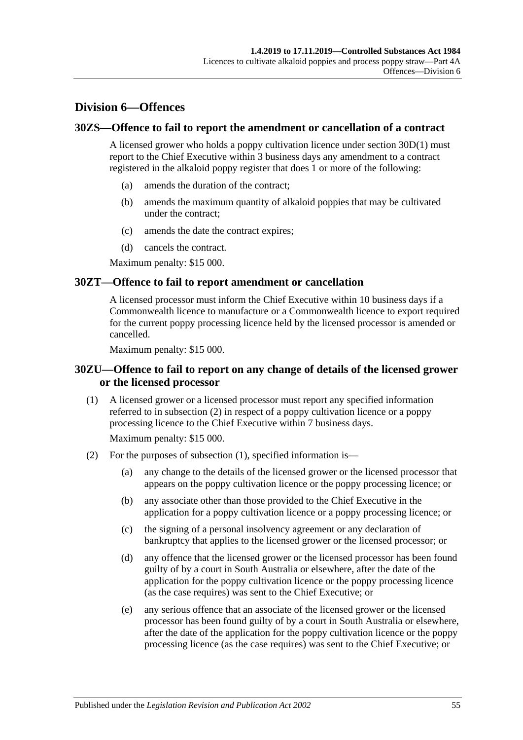# **Division 6—Offences**

#### **30ZS—Offence to fail to report the amendment or cancellation of a contract**

A licensed grower who holds a poppy cultivation licence under [section](#page-36-0) 30D(1) must report to the Chief Executive within 3 business days any amendment to a contract registered in the alkaloid poppy register that does 1 or more of the following:

- (a) amends the duration of the contract;
- (b) amends the maximum quantity of alkaloid poppies that may be cultivated under the contract;
- (c) amends the date the contract expires;
- (d) cancels the contract.

Maximum penalty: \$15 000.

#### **30ZT—Offence to fail to report amendment or cancellation**

A licensed processor must inform the Chief Executive within 10 business days if a Commonwealth licence to manufacture or a Commonwealth licence to export required for the current poppy processing licence held by the licensed processor is amended or cancelled.

Maximum penalty: \$15 000.

## **30ZU—Offence to fail to report on any change of details of the licensed grower or the licensed processor**

<span id="page-54-1"></span>(1) A licensed grower or a licensed processor must report any specified information referred to in [subsection](#page-54-0) (2) in respect of a poppy cultivation licence or a poppy processing licence to the Chief Executive within 7 business days.

Maximum penalty: \$15 000.

- <span id="page-54-0"></span>(2) For the purposes of [subsection](#page-54-1) (1), specified information is—
	- (a) any change to the details of the licensed grower or the licensed processor that appears on the poppy cultivation licence or the poppy processing licence; or
	- (b) any associate other than those provided to the Chief Executive in the application for a poppy cultivation licence or a poppy processing licence; or
	- (c) the signing of a personal insolvency agreement or any declaration of bankruptcy that applies to the licensed grower or the licensed processor; or
	- (d) any offence that the licensed grower or the licensed processor has been found guilty of by a court in South Australia or elsewhere, after the date of the application for the poppy cultivation licence or the poppy processing licence (as the case requires) was sent to the Chief Executive; or
	- (e) any serious offence that an associate of the licensed grower or the licensed processor has been found guilty of by a court in South Australia or elsewhere, after the date of the application for the poppy cultivation licence or the poppy processing licence (as the case requires) was sent to the Chief Executive; or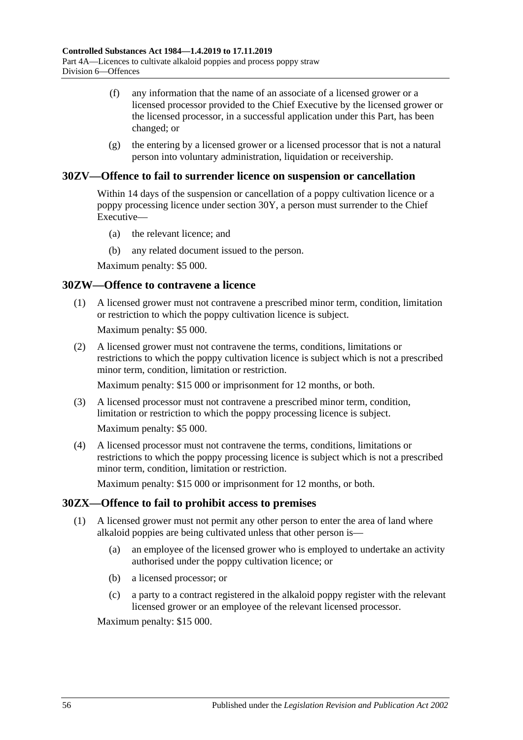- (f) any information that the name of an associate of a licensed grower or a licensed processor provided to the Chief Executive by the licensed grower or the licensed processor, in a successful application under this Part, has been changed; or
- (g) the entering by a licensed grower or a licensed processor that is not a natural person into voluntary administration, liquidation or receivership.

## **30ZV—Offence to fail to surrender licence on suspension or cancellation**

Within 14 days of the suspension or cancellation of a poppy cultivation licence or a poppy processing licence under [section](#page-46-6) 30Y, a person must surrender to the Chief Executive—

- (a) the relevant licence; and
- (b) any related document issued to the person.

Maximum penalty: \$5 000.

#### **30ZW—Offence to contravene a licence**

(1) A licensed grower must not contravene a prescribed minor term, condition, limitation or restriction to which the poppy cultivation licence is subject.

Maximum penalty: \$5 000.

(2) A licensed grower must not contravene the terms, conditions, limitations or restrictions to which the poppy cultivation licence is subject which is not a prescribed minor term, condition, limitation or restriction.

Maximum penalty: \$15 000 or imprisonment for 12 months, or both.

(3) A licensed processor must not contravene a prescribed minor term, condition, limitation or restriction to which the poppy processing licence is subject.

Maximum penalty: \$5 000.

(4) A licensed processor must not contravene the terms, conditions, limitations or restrictions to which the poppy processing licence is subject which is not a prescribed minor term, condition, limitation or restriction.

Maximum penalty: \$15 000 or imprisonment for 12 months, or both.

## **30ZX—Offence to fail to prohibit access to premises**

- (1) A licensed grower must not permit any other person to enter the area of land where alkaloid poppies are being cultivated unless that other person is—
	- (a) an employee of the licensed grower who is employed to undertake an activity authorised under the poppy cultivation licence; or
	- (b) a licensed processor; or
	- (c) a party to a contract registered in the alkaloid poppy register with the relevant licensed grower or an employee of the relevant licensed processor.

Maximum penalty: \$15 000.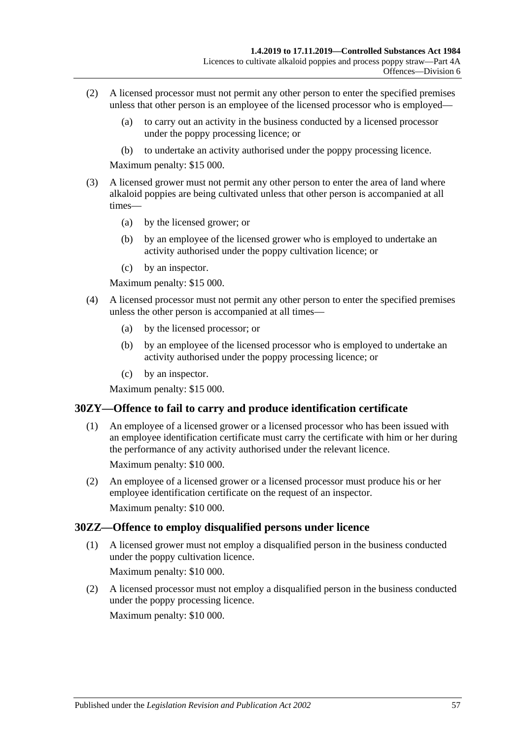- (2) A licensed processor must not permit any other person to enter the specified premises unless that other person is an employee of the licensed processor who is employed—
	- (a) to carry out an activity in the business conducted by a licensed processor under the poppy processing licence; or
	- (b) to undertake an activity authorised under the poppy processing licence.

Maximum penalty: \$15 000.

- (3) A licensed grower must not permit any other person to enter the area of land where alkaloid poppies are being cultivated unless that other person is accompanied at all times—
	- (a) by the licensed grower; or
	- (b) by an employee of the licensed grower who is employed to undertake an activity authorised under the poppy cultivation licence; or
	- (c) by an inspector.

Maximum penalty: \$15 000.

- (4) A licensed processor must not permit any other person to enter the specified premises unless the other person is accompanied at all times—
	- (a) by the licensed processor; or
	- (b) by an employee of the licensed processor who is employed to undertake an activity authorised under the poppy processing licence; or
	- (c) by an inspector.

Maximum penalty: \$15 000.

## **30ZY—Offence to fail to carry and produce identification certificate**

- (1) An employee of a licensed grower or a licensed processor who has been issued with an employee identification certificate must carry the certificate with him or her during the performance of any activity authorised under the relevant licence. Maximum penalty: \$10 000.
- (2) An employee of a licensed grower or a licensed processor must produce his or her employee identification certificate on the request of an inspector. Maximum penalty: \$10 000.

## **30ZZ—Offence to employ disqualified persons under licence**

(1) A licensed grower must not employ a disqualified person in the business conducted under the poppy cultivation licence.

Maximum penalty: \$10 000.

(2) A licensed processor must not employ a disqualified person in the business conducted under the poppy processing licence.

Maximum penalty: \$10 000.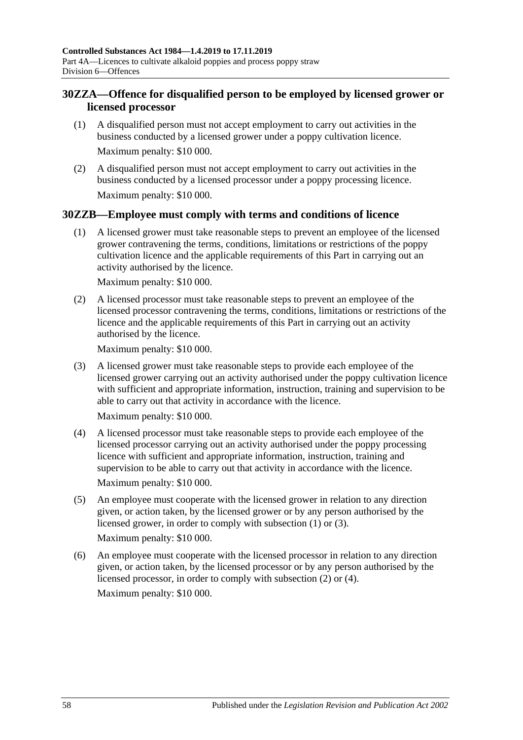# **30ZZA—Offence for disqualified person to be employed by licensed grower or licensed processor**

- (1) A disqualified person must not accept employment to carry out activities in the business conducted by a licensed grower under a poppy cultivation licence. Maximum penalty: \$10 000.
- (2) A disqualified person must not accept employment to carry out activities in the business conducted by a licensed processor under a poppy processing licence. Maximum penalty: \$10 000.

## <span id="page-57-0"></span>**30ZZB—Employee must comply with terms and conditions of licence**

(1) A licensed grower must take reasonable steps to prevent an employee of the licensed grower contravening the terms, conditions, limitations or restrictions of the poppy cultivation licence and the applicable requirements of this Part in carrying out an activity authorised by the licence.

Maximum penalty: \$10 000.

<span id="page-57-2"></span>(2) A licensed processor must take reasonable steps to prevent an employee of the licensed processor contravening the terms, conditions, limitations or restrictions of the licence and the applicable requirements of this Part in carrying out an activity authorised by the licence.

Maximum penalty: \$10 000.

<span id="page-57-1"></span>(3) A licensed grower must take reasonable steps to provide each employee of the licensed grower carrying out an activity authorised under the poppy cultivation licence with sufficient and appropriate information, instruction, training and supervision to be able to carry out that activity in accordance with the licence.

Maximum penalty: \$10 000.

<span id="page-57-3"></span>(4) A licensed processor must take reasonable steps to provide each employee of the licensed processor carrying out an activity authorised under the poppy processing licence with sufficient and appropriate information, instruction, training and supervision to be able to carry out that activity in accordance with the licence.

Maximum penalty: \$10 000.

(5) An employee must cooperate with the licensed grower in relation to any direction given, or action taken, by the licensed grower or by any person authorised by the licensed grower, in order to comply with [subsection](#page-57-0) (1) or [\(3\).](#page-57-1)

Maximum penalty: \$10 000.

(6) An employee must cooperate with the licensed processor in relation to any direction given, or action taken, by the licensed processor or by any person authorised by the licensed processor, in order to comply with [subsection](#page-57-2) (2) or [\(4\).](#page-57-3) Maximum penalty: \$10 000.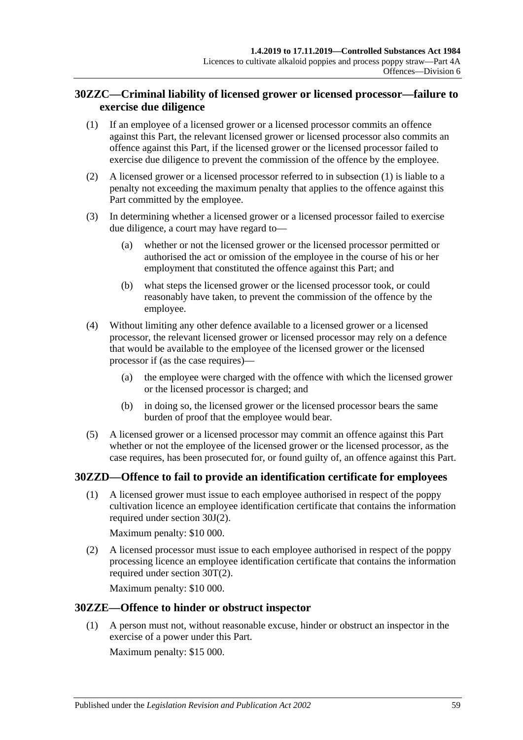# **30ZZC—Criminal liability of licensed grower or licensed processor—failure to exercise due diligence**

- <span id="page-58-0"></span>(1) If an employee of a licensed grower or a licensed processor commits an offence against this Part, the relevant licensed grower or licensed processor also commits an offence against this Part, if the licensed grower or the licensed processor failed to exercise due diligence to prevent the commission of the offence by the employee.
- (2) A licensed grower or a licensed processor referred to in [subsection](#page-58-0) (1) is liable to a penalty not exceeding the maximum penalty that applies to the offence against this Part committed by the employee.
- (3) In determining whether a licensed grower or a licensed processor failed to exercise due diligence, a court may have regard to—
	- (a) whether or not the licensed grower or the licensed processor permitted or authorised the act or omission of the employee in the course of his or her employment that constituted the offence against this Part; and
	- (b) what steps the licensed grower or the licensed processor took, or could reasonably have taken, to prevent the commission of the offence by the employee.
- (4) Without limiting any other defence available to a licensed grower or a licensed processor, the relevant licensed grower or licensed processor may rely on a defence that would be available to the employee of the licensed grower or the licensed processor if (as the case requires)—
	- (a) the employee were charged with the offence with which the licensed grower or the licensed processor is charged; and
	- (b) in doing so, the licensed grower or the licensed processor bears the same burden of proof that the employee would bear.
- (5) A licensed grower or a licensed processor may commit an offence against this Part whether or not the employee of the licensed grower or the licensed processor, as the case requires, has been prosecuted for, or found guilty of, an offence against this Part.

## **30ZZD—Offence to fail to provide an identification certificate for employees**

(1) A licensed grower must issue to each employee authorised in respect of the poppy cultivation licence an employee identification certificate that contains the information required under [section](#page-39-3) 30J(2).

Maximum penalty: \$10 000.

(2) A licensed processor must issue to each employee authorised in respect of the poppy processing licence an employee identification certificate that contains the information required under [section](#page-44-3) 30T(2).

Maximum penalty: \$10 000.

## **30ZZE—Offence to hinder or obstruct inspector**

(1) A person must not, without reasonable excuse, hinder or obstruct an inspector in the exercise of a power under this Part.

Maximum penalty: \$15 000.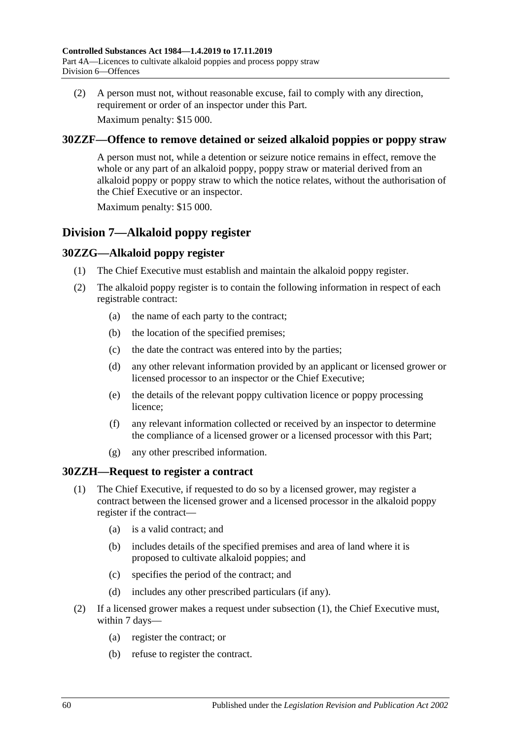(2) A person must not, without reasonable excuse, fail to comply with any direction, requirement or order of an inspector under this Part.

Maximum penalty: \$15 000.

## **30ZZF—Offence to remove detained or seized alkaloid poppies or poppy straw**

A person must not, while a detention or seizure notice remains in effect, remove the whole or any part of an alkaloid poppy, poppy straw or material derived from an alkaloid poppy or poppy straw to which the notice relates, without the authorisation of the Chief Executive or an inspector.

Maximum penalty: \$15 000.

# **Division 7—Alkaloid poppy register**

## **30ZZG—Alkaloid poppy register**

- (1) The Chief Executive must establish and maintain the alkaloid poppy register.
- (2) The alkaloid poppy register is to contain the following information in respect of each registrable contract:
	- (a) the name of each party to the contract;
	- (b) the location of the specified premises;
	- (c) the date the contract was entered into by the parties;
	- (d) any other relevant information provided by an applicant or licensed grower or licensed processor to an inspector or the Chief Executive;
	- (e) the details of the relevant poppy cultivation licence or poppy processing licence;
	- (f) any relevant information collected or received by an inspector to determine the compliance of a licensed grower or a licensed processor with this Part;
	- (g) any other prescribed information.

## <span id="page-59-0"></span>**30ZZH—Request to register a contract**

- (1) The Chief Executive, if requested to do so by a licensed grower, may register a contract between the licensed grower and a licensed processor in the alkaloid poppy register if the contract—
	- (a) is a valid contract; and
	- (b) includes details of the specified premises and area of land where it is proposed to cultivate alkaloid poppies; and
	- (c) specifies the period of the contract; and
	- (d) includes any other prescribed particulars (if any).
- <span id="page-59-2"></span><span id="page-59-1"></span>(2) If a licensed grower makes a request under [subsection](#page-59-0) (1), the Chief Executive must, within 7 days—
	- (a) register the contract; or
	- (b) refuse to register the contract.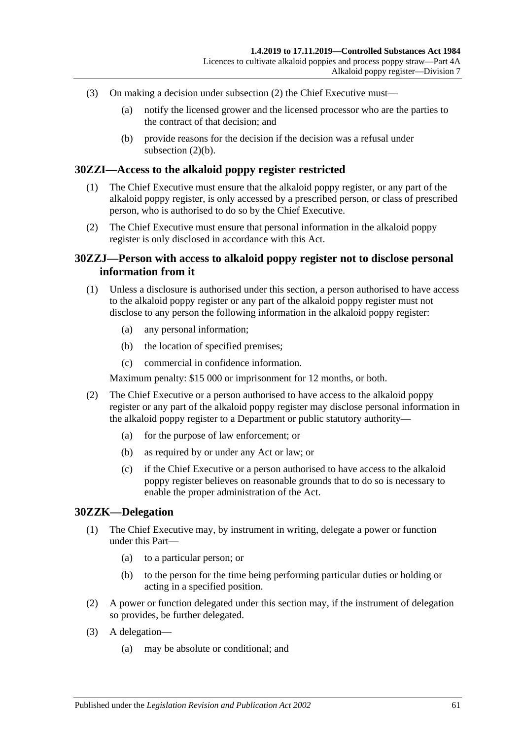- (3) On making a decision under [subsection](#page-59-1) (2) the Chief Executive must—
	- (a) notify the licensed grower and the licensed processor who are the parties to the contract of that decision; and
	- (b) provide reasons for the decision if the decision was a refusal under [subsection](#page-59-2)  $(2)(b)$ .

#### **30ZZI—Access to the alkaloid poppy register restricted**

- (1) The Chief Executive must ensure that the alkaloid poppy register, or any part of the alkaloid poppy register, is only accessed by a prescribed person, or class of prescribed person, who is authorised to do so by the Chief Executive.
- (2) The Chief Executive must ensure that personal information in the alkaloid poppy register is only disclosed in accordance with this Act.

#### **30ZZJ—Person with access to alkaloid poppy register not to disclose personal information from it**

- (1) Unless a disclosure is authorised under this section, a person authorised to have access to the alkaloid poppy register or any part of the alkaloid poppy register must not disclose to any person the following information in the alkaloid poppy register:
	- (a) any personal information;
	- (b) the location of specified premises;
	- (c) commercial in confidence information.

Maximum penalty: \$15 000 or imprisonment for 12 months, or both.

- (2) The Chief Executive or a person authorised to have access to the alkaloid poppy register or any part of the alkaloid poppy register may disclose personal information in the alkaloid poppy register to a Department or public statutory authority—
	- (a) for the purpose of law enforcement; or
	- (b) as required by or under any Act or law; or
	- (c) if the Chief Executive or a person authorised to have access to the alkaloid poppy register believes on reasonable grounds that to do so is necessary to enable the proper administration of the Act.

#### **30ZZK—Delegation**

- (1) The Chief Executive may, by instrument in writing, delegate a power or function under this Part—
	- (a) to a particular person; or
	- (b) to the person for the time being performing particular duties or holding or acting in a specified position.
- (2) A power or function delegated under this section may, if the instrument of delegation so provides, be further delegated.
- (3) A delegation—
	- (a) may be absolute or conditional; and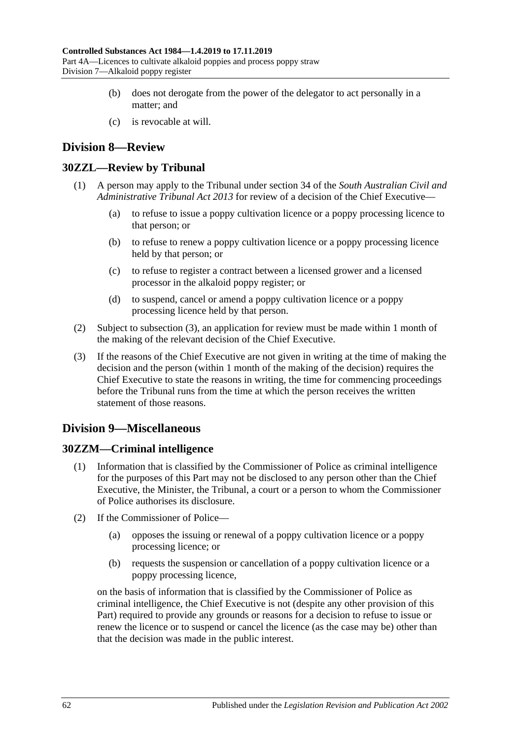- (b) does not derogate from the power of the delegator to act personally in a matter; and
- (c) is revocable at will.

# **Division 8—Review**

# **30ZZL—Review by Tribunal**

- (1) A person may apply to the Tribunal under section 34 of the *[South Australian Civil and](http://www.legislation.sa.gov.au/index.aspx?action=legref&type=act&legtitle=South%20Australian%20Civil%20and%20Administrative%20Tribunal%20Act%202013)  [Administrative Tribunal Act](http://www.legislation.sa.gov.au/index.aspx?action=legref&type=act&legtitle=South%20Australian%20Civil%20and%20Administrative%20Tribunal%20Act%202013) 2013* for review of a decision of the Chief Executive—
	- (a) to refuse to issue a poppy cultivation licence or a poppy processing licence to that person; or
	- (b) to refuse to renew a poppy cultivation licence or a poppy processing licence held by that person; or
	- (c) to refuse to register a contract between a licensed grower and a licensed processor in the alkaloid poppy register; or
	- (d) to suspend, cancel or amend a poppy cultivation licence or a poppy processing licence held by that person.
- (2) Subject to [subsection](#page-61-0) (3), an application for review must be made within 1 month of the making of the relevant decision of the Chief Executive.
- <span id="page-61-0"></span>(3) If the reasons of the Chief Executive are not given in writing at the time of making the decision and the person (within 1 month of the making of the decision) requires the Chief Executive to state the reasons in writing, the time for commencing proceedings before the Tribunal runs from the time at which the person receives the written statement of those reasons.

# **Division 9—Miscellaneous**

# **30ZZM—Criminal intelligence**

- (1) Information that is classified by the Commissioner of Police as criminal intelligence for the purposes of this Part may not be disclosed to any person other than the Chief Executive, the Minister, the Tribunal, a court or a person to whom the Commissioner of Police authorises its disclosure.
- (2) If the Commissioner of Police—
	- (a) opposes the issuing or renewal of a poppy cultivation licence or a poppy processing licence; or
	- (b) requests the suspension or cancellation of a poppy cultivation licence or a poppy processing licence,

on the basis of information that is classified by the Commissioner of Police as criminal intelligence, the Chief Executive is not (despite any other provision of this Part) required to provide any grounds or reasons for a decision to refuse to issue or renew the licence or to suspend or cancel the licence (as the case may be) other than that the decision was made in the public interest.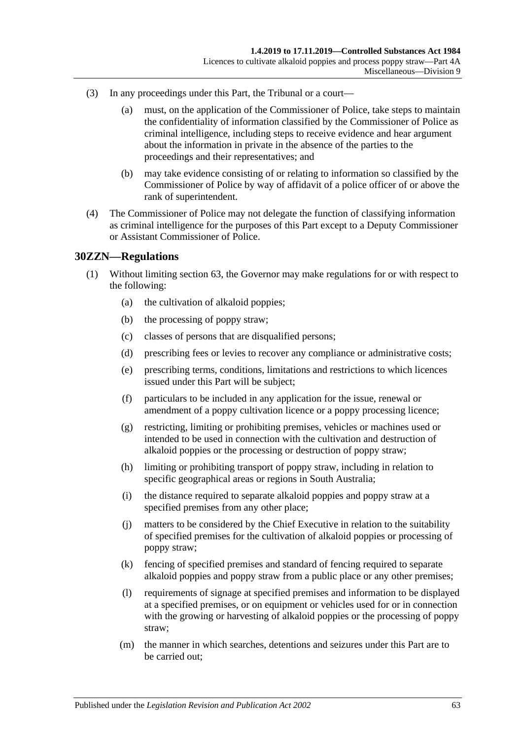- (3) In any proceedings under this Part, the Tribunal or a court—
	- (a) must, on the application of the Commissioner of Police, take steps to maintain the confidentiality of information classified by the Commissioner of Police as criminal intelligence, including steps to receive evidence and hear argument about the information in private in the absence of the parties to the proceedings and their representatives; and
	- (b) may take evidence consisting of or relating to information so classified by the Commissioner of Police by way of affidavit of a police officer of or above the rank of superintendent.
- (4) The Commissioner of Police may not delegate the function of classifying information as criminal intelligence for the purposes of this Part except to a Deputy Commissioner or Assistant Commissioner of Police.

#### **30ZZN—Regulations**

- (1) Without limiting section 63, the Governor may make regulations for or with respect to the following:
	- (a) the cultivation of alkaloid poppies;
	- (b) the processing of poppy straw;
	- (c) classes of persons that are disqualified persons;
	- (d) prescribing fees or levies to recover any compliance or administrative costs;
	- (e) prescribing terms, conditions, limitations and restrictions to which licences issued under this Part will be subject;
	- (f) particulars to be included in any application for the issue, renewal or amendment of a poppy cultivation licence or a poppy processing licence;
	- (g) restricting, limiting or prohibiting premises, vehicles or machines used or intended to be used in connection with the cultivation and destruction of alkaloid poppies or the processing or destruction of poppy straw;
	- (h) limiting or prohibiting transport of poppy straw, including in relation to specific geographical areas or regions in South Australia;
	- (i) the distance required to separate alkaloid poppies and poppy straw at a specified premises from any other place;
	- (j) matters to be considered by the Chief Executive in relation to the suitability of specified premises for the cultivation of alkaloid poppies or processing of poppy straw;
	- (k) fencing of specified premises and standard of fencing required to separate alkaloid poppies and poppy straw from a public place or any other premises;
	- (l) requirements of signage at specified premises and information to be displayed at a specified premises, or on equipment or vehicles used for or in connection with the growing or harvesting of alkaloid poppies or the processing of poppy straw;
	- (m) the manner in which searches, detentions and seizures under this Part are to be carried out;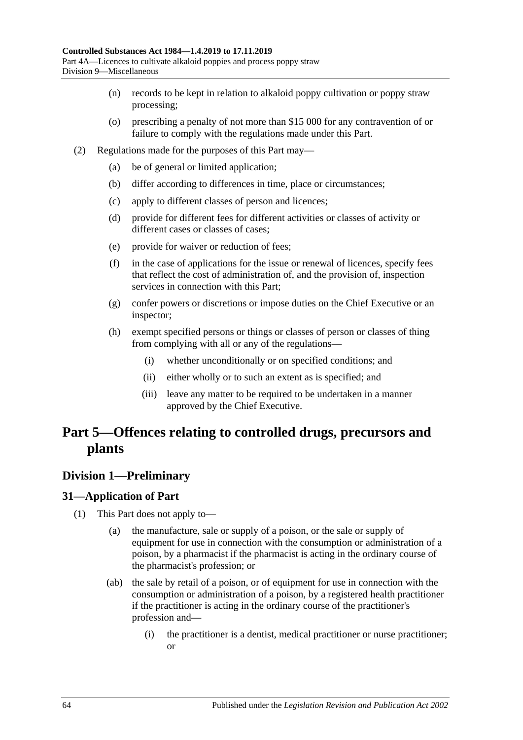- (n) records to be kept in relation to alkaloid poppy cultivation or poppy straw processing;
- (o) prescribing a penalty of not more than \$15 000 for any contravention of or failure to comply with the regulations made under this Part.
- (2) Regulations made for the purposes of this Part may—
	- (a) be of general or limited application;
	- (b) differ according to differences in time, place or circumstances;
	- (c) apply to different classes of person and licences;
	- (d) provide for different fees for different activities or classes of activity or different cases or classes of cases;
	- (e) provide for waiver or reduction of fees;
	- (f) in the case of applications for the issue or renewal of licences, specify fees that reflect the cost of administration of, and the provision of, inspection services in connection with this Part;
	- (g) confer powers or discretions or impose duties on the Chief Executive or an inspector;
	- (h) exempt specified persons or things or classes of person or classes of thing from complying with all or any of the regulations—
		- (i) whether unconditionally or on specified conditions; and
		- (ii) either wholly or to such an extent as is specified; and
		- (iii) leave any matter to be required to be undertaken in a manner approved by the Chief Executive.

# **Part 5—Offences relating to controlled drugs, precursors and plants**

# **Division 1—Preliminary**

## <span id="page-63-0"></span>**31—Application of Part**

- (1) This Part does not apply to—
	- (a) the manufacture, sale or supply of a poison, or the sale or supply of equipment for use in connection with the consumption or administration of a poison, by a pharmacist if the pharmacist is acting in the ordinary course of the pharmacist's profession; or
	- (ab) the sale by retail of a poison, or of equipment for use in connection with the consumption or administration of a poison, by a registered health practitioner if the practitioner is acting in the ordinary course of the practitioner's profession and—
		- (i) the practitioner is a dentist, medical practitioner or nurse practitioner; or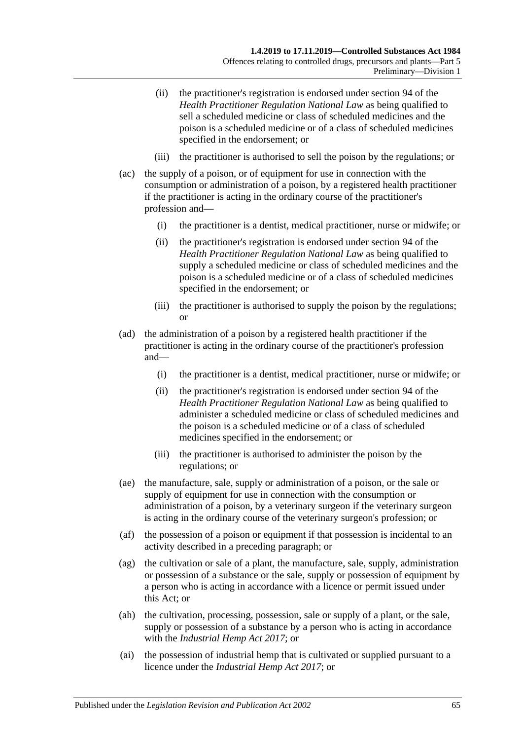- (ii) the practitioner's registration is endorsed under section 94 of the *Health Practitioner Regulation National Law* as being qualified to sell a scheduled medicine or class of scheduled medicines and the poison is a scheduled medicine or of a class of scheduled medicines specified in the endorsement; or
- (iii) the practitioner is authorised to sell the poison by the regulations; or
- (ac) the supply of a poison, or of equipment for use in connection with the consumption or administration of a poison, by a registered health practitioner if the practitioner is acting in the ordinary course of the practitioner's profession and—
	- (i) the practitioner is a dentist, medical practitioner, nurse or midwife; or
	- (ii) the practitioner's registration is endorsed under section 94 of the *Health Practitioner Regulation National Law* as being qualified to supply a scheduled medicine or class of scheduled medicines and the poison is a scheduled medicine or of a class of scheduled medicines specified in the endorsement; or
	- (iii) the practitioner is authorised to supply the poison by the regulations; or
- (ad) the administration of a poison by a registered health practitioner if the practitioner is acting in the ordinary course of the practitioner's profession and—
	- (i) the practitioner is a dentist, medical practitioner, nurse or midwife; or
	- (ii) the practitioner's registration is endorsed under section 94 of the *Health Practitioner Regulation National Law* as being qualified to administer a scheduled medicine or class of scheduled medicines and the poison is a scheduled medicine or of a class of scheduled medicines specified in the endorsement; or
	- (iii) the practitioner is authorised to administer the poison by the regulations; or
- (ae) the manufacture, sale, supply or administration of a poison, or the sale or supply of equipment for use in connection with the consumption or administration of a poison, by a veterinary surgeon if the veterinary surgeon is acting in the ordinary course of the veterinary surgeon's profession; or
- (af) the possession of a poison or equipment if that possession is incidental to an activity described in a preceding paragraph; or
- (ag) the cultivation or sale of a plant, the manufacture, sale, supply, administration or possession of a substance or the sale, supply or possession of equipment by a person who is acting in accordance with a licence or permit issued under this Act; or
- (ah) the cultivation, processing, possession, sale or supply of a plant, or the sale, supply or possession of a substance by a person who is acting in accordance with the *[Industrial Hemp Act](http://www.legislation.sa.gov.au/index.aspx?action=legref&type=act&legtitle=Industrial%20Hemp%20Act%202017) 2017*; or
- (ai) the possession of industrial hemp that is cultivated or supplied pursuant to a licence under the *[Industrial Hemp Act](http://www.legislation.sa.gov.au/index.aspx?action=legref&type=act&legtitle=Industrial%20Hemp%20Act%202017) 2017*; or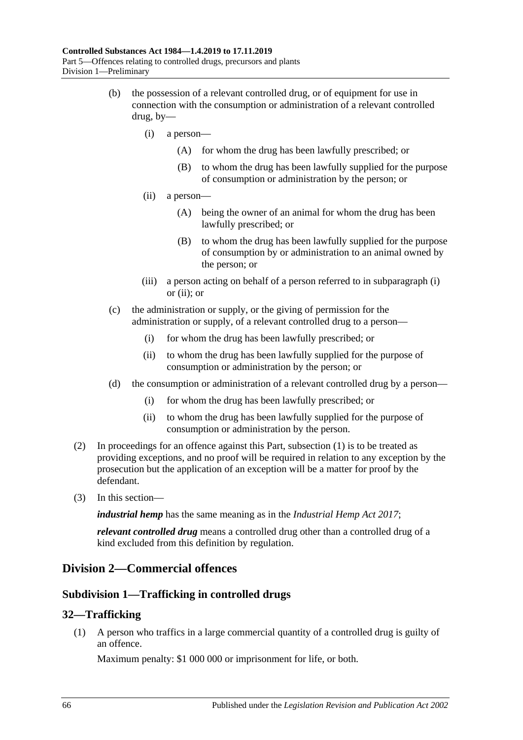- <span id="page-65-1"></span><span id="page-65-0"></span>(b) the possession of a relevant controlled drug, or of equipment for use in connection with the consumption or administration of a relevant controlled drug, by—
	- (i) a person—
		- (A) for whom the drug has been lawfully prescribed; or
		- (B) to whom the drug has been lawfully supplied for the purpose of consumption or administration by the person; or
	- (ii) a person—
		- (A) being the owner of an animal for whom the drug has been lawfully prescribed; or
		- (B) to whom the drug has been lawfully supplied for the purpose of consumption by or administration to an animal owned by the person; or
	- (iii) a person acting on behalf of a person referred to in [subparagraph](#page-65-0) (i) or [\(ii\);](#page-65-1) or
- (c) the administration or supply, or the giving of permission for the administration or supply, of a relevant controlled drug to a person—
	- (i) for whom the drug has been lawfully prescribed; or
	- (ii) to whom the drug has been lawfully supplied for the purpose of consumption or administration by the person; or
- (d) the consumption or administration of a relevant controlled drug by a person—
	- (i) for whom the drug has been lawfully prescribed; or
	- (ii) to whom the drug has been lawfully supplied for the purpose of consumption or administration by the person.
- (2) In proceedings for an offence against this Part, [subsection](#page-63-0) (1) is to be treated as providing exceptions, and no proof will be required in relation to any exception by the prosecution but the application of an exception will be a matter for proof by the defendant.
- (3) In this section—

*industrial hemp* has the same meaning as in the *[Industrial Hemp Act](http://www.legislation.sa.gov.au/index.aspx?action=legref&type=act&legtitle=Industrial%20Hemp%20Act%202017) 2017*;

*relevant controlled drug* means a controlled drug other than a controlled drug of a kind excluded from this definition by regulation.

# **Division 2—Commercial offences**

## **Subdivision 1—Trafficking in controlled drugs**

## <span id="page-65-2"></span>**32—Trafficking**

(1) A person who traffics in a large commercial quantity of a controlled drug is guilty of an offence.

Maximum penalty: \$1 000 000 or imprisonment for life, or both.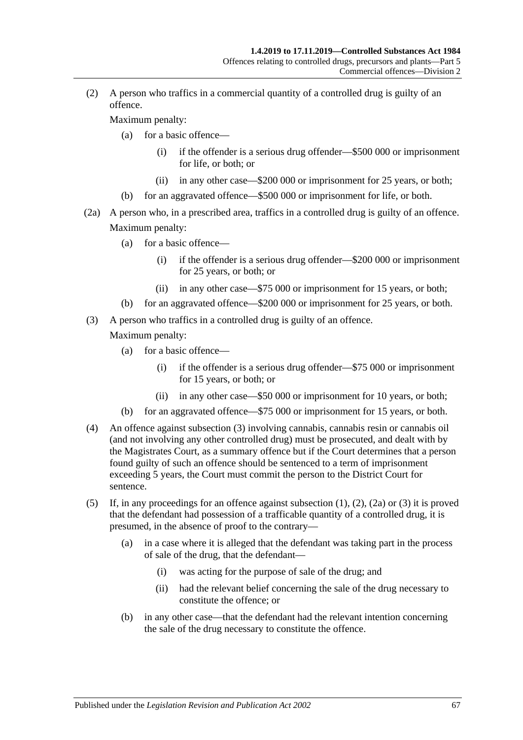<span id="page-66-1"></span>(2) A person who traffics in a commercial quantity of a controlled drug is guilty of an offence.

Maximum penalty:

- (a) for a basic offence—
	- (i) if the offender is a serious drug offender—\$500 000 or imprisonment for life, or both; or
	- (ii) in any other case—\$200 000 or imprisonment for 25 years, or both;
- (b) for an aggravated offence—\$500 000 or imprisonment for life, or both.
- <span id="page-66-2"></span>(2a) A person who, in a prescribed area, traffics in a controlled drug is guilty of an offence. Maximum penalty:
	- (a) for a basic offence—
		- (i) if the offender is a serious drug offender—\$200 000 or imprisonment for 25 years, or both; or
		- (ii) in any other case—\$75 000 or imprisonment for 15 years, or both;
	- (b) for an aggravated offence—\$200 000 or imprisonment for 25 years, or both.
- <span id="page-66-0"></span>(3) A person who traffics in a controlled drug is guilty of an offence.

Maximum penalty:

- (a) for a basic offence—
	- (i) if the offender is a serious drug offender—\$75 000 or imprisonment for 15 years, or both; or
	- (ii) in any other case—\$50 000 or imprisonment for 10 years, or both;
- (b) for an aggravated offence—\$75 000 or imprisonment for 15 years, or both.
- (4) An offence against [subsection](#page-66-0) (3) involving cannabis, cannabis resin or cannabis oil (and not involving any other controlled drug) must be prosecuted, and dealt with by the Magistrates Court, as a summary offence but if the Court determines that a person found guilty of such an offence should be sentenced to a term of imprisonment exceeding 5 years, the Court must commit the person to the District Court for sentence.
- (5) If, in any proceedings for an offence against [subsection](#page-65-2) (1), [\(2\),](#page-66-1) [\(2a\)](#page-66-2) or [\(3\)](#page-66-0) it is proved that the defendant had possession of a trafficable quantity of a controlled drug, it is presumed, in the absence of proof to the contrary—
	- (a) in a case where it is alleged that the defendant was taking part in the process of sale of the drug, that the defendant—
		- (i) was acting for the purpose of sale of the drug; and
		- (ii) had the relevant belief concerning the sale of the drug necessary to constitute the offence; or
	- (b) in any other case—that the defendant had the relevant intention concerning the sale of the drug necessary to constitute the offence.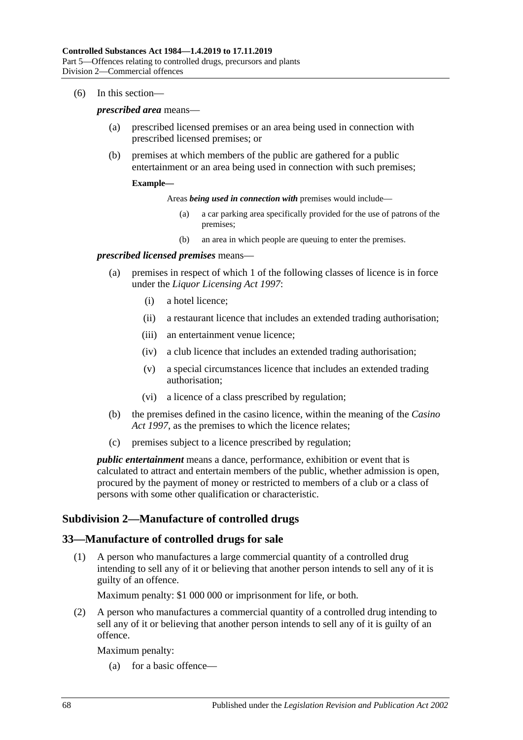#### (6) In this section—

#### *prescribed area* means—

- (a) prescribed licensed premises or an area being used in connection with prescribed licensed premises; or
- (b) premises at which members of the public are gathered for a public entertainment or an area being used in connection with such premises;

#### **Example—**

Areas *being used in connection with* premises would include—

- (a) a car parking area specifically provided for the use of patrons of the premises;
- (b) an area in which people are queuing to enter the premises.

#### *prescribed licensed premises* means—

- (a) premises in respect of which 1 of the following classes of licence is in force under the *[Liquor Licensing Act](http://www.legislation.sa.gov.au/index.aspx?action=legref&type=act&legtitle=Liquor%20Licensing%20Act%201997) 1997*:
	- (i) a hotel licence;
	- (ii) a restaurant licence that includes an extended trading authorisation;
	- (iii) an entertainment venue licence;
	- (iv) a club licence that includes an extended trading authorisation;
	- (v) a special circumstances licence that includes an extended trading authorisation;
	- (vi) a licence of a class prescribed by regulation;
- (b) the premises defined in the casino licence, within the meaning of the *[Casino](http://www.legislation.sa.gov.au/index.aspx?action=legref&type=act&legtitle=Casino%20Act%201997)  Act [1997](http://www.legislation.sa.gov.au/index.aspx?action=legref&type=act&legtitle=Casino%20Act%201997)*, as the premises to which the licence relates;
- (c) premises subject to a licence prescribed by regulation;

*public entertainment* means a dance, performance, exhibition or event that is calculated to attract and entertain members of the public, whether admission is open, procured by the payment of money or restricted to members of a club or a class of persons with some other qualification or characteristic.

#### **Subdivision 2—Manufacture of controlled drugs**

#### <span id="page-67-0"></span>**33—Manufacture of controlled drugs for sale**

(1) A person who manufactures a large commercial quantity of a controlled drug intending to sell any of it or believing that another person intends to sell any of it is guilty of an offence.

Maximum penalty: \$1 000 000 or imprisonment for life, or both.

<span id="page-67-1"></span>(2) A person who manufactures a commercial quantity of a controlled drug intending to sell any of it or believing that another person intends to sell any of it is guilty of an offence.

Maximum penalty:

(a) for a basic offence—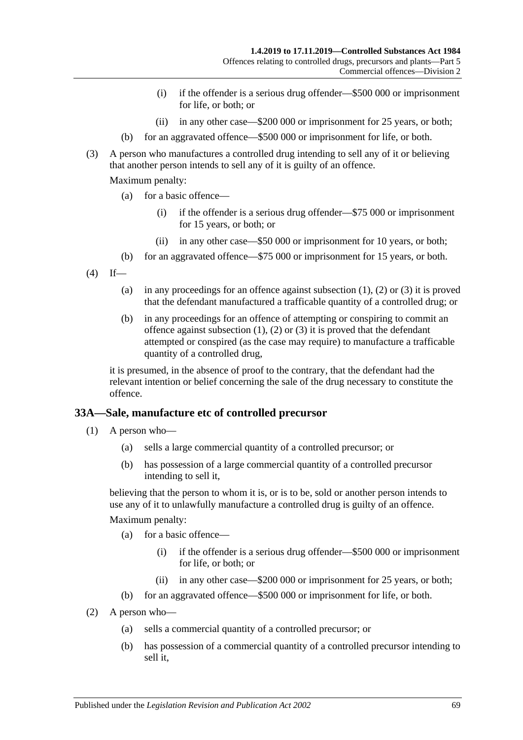- (i) if the offender is a serious drug offender—\$500 000 or imprisonment for life, or both; or
- (ii) in any other case—\$200 000 or imprisonment for 25 years, or both;
- (b) for an aggravated offence—\$500 000 or imprisonment for life, or both.
- <span id="page-68-0"></span>(3) A person who manufactures a controlled drug intending to sell any of it or believing that another person intends to sell any of it is guilty of an offence.

Maximum penalty:

- (a) for a basic offence—
	- (i) if the offender is a serious drug offender—\$75 000 or imprisonment for 15 years, or both; or
	- (ii) in any other case—\$50 000 or imprisonment for 10 years, or both;
- (b) for an aggravated offence—\$75 000 or imprisonment for 15 years, or both.
- $(4)$  If
	- (a) in any proceedings for an offence against [subsection](#page-67-0)  $(1)$ ,  $(2)$  or  $(3)$  it is proved that the defendant manufactured a trafficable quantity of a controlled drug; or
	- (b) in any proceedings for an offence of attempting or conspiring to commit an offence against [subsection](#page-67-0)  $(1)$ ,  $(2)$  or  $(3)$  it is proved that the defendant attempted or conspired (as the case may require) to manufacture a trafficable quantity of a controlled drug,

it is presumed, in the absence of proof to the contrary, that the defendant had the relevant intention or belief concerning the sale of the drug necessary to constitute the offence.

## **33A—Sale, manufacture etc of controlled precursor**

- (1) A person who—
	- (a) sells a large commercial quantity of a controlled precursor; or
	- (b) has possession of a large commercial quantity of a controlled precursor intending to sell it,

believing that the person to whom it is, or is to be, sold or another person intends to use any of it to unlawfully manufacture a controlled drug is guilty of an offence.

#### Maximum penalty:

- (a) for a basic offence—
	- (i) if the offender is a serious drug offender—\$500 000 or imprisonment for life, or both; or
	- (ii) in any other case—\$200 000 or imprisonment for 25 years, or both;
- (b) for an aggravated offence—\$500 000 or imprisonment for life, or both.
- (2) A person who—
	- (a) sells a commercial quantity of a controlled precursor; or
	- (b) has possession of a commercial quantity of a controlled precursor intending to sell it,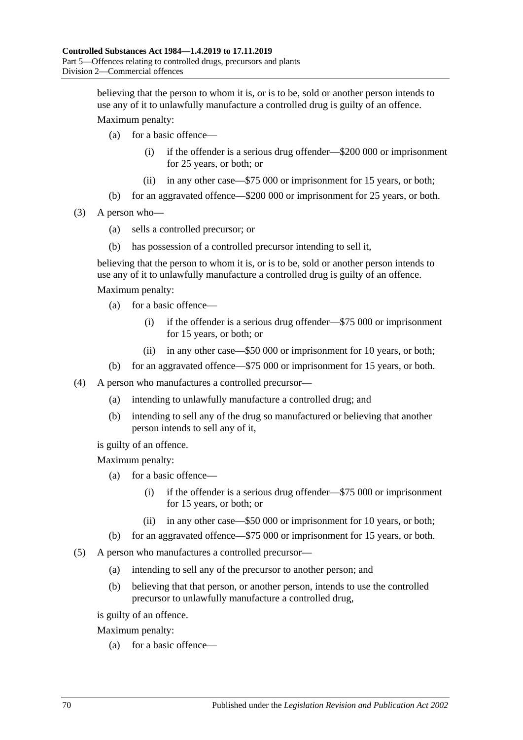believing that the person to whom it is, or is to be, sold or another person intends to use any of it to unlawfully manufacture a controlled drug is guilty of an offence.

Maximum penalty:

- (a) for a basic offence—
	- (i) if the offender is a serious drug offender—\$200 000 or imprisonment for 25 years, or both; or
	- (ii) in any other case—\$75 000 or imprisonment for 15 years, or both;
- (b) for an aggravated offence—\$200 000 or imprisonment for 25 years, or both.
- (3) A person who—
	- (a) sells a controlled precursor; or
	- (b) has possession of a controlled precursor intending to sell it,

believing that the person to whom it is, or is to be, sold or another person intends to use any of it to unlawfully manufacture a controlled drug is guilty of an offence.

Maximum penalty:

- (a) for a basic offence—
	- (i) if the offender is a serious drug offender—\$75 000 or imprisonment for 15 years, or both; or
	- (ii) in any other case—\$50 000 or imprisonment for 10 years, or both;
- (b) for an aggravated offence—\$75 000 or imprisonment for 15 years, or both.
- (4) A person who manufactures a controlled precursor—
	- (a) intending to unlawfully manufacture a controlled drug; and
	- (b) intending to sell any of the drug so manufactured or believing that another person intends to sell any of it,

is guilty of an offence.

Maximum penalty:

- (a) for a basic offence—
	- (i) if the offender is a serious drug offender—\$75 000 or imprisonment for 15 years, or both; or
	- (ii) in any other case—\$50 000 or imprisonment for 10 years, or both;
- (b) for an aggravated offence—\$75 000 or imprisonment for 15 years, or both.
- (5) A person who manufactures a controlled precursor—
	- (a) intending to sell any of the precursor to another person; and
	- (b) believing that that person, or another person, intends to use the controlled precursor to unlawfully manufacture a controlled drug,

is guilty of an offence.

Maximum penalty:

(a) for a basic offence—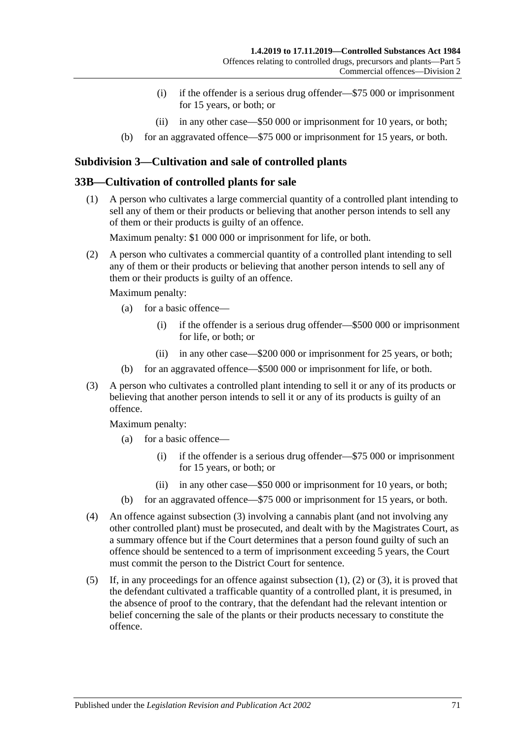- (i) if the offender is a serious drug offender—\$75 000 or imprisonment for 15 years, or both; or
- (ii) in any other case—\$50 000 or imprisonment for 10 years, or both;
- (b) for an aggravated offence—\$75 000 or imprisonment for 15 years, or both.

# **Subdivision 3—Cultivation and sale of controlled plants**

#### <span id="page-70-1"></span>**33B—Cultivation of controlled plants for sale**

(1) A person who cultivates a large commercial quantity of a controlled plant intending to sell any of them or their products or believing that another person intends to sell any of them or their products is guilty of an offence.

Maximum penalty: \$1 000 000 or imprisonment for life, or both.

<span id="page-70-2"></span>(2) A person who cultivates a commercial quantity of a controlled plant intending to sell any of them or their products or believing that another person intends to sell any of them or their products is guilty of an offence.

Maximum penalty:

- (a) for a basic offence—
	- (i) if the offender is a serious drug offender—\$500 000 or imprisonment for life, or both; or
	- (ii) in any other case—\$200 000 or imprisonment for 25 years, or both;
- (b) for an aggravated offence—\$500 000 or imprisonment for life, or both.
- <span id="page-70-0"></span>(3) A person who cultivates a controlled plant intending to sell it or any of its products or believing that another person intends to sell it or any of its products is guilty of an offence.

Maximum penalty:

- (a) for a basic offence—
	- (i) if the offender is a serious drug offender—\$75 000 or imprisonment for 15 years, or both; or
	- (ii) in any other case—\$50 000 or imprisonment for 10 years, or both;
- (b) for an aggravated offence—\$75 000 or imprisonment for 15 years, or both.
- (4) An offence against [subsection](#page-70-0) (3) involving a cannabis plant (and not involving any other controlled plant) must be prosecuted, and dealt with by the Magistrates Court, as a summary offence but if the Court determines that a person found guilty of such an offence should be sentenced to a term of imprisonment exceeding 5 years, the Court must commit the person to the District Court for sentence.
- (5) If, in any proceedings for an offence against [subsection](#page-70-1) (1), [\(2\)](#page-70-2) or [\(3\),](#page-70-0) it is proved that the defendant cultivated a trafficable quantity of a controlled plant, it is presumed, in the absence of proof to the contrary, that the defendant had the relevant intention or belief concerning the sale of the plants or their products necessary to constitute the offence.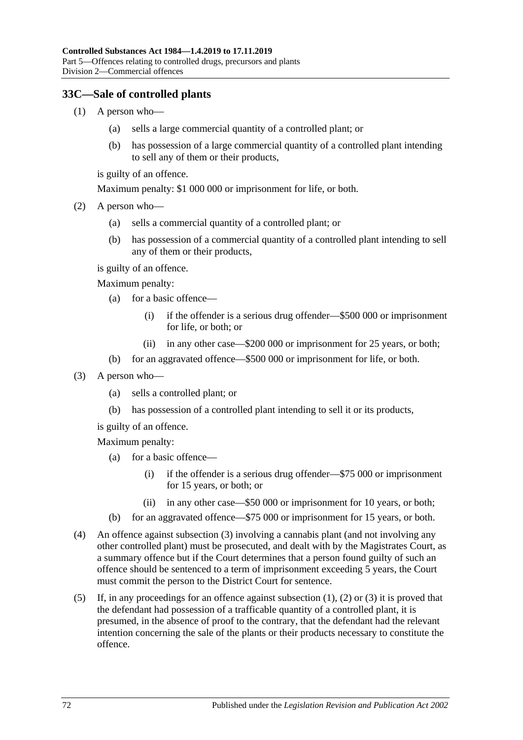## <span id="page-71-1"></span>**33C—Sale of controlled plants**

- (1) A person who—
	- (a) sells a large commercial quantity of a controlled plant; or
	- (b) has possession of a large commercial quantity of a controlled plant intending to sell any of them or their products,

is guilty of an offence.

Maximum penalty: \$1 000 000 or imprisonment for life, or both.

- <span id="page-71-2"></span>(2) A person who—
	- (a) sells a commercial quantity of a controlled plant; or
	- (b) has possession of a commercial quantity of a controlled plant intending to sell any of them or their products,

is guilty of an offence.

Maximum penalty:

- (a) for a basic offence—
	- (i) if the offender is a serious drug offender—\$500 000 or imprisonment for life, or both; or
	- (ii) in any other case—\$200 000 or imprisonment for 25 years, or both;
- (b) for an aggravated offence—\$500 000 or imprisonment for life, or both.
- <span id="page-71-0"></span>(3) A person who—
	- (a) sells a controlled plant; or
	- (b) has possession of a controlled plant intending to sell it or its products,

is guilty of an offence.

Maximum penalty:

- (a) for a basic offence—
	- (i) if the offender is a serious drug offender—\$75 000 or imprisonment for 15 years, or both; or
	- (ii) in any other case—\$50 000 or imprisonment for 10 years, or both;
- (b) for an aggravated offence—\$75 000 or imprisonment for 15 years, or both.
- (4) An offence against [subsection](#page-71-0) (3) involving a cannabis plant (and not involving any other controlled plant) must be prosecuted, and dealt with by the Magistrates Court, as a summary offence but if the Court determines that a person found guilty of such an offence should be sentenced to a term of imprisonment exceeding 5 years, the Court must commit the person to the District Court for sentence.
- (5) If, in any proceedings for an offence against [subsection](#page-71-1)  $(1)$ ,  $(2)$  or  $(3)$  it is proved that the defendant had possession of a trafficable quantity of a controlled plant, it is presumed, in the absence of proof to the contrary, that the defendant had the relevant intention concerning the sale of the plants or their products necessary to constitute the offence.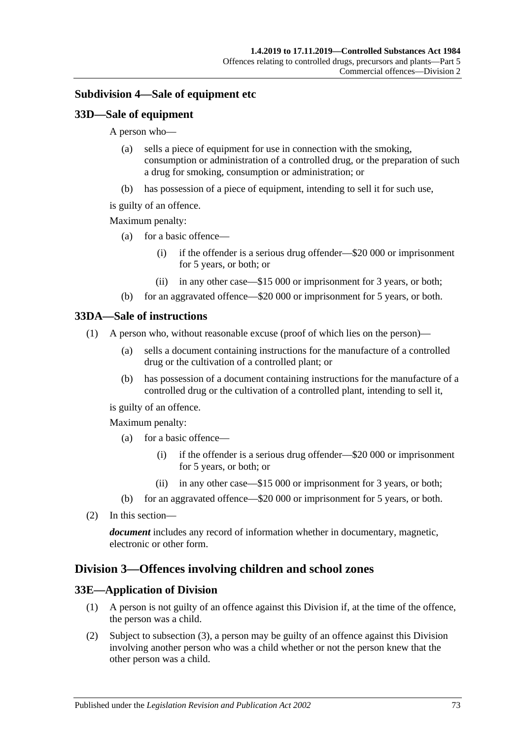## <span id="page-72-0"></span>**Subdivision 4—Sale of equipment etc**

## **33D—Sale of equipment**

A person who—

- (a) sells a piece of equipment for use in connection with the smoking, consumption or administration of a controlled drug, or the preparation of such a drug for smoking, consumption or administration; or
- (b) has possession of a piece of equipment, intending to sell it for such use,
- is guilty of an offence.

#### Maximum penalty:

- (a) for a basic offence—
	- (i) if the offender is a serious drug offender—\$20 000 or imprisonment for 5 years, or both; or
	- (ii) in any other case—\$15 000 or imprisonment for 3 years, or both;
- (b) for an aggravated offence—\$20 000 or imprisonment for 5 years, or both.

#### **33DA—Sale of instructions**

- (1) A person who, without reasonable excuse (proof of which lies on the person)—
	- (a) sells a document containing instructions for the manufacture of a controlled drug or the cultivation of a controlled plant; or
	- (b) has possession of a document containing instructions for the manufacture of a controlled drug or the cultivation of a controlled plant, intending to sell it,

is guilty of an offence.

Maximum penalty:

- (a) for a basic offence—
	- (i) if the offender is a serious drug offender—\$20 000 or imprisonment for 5 years, or both; or
	- (ii) in any other case—\$15 000 or imprisonment for 3 years, or both;
- (b) for an aggravated offence—\$20 000 or imprisonment for 5 years, or both.
- (2) In this section—

*document* includes any record of information whether in documentary, magnetic, electronic or other form.

## <span id="page-72-1"></span>**Division 3—Offences involving children and school zones**

#### **33E—Application of Division**

- (1) A person is not guilty of an offence against this Division if, at the time of the offence, the person was a child.
- (2) Subject to [subsection](#page-73-0) (3), a person may be guilty of an offence against this Division involving another person who was a child whether or not the person knew that the other person was a child.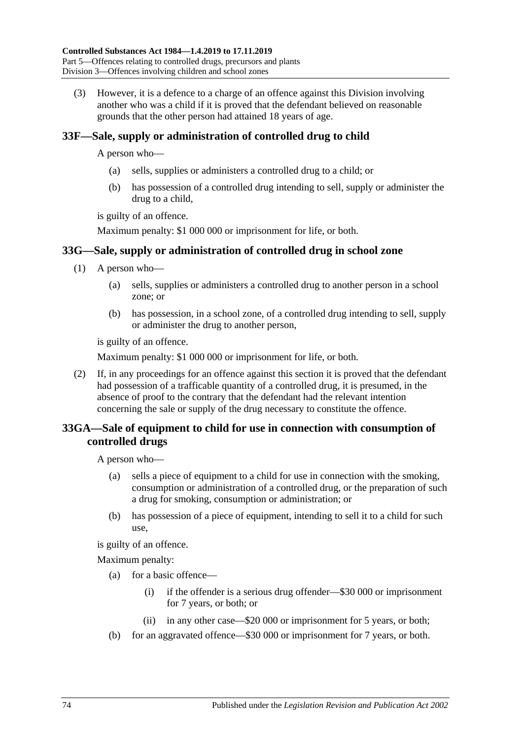<span id="page-73-0"></span>(3) However, it is a defence to a charge of an offence against this Division involving another who was a child if it is proved that the defendant believed on reasonable grounds that the other person had attained 18 years of age.

## <span id="page-73-1"></span>**33F—Sale, supply or administration of controlled drug to child**

A person who—

- (a) sells, supplies or administers a controlled drug to a child; or
- (b) has possession of a controlled drug intending to sell, supply or administer the drug to a child,

is guilty of an offence.

Maximum penalty: \$1 000 000 or imprisonment for life, or both.

## **33G—Sale, supply or administration of controlled drug in school zone**

- (1) A person who—
	- (a) sells, supplies or administers a controlled drug to another person in a school zone; or
	- (b) has possession, in a school zone, of a controlled drug intending to sell, supply or administer the drug to another person,

is guilty of an offence.

Maximum penalty: \$1 000 000 or imprisonment for life, or both.

(2) If, in any proceedings for an offence against this section it is proved that the defendant had possession of a trafficable quantity of a controlled drug, it is presumed, in the absence of proof to the contrary that the defendant had the relevant intention concerning the sale or supply of the drug necessary to constitute the offence.

## **33GA—Sale of equipment to child for use in connection with consumption of controlled drugs**

A person who—

- (a) sells a piece of equipment to a child for use in connection with the smoking, consumption or administration of a controlled drug, or the preparation of such a drug for smoking, consumption or administration; or
- (b) has possession of a piece of equipment, intending to sell it to a child for such use,

is guilty of an offence.

- (a) for a basic offence—
	- (i) if the offender is a serious drug offender—\$30 000 or imprisonment for 7 years, or both; or
	- (ii) in any other case—\$20 000 or imprisonment for 5 years, or both;
- (b) for an aggravated offence—\$30 000 or imprisonment for 7 years, or both.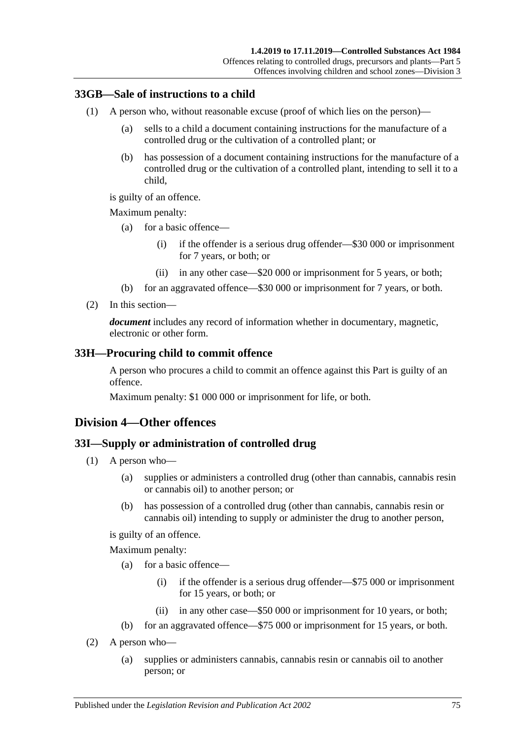## **33GB—Sale of instructions to a child**

- (1) A person who, without reasonable excuse (proof of which lies on the person)—
	- (a) sells to a child a document containing instructions for the manufacture of a controlled drug or the cultivation of a controlled plant; or
	- (b) has possession of a document containing instructions for the manufacture of a controlled drug or the cultivation of a controlled plant, intending to sell it to a child,

is guilty of an offence.

Maximum penalty:

- (a) for a basic offence—
	- (i) if the offender is a serious drug offender—\$30 000 or imprisonment for 7 years, or both; or
	- (ii) in any other case—\$20 000 or imprisonment for 5 years, or both;
- (b) for an aggravated offence—\$30 000 or imprisonment for 7 years, or both.
- (2) In this section—

*document* includes any record of information whether in documentary, magnetic, electronic or other form.

#### <span id="page-74-2"></span>**33H—Procuring child to commit offence**

A person who procures a child to commit an offence against this Part is guilty of an offence.

Maximum penalty: \$1 000 000 or imprisonment for life, or both.

## <span id="page-74-0"></span>**Division 4—Other offences**

#### <span id="page-74-3"></span>**33I—Supply or administration of controlled drug**

- (1) A person who—
	- (a) supplies or administers a controlled drug (other than cannabis, cannabis resin or cannabis oil) to another person; or
	- (b) has possession of a controlled drug (other than cannabis, cannabis resin or cannabis oil) intending to supply or administer the drug to another person,

is guilty of an offence.

- (a) for a basic offence—
	- (i) if the offender is a serious drug offender—\$75 000 or imprisonment for 15 years, or both; or
	- (ii) in any other case—\$50 000 or imprisonment for 10 years, or both;
- (b) for an aggravated offence—\$75 000 or imprisonment for 15 years, or both.
- <span id="page-74-1"></span>(2) A person who—
	- (a) supplies or administers cannabis, cannabis resin or cannabis oil to another person; or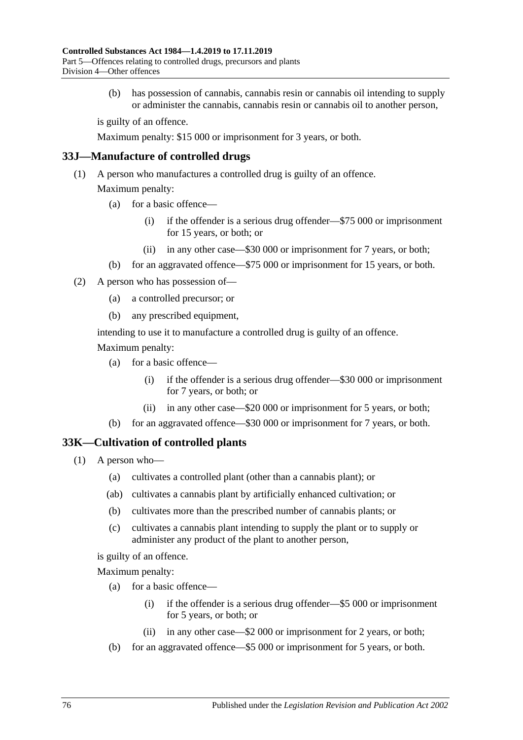(b) has possession of cannabis, cannabis resin or cannabis oil intending to supply or administer the cannabis, cannabis resin or cannabis oil to another person,

is guilty of an offence.

Maximum penalty: \$15 000 or imprisonment for 3 years, or both.

#### **33J—Manufacture of controlled drugs**

(1) A person who manufactures a controlled drug is guilty of an offence.

Maximum penalty:

- (a) for a basic offence—
	- (i) if the offender is a serious drug offender—\$75 000 or imprisonment for 15 years, or both; or
	- (ii) in any other case—\$30 000 or imprisonment for 7 years, or both;
- (b) for an aggravated offence—\$75 000 or imprisonment for 15 years, or both.
- (2) A person who has possession of—
	- (a) a controlled precursor; or
	- (b) any prescribed equipment,

intending to use it to manufacture a controlled drug is guilty of an offence.

Maximum penalty:

- (a) for a basic offence—
	- (i) if the offender is a serious drug offender—\$30 000 or imprisonment for 7 years, or both; or
	- (ii) in any other case—\$20 000 or imprisonment for 5 years, or both;
- (b) for an aggravated offence—\$30 000 or imprisonment for 7 years, or both.

## <span id="page-75-0"></span>**33K—Cultivation of controlled plants**

- (1) A person who—
	- (a) cultivates a controlled plant (other than a cannabis plant); or
	- (ab) cultivates a cannabis plant by artificially enhanced cultivation; or
	- (b) cultivates more than the prescribed number of cannabis plants; or
	- (c) cultivates a cannabis plant intending to supply the plant or to supply or administer any product of the plant to another person,

is guilty of an offence.

- (a) for a basic offence—
	- (i) if the offender is a serious drug offender—\$5 000 or imprisonment for 5 years, or both; or
	- (ii) in any other case—\$2 000 or imprisonment for 2 years, or both;
- (b) for an aggravated offence—\$5 000 or imprisonment for 5 years, or both.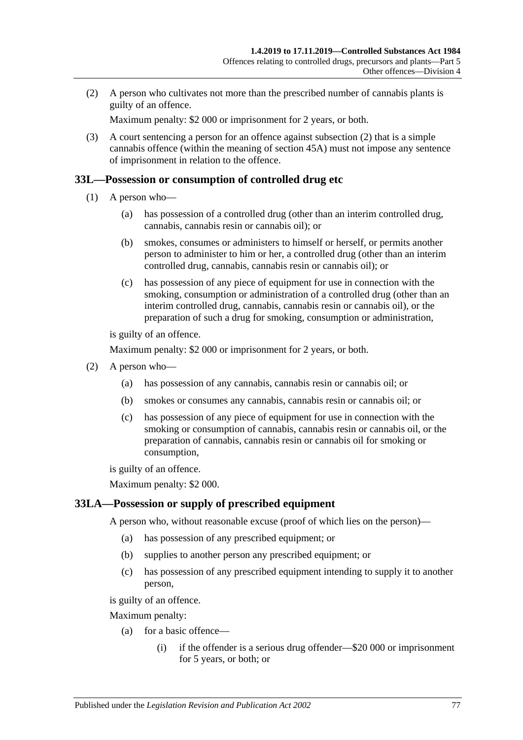<span id="page-76-0"></span>(2) A person who cultivates not more than the prescribed number of cannabis plants is guilty of an offence.

Maximum penalty: \$2 000 or imprisonment for 2 years, or both.

(3) A court sentencing a person for an offence against [subsection](#page-76-0) (2) that is a simple cannabis offence (within the meaning of [section](#page-90-0) 45A) must not impose any sentence of imprisonment in relation to the offence.

#### <span id="page-76-1"></span>**33L—Possession or consumption of controlled drug etc**

- (1) A person who—
	- (a) has possession of a controlled drug (other than an interim controlled drug, cannabis, cannabis resin or cannabis oil); or
	- (b) smokes, consumes or administers to himself or herself, or permits another person to administer to him or her, a controlled drug (other than an interim controlled drug, cannabis, cannabis resin or cannabis oil); or
	- (c) has possession of any piece of equipment for use in connection with the smoking, consumption or administration of a controlled drug (other than an interim controlled drug, cannabis, cannabis resin or cannabis oil), or the preparation of such a drug for smoking, consumption or administration,

is guilty of an offence.

Maximum penalty: \$2 000 or imprisonment for 2 years, or both.

- <span id="page-76-4"></span><span id="page-76-3"></span><span id="page-76-2"></span>(2) A person who—
	- (a) has possession of any cannabis, cannabis resin or cannabis oil; or
	- (b) smokes or consumes any cannabis, cannabis resin or cannabis oil; or
	- (c) has possession of any piece of equipment for use in connection with the smoking or consumption of cannabis, cannabis resin or cannabis oil, or the preparation of cannabis, cannabis resin or cannabis oil for smoking or consumption,

is guilty of an offence.

Maximum penalty: \$2 000.

## <span id="page-76-5"></span>**33LA—Possession or supply of prescribed equipment**

A person who, without reasonable excuse (proof of which lies on the person)—

- (a) has possession of any prescribed equipment; or
- (b) supplies to another person any prescribed equipment; or
- (c) has possession of any prescribed equipment intending to supply it to another person,

is guilty of an offence.

- (a) for a basic offence—
	- (i) if the offender is a serious drug offender—\$20 000 or imprisonment for 5 years, or both; or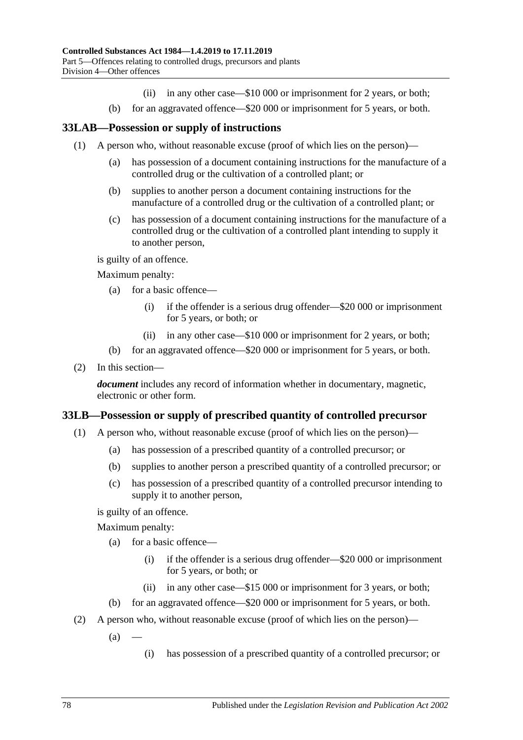- (ii) in any other case—\$10 000 or imprisonment for 2 years, or both;
- (b) for an aggravated offence—\$20 000 or imprisonment for 5 years, or both.

#### **33LAB—Possession or supply of instructions**

- (1) A person who, without reasonable excuse (proof of which lies on the person)—
	- (a) has possession of a document containing instructions for the manufacture of a controlled drug or the cultivation of a controlled plant; or
	- (b) supplies to another person a document containing instructions for the manufacture of a controlled drug or the cultivation of a controlled plant; or
	- (c) has possession of a document containing instructions for the manufacture of a controlled drug or the cultivation of a controlled plant intending to supply it to another person,

is guilty of an offence.

Maximum penalty:

- (a) for a basic offence—
	- (i) if the offender is a serious drug offender—\$20 000 or imprisonment for 5 years, or both; or
	- (ii) in any other case—\$10 000 or imprisonment for 2 years, or both;
- (b) for an aggravated offence—\$20 000 or imprisonment for 5 years, or both.
- (2) In this section—

*document* includes any record of information whether in documentary, magnetic, electronic or other form.

#### <span id="page-77-0"></span>**33LB—Possession or supply of prescribed quantity of controlled precursor**

- (1) A person who, without reasonable excuse (proof of which lies on the person)—
	- (a) has possession of a prescribed quantity of a controlled precursor; or
	- (b) supplies to another person a prescribed quantity of a controlled precursor; or
	- (c) has possession of a prescribed quantity of a controlled precursor intending to supply it to another person,

is guilty of an offence.

- (a) for a basic offence—
	- (i) if the offender is a serious drug offender—\$20 000 or imprisonment for 5 years, or both; or
	- (ii) in any other case—\$15 000 or imprisonment for 3 years, or both;
- (b) for an aggravated offence—\$20 000 or imprisonment for 5 years, or both.
- (2) A person who, without reasonable excuse (proof of which lies on the person)—
	- $(a)$ 
		- (i) has possession of a prescribed quantity of a controlled precursor; or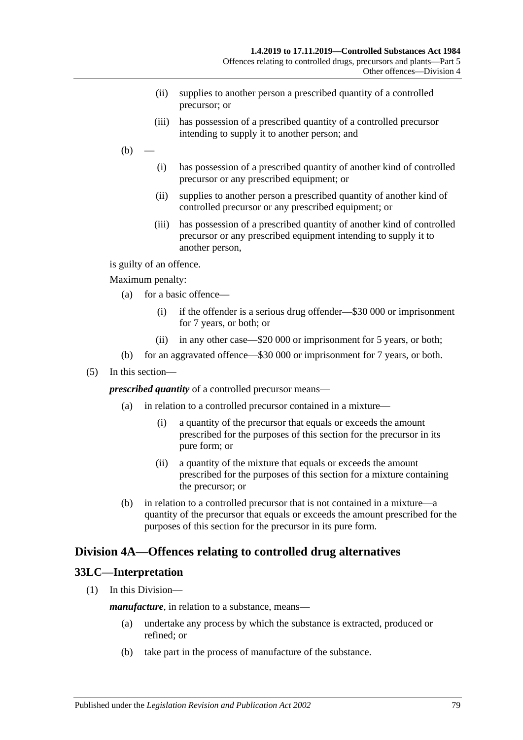- (ii) supplies to another person a prescribed quantity of a controlled precursor; or
- (iii) has possession of a prescribed quantity of a controlled precursor intending to supply it to another person; and
- $(b)$ 
	- (i) has possession of a prescribed quantity of another kind of controlled precursor or any prescribed equipment; or
	- (ii) supplies to another person a prescribed quantity of another kind of controlled precursor or any prescribed equipment; or
	- (iii) has possession of a prescribed quantity of another kind of controlled precursor or any prescribed equipment intending to supply it to another person,

is guilty of an offence.

Maximum penalty:

- (a) for a basic offence—
	- (i) if the offender is a serious drug offender—\$30 000 or imprisonment for 7 years, or both; or
	- (ii) in any other case—\$20 000 or imprisonment for 5 years, or both;
- (b) for an aggravated offence—\$30 000 or imprisonment for 7 years, or both.
- (5) In this section—

*prescribed quantity* of a controlled precursor means—

- (a) in relation to a controlled precursor contained in a mixture—
	- (i) a quantity of the precursor that equals or exceeds the amount prescribed for the purposes of this section for the precursor in its pure form; or
	- (ii) a quantity of the mixture that equals or exceeds the amount prescribed for the purposes of this section for a mixture containing the precursor; or
- (b) in relation to a controlled precursor that is not contained in a mixture—a quantity of the precursor that equals or exceeds the amount prescribed for the purposes of this section for the precursor in its pure form.

## <span id="page-78-0"></span>**Division 4A—Offences relating to controlled drug alternatives**

## **33LC—Interpretation**

(1) In this Division—

*manufacture*, in relation to a substance, means—

- (a) undertake any process by which the substance is extracted, produced or refined; or
- (b) take part in the process of manufacture of the substance.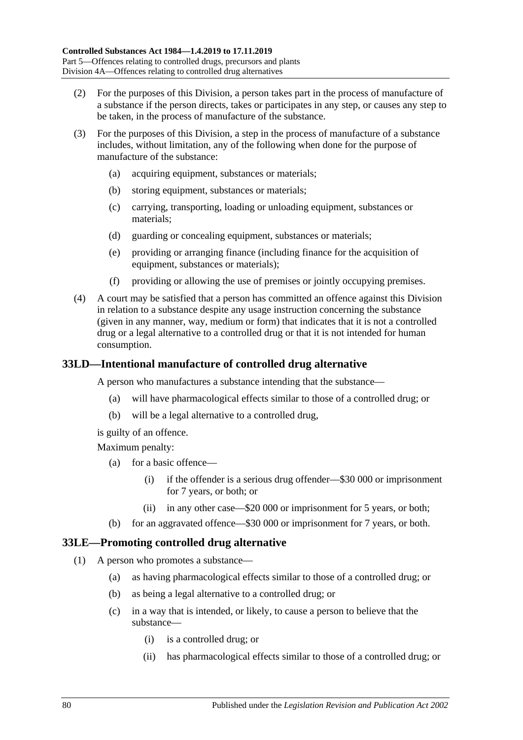- (2) For the purposes of this Division, a person takes part in the process of manufacture of a substance if the person directs, takes or participates in any step, or causes any step to be taken, in the process of manufacture of the substance.
- (3) For the purposes of this Division, a step in the process of manufacture of a substance includes, without limitation, any of the following when done for the purpose of manufacture of the substance:
	- (a) acquiring equipment, substances or materials;
	- (b) storing equipment, substances or materials;
	- (c) carrying, transporting, loading or unloading equipment, substances or materials;
	- (d) guarding or concealing equipment, substances or materials;
	- (e) providing or arranging finance (including finance for the acquisition of equipment, substances or materials);
	- (f) providing or allowing the use of premises or jointly occupying premises.
- (4) A court may be satisfied that a person has committed an offence against this Division in relation to a substance despite any usage instruction concerning the substance (given in any manner, way, medium or form) that indicates that it is not a controlled drug or a legal alternative to a controlled drug or that it is not intended for human consumption.

## <span id="page-79-2"></span>**33LD—Intentional manufacture of controlled drug alternative**

A person who manufactures a substance intending that the substance—

- (a) will have pharmacological effects similar to those of a controlled drug; or
- (b) will be a legal alternative to a controlled drug,

is guilty of an offence.

Maximum penalty:

- (a) for a basic offence—
	- (i) if the offender is a serious drug offender—\$30 000 or imprisonment for 7 years, or both; or
	- (ii) in any other case—\$20 000 or imprisonment for 5 years, or both;
- (b) for an aggravated offence—\$30 000 or imprisonment for 7 years, or both.

## <span id="page-79-1"></span><span id="page-79-0"></span>**33LE—Promoting controlled drug alternative**

- (1) A person who promotes a substance—
	- (a) as having pharmacological effects similar to those of a controlled drug; or
	- (b) as being a legal alternative to a controlled drug; or
	- (c) in a way that is intended, or likely, to cause a person to believe that the substance—
		- (i) is a controlled drug; or
		- (ii) has pharmacological effects similar to those of a controlled drug; or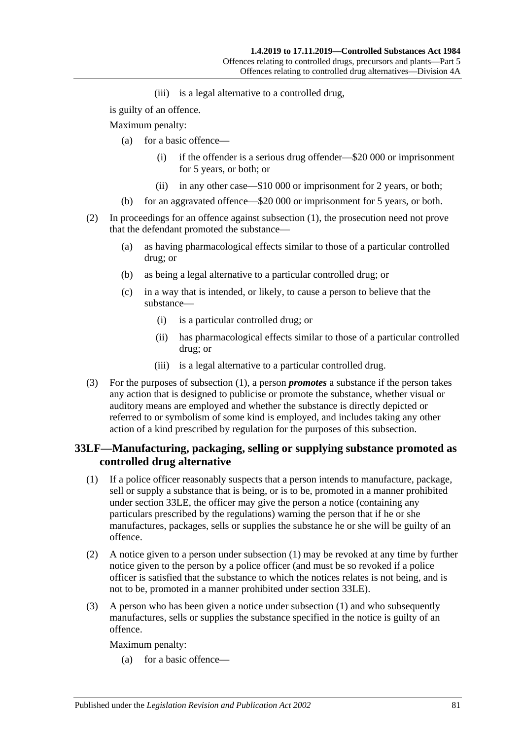(iii) is a legal alternative to a controlled drug,

is guilty of an offence.

Maximum penalty:

- (a) for a basic offence—
	- (i) if the offender is a serious drug offender—\$20 000 or imprisonment for 5 years, or both; or
	- (ii) in any other case—\$10 000 or imprisonment for 2 years, or both;
- (b) for an aggravated offence—\$20 000 or imprisonment for 5 years, or both.
- (2) In proceedings for an offence against [subsection](#page-79-0) (1), the prosecution need not prove that the defendant promoted the substance—
	- (a) as having pharmacological effects similar to those of a particular controlled drug; or
	- (b) as being a legal alternative to a particular controlled drug; or
	- (c) in a way that is intended, or likely, to cause a person to believe that the substance—
		- (i) is a particular controlled drug; or
		- (ii) has pharmacological effects similar to those of a particular controlled drug; or
		- (iii) is a legal alternative to a particular controlled drug.
- (3) For the purposes of [subsection](#page-79-0) (1), a person *promotes* a substance if the person takes any action that is designed to publicise or promote the substance, whether visual or auditory means are employed and whether the substance is directly depicted or referred to or symbolism of some kind is employed, and includes taking any other action of a kind prescribed by regulation for the purposes of this subsection.

## **33LF—Manufacturing, packaging, selling or supplying substance promoted as controlled drug alternative**

- <span id="page-80-0"></span>(1) If a police officer reasonably suspects that a person intends to manufacture, package, sell or supply a substance that is being, or is to be, promoted in a manner prohibited under [section](#page-79-1) 33LE, the officer may give the person a notice (containing any particulars prescribed by the regulations) warning the person that if he or she manufactures, packages, sells or supplies the substance he or she will be guilty of an offence.
- <span id="page-80-1"></span>(2) A notice given to a person under [subsection](#page-80-0) (1) may be revoked at any time by further notice given to the person by a police officer (and must be so revoked if a police officer is satisfied that the substance to which the notices relates is not being, and is not to be, promoted in a manner prohibited under [section](#page-79-1) 33LE).
- (3) A person who has been given a notice under [subsection](#page-80-0) (1) and who subsequently manufactures, sells or supplies the substance specified in the notice is guilty of an offence.

Maximum penalty:

(a) for a basic offence—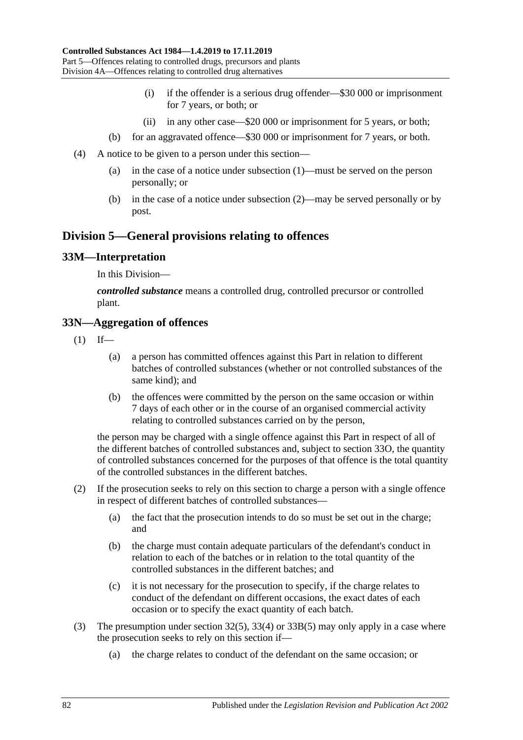- (i) if the offender is a serious drug offender—\$30 000 or imprisonment for 7 years, or both; or
- (ii) in any other case—\$20 000 or imprisonment for 5 years, or both;
- (b) for an aggravated offence—\$30 000 or imprisonment for 7 years, or both.
- (4) A notice to be given to a person under this section—
	- (a) in the case of a notice under [subsection](#page-80-0) (1)—must be served on the person personally; or
	- (b) in the case of a notice under [subsection](#page-80-1) (2)—may be served personally or by post.

## **Division 5—General provisions relating to offences**

#### **33M—Interpretation**

In this Division—

*controlled substance* means a controlled drug, controlled precursor or controlled plant.

#### **33N—Aggregation of offences**

- $(1)$  If—
	- (a) a person has committed offences against this Part in relation to different batches of controlled substances (whether or not controlled substances of the same kind); and
	- (b) the offences were committed by the person on the same occasion or within 7 days of each other or in the course of an organised commercial activity relating to controlled substances carried on by the person,

the person may be charged with a single offence against this Part in respect of all of the different batches of controlled substances and, subject to [section](#page-82-0) 33O, the quantity of controlled substances concerned for the purposes of that offence is the total quantity of the controlled substances in the different batches.

- (2) If the prosecution seeks to rely on this section to charge a person with a single offence in respect of different batches of controlled substances—
	- (a) the fact that the prosecution intends to do so must be set out in the charge; and
	- (b) the charge must contain adequate particulars of the defendant's conduct in relation to each of the batches or in relation to the total quantity of the controlled substances in the different batches; and
	- (c) it is not necessary for the prosecution to specify, if the charge relates to conduct of the defendant on different occasions, the exact dates of each occasion or to specify the exact quantity of each batch.
- (3) The presumption under [section](#page-66-0) 32(5), [33\(4\)](#page-68-0) or [33B\(5\)](#page-70-0) may only apply in a case where the prosecution seeks to rely on this section if—
	- (a) the charge relates to conduct of the defendant on the same occasion; or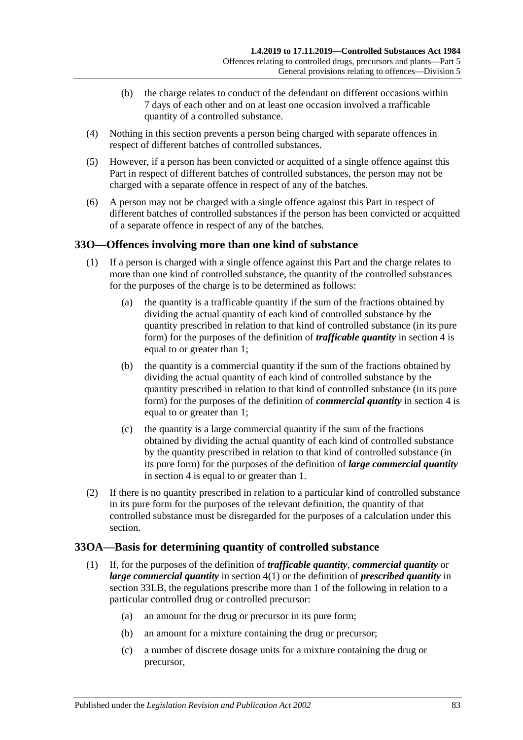- (b) the charge relates to conduct of the defendant on different occasions within 7 days of each other and on at least one occasion involved a trafficable quantity of a controlled substance.
- (4) Nothing in this section prevents a person being charged with separate offences in respect of different batches of controlled substances.
- (5) However, if a person has been convicted or acquitted of a single offence against this Part in respect of different batches of controlled substances, the person may not be charged with a separate offence in respect of any of the batches.
- (6) A person may not be charged with a single offence against this Part in respect of different batches of controlled substances if the person has been convicted or acquitted of a separate offence in respect of any of the batches.

## <span id="page-82-0"></span>**33O—Offences involving more than one kind of substance**

- (1) If a person is charged with a single offence against this Part and the charge relates to more than one kind of controlled substance, the quantity of the controlled substances for the purposes of the charge is to be determined as follows:
	- (a) the quantity is a trafficable quantity if the sum of the fractions obtained by dividing the actual quantity of each kind of controlled substance by the quantity prescribed in relation to that kind of controlled substance (in its pure form) for the purposes of the definition of *trafficable quantity* in [section](#page-5-0) 4 is equal to or greater than 1;
	- (b) the quantity is a commercial quantity if the sum of the fractions obtained by dividing the actual quantity of each kind of controlled substance by the quantity prescribed in relation to that kind of controlled substance (in its pure form) for the purposes of the definition of *commercial quantity* in [section](#page-5-0) 4 is equal to or greater than 1;
	- (c) the quantity is a large commercial quantity if the sum of the fractions obtained by dividing the actual quantity of each kind of controlled substance by the quantity prescribed in relation to that kind of controlled substance (in its pure form) for the purposes of the definition of *large commercial quantity* in [section](#page-5-0) 4 is equal to or greater than 1.
- (2) If there is no quantity prescribed in relation to a particular kind of controlled substance in its pure form for the purposes of the relevant definition, the quantity of that controlled substance must be disregarded for the purposes of a calculation under this section.

## **33OA—Basis for determining quantity of controlled substance**

- (1) If, for the purposes of the definition of *trafficable quantity*, *commercial quantity* or *large commercial quantity* in [section](#page-5-1) 4(1) or the definition of *prescribed quantity* in [section](#page-77-0) 33LB, the regulations prescribe more than 1 of the following in relation to a particular controlled drug or controlled precursor:
	- (a) an amount for the drug or precursor in its pure form;
	- (b) an amount for a mixture containing the drug or precursor;
	- (c) a number of discrete dosage units for a mixture containing the drug or precursor,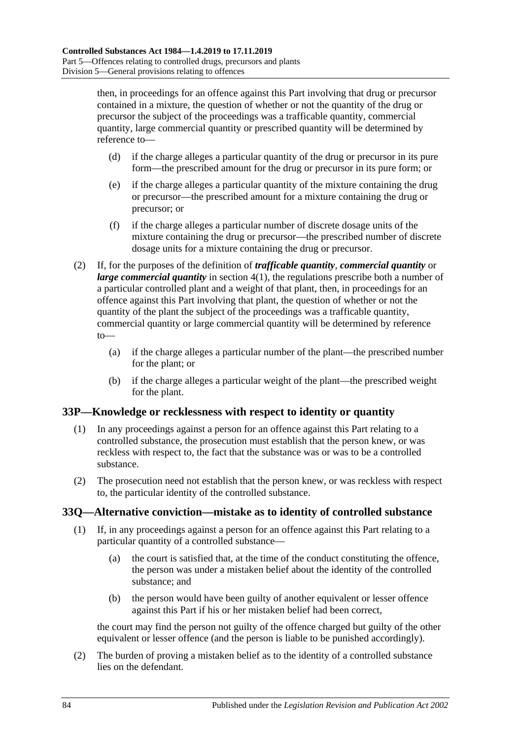then, in proceedings for an offence against this Part involving that drug or precursor contained in a mixture, the question of whether or not the quantity of the drug or precursor the subject of the proceedings was a trafficable quantity, commercial quantity, large commercial quantity or prescribed quantity will be determined by reference to—

- (d) if the charge alleges a particular quantity of the drug or precursor in its pure form—the prescribed amount for the drug or precursor in its pure form; or
- (e) if the charge alleges a particular quantity of the mixture containing the drug or precursor—the prescribed amount for a mixture containing the drug or precursor; or
- (f) if the charge alleges a particular number of discrete dosage units of the mixture containing the drug or precursor—the prescribed number of discrete dosage units for a mixture containing the drug or precursor.
- (2) If, for the purposes of the definition of *trafficable quantity*, *commercial quantity* or *large commercial quantity* in [section](#page-5-1) 4(1), the regulations prescribe both a number of a particular controlled plant and a weight of that plant, then, in proceedings for an offence against this Part involving that plant, the question of whether or not the quantity of the plant the subject of the proceedings was a trafficable quantity, commercial quantity or large commercial quantity will be determined by reference to—
	- (a) if the charge alleges a particular number of the plant—the prescribed number for the plant; or
	- (b) if the charge alleges a particular weight of the plant—the prescribed weight for the plant.

## **33P—Knowledge or recklessness with respect to identity or quantity**

- (1) In any proceedings against a person for an offence against this Part relating to a controlled substance, the prosecution must establish that the person knew, or was reckless with respect to, the fact that the substance was or was to be a controlled substance.
- (2) The prosecution need not establish that the person knew, or was reckless with respect to, the particular identity of the controlled substance.

## **33Q—Alternative conviction—mistake as to identity of controlled substance**

- (1) If, in any proceedings against a person for an offence against this Part relating to a particular quantity of a controlled substance—
	- (a) the court is satisfied that, at the time of the conduct constituting the offence, the person was under a mistaken belief about the identity of the controlled substance; and
	- (b) the person would have been guilty of another equivalent or lesser offence against this Part if his or her mistaken belief had been correct,

the court may find the person not guilty of the offence charged but guilty of the other equivalent or lesser offence (and the person is liable to be punished accordingly).

(2) The burden of proving a mistaken belief as to the identity of a controlled substance lies on the defendant.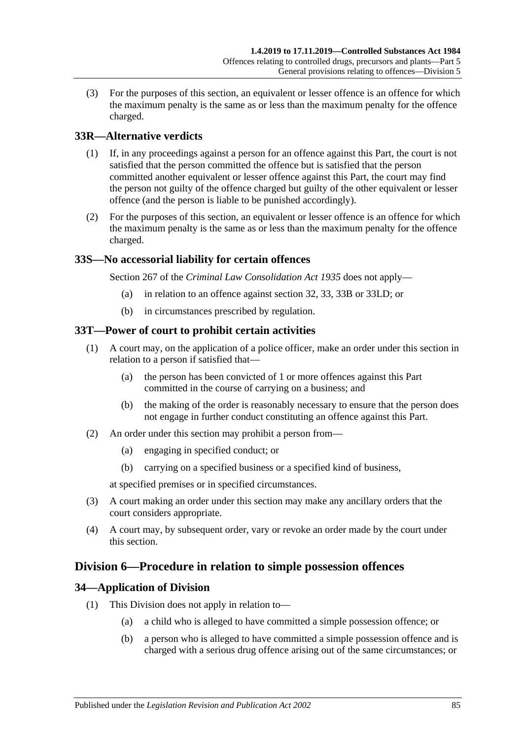(3) For the purposes of this section, an equivalent or lesser offence is an offence for which the maximum penalty is the same as or less than the maximum penalty for the offence charged.

## **33R—Alternative verdicts**

- (1) If, in any proceedings against a person for an offence against this Part, the court is not satisfied that the person committed the offence but is satisfied that the person committed another equivalent or lesser offence against this Part, the court may find the person not guilty of the offence charged but guilty of the other equivalent or lesser offence (and the person is liable to be punished accordingly).
- (2) For the purposes of this section, an equivalent or lesser offence is an offence for which the maximum penalty is the same as or less than the maximum penalty for the offence charged.

## **33S—No accessorial liability for certain offences**

Section 267 of the *[Criminal Law Consolidation Act](http://www.legislation.sa.gov.au/index.aspx?action=legref&type=act&legtitle=Criminal%20Law%20Consolidation%20Act%201935) 1935* does not apply—

- (a) in relation to an offence against [section](#page-65-0) 32, [33,](#page-67-0) [33B](#page-70-1) or [33LD;](#page-79-2) or
- (b) in circumstances prescribed by regulation.

#### **33T—Power of court to prohibit certain activities**

- (1) A court may, on the application of a police officer, make an order under this section in relation to a person if satisfied that—
	- (a) the person has been convicted of 1 or more offences against this Part committed in the course of carrying on a business; and
	- (b) the making of the order is reasonably necessary to ensure that the person does not engage in further conduct constituting an offence against this Part.
- (2) An order under this section may prohibit a person from—
	- (a) engaging in specified conduct; or
	- (b) carrying on a specified business or a specified kind of business,

at specified premises or in specified circumstances.

- (3) A court making an order under this section may make any ancillary orders that the court considers appropriate.
- (4) A court may, by subsequent order, vary or revoke an order made by the court under this section.

## **Division 6—Procedure in relation to simple possession offences**

## **34—Application of Division**

- (1) This Division does not apply in relation to—
	- (a) a child who is alleged to have committed a simple possession offence; or
	- (b) a person who is alleged to have committed a simple possession offence and is charged with a serious drug offence arising out of the same circumstances; or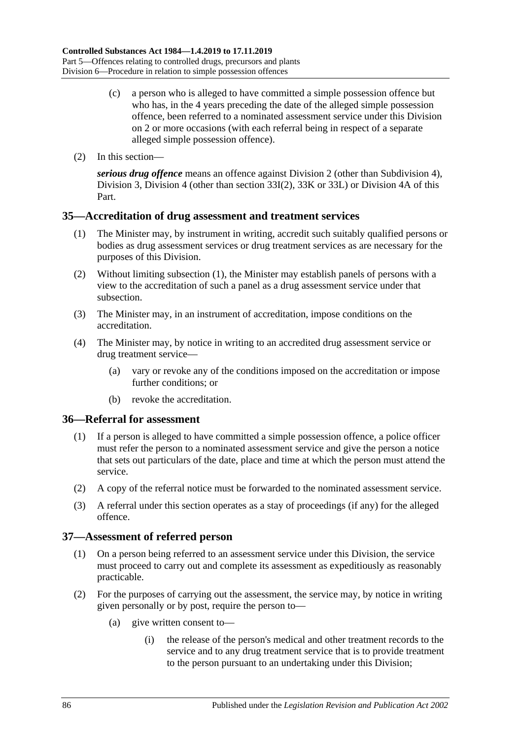- (c) a person who is alleged to have committed a simple possession offence but who has, in the 4 years preceding the date of the alleged simple possession offence, been referred to a nominated assessment service under this Division on 2 or more occasions (with each referral being in respect of a separate alleged simple possession offence).
- (2) In this section—

*serious drug offence* means an offence against [Division 2](#page-65-1) (other than [Subdivision 4\)](#page-72-0), [Division 3,](#page-72-1) [Division 4](#page-74-0) (other than [section](#page-74-1) 33I(2), [33K](#page-75-0) or [33L\)](#page-76-1) or [Division 4A](#page-78-0) of this Part.

#### <span id="page-85-0"></span>**35—Accreditation of drug assessment and treatment services**

- (1) The Minister may, by instrument in writing, accredit such suitably qualified persons or bodies as drug assessment services or drug treatment services as are necessary for the purposes of this Division.
- (2) Without limiting [subsection](#page-85-0) (1), the Minister may establish panels of persons with a view to the accreditation of such a panel as a drug assessment service under that subsection.
- (3) The Minister may, in an instrument of accreditation, impose conditions on the accreditation.
- (4) The Minister may, by notice in writing to an accredited drug assessment service or drug treatment service—
	- (a) vary or revoke any of the conditions imposed on the accreditation or impose further conditions; or
	- (b) revoke the accreditation.

#### **36—Referral for assessment**

- (1) If a person is alleged to have committed a simple possession offence, a police officer must refer the person to a nominated assessment service and give the person a notice that sets out particulars of the date, place and time at which the person must attend the service.
- (2) A copy of the referral notice must be forwarded to the nominated assessment service.
- (3) A referral under this section operates as a stay of proceedings (if any) for the alleged offence.

#### **37—Assessment of referred person**

- (1) On a person being referred to an assessment service under this Division, the service must proceed to carry out and complete its assessment as expeditiously as reasonably practicable.
- (2) For the purposes of carrying out the assessment, the service may, by notice in writing given personally or by post, require the person to—
	- (a) give written consent to—
		- (i) the release of the person's medical and other treatment records to the service and to any drug treatment service that is to provide treatment to the person pursuant to an undertaking under this Division;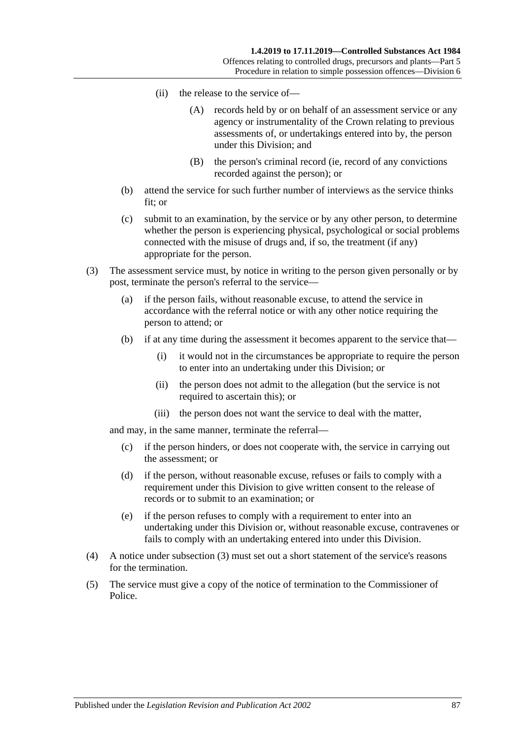- (ii) the release to the service of—
	- (A) records held by or on behalf of an assessment service or any agency or instrumentality of the Crown relating to previous assessments of, or undertakings entered into by, the person under this Division; and
	- (B) the person's criminal record (ie, record of any convictions recorded against the person); or
- (b) attend the service for such further number of interviews as the service thinks fit; or
- (c) submit to an examination, by the service or by any other person, to determine whether the person is experiencing physical, psychological or social problems connected with the misuse of drugs and, if so, the treatment (if any) appropriate for the person.
- <span id="page-86-0"></span>(3) The assessment service must, by notice in writing to the person given personally or by post, terminate the person's referral to the service—
	- (a) if the person fails, without reasonable excuse, to attend the service in accordance with the referral notice or with any other notice requiring the person to attend; or
	- (b) if at any time during the assessment it becomes apparent to the service that—
		- (i) it would not in the circumstances be appropriate to require the person to enter into an undertaking under this Division; or
		- (ii) the person does not admit to the allegation (but the service is not required to ascertain this); or
		- (iii) the person does not want the service to deal with the matter,

and may, in the same manner, terminate the referral—

- (c) if the person hinders, or does not cooperate with, the service in carrying out the assessment; or
- (d) if the person, without reasonable excuse, refuses or fails to comply with a requirement under this Division to give written consent to the release of records or to submit to an examination; or
- (e) if the person refuses to comply with a requirement to enter into an undertaking under this Division or, without reasonable excuse, contravenes or fails to comply with an undertaking entered into under this Division.
- (4) A notice under [subsection](#page-86-0) (3) must set out a short statement of the service's reasons for the termination.
- (5) The service must give a copy of the notice of termination to the Commissioner of Police.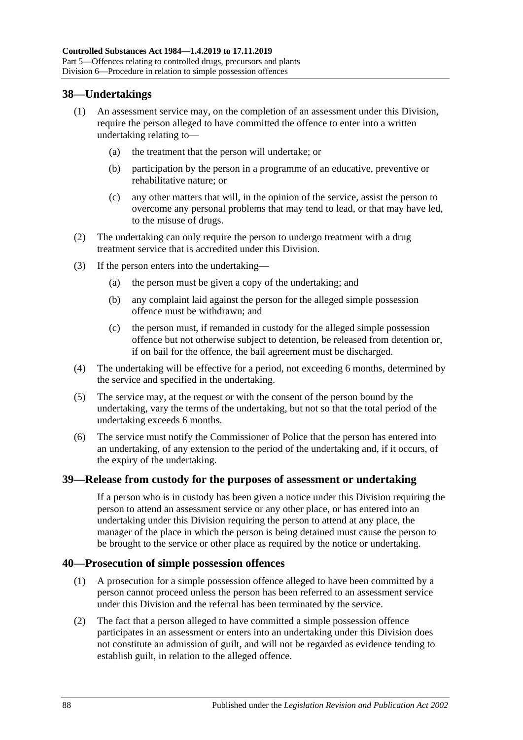## **38—Undertakings**

- (1) An assessment service may, on the completion of an assessment under this Division, require the person alleged to have committed the offence to enter into a written undertaking relating to—
	- (a) the treatment that the person will undertake; or
	- (b) participation by the person in a programme of an educative, preventive or rehabilitative nature; or
	- (c) any other matters that will, in the opinion of the service, assist the person to overcome any personal problems that may tend to lead, or that may have led, to the misuse of drugs.
- (2) The undertaking can only require the person to undergo treatment with a drug treatment service that is accredited under this Division.
- (3) If the person enters into the undertaking—
	- (a) the person must be given a copy of the undertaking; and
	- (b) any complaint laid against the person for the alleged simple possession offence must be withdrawn; and
	- (c) the person must, if remanded in custody for the alleged simple possession offence but not otherwise subject to detention, be released from detention or, if on bail for the offence, the bail agreement must be discharged.
- (4) The undertaking will be effective for a period, not exceeding 6 months, determined by the service and specified in the undertaking.
- (5) The service may, at the request or with the consent of the person bound by the undertaking, vary the terms of the undertaking, but not so that the total period of the undertaking exceeds 6 months.
- (6) The service must notify the Commissioner of Police that the person has entered into an undertaking, of any extension to the period of the undertaking and, if it occurs, of the expiry of the undertaking.

#### **39—Release from custody for the purposes of assessment or undertaking**

If a person who is in custody has been given a notice under this Division requiring the person to attend an assessment service or any other place, or has entered into an undertaking under this Division requiring the person to attend at any place, the manager of the place in which the person is being detained must cause the person to be brought to the service or other place as required by the notice or undertaking.

#### **40—Prosecution of simple possession offences**

- (1) A prosecution for a simple possession offence alleged to have been committed by a person cannot proceed unless the person has been referred to an assessment service under this Division and the referral has been terminated by the service.
- (2) The fact that a person alleged to have committed a simple possession offence participates in an assessment or enters into an undertaking under this Division does not constitute an admission of guilt, and will not be regarded as evidence tending to establish guilt, in relation to the alleged offence.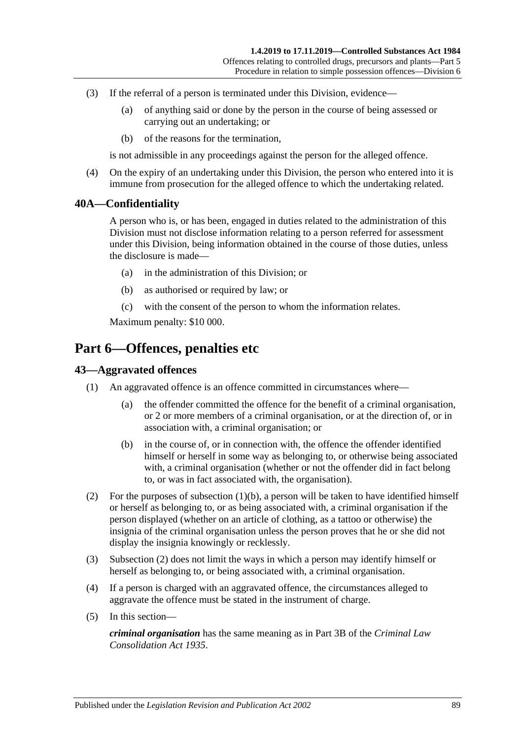- (3) If the referral of a person is terminated under this Division, evidence—
	- (a) of anything said or done by the person in the course of being assessed or carrying out an undertaking; or
	- (b) of the reasons for the termination,

is not admissible in any proceedings against the person for the alleged offence.

(4) On the expiry of an undertaking under this Division, the person who entered into it is immune from prosecution for the alleged offence to which the undertaking related.

#### **40A—Confidentiality**

A person who is, or has been, engaged in duties related to the administration of this Division must not disclose information relating to a person referred for assessment under this Division, being information obtained in the course of those duties, unless the disclosure is made—

- (a) in the administration of this Division; or
- (b) as authorised or required by law; or
- (c) with the consent of the person to whom the information relates.

Maximum penalty: \$10 000.

## **Part 6—Offences, penalties etc**

## **43—Aggravated offences**

- <span id="page-88-0"></span>(1) An aggravated offence is an offence committed in circumstances where—
	- (a) the offender committed the offence for the benefit of a criminal organisation, or 2 or more members of a criminal organisation, or at the direction of, or in association with, a criminal organisation; or
	- (b) in the course of, or in connection with, the offence the offender identified himself or herself in some way as belonging to, or otherwise being associated with, a criminal organisation (whether or not the offender did in fact belong to, or was in fact associated with, the organisation).
- <span id="page-88-1"></span>(2) For the purposes of [subsection](#page-88-0) (1)(b), a person will be taken to have identified himself or herself as belonging to, or as being associated with, a criminal organisation if the person displayed (whether on an article of clothing, as a tattoo or otherwise) the insignia of the criminal organisation unless the person proves that he or she did not display the insignia knowingly or recklessly.
- (3) [Subsection](#page-88-1) (2) does not limit the ways in which a person may identify himself or herself as belonging to, or being associated with, a criminal organisation.
- (4) If a person is charged with an aggravated offence, the circumstances alleged to aggravate the offence must be stated in the instrument of charge.
- (5) In this section—

*criminal organisation* has the same meaning as in Part 3B of the *[Criminal Law](http://www.legislation.sa.gov.au/index.aspx?action=legref&type=act&legtitle=Criminal%20Law%20Consolidation%20Act%201935)  [Consolidation Act](http://www.legislation.sa.gov.au/index.aspx?action=legref&type=act&legtitle=Criminal%20Law%20Consolidation%20Act%201935) 1935*.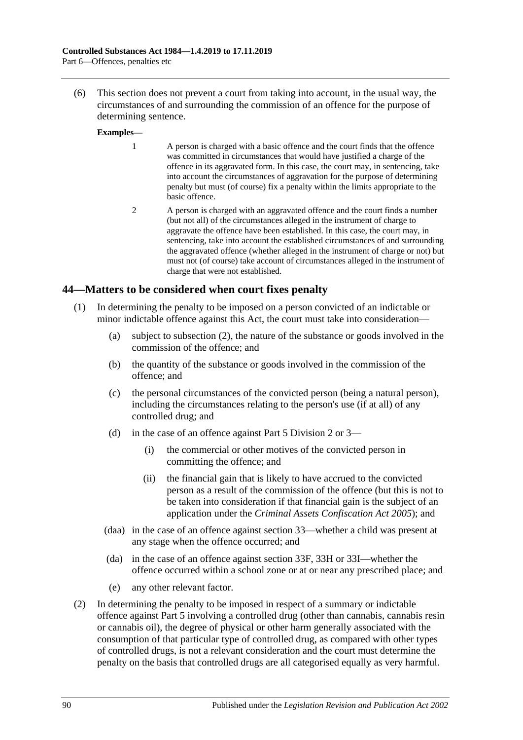(6) This section does not prevent a court from taking into account, in the usual way, the circumstances of and surrounding the commission of an offence for the purpose of determining sentence.

#### **Examples—**

- 1 A person is charged with a basic offence and the court finds that the offence was committed in circumstances that would have justified a charge of the offence in its aggravated form. In this case, the court may, in sentencing, take into account the circumstances of aggravation for the purpose of determining penalty but must (of course) fix a penalty within the limits appropriate to the basic offence.
- 2 A person is charged with an aggravated offence and the court finds a number (but not all) of the circumstances alleged in the instrument of charge to aggravate the offence have been established. In this case, the court may, in sentencing, take into account the established circumstances of and surrounding the aggravated offence (whether alleged in the instrument of charge or not) but must not (of course) take account of circumstances alleged in the instrument of charge that were not established.

#### **44—Matters to be considered when court fixes penalty**

- (1) In determining the penalty to be imposed on a person convicted of an indictable or minor indictable offence against this Act, the court must take into consideration—
	- (a) subject to [subsection](#page-89-0) (2), the nature of the substance or goods involved in the commission of the offence; and
	- (b) the quantity of the substance or goods involved in the commission of the offence; and
	- (c) the personal circumstances of the convicted person (being a natural person), including the circumstances relating to the person's use (if at all) of any controlled drug; and
	- (d) in the case of an offence against [Part 5 Division 2](#page-65-1) or [3—](#page-72-1)
		- (i) the commercial or other motives of the convicted person in committing the offence; and
		- (ii) the financial gain that is likely to have accrued to the convicted person as a result of the commission of the offence (but this is not to be taken into consideration if that financial gain is the subject of an application under the *[Criminal Assets Confiscation Act](http://www.legislation.sa.gov.au/index.aspx?action=legref&type=act&legtitle=Criminal%20Assets%20Confiscation%20Act%202005) 2005*); and
	- (daa) in the case of an offence against section 33—whether a child was present at any stage when the offence occurred; and
	- (da) in the case of an offence against [section](#page-73-1) 33F, [33H](#page-74-2) or [33I—](#page-74-3)whether the offence occurred within a school zone or at or near any prescribed place; and
	- (e) any other relevant factor.
- <span id="page-89-0"></span>(2) In determining the penalty to be imposed in respect of a summary or indictable offence against [Part 5](#page-63-0) involving a controlled drug (other than cannabis, cannabis resin or cannabis oil), the degree of physical or other harm generally associated with the consumption of that particular type of controlled drug, as compared with other types of controlled drugs, is not a relevant consideration and the court must determine the penalty on the basis that controlled drugs are all categorised equally as very harmful.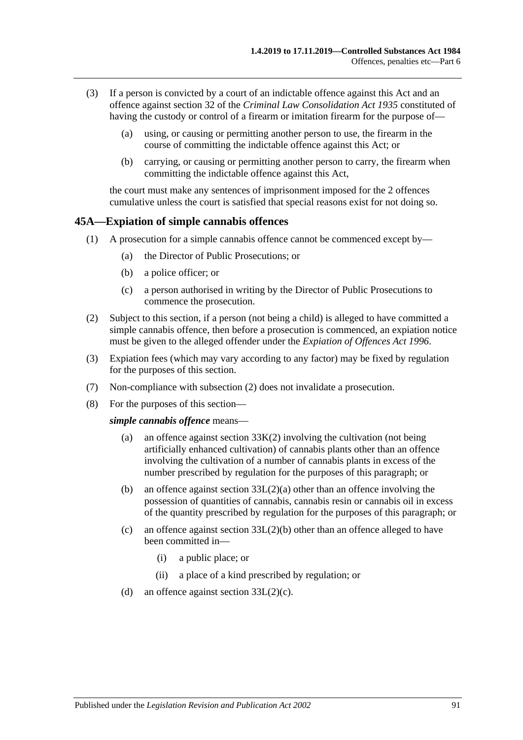- (3) If a person is convicted by a court of an indictable offence against this Act and an offence against section 32 of the *[Criminal Law Consolidation Act](http://www.legislation.sa.gov.au/index.aspx?action=legref&type=act&legtitle=Criminal%20Law%20Consolidation%20Act%201935) 1935* constituted of having the custody or control of a firearm or imitation firearm for the purpose of—
	- (a) using, or causing or permitting another person to use, the firearm in the course of committing the indictable offence against this Act; or
	- (b) carrying, or causing or permitting another person to carry, the firearm when committing the indictable offence against this Act,

the court must make any sentences of imprisonment imposed for the 2 offences cumulative unless the court is satisfied that special reasons exist for not doing so.

#### <span id="page-90-0"></span>**45A—Expiation of simple cannabis offences**

- (1) A prosecution for a simple cannabis offence cannot be commenced except by—
	- (a) the Director of Public Prosecutions; or
	- (b) a police officer; or
	- (c) a person authorised in writing by the Director of Public Prosecutions to commence the prosecution.
- <span id="page-90-1"></span>(2) Subject to this section, if a person (not being a child) is alleged to have committed a simple cannabis offence, then before a prosecution is commenced, an expiation notice must be given to the alleged offender under the *[Expiation of Offences Act](http://www.legislation.sa.gov.au/index.aspx?action=legref&type=act&legtitle=Expiation%20of%20Offences%20Act%201996) 1996*.
- (3) Expiation fees (which may vary according to any factor) may be fixed by regulation for the purposes of this section.
- (7) Non-compliance with [subsection](#page-90-1) (2) does not invalidate a prosecution.
- (8) For the purposes of this section—

#### *simple cannabis offence* means—

- (a) an offence against [section](#page-76-0)  $33K(2)$  involving the cultivation (not being artificially enhanced cultivation) of cannabis plants other than an offence involving the cultivation of a number of cannabis plants in excess of the number prescribed by regulation for the purposes of this paragraph; or
- (b) an offence against section [33L\(2\)\(a\)](#page-76-2) other than an offence involving the possession of quantities of cannabis, cannabis resin or cannabis oil in excess of the quantity prescribed by regulation for the purposes of this paragraph; or
- (c) an offence against section  $33L(2)(b)$  other than an offence alleged to have been committed in—
	- (i) a public place; or
	- (ii) a place of a kind prescribed by regulation; or
- (d) an offence against section [33L\(2\)\(c\).](#page-76-4)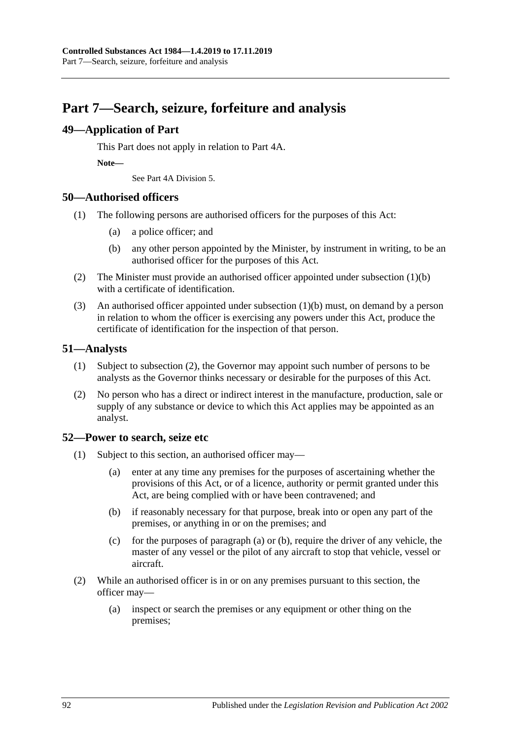## **Part 7—Search, seizure, forfeiture and analysis**

## **49—Application of Part**

This Part does not apply in relation to Part 4A.

**Note—**

See Part 4A Division 5.

## **50—Authorised officers**

- <span id="page-91-0"></span>(1) The following persons are authorised officers for the purposes of this Act:
	- (a) a police officer; and
	- (b) any other person appointed by the Minister, by instrument in writing, to be an authorised officer for the purposes of this Act.
- (2) The Minister must provide an authorised officer appointed under [subsection](#page-91-0) (1)(b) with a certificate of identification.
- (3) An authorised officer appointed under [subsection](#page-91-0) (1)(b) must, on demand by a person in relation to whom the officer is exercising any powers under this Act, produce the certificate of identification for the inspection of that person.

## **51—Analysts**

- (1) Subject to [subsection](#page-91-1) (2), the Governor may appoint such number of persons to be analysts as the Governor thinks necessary or desirable for the purposes of this Act.
- <span id="page-91-1"></span>(2) No person who has a direct or indirect interest in the manufacture, production, sale or supply of any substance or device to which this Act applies may be appointed as an analyst.

## <span id="page-91-4"></span>**52—Power to search, seize etc**

- <span id="page-91-3"></span><span id="page-91-2"></span>(1) Subject to this section, an authorised officer may—
	- (a) enter at any time any premises for the purposes of ascertaining whether the provisions of this Act, or of a licence, authority or permit granted under this Act, are being complied with or have been contravened; and
	- (b) if reasonably necessary for that purpose, break into or open any part of the premises, or anything in or on the premises; and
	- (c) for the purposes of [paragraph](#page-91-2) (a) or [\(b\),](#page-91-3) require the driver of any vehicle, the master of any vessel or the pilot of any aircraft to stop that vehicle, vessel or aircraft.
- (2) While an authorised officer is in or on any premises pursuant to this section, the officer may—
	- (a) inspect or search the premises or any equipment or other thing on the premises;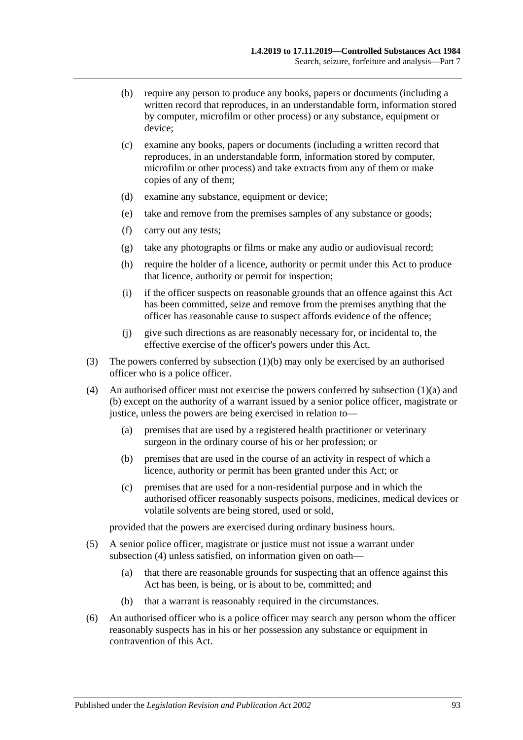- (b) require any person to produce any books, papers or documents (including a written record that reproduces, in an understandable form, information stored by computer, microfilm or other process) or any substance, equipment or device;
- (c) examine any books, papers or documents (including a written record that reproduces, in an understandable form, information stored by computer, microfilm or other process) and take extracts from any of them or make copies of any of them;
- (d) examine any substance, equipment or device;
- (e) take and remove from the premises samples of any substance or goods;
- (f) carry out any tests;
- (g) take any photographs or films or make any audio or audiovisual record;
- (h) require the holder of a licence, authority or permit under this Act to produce that licence, authority or permit for inspection;
- (i) if the officer suspects on reasonable grounds that an offence against this Act has been committed, seize and remove from the premises anything that the officer has reasonable cause to suspect affords evidence of the offence;
- (j) give such directions as are reasonably necessary for, or incidental to, the effective exercise of the officer's powers under this Act.
- (3) The powers conferred by [subsection](#page-91-3) (1)(b) may only be exercised by an authorised officer who is a police officer.
- <span id="page-92-0"></span>(4) An authorised officer must not exercise the powers conferred by [subsection](#page-91-2)  $(1)(a)$  and [\(b\)](#page-91-3) except on the authority of a warrant issued by a senior police officer, magistrate or justice, unless the powers are being exercised in relation to—
	- (a) premises that are used by a registered health practitioner or veterinary surgeon in the ordinary course of his or her profession; or
	- (b) premises that are used in the course of an activity in respect of which a licence, authority or permit has been granted under this Act; or
	- (c) premises that are used for a non-residential purpose and in which the authorised officer reasonably suspects poisons, medicines, medical devices or volatile solvents are being stored, used or sold,

provided that the powers are exercised during ordinary business hours.

- (5) A senior police officer, magistrate or justice must not issue a warrant under [subsection](#page-92-0) (4) unless satisfied, on information given on oath—
	- (a) that there are reasonable grounds for suspecting that an offence against this Act has been, is being, or is about to be, committed; and
	- (b) that a warrant is reasonably required in the circumstances.
- (6) An authorised officer who is a police officer may search any person whom the officer reasonably suspects has in his or her possession any substance or equipment in contravention of this Act.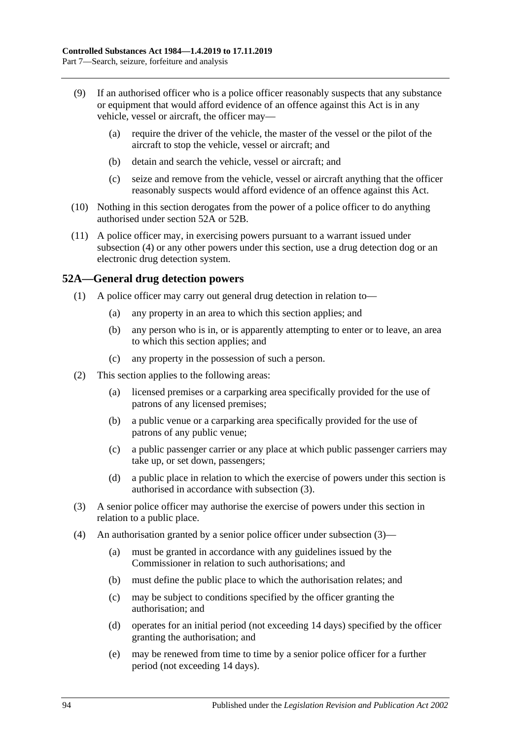- (9) If an authorised officer who is a police officer reasonably suspects that any substance or equipment that would afford evidence of an offence against this Act is in any vehicle, vessel or aircraft, the officer may—
	- (a) require the driver of the vehicle, the master of the vessel or the pilot of the aircraft to stop the vehicle, vessel or aircraft; and
	- (b) detain and search the vehicle, vessel or aircraft; and
	- (c) seize and remove from the vehicle, vessel or aircraft anything that the officer reasonably suspects would afford evidence of an offence against this Act.
- (10) Nothing in this section derogates from the power of a police officer to do anything authorised under [section](#page-93-0) 52A or [52B.](#page-94-0)
- (11) A police officer may, in exercising powers pursuant to a warrant issued under [subsection](#page-92-0) (4) or any other powers under this section, use a drug detection dog or an electronic drug detection system.

## <span id="page-93-0"></span>**52A—General drug detection powers**

- (1) A police officer may carry out general drug detection in relation to—
	- (a) any property in an area to which this section applies; and
	- (b) any person who is in, or is apparently attempting to enter or to leave, an area to which this section applies; and
	- (c) any property in the possession of such a person.
- (2) This section applies to the following areas:
	- (a) licensed premises or a carparking area specifically provided for the use of patrons of any licensed premises;
	- (b) a public venue or a carparking area specifically provided for the use of patrons of any public venue;
	- (c) a public passenger carrier or any place at which public passenger carriers may take up, or set down, passengers;
	- (d) a public place in relation to which the exercise of powers under this section is authorised in accordance with [subsection](#page-93-1) (3).
- <span id="page-93-1"></span>(3) A senior police officer may authorise the exercise of powers under this section in relation to a public place.
- (4) An authorisation granted by a senior police officer under [subsection](#page-93-1) (3)—
	- (a) must be granted in accordance with any guidelines issued by the Commissioner in relation to such authorisations; and
	- (b) must define the public place to which the authorisation relates; and
	- (c) may be subject to conditions specified by the officer granting the authorisation; and
	- (d) operates for an initial period (not exceeding 14 days) specified by the officer granting the authorisation; and
	- (e) may be renewed from time to time by a senior police officer for a further period (not exceeding 14 days).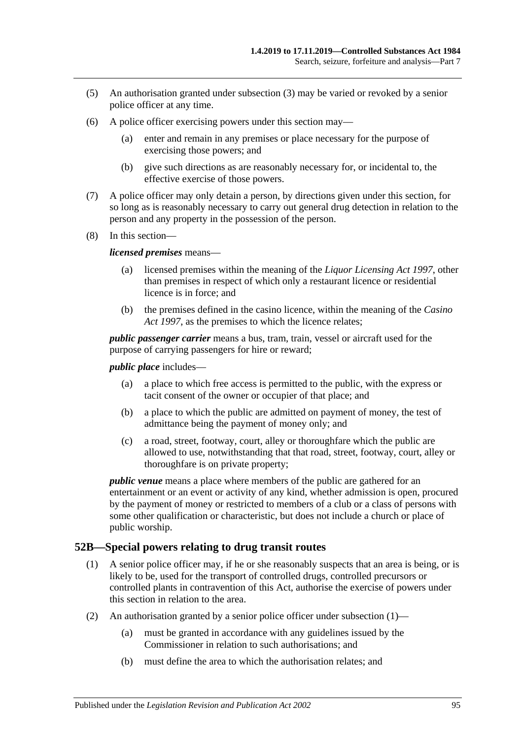- (5) An authorisation granted under [subsection](#page-93-1) (3) may be varied or revoked by a senior police officer at any time.
- (6) A police officer exercising powers under this section may—
	- (a) enter and remain in any premises or place necessary for the purpose of exercising those powers; and
	- (b) give such directions as are reasonably necessary for, or incidental to, the effective exercise of those powers.
- (7) A police officer may only detain a person, by directions given under this section, for so long as is reasonably necessary to carry out general drug detection in relation to the person and any property in the possession of the person.
- (8) In this section—

#### *licensed premises* means—

- (a) licensed premises within the meaning of the *[Liquor Licensing Act](http://www.legislation.sa.gov.au/index.aspx?action=legref&type=act&legtitle=Liquor%20Licensing%20Act%201997) 1997*, other than premises in respect of which only a restaurant licence or residential licence is in force; and
- (b) the premises defined in the casino licence, within the meaning of the *[Casino](http://www.legislation.sa.gov.au/index.aspx?action=legref&type=act&legtitle=Casino%20Act%201997)  Act [1997](http://www.legislation.sa.gov.au/index.aspx?action=legref&type=act&legtitle=Casino%20Act%201997)*, as the premises to which the licence relates;

*public passenger carrier* means a bus, tram, train, vessel or aircraft used for the purpose of carrying passengers for hire or reward;

*public place* includes—

- (a) a place to which free access is permitted to the public, with the express or tacit consent of the owner or occupier of that place; and
- (b) a place to which the public are admitted on payment of money, the test of admittance being the payment of money only; and
- (c) a road, street, footway, court, alley or thoroughfare which the public are allowed to use, notwithstanding that that road, street, footway, court, alley or thoroughfare is on private property;

*public venue* means a place where members of the public are gathered for an entertainment or an event or activity of any kind, whether admission is open, procured by the payment of money or restricted to members of a club or a class of persons with some other qualification or characteristic, but does not include a church or place of public worship.

## <span id="page-94-1"></span><span id="page-94-0"></span>**52B—Special powers relating to drug transit routes**

- (1) A senior police officer may, if he or she reasonably suspects that an area is being, or is likely to be, used for the transport of controlled drugs, controlled precursors or controlled plants in contravention of this Act, authorise the exercise of powers under this section in relation to the area.
- (2) An authorisation granted by a senior police officer under [subsection](#page-94-1)  $(1)$ 
	- (a) must be granted in accordance with any guidelines issued by the Commissioner in relation to such authorisations; and
	- (b) must define the area to which the authorisation relates; and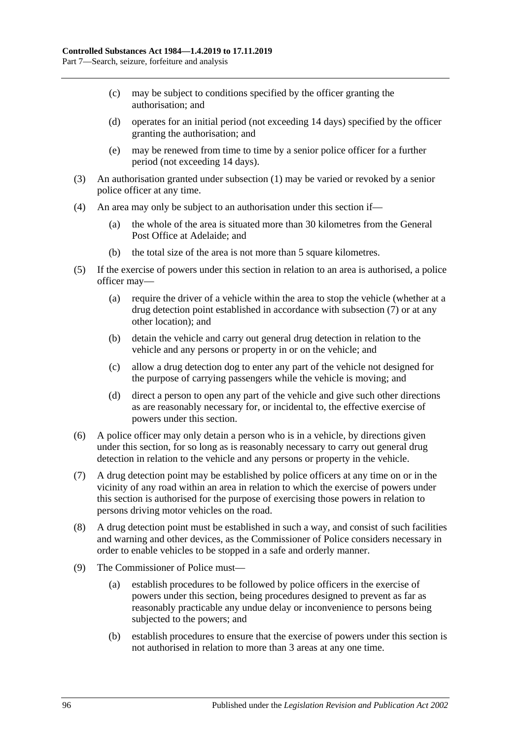- (c) may be subject to conditions specified by the officer granting the authorisation; and
- (d) operates for an initial period (not exceeding 14 days) specified by the officer granting the authorisation; and
- (e) may be renewed from time to time by a senior police officer for a further period (not exceeding 14 days).
- (3) An authorisation granted under [subsection](#page-94-1) (1) may be varied or revoked by a senior police officer at any time.
- (4) An area may only be subject to an authorisation under this section if—
	- (a) the whole of the area is situated more than 30 kilometres from the General Post Office at Adelaide; and
	- (b) the total size of the area is not more than 5 square kilometres.
- (5) If the exercise of powers under this section in relation to an area is authorised, a police officer may—
	- (a) require the driver of a vehicle within the area to stop the vehicle (whether at a drug detection point established in accordance with [subsection](#page-95-0) (7) or at any other location); and
	- (b) detain the vehicle and carry out general drug detection in relation to the vehicle and any persons or property in or on the vehicle; and
	- (c) allow a drug detection dog to enter any part of the vehicle not designed for the purpose of carrying passengers while the vehicle is moving; and
	- (d) direct a person to open any part of the vehicle and give such other directions as are reasonably necessary for, or incidental to, the effective exercise of powers under this section.
- (6) A police officer may only detain a person who is in a vehicle, by directions given under this section, for so long as is reasonably necessary to carry out general drug detection in relation to the vehicle and any persons or property in the vehicle.
- <span id="page-95-0"></span>(7) A drug detection point may be established by police officers at any time on or in the vicinity of any road within an area in relation to which the exercise of powers under this section is authorised for the purpose of exercising those powers in relation to persons driving motor vehicles on the road.
- (8) A drug detection point must be established in such a way, and consist of such facilities and warning and other devices, as the Commissioner of Police considers necessary in order to enable vehicles to be stopped in a safe and orderly manner.
- (9) The Commissioner of Police must—
	- (a) establish procedures to be followed by police officers in the exercise of powers under this section, being procedures designed to prevent as far as reasonably practicable any undue delay or inconvenience to persons being subjected to the powers; and
	- (b) establish procedures to ensure that the exercise of powers under this section is not authorised in relation to more than 3 areas at any one time.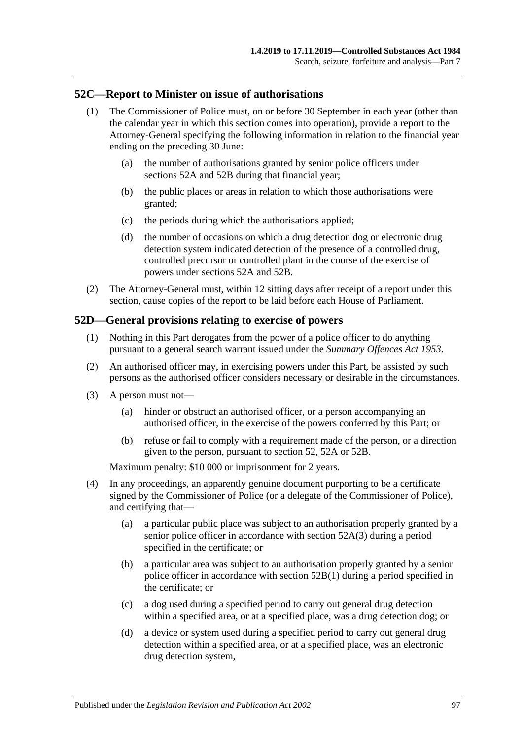## **52C—Report to Minister on issue of authorisations**

- (1) The Commissioner of Police must, on or before 30 September in each year (other than the calendar year in which this section comes into operation), provide a report to the Attorney-General specifying the following information in relation to the financial year ending on the preceding 30 June:
	- (a) the number of authorisations granted by senior police officers under [sections](#page-93-0) 52A and [52B](#page-94-0) during that financial year;
	- (b) the public places or areas in relation to which those authorisations were granted;
	- (c) the periods during which the authorisations applied;
	- (d) the number of occasions on which a drug detection dog or electronic drug detection system indicated detection of the presence of a controlled drug, controlled precursor or controlled plant in the course of the exercise of powers under [sections](#page-93-0) 52A and [52B.](#page-94-0)
- (2) The Attorney-General must, within 12 sitting days after receipt of a report under this section, cause copies of the report to be laid before each House of Parliament.

#### **52D—General provisions relating to exercise of powers**

- (1) Nothing in this Part derogates from the power of a police officer to do anything pursuant to a general search warrant issued under the *[Summary Offences Act](http://www.legislation.sa.gov.au/index.aspx?action=legref&type=act&legtitle=Summary%20Offences%20Act%201953) 1953*.
- (2) An authorised officer may, in exercising powers under this Part, be assisted by such persons as the authorised officer considers necessary or desirable in the circumstances.
- (3) A person must not—
	- (a) hinder or obstruct an authorised officer, or a person accompanying an authorised officer, in the exercise of the powers conferred by this Part; or
	- (b) refuse or fail to comply with a requirement made of the person, or a direction given to the person, pursuant to [section](#page-91-4) 52, [52A](#page-93-0) or [52B.](#page-94-0)

Maximum penalty: \$10 000 or imprisonment for 2 years.

- (4) In any proceedings, an apparently genuine document purporting to be a certificate signed by the Commissioner of Police (or a delegate of the Commissioner of Police), and certifying that—
	- (a) a particular public place was subject to an authorisation properly granted by a senior police officer in accordance with [section](#page-93-1) 52A(3) during a period specified in the certificate; or
	- (b) a particular area was subject to an authorisation properly granted by a senior police officer in accordance with [section](#page-94-1) 52B(1) during a period specified in the certificate; or
	- (c) a dog used during a specified period to carry out general drug detection within a specified area, or at a specified place, was a drug detection dog; or
	- (d) a device or system used during a specified period to carry out general drug detection within a specified area, or at a specified place, was an electronic drug detection system,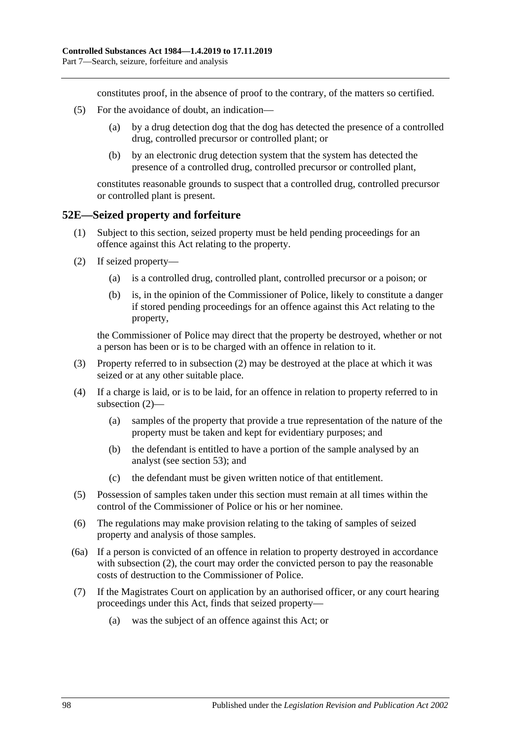constitutes proof, in the absence of proof to the contrary, of the matters so certified.

- (5) For the avoidance of doubt, an indication—
	- (a) by a drug detection dog that the dog has detected the presence of a controlled drug, controlled precursor or controlled plant; or
	- (b) by an electronic drug detection system that the system has detected the presence of a controlled drug, controlled precursor or controlled plant,

constitutes reasonable grounds to suspect that a controlled drug, controlled precursor or controlled plant is present.

#### **52E—Seized property and forfeiture**

- (1) Subject to this section, seized property must be held pending proceedings for an offence against this Act relating to the property.
- <span id="page-97-0"></span>(2) If seized property—
	- (a) is a controlled drug, controlled plant, controlled precursor or a poison; or
	- (b) is, in the opinion of the Commissioner of Police, likely to constitute a danger if stored pending proceedings for an offence against this Act relating to the property,

the Commissioner of Police may direct that the property be destroyed, whether or not a person has been or is to be charged with an offence in relation to it.

- (3) Property referred to in [subsection](#page-97-0) (2) may be destroyed at the place at which it was seized or at any other suitable place.
- (4) If a charge is laid, or is to be laid, for an offence in relation to property referred to in [subsection](#page-97-0) (2)—
	- (a) samples of the property that provide a true representation of the nature of the property must be taken and kept for evidentiary purposes; and
	- (b) the defendant is entitled to have a portion of the sample analysed by an analyst (see [section](#page-98-0) 53); and
	- (c) the defendant must be given written notice of that entitlement.
- (5) Possession of samples taken under this section must remain at all times within the control of the Commissioner of Police or his or her nominee.
- (6) The regulations may make provision relating to the taking of samples of seized property and analysis of those samples.
- (6a) If a person is convicted of an offence in relation to property destroyed in accordance with [subsection](#page-97-0) (2), the court may order the convicted person to pay the reasonable costs of destruction to the Commissioner of Police.
- <span id="page-97-1"></span>(7) If the Magistrates Court on application by an authorised officer, or any court hearing proceedings under this Act, finds that seized property—
	- (a) was the subject of an offence against this Act; or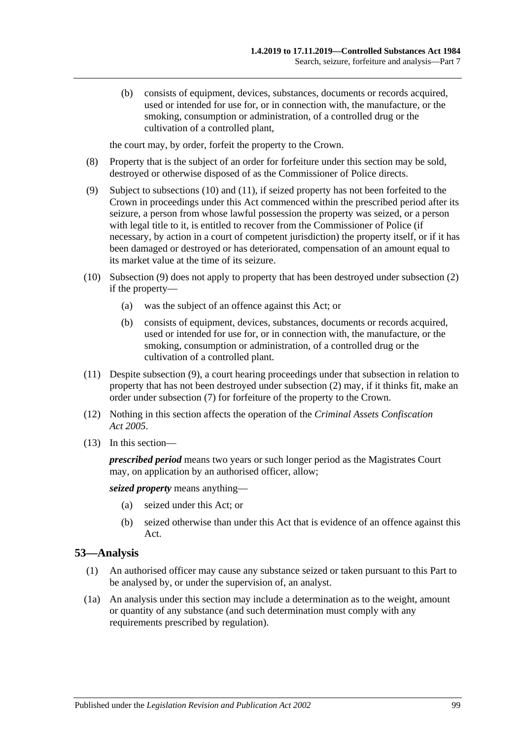(b) consists of equipment, devices, substances, documents or records acquired, used or intended for use for, or in connection with, the manufacture, or the smoking, consumption or administration, of a controlled drug or the cultivation of a controlled plant,

the court may, by order, forfeit the property to the Crown.

- (8) Property that is the subject of an order for forfeiture under this section may be sold, destroyed or otherwise disposed of as the Commissioner of Police directs.
- <span id="page-98-3"></span>(9) Subject to [subsections](#page-98-1) (10) and [\(11\),](#page-98-2) if seized property has not been forfeited to the Crown in proceedings under this Act commenced within the prescribed period after its seizure, a person from whose lawful possession the property was seized, or a person with legal title to it, is entitled to recover from the Commissioner of Police (if necessary, by action in a court of competent jurisdiction) the property itself, or if it has been damaged or destroyed or has deteriorated, compensation of an amount equal to its market value at the time of its seizure.
- <span id="page-98-1"></span>(10) [Subsection](#page-98-3) (9) does not apply to property that has been destroyed under [subsection](#page-97-0) (2) if the property—
	- (a) was the subject of an offence against this Act; or
	- (b) consists of equipment, devices, substances, documents or records acquired, used or intended for use for, or in connection with, the manufacture, or the smoking, consumption or administration, of a controlled drug or the cultivation of a controlled plant.
- <span id="page-98-2"></span>(11) Despite [subsection](#page-98-3) (9), a court hearing proceedings under that subsection in relation to property that has not been destroyed under [subsection](#page-97-0) (2) may, if it thinks fit, make an order under [subsection](#page-97-1) (7) for forfeiture of the property to the Crown.
- (12) Nothing in this section affects the operation of the *[Criminal Assets Confiscation](http://www.legislation.sa.gov.au/index.aspx?action=legref&type=act&legtitle=Criminal%20Assets%20Confiscation%20Act%202005)  Act [2005](http://www.legislation.sa.gov.au/index.aspx?action=legref&type=act&legtitle=Criminal%20Assets%20Confiscation%20Act%202005)*.
- (13) In this section—

*prescribed period* means two years or such longer period as the Magistrates Court may, on application by an authorised officer, allow;

*seized property* means anything—

- (a) seized under this Act; or
- (b) seized otherwise than under this Act that is evidence of an offence against this Act.

## <span id="page-98-0"></span>**53—Analysis**

- (1) An authorised officer may cause any substance seized or taken pursuant to this Part to be analysed by, or under the supervision of, an analyst.
- (1a) An analysis under this section may include a determination as to the weight, amount or quantity of any substance (and such determination must comply with any requirements prescribed by regulation).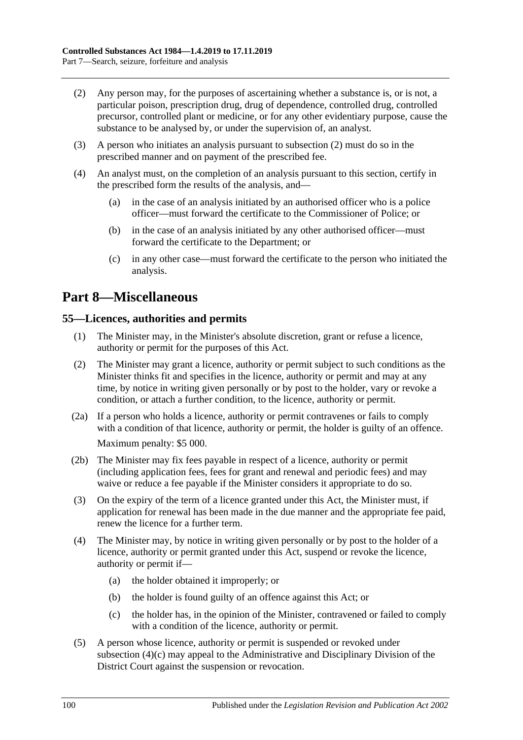- <span id="page-99-0"></span>(2) Any person may, for the purposes of ascertaining whether a substance is, or is not, a particular poison, prescription drug, drug of dependence, controlled drug, controlled precursor, controlled plant or medicine, or for any other evidentiary purpose, cause the substance to be analysed by, or under the supervision of, an analyst.
- (3) A person who initiates an analysis pursuant to [subsection](#page-99-0) (2) must do so in the prescribed manner and on payment of the prescribed fee.
- (4) An analyst must, on the completion of an analysis pursuant to this section, certify in the prescribed form the results of the analysis, and—
	- (a) in the case of an analysis initiated by an authorised officer who is a police officer—must forward the certificate to the Commissioner of Police; or
	- (b) in the case of an analysis initiated by any other authorised officer—must forward the certificate to the Department; or
	- (c) in any other case—must forward the certificate to the person who initiated the analysis.

## **Part 8—Miscellaneous**

## **55—Licences, authorities and permits**

- (1) The Minister may, in the Minister's absolute discretion, grant or refuse a licence, authority or permit for the purposes of this Act.
- (2) The Minister may grant a licence, authority or permit subject to such conditions as the Minister thinks fit and specifies in the licence, authority or permit and may at any time, by notice in writing given personally or by post to the holder, vary or revoke a condition, or attach a further condition, to the licence, authority or permit.
- (2a) If a person who holds a licence, authority or permit contravenes or fails to comply with a condition of that licence, authority or permit, the holder is guilty of an offence. Maximum penalty: \$5 000.
- (2b) The Minister may fix fees payable in respect of a licence, authority or permit (including application fees, fees for grant and renewal and periodic fees) and may waive or reduce a fee payable if the Minister considers it appropriate to do so.
- (3) On the expiry of the term of a licence granted under this Act, the Minister must, if application for renewal has been made in the due manner and the appropriate fee paid, renew the licence for a further term.
- (4) The Minister may, by notice in writing given personally or by post to the holder of a licence, authority or permit granted under this Act, suspend or revoke the licence, authority or permit if—
	- (a) the holder obtained it improperly; or
	- (b) the holder is found guilty of an offence against this Act; or
	- (c) the holder has, in the opinion of the Minister, contravened or failed to comply with a condition of the licence, authority or permit.
- <span id="page-99-1"></span>(5) A person whose licence, authority or permit is suspended or revoked under [subsection](#page-99-1) (4)(c) may appeal to the Administrative and Disciplinary Division of the District Court against the suspension or revocation.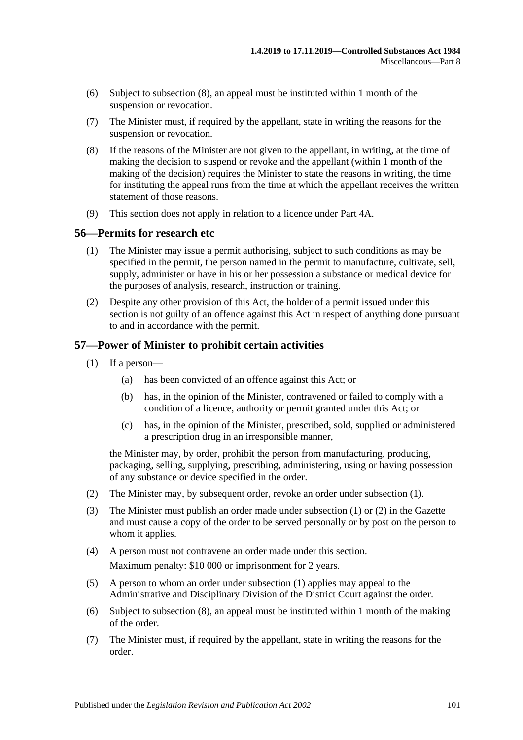- (6) Subject to [subsection](#page-100-0) (8), an appeal must be instituted within 1 month of the suspension or revocation.
- (7) The Minister must, if required by the appellant, state in writing the reasons for the suspension or revocation.
- <span id="page-100-0"></span>(8) If the reasons of the Minister are not given to the appellant, in writing, at the time of making the decision to suspend or revoke and the appellant (within 1 month of the making of the decision) requires the Minister to state the reasons in writing, the time for instituting the appeal runs from the time at which the appellant receives the written statement of those reasons.
- (9) This section does not apply in relation to a licence under Part 4A.

#### **56—Permits for research etc**

- (1) The Minister may issue a permit authorising, subject to such conditions as may be specified in the permit, the person named in the permit to manufacture, cultivate, sell, supply, administer or have in his or her possession a substance or medical device for the purposes of analysis, research, instruction or training.
- (2) Despite any other provision of this Act, the holder of a permit issued under this section is not guilty of an offence against this Act in respect of anything done pursuant to and in accordance with the permit.

## <span id="page-100-1"></span>**57—Power of Minister to prohibit certain activities**

- (1) If a person—
	- (a) has been convicted of an offence against this Act; or
	- (b) has, in the opinion of the Minister, contravened or failed to comply with a condition of a licence, authority or permit granted under this Act; or
	- (c) has, in the opinion of the Minister, prescribed, sold, supplied or administered a prescription drug in an irresponsible manner,

the Minister may, by order, prohibit the person from manufacturing, producing, packaging, selling, supplying, prescribing, administering, using or having possession of any substance or device specified in the order.

- <span id="page-100-2"></span>(2) The Minister may, by subsequent order, revoke an order under [subsection](#page-100-1) (1).
- (3) The Minister must publish an order made under [subsection](#page-100-1) (1) or [\(2\)](#page-100-2) in the Gazette and must cause a copy of the order to be served personally or by post on the person to whom it applies.
- (4) A person must not contravene an order made under this section. Maximum penalty: \$10 000 or imprisonment for 2 years.
- (5) A person to whom an order under [subsection](#page-100-1) (1) applies may appeal to the Administrative and Disciplinary Division of the District Court against the order.
- (6) Subject to [subsection](#page-101-0) (8), an appeal must be instituted within 1 month of the making of the order.
- (7) The Minister must, if required by the appellant, state in writing the reasons for the order.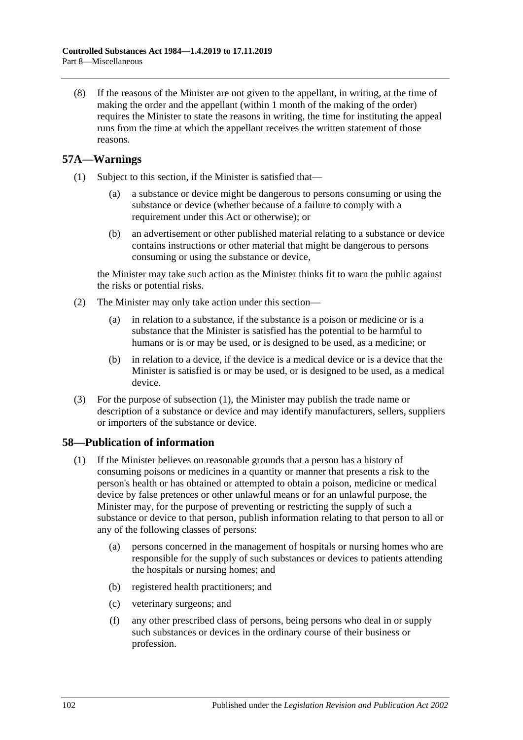<span id="page-101-0"></span>(8) If the reasons of the Minister are not given to the appellant, in writing, at the time of making the order and the appellant (within 1 month of the making of the order) requires the Minister to state the reasons in writing, the time for instituting the appeal runs from the time at which the appellant receives the written statement of those reasons.

## <span id="page-101-1"></span>**57A—Warnings**

- (1) Subject to this section, if the Minister is satisfied that—
	- (a) a substance or device might be dangerous to persons consuming or using the substance or device (whether because of a failure to comply with a requirement under this Act or otherwise); or
	- (b) an advertisement or other published material relating to a substance or device contains instructions or other material that might be dangerous to persons consuming or using the substance or device,

the Minister may take such action as the Minister thinks fit to warn the public against the risks or potential risks.

- (2) The Minister may only take action under this section—
	- (a) in relation to a substance, if the substance is a poison or medicine or is a substance that the Minister is satisfied has the potential to be harmful to humans or is or may be used, or is designed to be used, as a medicine; or
	- (b) in relation to a device, if the device is a medical device or is a device that the Minister is satisfied is or may be used, or is designed to be used, as a medical device.
- (3) For the purpose of [subsection](#page-101-1) (1), the Minister may publish the trade name or description of a substance or device and may identify manufacturers, sellers, suppliers or importers of the substance or device.

## <span id="page-101-2"></span>**58—Publication of information**

- (1) If the Minister believes on reasonable grounds that a person has a history of consuming poisons or medicines in a quantity or manner that presents a risk to the person's health or has obtained or attempted to obtain a poison, medicine or medical device by false pretences or other unlawful means or for an unlawful purpose, the Minister may, for the purpose of preventing or restricting the supply of such a substance or device to that person, publish information relating to that person to all or any of the following classes of persons:
	- (a) persons concerned in the management of hospitals or nursing homes who are responsible for the supply of such substances or devices to patients attending the hospitals or nursing homes; and
	- (b) registered health practitioners; and
	- (c) veterinary surgeons; and
	- (f) any other prescribed class of persons, being persons who deal in or supply such substances or devices in the ordinary course of their business or profession.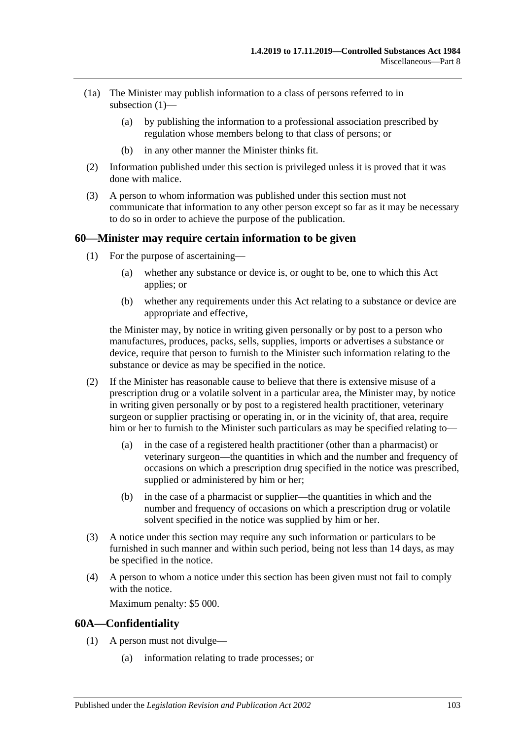- (1a) The Minister may publish information to a class of persons referred to in [subsection](#page-101-2) (1)—
	- (a) by publishing the information to a professional association prescribed by regulation whose members belong to that class of persons; or
	- (b) in any other manner the Minister thinks fit.
- (2) Information published under this section is privileged unless it is proved that it was done with malice.
- (3) A person to whom information was published under this section must not communicate that information to any other person except so far as it may be necessary to do so in order to achieve the purpose of the publication.

#### **60—Minister may require certain information to be given**

- (1) For the purpose of ascertaining—
	- (a) whether any substance or device is, or ought to be, one to which this Act applies; or
	- (b) whether any requirements under this Act relating to a substance or device are appropriate and effective,

the Minister may, by notice in writing given personally or by post to a person who manufactures, produces, packs, sells, supplies, imports or advertises a substance or device, require that person to furnish to the Minister such information relating to the substance or device as may be specified in the notice.

- (2) If the Minister has reasonable cause to believe that there is extensive misuse of a prescription drug or a volatile solvent in a particular area, the Minister may, by notice in writing given personally or by post to a registered health practitioner, veterinary surgeon or supplier practising or operating in, or in the vicinity of, that area, require him or her to furnish to the Minister such particulars as may be specified relating to—
	- (a) in the case of a registered health practitioner (other than a pharmacist) or veterinary surgeon—the quantities in which and the number and frequency of occasions on which a prescription drug specified in the notice was prescribed, supplied or administered by him or her;
	- (b) in the case of a pharmacist or supplier—the quantities in which and the number and frequency of occasions on which a prescription drug or volatile solvent specified in the notice was supplied by him or her.
- (3) A notice under this section may require any such information or particulars to be furnished in such manner and within such period, being not less than 14 days, as may be specified in the notice.
- (4) A person to whom a notice under this section has been given must not fail to comply with the notice.

Maximum penalty: \$5 000.

#### **60A—Confidentiality**

- (1) A person must not divulge—
	- (a) information relating to trade processes; or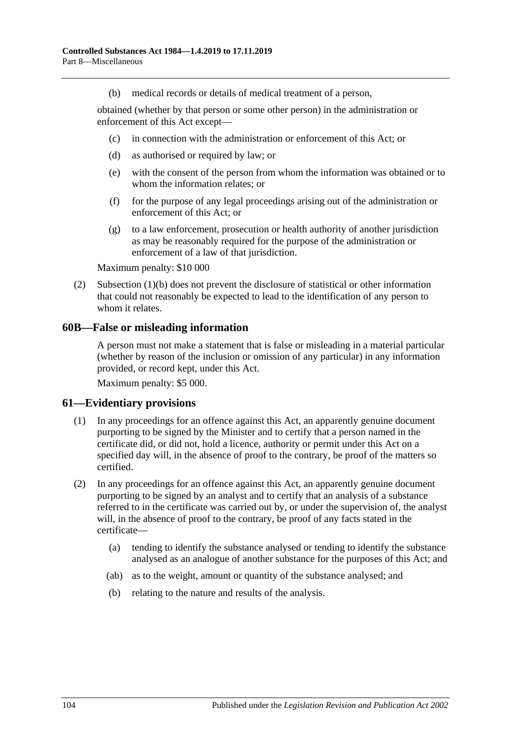(b) medical records or details of medical treatment of a person,

<span id="page-103-0"></span>obtained (whether by that person or some other person) in the administration or enforcement of this Act except—

- (c) in connection with the administration or enforcement of this Act; or
- (d) as authorised or required by law; or
- (e) with the consent of the person from whom the information was obtained or to whom the information relates; or
- (f) for the purpose of any legal proceedings arising out of the administration or enforcement of this Act; or
- (g) to a law enforcement, prosecution or health authority of another jurisdiction as may be reasonably required for the purpose of the administration or enforcement of a law of that jurisdiction.

Maximum penalty: \$10 000

(2) [Subsection](#page-103-0) (1)(b) does not prevent the disclosure of statistical or other information that could not reasonably be expected to lead to the identification of any person to whom it relates.

#### **60B—False or misleading information**

A person must not make a statement that is false or misleading in a material particular (whether by reason of the inclusion or omission of any particular) in any information provided, or record kept, under this Act.

Maximum penalty: \$5 000.

#### **61—Evidentiary provisions**

- (1) In any proceedings for an offence against this Act, an apparently genuine document purporting to be signed by the Minister and to certify that a person named in the certificate did, or did not, hold a licence, authority or permit under this Act on a specified day will, in the absence of proof to the contrary, be proof of the matters so certified.
- (2) In any proceedings for an offence against this Act, an apparently genuine document purporting to be signed by an analyst and to certify that an analysis of a substance referred to in the certificate was carried out by, or under the supervision of, the analyst will, in the absence of proof to the contrary, be proof of any facts stated in the certificate—
	- (a) tending to identify the substance analysed or tending to identify the substance analysed as an analogue of another substance for the purposes of this Act; and
	- (ab) as to the weight, amount or quantity of the substance analysed; and
	- (b) relating to the nature and results of the analysis.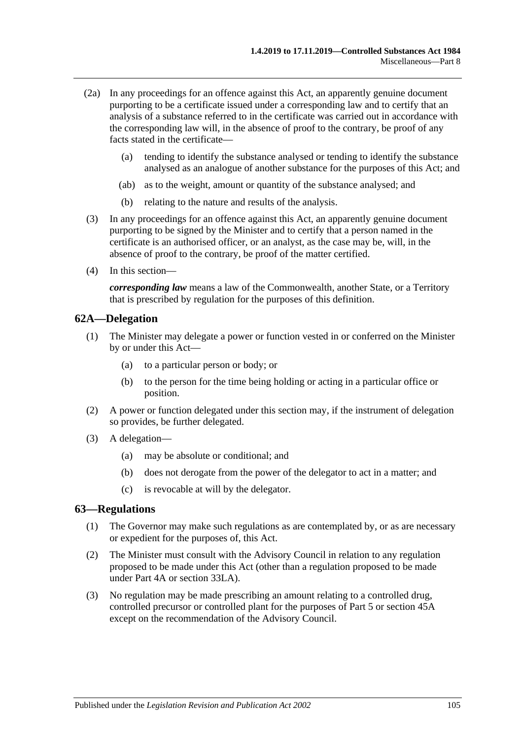- (2a) In any proceedings for an offence against this Act, an apparently genuine document purporting to be a certificate issued under a corresponding law and to certify that an analysis of a substance referred to in the certificate was carried out in accordance with the corresponding law will, in the absence of proof to the contrary, be proof of any facts stated in the certificate—
	- (a) tending to identify the substance analysed or tending to identify the substance analysed as an analogue of another substance for the purposes of this Act; and
	- (ab) as to the weight, amount or quantity of the substance analysed; and
	- (b) relating to the nature and results of the analysis.
- (3) In any proceedings for an offence against this Act, an apparently genuine document purporting to be signed by the Minister and to certify that a person named in the certificate is an authorised officer, or an analyst, as the case may be, will, in the absence of proof to the contrary, be proof of the matter certified.
- (4) In this section—

*corresponding law* means a law of the Commonwealth, another State, or a Territory that is prescribed by regulation for the purposes of this definition.

#### **62A—Delegation**

- (1) The Minister may delegate a power or function vested in or conferred on the Minister by or under this Act—
	- (a) to a particular person or body; or
	- (b) to the person for the time being holding or acting in a particular office or position.
- (2) A power or function delegated under this section may, if the instrument of delegation so provides, be further delegated.
- (3) A delegation—
	- (a) may be absolute or conditional; and
	- (b) does not derogate from the power of the delegator to act in a matter; and
	- (c) is revocable at will by the delegator.

#### <span id="page-104-0"></span>**63—Regulations**

- (1) The Governor may make such regulations as are contemplated by, or as are necessary or expedient for the purposes of, this Act.
- (2) The Minister must consult with the Advisory Council in relation to any regulation proposed to be made under this Act (other than a regulation proposed to be made under [Part](#page-31-0) 4A or [section](#page-76-5) 33LA).
- (3) No regulation may be made prescribing an amount relating to a controlled drug, controlled precursor or controlled plant for the purposes of [Part 5](#page-63-0) or [section](#page-90-0) 45A except on the recommendation of the Advisory Council.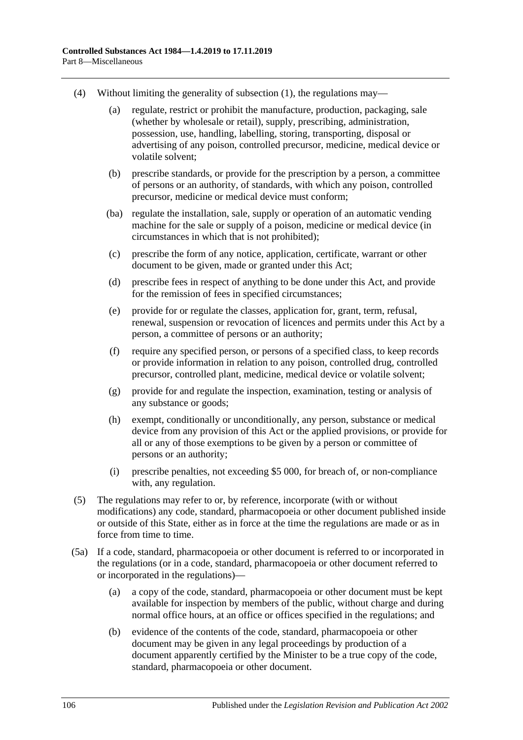- (4) Without limiting the generality of [subsection](#page-104-0) (1), the regulations may—
	- (a) regulate, restrict or prohibit the manufacture, production, packaging, sale (whether by wholesale or retail), supply, prescribing, administration, possession, use, handling, labelling, storing, transporting, disposal or advertising of any poison, controlled precursor, medicine, medical device or volatile solvent;
	- (b) prescribe standards, or provide for the prescription by a person, a committee of persons or an authority, of standards, with which any poison, controlled precursor, medicine or medical device must conform;
	- (ba) regulate the installation, sale, supply or operation of an automatic vending machine for the sale or supply of a poison, medicine or medical device (in circumstances in which that is not prohibited);
	- (c) prescribe the form of any notice, application, certificate, warrant or other document to be given, made or granted under this Act;
	- (d) prescribe fees in respect of anything to be done under this Act, and provide for the remission of fees in specified circumstances;
	- (e) provide for or regulate the classes, application for, grant, term, refusal, renewal, suspension or revocation of licences and permits under this Act by a person, a committee of persons or an authority;
	- (f) require any specified person, or persons of a specified class, to keep records or provide information in relation to any poison, controlled drug, controlled precursor, controlled plant, medicine, medical device or volatile solvent;
	- (g) provide for and regulate the inspection, examination, testing or analysis of any substance or goods;
	- (h) exempt, conditionally or unconditionally, any person, substance or medical device from any provision of this Act or the applied provisions, or provide for all or any of those exemptions to be given by a person or committee of persons or an authority;
	- (i) prescribe penalties, not exceeding \$5 000, for breach of, or non-compliance with, any regulation.
- (5) The regulations may refer to or, by reference, incorporate (with or without modifications) any code, standard, pharmacopoeia or other document published inside or outside of this State, either as in force at the time the regulations are made or as in force from time to time.
- (5a) If a code, standard, pharmacopoeia or other document is referred to or incorporated in the regulations (or in a code, standard, pharmacopoeia or other document referred to or incorporated in the regulations)—
	- (a) a copy of the code, standard, pharmacopoeia or other document must be kept available for inspection by members of the public, without charge and during normal office hours, at an office or offices specified in the regulations; and
	- (b) evidence of the contents of the code, standard, pharmacopoeia or other document may be given in any legal proceedings by production of a document apparently certified by the Minister to be a true copy of the code, standard, pharmacopoeia or other document.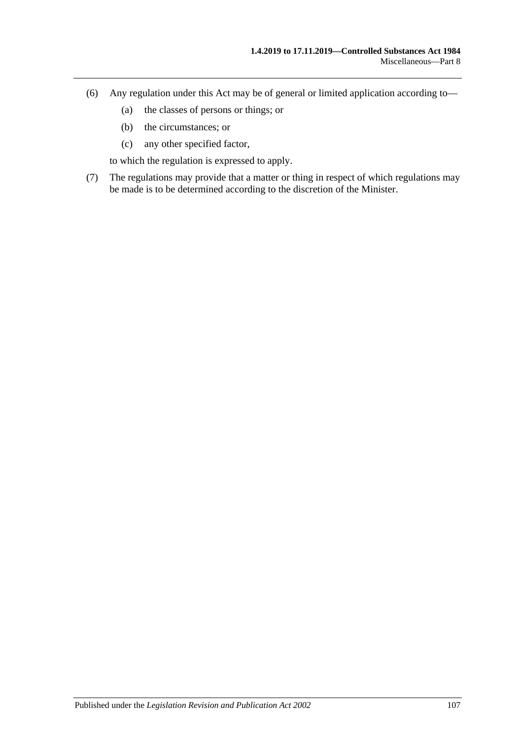- (6) Any regulation under this Act may be of general or limited application according to—
	- (a) the classes of persons or things; or
	- (b) the circumstances; or
	- (c) any other specified factor,

to which the regulation is expressed to apply.

(7) The regulations may provide that a matter or thing in respect of which regulations may be made is to be determined according to the discretion of the Minister.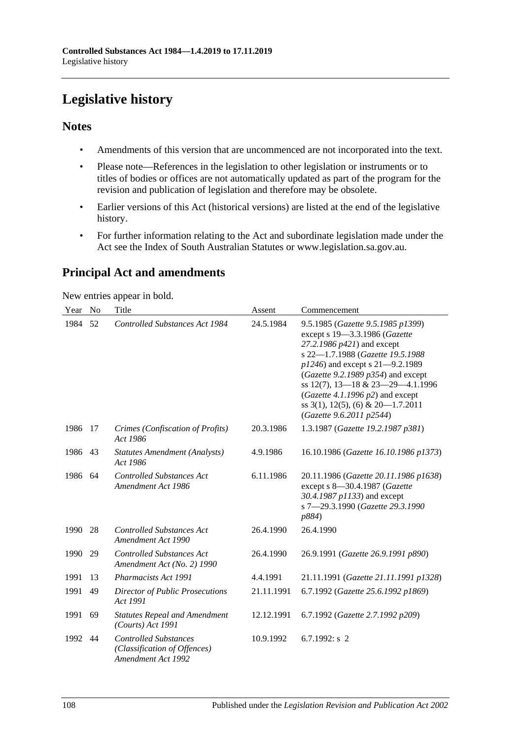# **Legislative history**

## **Notes**

- Amendments of this version that are uncommenced are not incorporated into the text.
- Please note—References in the legislation to other legislation or instruments or to titles of bodies or offices are not automatically updated as part of the program for the revision and publication of legislation and therefore may be obsolete.
- Earlier versions of this Act (historical versions) are listed at the end of the legislative history.
- For further information relating to the Act and subordinate legislation made under the Act see the Index of South Australian Statutes or www.legislation.sa.gov.au.

## **Principal Act and amendments**

New entries appear in bold.

| Year | N <sub>o</sub> | Title                                                                              | Assent     | Commencement                                                                                                                                                                                                                                                                                                                                                              |
|------|----------------|------------------------------------------------------------------------------------|------------|---------------------------------------------------------------------------------------------------------------------------------------------------------------------------------------------------------------------------------------------------------------------------------------------------------------------------------------------------------------------------|
| 1984 | 52             | Controlled Substances Act 1984                                                     | 24.5.1984  | 9.5.1985 (Gazette 9.5.1985 p1399)<br>except s 19-3.3.1986 (Gazette<br>27.2.1986 p421) and except<br>s 22-1.7.1988 (Gazette 19.5.1988<br>$p1246$ ) and except s 21-9.2.1989<br>(Gazette 9.2.1989 $p354$ ) and except<br>ss 12(7), 13-18 & 23-29-4.1.1996<br>(Gazette 4.1.1996 $p2$ ) and except<br>ss $3(1)$ , $12(5)$ , $(6)$ & $20-1.7.2011$<br>(Gazette 9.6.2011 p2544) |
| 1986 | 17             | Crimes (Confiscation of Profits)<br>Act 1986                                       | 20.3.1986  | 1.3.1987 (Gazette 19.2.1987 p381)                                                                                                                                                                                                                                                                                                                                         |
| 1986 | 43             | <b>Statutes Amendment (Analysts)</b><br>Act 1986                                   | 4.9.1986   | 16.10.1986 (Gazette 16.10.1986 p1373)                                                                                                                                                                                                                                                                                                                                     |
| 1986 | 64             | <b>Controlled Substances Act</b><br>Amendment Act 1986                             | 6.11.1986  | 20.11.1986 (Gazette 20.11.1986 p1638)<br>except s 8-30.4.1987 (Gazette<br>30.4.1987 p1133) and except<br>s 7-29.3.1990 (Gazette 29.3.1990<br>p884)                                                                                                                                                                                                                        |
| 1990 | 28             | <b>Controlled Substances Act</b><br>Amendment Act 1990                             | 26.4.1990  | 26.4.1990                                                                                                                                                                                                                                                                                                                                                                 |
| 1990 | 29             | <b>Controlled Substances Act</b><br>Amendment Act (No. 2) 1990                     | 26.4.1990  | 26.9.1991 (Gazette 26.9.1991 p890)                                                                                                                                                                                                                                                                                                                                        |
| 1991 | 13             | <b>Pharmacists Act 1991</b>                                                        | 4.4.1991   | 21.11.1991 (Gazette 21.11.1991 p1328)                                                                                                                                                                                                                                                                                                                                     |
| 1991 | 49             | <b>Director of Public Prosecutions</b><br>Act 1991                                 | 21.11.1991 | 6.7.1992 (Gazette 25.6.1992 p1869)                                                                                                                                                                                                                                                                                                                                        |
| 1991 | 69             | <b>Statutes Repeal and Amendment</b><br>(Courts) Act 1991                          | 12.12.1991 | 6.7.1992 (Gazette 2.7.1992 p209)                                                                                                                                                                                                                                                                                                                                          |
| 1992 | 44             | <b>Controlled Substances</b><br>(Classification of Offences)<br>Amendment Act 1992 | 10.9.1992  | 6.7.1992: $s$ 2                                                                                                                                                                                                                                                                                                                                                           |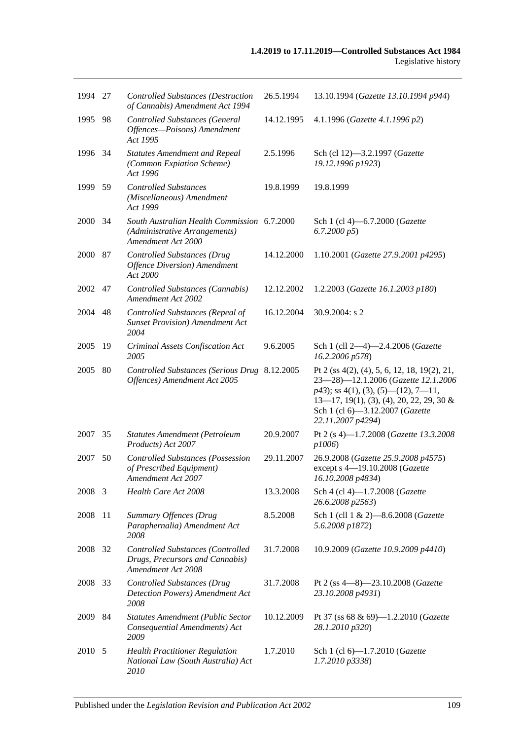| 1994 27 |    | <b>Controlled Substances (Destruction</b><br>of Cannabis) Amendment Act 1994                       | 26.5.1994  | 13.10.1994 (Gazette 13.10.1994 p944)                                                                                                                                                                                                |
|---------|----|----------------------------------------------------------------------------------------------------|------------|-------------------------------------------------------------------------------------------------------------------------------------------------------------------------------------------------------------------------------------|
| 1995    | 98 | <b>Controlled Substances (General</b><br>Offences-Poisons) Amendment<br>Act 1995                   | 14.12.1995 | 4.1.1996 (Gazette 4.1.1996 p2)                                                                                                                                                                                                      |
| 1996    | 34 | <b>Statutes Amendment and Repeal</b><br>(Common Expiation Scheme)<br>Act 1996                      | 2.5.1996   | Sch (cl 12)-3.2.1997 (Gazette<br>19.12.1996 p1923)                                                                                                                                                                                  |
| 1999    | 59 | <b>Controlled Substances</b><br>(Miscellaneous) Amendment<br>Act 1999                              | 19.8.1999  | 19.8.1999                                                                                                                                                                                                                           |
| 2000    | 34 | South Australian Health Commission 6.7.2000<br>(Administrative Arrangements)<br>Amendment Act 2000 |            | Sch 1 (cl 4)-6.7.2000 (Gazette<br>6.7.2000 p5                                                                                                                                                                                       |
| 2000    | 87 | <b>Controlled Substances (Drug</b><br><b>Offence Diversion</b> ) Amendment<br>Act 2000             | 14.12.2000 | 1.10.2001 (Gazette 27.9.2001 p4295)                                                                                                                                                                                                 |
| 2002    | 47 | Controlled Substances (Cannabis)<br>Amendment Act 2002                                             | 12.12.2002 | 1.2.2003 (Gazette 16.1.2003 p180)                                                                                                                                                                                                   |
| 2004    | 48 | Controlled Substances (Repeal of<br><b>Sunset Provision</b> ) Amendment Act<br>2004                | 16.12.2004 | 30.9.2004: $s$ 2                                                                                                                                                                                                                    |
| 2005    | 19 | Criminal Assets Confiscation Act<br>2005                                                           | 9.6.2005   | Sch 1 (cll 2-4)-2.4.2006 (Gazette<br>16.2.2006 p578)                                                                                                                                                                                |
| 2005    | 80 | Controlled Substances (Serious Drug 8.12.2005<br>Offences) Amendment Act 2005                      |            | Pt 2 (ss 4(2), (4), 5, 6, 12, 18, 19(2), 21,<br>23-28)-12.1.2006 (Gazette 12.1.2006<br>$p43$ ; ss 4(1), (3), (5)—(12), 7—11,<br>$13-17$ , 19(1), (3), (4), 20, 22, 29, 30 &<br>Sch 1 (cl 6)-3.12.2007 (Gazette<br>22.11.2007 p4294) |
| 2007    | 35 | <b>Statutes Amendment (Petroleum</b><br>Products) Act 2007                                         | 20.9.2007  | Pt 2 (s 4)-1.7.2008 (Gazette 13.3.2008<br>p1006                                                                                                                                                                                     |
| 2007    | 50 | <b>Controlled Substances (Possession</b><br>of Prescribed Equipment)<br>Amendment Act 2007         | 29.11.2007 | 26.9.2008 (Gazette 25.9.2008 p4575)<br>except s 4-19.10.2008 (Gazette<br>16.10.2008 p4834)                                                                                                                                          |
| 2008 3  |    | Health Care Act 2008                                                                               | 13.3.2008  | Sch 4 (cl 4)-1.7.2008 (Gazette<br>26.6.2008 p2563)                                                                                                                                                                                  |
| 2008    | 11 | Summary Offences (Drug<br>Paraphernalia) Amendment Act<br>2008                                     | 8.5.2008   | Sch 1 (cll 1 & 2)-8.6.2008 (Gazette<br>5.6.2008 p1872)                                                                                                                                                                              |
| 2008    | 32 | Controlled Substances (Controlled<br>Drugs, Precursors and Cannabis)<br>Amendment Act 2008         | 31.7.2008  | 10.9.2009 (Gazette 10.9.2009 p4410)                                                                                                                                                                                                 |
| 2008 33 |    | <b>Controlled Substances (Drug</b><br>Detection Powers) Amendment Act<br>2008                      | 31.7.2008  | Pt 2 (ss $4-8$ ) $-23.10.2008$ ( <i>Gazette</i><br>23.10.2008 p4931)                                                                                                                                                                |
| 2009    | 84 | <b>Statutes Amendment (Public Sector</b><br>Consequential Amendments) Act<br>2009                  | 10.12.2009 | Pt 37 (ss 68 & 69)-1.2.2010 (Gazette<br>28.1.2010 p320)                                                                                                                                                                             |
| 2010    | -5 | <b>Health Practitioner Regulation</b><br>National Law (South Australia) Act<br>2010                | 1.7.2010   | Sch 1 (cl 6)-1.7.2010 (Gazette<br>1.7.2010 p3338)                                                                                                                                                                                   |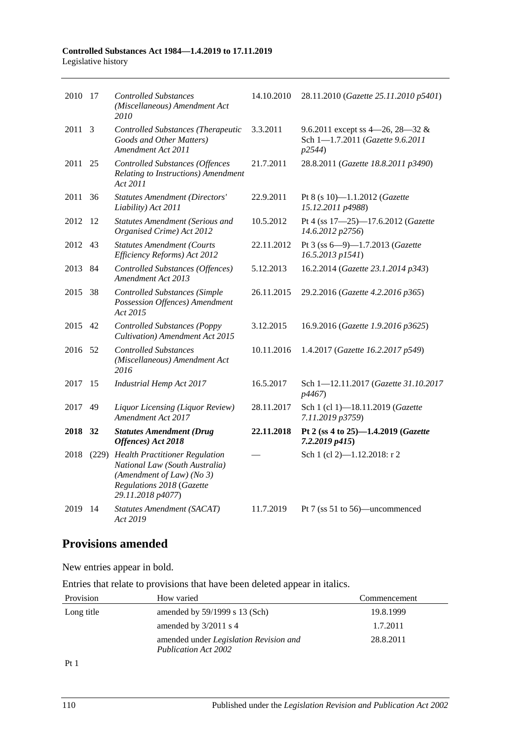| 2010 17 |       | <b>Controlled Substances</b><br>(Miscellaneous) Amendment Act<br>2010                                                                                  | 14.10.2010 | 28.11.2010 (Gazette 25.11.2010 p5401)                                          |
|---------|-------|--------------------------------------------------------------------------------------------------------------------------------------------------------|------------|--------------------------------------------------------------------------------|
| 2011    | - 3   | <b>Controlled Substances (Therapeutic</b><br>Goods and Other Matters)<br>Amendment Act 2011                                                            | 3.3.2011   | 9.6.2011 except ss 4–26, 28–32 &<br>Sch 1-1.7.2011 (Gazette 9.6.2011<br>p2544) |
| 2011    | 25    | <b>Controlled Substances (Offences</b><br>Relating to Instructions) Amendment<br>Act 2011                                                              | 21.7.2011  | 28.8.2011 (Gazette 18.8.2011 p3490)                                            |
| 2011    | 36    | <b>Statutes Amendment (Directors'</b><br>Liability) Act 2011                                                                                           | 22.9.2011  | Pt 8 (s 10)-1.1.2012 (Gazette<br>15.12.2011 p4988)                             |
| 2012    | 12    | <b>Statutes Amendment (Serious and</b><br>Organised Crime) Act 2012                                                                                    | 10.5.2012  | Pt 4 (ss 17-25)-17.6.2012 (Gazette<br>14.6.2012 p2756)                         |
| 2012    | 43    | <b>Statutes Amendment (Courts</b><br>Efficiency Reforms) Act 2012                                                                                      | 22.11.2012 | Pt 3 (ss 6-9)-1.7.2013 (Gazette<br>16.5.2013 p1541)                            |
| 2013    | 84    | Controlled Substances (Offences)<br>Amendment Act 2013                                                                                                 | 5.12.2013  | 16.2.2014 (Gazette 23.1.2014 p343)                                             |
| 2015    | 38    | <b>Controlled Substances (Simple</b><br>Possession Offences) Amendment<br>Act 2015                                                                     | 26.11.2015 | 29.2.2016 (Gazette 4.2.2016 p365)                                              |
| 2015    | 42    | <b>Controlled Substances (Poppy</b><br>Cultivation) Amendment Act 2015                                                                                 | 3.12.2015  | 16.9.2016 (Gazette 1.9.2016 p3625)                                             |
| 2016    | 52    | <b>Controlled Substances</b><br>(Miscellaneous) Amendment Act<br>2016                                                                                  | 10.11.2016 | 1.4.2017 (Gazette 16.2.2017 p549)                                              |
| 2017    | 15    | <b>Industrial Hemp Act 2017</b>                                                                                                                        | 16.5.2017  | Sch 1-12.11.2017 (Gazette 31.10.2017<br>p4467)                                 |
| 2017    | 49    | Liquor Licensing (Liquor Review)<br>Amendment Act 2017                                                                                                 | 28.11.2017 | Sch 1 (cl 1)-18.11.2019 (Gazette<br>7.11.2019 p3759)                           |
| 2018 32 |       | <b>Statutes Amendment (Drug</b><br>Offences) Act 2018                                                                                                  | 22.11.2018 | Pt 2 (ss 4 to 25)-1.4.2019 (Gazette<br>7.2.2019 p415)                          |
| 2018    | (229) | <b>Health Practitioner Regulation</b><br>National Law (South Australia)<br>(Amendment of Law) (No 3)<br>Regulations 2018 (Gazette<br>29.11.2018 p4077) |            | Sch 1 (cl 2)-1.12.2018: r 2                                                    |
| 2019    | 14    | <b>Statutes Amendment (SACAT)</b><br>Act 2019                                                                                                          | 11.7.2019  | Pt 7 (ss 51 to 56)—uncommenced                                                 |

## **Provisions amended**

New entries appear in bold.

Entries that relate to provisions that have been deleted appear in italics.

| Provision  | How varied                                                                   | Commencement |
|------------|------------------------------------------------------------------------------|--------------|
| Long title | amended by $59/1999$ s 13 (Sch)                                              | 19.8.1999    |
|            | amended by $3/2011$ s 4                                                      | 1.7.2011     |
|            | amended under <i>Legislation Revision and</i><br><b>Publication Act 2002</b> | 28.8.2011    |

Pt 1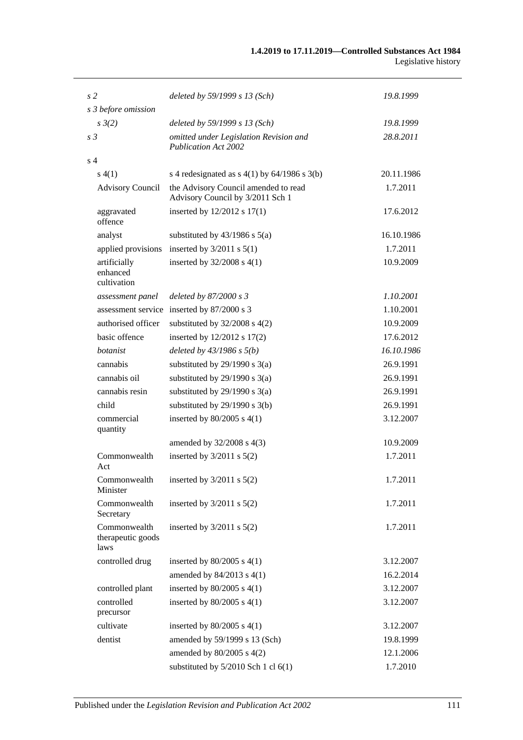| s <sub>2</sub>                            | deleted by 59/1999 s 13 (Sch)                                            | 19.8.1999  |
|-------------------------------------------|--------------------------------------------------------------------------|------------|
| s 3 before omission                       |                                                                          |            |
| $s \frac{3}{2}$                           | deleted by $59/1999 s 13$ (Sch)                                          | 19.8.1999  |
| s <sub>3</sub>                            | omitted under Legislation Revision and<br><b>Publication Act 2002</b>    | 28.8.2011  |
| s <sub>4</sub>                            |                                                                          |            |
| s(4(1))                                   | s 4 redesignated as $s$ 4(1) by 64/1986 s 3(b)                           | 20.11.1986 |
| <b>Advisory Council</b>                   | the Advisory Council amended to read<br>Advisory Council by 3/2011 Sch 1 | 1.7.2011   |
| aggravated<br>offence                     | inserted by 12/2012 s 17(1)                                              | 17.6.2012  |
| analyst                                   | substituted by $43/1986$ s $5(a)$                                        | 16.10.1986 |
| applied provisions                        | inserted by $3/2011$ s $5(1)$                                            | 1.7.2011   |
| artificially<br>enhanced<br>cultivation   | inserted by $32/2008$ s $4(1)$                                           | 10.9.2009  |
| assessment panel                          | deleted by 87/2000 s 3                                                   | 1.10.2001  |
|                                           | assessment service inserted by 87/2000 s 3                               | 1.10.2001  |
| authorised officer                        | substituted by $32/2008$ s $4(2)$                                        | 10.9.2009  |
| basic offence                             | inserted by $12/2012$ s $17(2)$                                          | 17.6.2012  |
| botanist                                  | deleted by $43/1986 s 5(b)$                                              | 16.10.1986 |
| cannabis                                  | substituted by $29/1990$ s $3(a)$                                        | 26.9.1991  |
| cannabis oil                              | substituted by $29/1990$ s $3(a)$                                        | 26.9.1991  |
| cannabis resin                            | substituted by $29/1990$ s $3(a)$                                        | 26.9.1991  |
| child                                     | substituted by $29/1990$ s $3(b)$                                        | 26.9.1991  |
| commercial<br>quantity                    | inserted by $80/2005$ s $4(1)$                                           | 3.12.2007  |
|                                           | amended by 32/2008 s 4(3)                                                | 10.9.2009  |
| Commonwealth<br>Act                       | inserted by $3/2011$ s $5(2)$                                            | 1.7.2011   |
| Commonwealth<br>Minister                  | inserted by $3/2011$ s $5(2)$                                            | 1.7.2011   |
| Commonwealth<br>Secretary                 | inserted by $3/2011$ s $5(2)$                                            | 1.7.2011   |
| Commonwealth<br>therapeutic goods<br>laws | inserted by $3/2011$ s $5(2)$                                            | 1.7.2011   |
| controlled drug                           | inserted by $80/2005$ s $4(1)$                                           | 3.12.2007  |
|                                           | amended by $84/2013$ s $4(1)$                                            | 16.2.2014  |
| controlled plant                          | inserted by $80/2005$ s $4(1)$                                           | 3.12.2007  |
| controlled<br>precursor                   | inserted by $80/2005$ s $4(1)$                                           | 3.12.2007  |
| cultivate                                 | inserted by $80/2005$ s $4(1)$                                           | 3.12.2007  |
| dentist                                   | amended by 59/1999 s 13 (Sch)                                            | 19.8.1999  |
|                                           | amended by $80/2005$ s $4(2)$                                            | 12.1.2006  |
|                                           | substituted by 5/2010 Sch 1 cl 6(1)                                      | 1.7.2010   |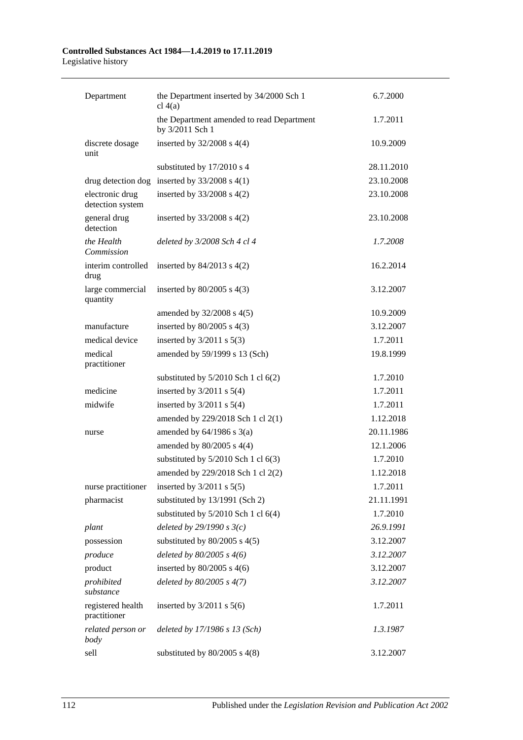# **Controlled Substances Act 1984—1.4.2019 to 17.11.2019**

Legislative history

| Department                          | the Department inserted by 34/2000 Sch 1<br>cl $4(a)$        | 6.7.2000   |
|-------------------------------------|--------------------------------------------------------------|------------|
|                                     | the Department amended to read Department<br>by 3/2011 Sch 1 | 1.7.2011   |
| discrete dosage<br>unit             | inserted by $32/2008$ s $4(4)$                               | 10.9.2009  |
|                                     | substituted by 17/2010 s 4                                   | 28.11.2010 |
| drug detection dog                  | inserted by $33/2008$ s 4(1)                                 | 23.10.2008 |
| electronic drug<br>detection system | inserted by 33/2008 s 4(2)                                   | 23.10.2008 |
| general drug<br>detection           | inserted by $33/2008$ s $4(2)$                               | 23.10.2008 |
| the Health<br>Commission            | deleted by 3/2008 Sch 4 cl 4                                 | 1.7.2008   |
| interim controlled<br>drug          | inserted by $84/2013$ s $4(2)$                               | 16.2.2014  |
| large commercial<br>quantity        | inserted by $80/2005$ s $4(3)$                               | 3.12.2007  |
|                                     | amended by $32/2008$ s $4(5)$                                | 10.9.2009  |
| manufacture                         | inserted by $80/2005$ s $4(3)$                               | 3.12.2007  |
| medical device                      | inserted by $3/2011$ s $5(3)$                                | 1.7.2011   |
| medical<br>practitioner             | amended by 59/1999 s 13 (Sch)                                | 19.8.1999  |
|                                     | substituted by $5/2010$ Sch 1 cl $6(2)$                      | 1.7.2010   |
| medicine                            | inserted by $3/2011$ s $5(4)$                                | 1.7.2011   |
| midwife                             | inserted by $3/2011$ s $5(4)$                                | 1.7.2011   |
|                                     | amended by 229/2018 Sch 1 cl 2(1)                            | 1.12.2018  |
| nurse                               | amended by $64/1986$ s $3(a)$                                | 20.11.1986 |
|                                     | amended by 80/2005 s 4(4)                                    | 12.1.2006  |
|                                     | substituted by $5/2010$ Sch 1 cl $6(3)$                      | 1.7.2010   |
|                                     | amended by 229/2018 Sch 1 cl 2(2)                            | 1.12.2018  |
| nurse practitioner                  | inserted by $3/2011$ s $5(5)$                                | 1.7.2011   |
| pharmacist                          | substituted by 13/1991 (Sch 2)                               | 21.11.1991 |
|                                     | substituted by $5/2010$ Sch 1 cl $6(4)$                      | 1.7.2010   |
| plant                               | deleted by $29/1990 s3(c)$                                   | 26.9.1991  |
| possession                          | substituted by $80/2005$ s $4(5)$                            | 3.12.2007  |
| produce                             | deleted by $80/2005$ s $4(6)$                                | 3.12.2007  |
| product                             | inserted by $80/2005$ s $4(6)$                               | 3.12.2007  |
| prohibited<br>substance             | deleted by $80/2005$ s $4(7)$                                | 3.12.2007  |
| registered health<br>practitioner   | inserted by $3/2011$ s $5(6)$                                | 1.7.2011   |
| related person or<br>body           | deleted by 17/1986 s 13 (Sch)                                | 1.3.1987   |
| sell                                | substituted by $80/2005$ s $4(8)$                            | 3.12.2007  |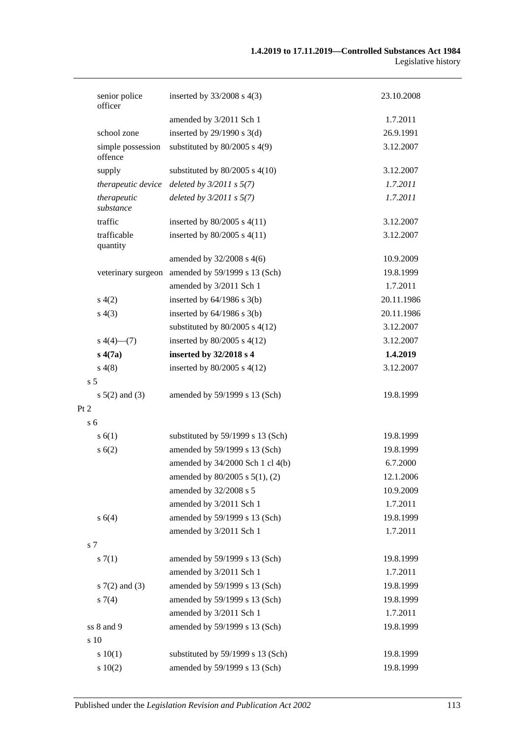| senior police<br>officer     | inserted by $33/2008$ s 4(3)                     | 23.10.2008 |
|------------------------------|--------------------------------------------------|------------|
|                              | amended by 3/2011 Sch 1                          | 1.7.2011   |
| school zone                  | inserted by $29/1990$ s $3(d)$                   | 26.9.1991  |
| simple possession<br>offence | substituted by $80/2005$ s 4(9)                  | 3.12.2007  |
| supply                       | substituted by $80/2005$ s $4(10)$               | 3.12.2007  |
| therapeutic device           | deleted by $3/2011$ s $5(7)$                     | 1.7.2011   |
| therapeutic<br>substance     | deleted by $3/2011 s 5(7)$                       | 1.7.2011   |
| traffic                      | inserted by 80/2005 s 4(11)                      | 3.12.2007  |
| trafficable<br>quantity      | inserted by 80/2005 s 4(11)                      | 3.12.2007  |
|                              | amended by $32/2008$ s 4(6)                      | 10.9.2009  |
|                              | veterinary surgeon amended by 59/1999 s 13 (Sch) | 19.8.1999  |
|                              | amended by 3/2011 Sch 1                          | 1.7.2011   |
| s(4(2)                       | inserted by $64/1986$ s $3(b)$                   | 20.11.1986 |
| s(4(3))                      | inserted by $64/1986$ s $3(b)$                   | 20.11.1986 |
|                              | substituted by $80/2005$ s $4(12)$               | 3.12.2007  |
| $s\ 4(4)$ (7)                | inserted by $80/2005$ s $4(12)$                  | 3.12.2007  |
| s(4(7a))                     | inserted by 32/2018 s 4                          | 1.4.2019   |
| s(4(8)                       | inserted by $80/2005$ s $4(12)$                  | 3.12.2007  |
| s <sub>5</sub>               |                                                  |            |
| $s\ 5(2)$ and (3)            | amended by 59/1999 s 13 (Sch)                    | 19.8.1999  |
| Pt 2                         |                                                  |            |
| s <sub>6</sub>               |                                                  |            |
| s(6(1))                      | substituted by 59/1999 s 13 (Sch)                | 19.8.1999  |
| s(6(2))                      | amended by 59/1999 s 13 (Sch)                    | 19.8.1999  |
|                              | amended by 34/2000 Sch 1 cl 4(b)                 | 6.7.2000   |
|                              | amended by $80/2005$ s $5(1)$ , (2)              | 12.1.2006  |
|                              | amended by 32/2008 s 5                           | 10.9.2009  |
|                              | amended by 3/2011 Sch 1                          | 1.7.2011   |
| s 6(4)                       | amended by 59/1999 s 13 (Sch)                    | 19.8.1999  |
|                              | amended by 3/2011 Sch 1                          | 1.7.2011   |
| s 7                          |                                                  |            |
| s(7(1)                       | amended by 59/1999 s 13 (Sch)                    | 19.8.1999  |
|                              | amended by 3/2011 Sch 1                          | 1.7.2011   |
| $s \, 7(2)$ and (3)          | amended by 59/1999 s 13 (Sch)                    | 19.8.1999  |
| $s \, 7(4)$                  | amended by 59/1999 s 13 (Sch)                    | 19.8.1999  |
|                              | amended by 3/2011 Sch 1                          | 1.7.2011   |
| ss 8 and 9                   | amended by 59/1999 s 13 (Sch)                    | 19.8.1999  |
| s 10                         |                                                  |            |
| 10(1)                        | substituted by 59/1999 s 13 (Sch)                | 19.8.1999  |
| 10(2)                        | amended by 59/1999 s 13 (Sch)                    | 19.8.1999  |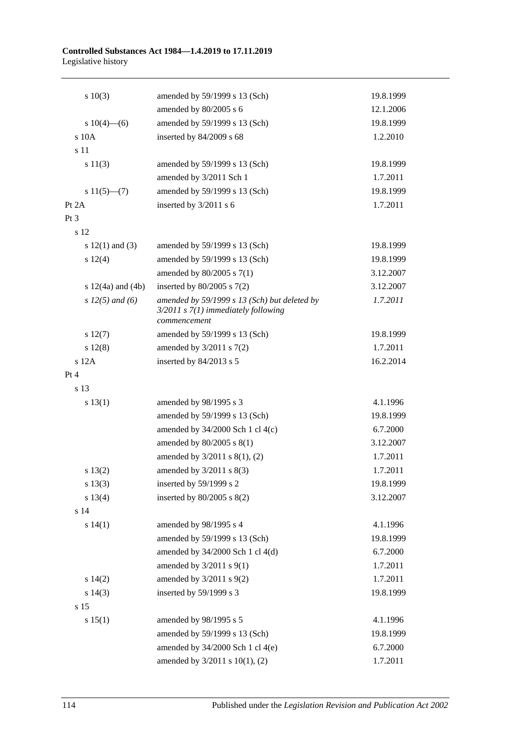| 10(3)                 | amended by 59/1999 s 13 (Sch)                                                                           | 19.8.1999 |
|-----------------------|---------------------------------------------------------------------------------------------------------|-----------|
|                       | amended by 80/2005 s 6                                                                                  | 12.1.2006 |
| s $10(4)$ —(6)        | amended by 59/1999 s 13 (Sch)                                                                           | 19.8.1999 |
| s 10A                 | inserted by 84/2009 s 68                                                                                | 1.2.2010  |
| s 11                  |                                                                                                         |           |
| s 11(3)               | amended by 59/1999 s 13 (Sch)                                                                           | 19.8.1999 |
|                       | amended by 3/2011 Sch 1                                                                                 | 1.7.2011  |
| s $11(5)$ — $(7)$     | amended by 59/1999 s 13 (Sch)                                                                           | 19.8.1999 |
| Pt 2A                 | inserted by 3/2011 s 6                                                                                  | 1.7.2011  |
| Pt 3                  |                                                                                                         |           |
| s 12                  |                                                                                                         |           |
| s $12(1)$ and $(3)$   | amended by 59/1999 s 13 (Sch)                                                                           | 19.8.1999 |
| s 12(4)               | amended by 59/1999 s 13 (Sch)                                                                           | 19.8.1999 |
|                       | amended by $80/2005$ s $7(1)$                                                                           | 3.12.2007 |
| s $12(4a)$ and $(4b)$ | inserted by $80/2005$ s $7(2)$                                                                          | 3.12.2007 |
| s $12(5)$ and (6)     | amended by 59/1999 s 13 (Sch) but deleted by<br>$3/2011$ s $7(1)$ immediately following<br>commencement | 1.7.2011  |
| $s\ 12(7)$            | amended by 59/1999 s 13 (Sch)                                                                           | 19.8.1999 |
| $s\ 12(8)$            | amended by $3/2011$ s $7(2)$                                                                            | 1.7.2011  |
| s 12A                 | inserted by 84/2013 s 5                                                                                 | 16.2.2014 |
| Pt 4                  |                                                                                                         |           |
| s 13                  |                                                                                                         |           |
| s 13(1)               | amended by 98/1995 s 3                                                                                  | 4.1.1996  |
|                       | amended by 59/1999 s 13 (Sch)                                                                           | 19.8.1999 |
|                       | amended by $34/2000$ Sch 1 cl $4(c)$                                                                    | 6.7.2000  |
|                       | amended by 80/2005 s 8(1)                                                                               | 3.12.2007 |
|                       | amended by 3/2011 s 8(1), (2)                                                                           | 1.7.2011  |
| s 13(2)               | amended by $3/2011$ s $8(3)$                                                                            | 1.7.2011  |
| s 13(3)               | inserted by 59/1999 s 2                                                                                 | 19.8.1999 |
| s 13(4)               | inserted by $80/2005$ s $8(2)$                                                                          | 3.12.2007 |
| s 14                  |                                                                                                         |           |
| s 14(1)               | amended by 98/1995 s 4                                                                                  | 4.1.1996  |
|                       | amended by 59/1999 s 13 (Sch)                                                                           | 19.8.1999 |
|                       | amended by 34/2000 Sch 1 cl 4(d)                                                                        | 6.7.2000  |
|                       | amended by $3/2011$ s $9(1)$                                                                            | 1.7.2011  |
| s 14(2)               | amended by $3/2011$ s $9(2)$                                                                            | 1.7.2011  |
| $s\ 14(3)$            | inserted by 59/1999 s 3                                                                                 | 19.8.1999 |
| s 15                  |                                                                                                         |           |
| s 15(1)               | amended by 98/1995 s 5                                                                                  | 4.1.1996  |
|                       | amended by 59/1999 s 13 (Sch)                                                                           | 19.8.1999 |
|                       | amended by $34/2000$ Sch 1 cl 4(e)                                                                      | 6.7.2000  |
|                       | amended by 3/2011 s 10(1), (2)                                                                          | 1.7.2011  |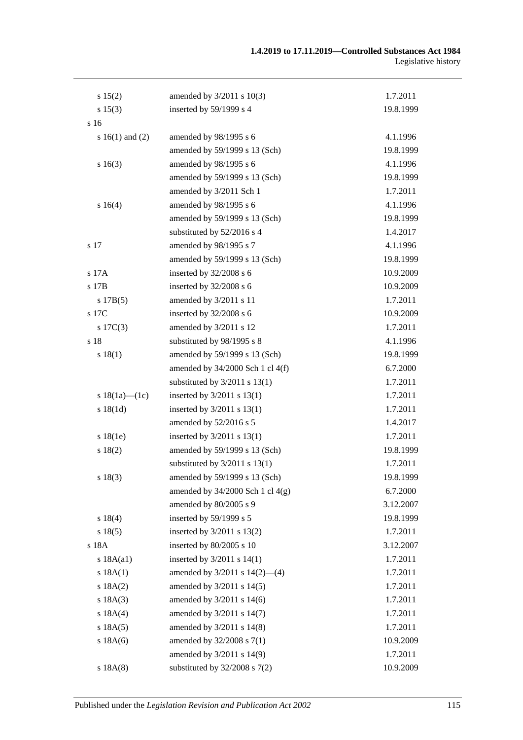| s 15(2)             | amended by 3/2011 s 10(3)            | 1.7.2011  |
|---------------------|--------------------------------------|-----------|
| s 15(3)             | inserted by 59/1999 s 4              | 19.8.1999 |
| s 16                |                                      |           |
| s $16(1)$ and $(2)$ | amended by 98/1995 s 6               | 4.1.1996  |
|                     | amended by 59/1999 s 13 (Sch)        | 19.8.1999 |
| s16(3)              | amended by 98/1995 s 6               | 4.1.1996  |
|                     | amended by 59/1999 s 13 (Sch)        | 19.8.1999 |
|                     | amended by 3/2011 Sch 1              | 1.7.2011  |
| s 16(4)             | amended by 98/1995 s 6               | 4.1.1996  |
|                     | amended by 59/1999 s 13 (Sch)        | 19.8.1999 |
|                     | substituted by 52/2016 s 4           | 1.4.2017  |
| s 17                | amended by 98/1995 s 7               | 4.1.1996  |
|                     | amended by 59/1999 s 13 (Sch)        | 19.8.1999 |
| s 17A               | inserted by 32/2008 s 6              | 10.9.2009 |
| s 17B               | inserted by 32/2008 s 6              | 10.9.2009 |
| s 17B(5)            | amended by 3/2011 s 11               | 1.7.2011  |
| s 17C               | inserted by 32/2008 s 6              | 10.9.2009 |
| s $17C(3)$          | amended by 3/2011 s 12               | 1.7.2011  |
| s 18                | substituted by 98/1995 s 8           | 4.1.1996  |
| s 18(1)             | amended by 59/1999 s 13 (Sch)        | 19.8.1999 |
|                     | amended by $34/2000$ Sch 1 cl $4(f)$ | 6.7.2000  |
|                     | substituted by $3/2011$ s $13(1)$    | 1.7.2011  |
| s $18(1a)$ — $(1c)$ | inserted by $3/2011$ s $13(1)$       | 1.7.2011  |
| s18(1d)             | inserted by $3/2011$ s $13(1)$       | 1.7.2011  |
|                     | amended by 52/2016 s 5               | 1.4.2017  |
| s 18(1e)            | inserted by 3/2011 s 13(1)           | 1.7.2011  |
| s 18(2)             | amended by 59/1999 s 13 (Sch)        | 19.8.1999 |
|                     | substituted by $3/2011$ s $13(1)$    | 1.7.2011  |
| s 18(3)             | amended by 59/1999 s 13 (Sch)        | 19.8.1999 |
|                     | amended by $34/2000$ Sch 1 cl $4(g)$ | 6.7.2000  |
|                     | amended by 80/2005 s 9               | 3.12.2007 |
| s 18(4)             | inserted by 59/1999 s 5              | 19.8.1999 |
| s 18(5)             | inserted by 3/2011 s 13(2)           | 1.7.2011  |
| s 18A               | inserted by 80/2005 s 10             | 3.12.2007 |
| s 18A(a1)           | inserted by $3/2011$ s $14(1)$       | 1.7.2011  |
| s 18A(1)            | amended by $3/2011$ s $14(2)$ —(4)   | 1.7.2011  |
| s 18A(2)            | amended by 3/2011 s 14(5)            | 1.7.2011  |
| s 18A(3)            | amended by 3/2011 s 14(6)            | 1.7.2011  |
| s 18A(4)            | amended by 3/2011 s 14(7)            | 1.7.2011  |
| s 18A(5)            | amended by 3/2011 s 14(8)            | 1.7.2011  |
| s 18A(6)            | amended by 32/2008 s 7(1)            | 10.9.2009 |
|                     | amended by 3/2011 s 14(9)            | 1.7.2011  |
| s 18A(8)            | substituted by $32/2008$ s $7(2)$    | 10.9.2009 |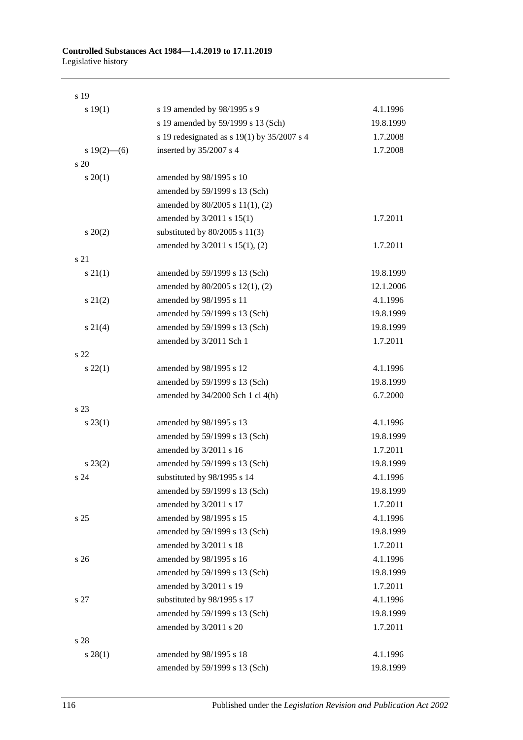| s 19            |                                             |           |
|-----------------|---------------------------------------------|-----------|
| s 19(1)         | s 19 amended by 98/1995 s 9                 | 4.1.1996  |
|                 | s 19 amended by 59/1999 s 13 (Sch)          | 19.8.1999 |
|                 | s 19 redesignated as s 19(1) by 35/2007 s 4 | 1.7.2008  |
| s $19(2)$ —(6)  | inserted by 35/2007 s 4                     | 1.7.2008  |
| s 20            |                                             |           |
| $s \ 20(1)$     | amended by 98/1995 s 10                     |           |
|                 | amended by 59/1999 s 13 (Sch)               |           |
|                 | amended by 80/2005 s 11(1), (2)             |           |
|                 | amended by $3/2011$ s $15(1)$               | 1.7.2011  |
| $s \ 20(2)$     | substituted by $80/2005$ s $11(3)$          |           |
|                 | amended by $3/2011$ s $15(1)$ , (2)         | 1.7.2011  |
| s 21            |                                             |           |
| $s \, 21(1)$    | amended by 59/1999 s 13 (Sch)               | 19.8.1999 |
|                 | amended by 80/2005 s 12(1), (2)             | 12.1.2006 |
| $s\ 21(2)$      | amended by 98/1995 s 11                     | 4.1.1996  |
|                 | amended by 59/1999 s 13 (Sch)               | 19.8.1999 |
| $s \ 21(4)$     | amended by 59/1999 s 13 (Sch)               | 19.8.1999 |
|                 | amended by 3/2011 Sch 1                     | 1.7.2011  |
| s <sub>22</sub> |                                             |           |
| $s\,22(1)$      | amended by 98/1995 s 12                     | 4.1.1996  |
|                 | amended by 59/1999 s 13 (Sch)               | 19.8.1999 |
|                 | amended by 34/2000 Sch 1 cl 4(h)            | 6.7.2000  |
| s 23            |                                             |           |
| $s\,23(1)$      | amended by 98/1995 s 13                     | 4.1.1996  |
|                 | amended by 59/1999 s 13 (Sch)               | 19.8.1999 |
|                 | amended by 3/2011 s 16                      | 1.7.2011  |
| $s\,23(2)$      | amended by 59/1999 s 13 (Sch)               | 19.8.1999 |
| s 24            | substituted by 98/1995 s 14                 | 4.1.1996  |
|                 | amended by 59/1999 s 13 (Sch)               | 19.8.1999 |
|                 | amended by 3/2011 s 17                      | 1.7.2011  |
| s <sub>25</sub> | amended by 98/1995 s 15                     | 4.1.1996  |
|                 | amended by 59/1999 s 13 (Sch)               | 19.8.1999 |
|                 | amended by 3/2011 s 18                      | 1.7.2011  |
| s <sub>26</sub> | amended by 98/1995 s 16                     | 4.1.1996  |
|                 | amended by 59/1999 s 13 (Sch)               | 19.8.1999 |
|                 | amended by 3/2011 s 19                      | 1.7.2011  |
| s 27            | substituted by 98/1995 s 17                 | 4.1.1996  |
|                 | amended by 59/1999 s 13 (Sch)               | 19.8.1999 |
|                 | amended by 3/2011 s 20                      | 1.7.2011  |
| s 28            |                                             |           |
| s 28(1)         | amended by 98/1995 s 18                     | 4.1.1996  |
|                 | amended by 59/1999 s 13 (Sch)               | 19.8.1999 |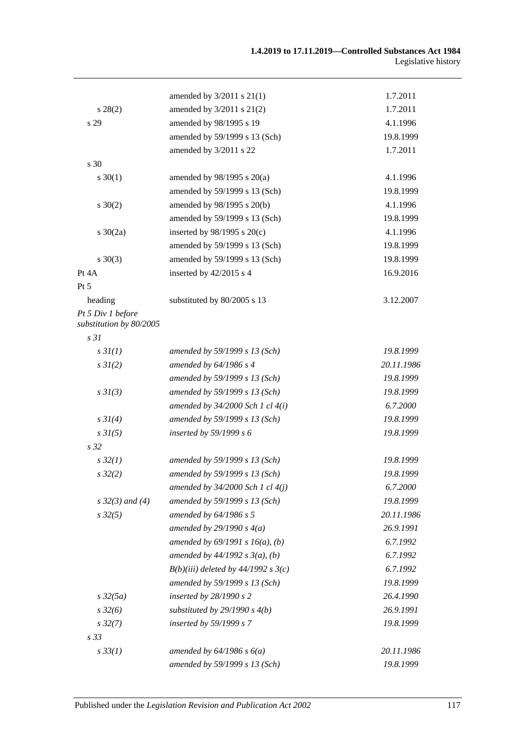|                                              | amended by $3/2011$ s $21(1)$         | 1.7.2011   |
|----------------------------------------------|---------------------------------------|------------|
| $s\,28(2)$                                   | amended by 3/2011 s 21(2)             | 1.7.2011   |
| s 29                                         | amended by 98/1995 s 19               | 4.1.1996   |
|                                              | amended by 59/1999 s 13 (Sch)         | 19.8.1999  |
|                                              | amended by 3/2011 s 22                | 1.7.2011   |
| s 30                                         |                                       |            |
| $s \ 30(1)$                                  | amended by 98/1995 s 20(a)            | 4.1.1996   |
|                                              | amended by 59/1999 s 13 (Sch)         | 19.8.1999  |
| $s \ 30(2)$                                  | amended by 98/1995 s 20(b)            | 4.1.1996   |
|                                              | amended by 59/1999 s 13 (Sch)         | 19.8.1999  |
| $s \ 30(2a)$                                 | inserted by $98/1995$ s $20(c)$       | 4.1.1996   |
|                                              | amended by 59/1999 s 13 (Sch)         | 19.8.1999  |
| $s \ 30(3)$                                  | amended by 59/1999 s 13 (Sch)         | 19.8.1999  |
| Pt 4A                                        | inserted by $42/2015$ s 4             | 16.9.2016  |
| Pt 5                                         |                                       |            |
| heading                                      | substituted by 80/2005 s 13           | 3.12.2007  |
| Pt 5 Div 1 before<br>substitution by 80/2005 |                                       |            |
| s <sub>31</sub>                              |                                       |            |
| s3I(1)                                       | amended by 59/1999 s 13 (Sch)         | 19.8.1999  |
| $s \, 3I(2)$                                 | amended by 64/1986 s 4                | 20.11.1986 |
|                                              | amended by 59/1999 s 13 (Sch)         | 19.8.1999  |
| $s \frac{3I(3)}{3}$                          | amended by 59/1999 s 13 (Sch)         | 19.8.1999  |
|                                              | amended by $34/2000$ Sch 1 cl $4(i)$  | 6.7.2000   |
| $s \, 3I(4)$                                 | amended by 59/1999 s 13 (Sch)         | 19.8.1999  |
| $s \, 3I(5)$                                 | inserted by $59/1999 s 6$             | 19.8.1999  |
| s <sub>32</sub>                              |                                       |            |
| $s\,32(1)$                                   | amended by 59/1999 s 13 (Sch)         | 19.8.1999  |
| $s\,32(2)$                                   | amended by 59/1999 s 13 (Sch)         | 19.8.1999  |
|                                              | amended by $34/2000$ Sch 1 cl $4(j)$  | 6.7.2000   |
| $s \, 32(3)$ and (4)                         | amended by 59/1999 s 13 (Sch)         | 19.8.1999  |
| $s\,32(5)$                                   | amended by 64/1986 s 5                | 20.11.1986 |
|                                              | amended by $29/1990 s 4(a)$           | 26.9.1991  |
|                                              | amended by $69/1991 s 16(a)$ , (b)    | 6.7.1992   |
|                                              | amended by $44/1992 s 3(a), (b)$      | 6.7.1992   |
|                                              | $B(b)(iii)$ deleted by 44/1992 s 3(c) | 6.7.1992   |
|                                              | amended by 59/1999 s 13 (Sch)         | 19.8.1999  |
| $s\,32(5a)$                                  | inserted by $28/1990 s 2$             | 26.4.1990  |
| $s\,32(6)$                                   | substituted by $29/1990 s 4(b)$       | 26.9.1991  |
| $s\,32(7)$                                   | inserted by 59/1999 s 7               | 19.8.1999  |
| s <sub>33</sub>                              |                                       |            |
| $s \, 33(1)$                                 | amended by $64/1986$ s $6(a)$         | 20.11.1986 |
|                                              | amended by 59/1999 s 13 (Sch)         | 19.8.1999  |
|                                              |                                       |            |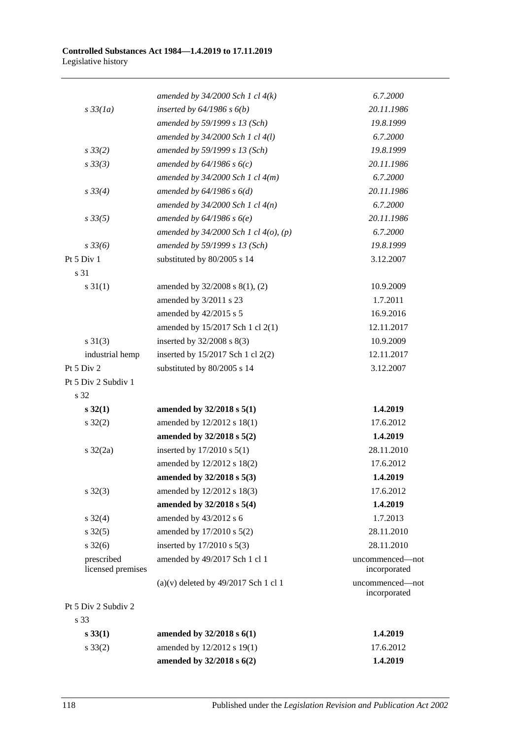|                                 | amended by $34/2000$ Sch 1 cl $4(k)$       | 6.7.2000                        |
|---------------------------------|--------------------------------------------|---------------------------------|
| $s\,33(1a)$                     | inserted by $64/1986$ s $6(b)$             | 20.11.1986                      |
|                                 | amended by 59/1999 s 13 (Sch)              | 19.8.1999                       |
|                                 | amended by 34/2000 Sch 1 cl 4(l)           | 6.7.2000                        |
| $s \, 33(2)$                    | amended by 59/1999 s 13 (Sch)              | 19.8.1999                       |
| $s \, 33(3)$                    | amended by $64/1986 s 6(c)$                | 20.11.1986                      |
|                                 | amended by $34/2000$ Sch 1 cl $4(m)$       | 6.7.2000                        |
| $s \, 33(4)$                    | amended by $64/1986 s 6(d)$                | 20.11.1986                      |
|                                 | amended by $34/2000$ Sch 1 cl $4(n)$       | 6.7.2000                        |
| $s \, 33(5)$                    | amended by $64/1986 s 6(e)$                | 20.11.1986                      |
|                                 | amended by $34/2000$ Sch 1 cl $4(0)$ , (p) | 6.7.2000                        |
| $s \frac{33}{6}$                | amended by 59/1999 s 13 (Sch)              | 19.8.1999                       |
| Pt 5 Div 1                      | substituted by 80/2005 s 14                | 3.12.2007                       |
| s 31                            |                                            |                                 |
| $s \, 31(1)$                    | amended by $32/2008$ s $8(1)$ , (2)        | 10.9.2009                       |
|                                 | amended by 3/2011 s 23                     | 1.7.2011                        |
|                                 | amended by 42/2015 s 5                     | 16.9.2016                       |
|                                 | amended by 15/2017 Sch 1 cl 2(1)           | 12.11.2017                      |
| $s \ 31(3)$                     | inserted by 32/2008 s 8(3)                 | 10.9.2009                       |
| industrial hemp                 | inserted by 15/2017 Sch 1 cl 2(2)          | 12.11.2017                      |
| Pt 5 Div 2                      | substituted by 80/2005 s 14                | 3.12.2007                       |
| Pt 5 Div 2 Subdiv 1             |                                            |                                 |
| s 32                            |                                            |                                 |
| $s\,32(1)$                      | amended by $32/2018$ s $5(1)$              | 1.4.2019                        |
| $s \, 32(2)$                    | amended by 12/2012 s 18(1)                 | 17.6.2012                       |
|                                 | amended by 32/2018 s 5(2)                  | 1.4.2019                        |
| $s \frac{32}{2a}$               | inserted by 17/2010 s 5(1)                 | 28.11.2010                      |
|                                 | amended by 12/2012 s 18(2)                 | 17.6.2012                       |
|                                 | amended by 32/2018 s 5(3)                  | 1.4.2019                        |
| $s \, 32(3)$                    | amended by 12/2012 s 18(3)                 | 17.6.2012                       |
|                                 | amended by 32/2018 s 5(4)                  | 1.4.2019                        |
| $s \frac{32(4)}{2}$             | amended by 43/2012 s 6                     | 1.7.2013                        |
| $s \, 32(5)$                    | amended by 17/2010 s 5(2)                  | 28.11.2010                      |
| $s \, 32(6)$                    | inserted by $17/2010$ s $5(3)$             | 28.11.2010                      |
| prescribed<br>licensed premises | amended by 49/2017 Sch 1 cl 1              | uncommenced—not<br>incorporated |
|                                 | $(a)(v)$ deleted by 49/2017 Sch 1 cl 1     | uncommenced-not<br>incorporated |
| Pt 5 Div 2 Subdiv 2             |                                            |                                 |
| s 33                            |                                            |                                 |
| $s\,33(1)$                      | amended by $32/2018$ s $6(1)$              | 1.4.2019                        |
| $s \, 33(2)$                    | amended by 12/2012 s 19(1)                 | 17.6.2012                       |
|                                 | amended by 32/2018 s 6(2)                  | 1.4.2019                        |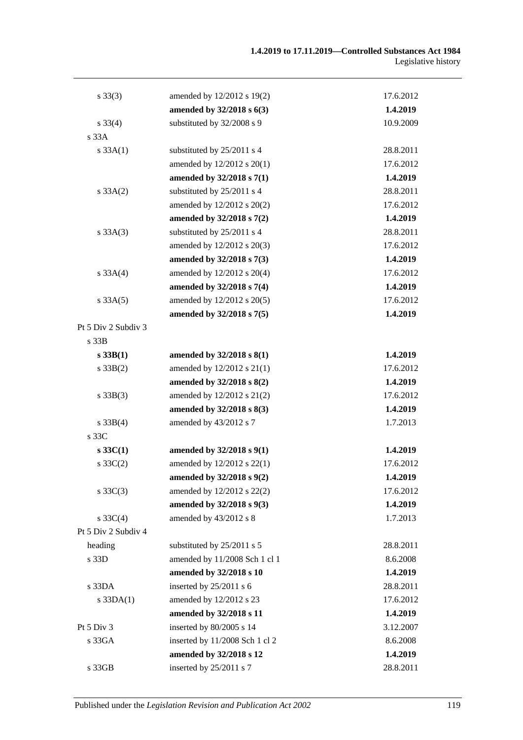| $s \, 33(3)$        | amended by 12/2012 s 19(2)     | 17.6.2012 |
|---------------------|--------------------------------|-----------|
|                     | amended by 32/2018 s 6(3)      | 1.4.2019  |
| $s \, 33(4)$        | substituted by 32/2008 s 9     | 10.9.2009 |
| s 33A               |                                |           |
| s 33A(1)            | substituted by 25/2011 s 4     | 28.8.2011 |
|                     | amended by 12/2012 s 20(1)     | 17.6.2012 |
|                     | amended by 32/2018 s 7(1)      | 1.4.2019  |
| s 33A(2)            | substituted by 25/2011 s 4     | 28.8.2011 |
|                     | amended by 12/2012 s 20(2)     | 17.6.2012 |
|                     | amended by 32/2018 s 7(2)      | 1.4.2019  |
| $s \, 33A(3)$       | substituted by 25/2011 s 4     | 28.8.2011 |
|                     | amended by 12/2012 s 20(3)     | 17.6.2012 |
|                     | amended by 32/2018 s 7(3)      | 1.4.2019  |
| s 33A(4)            | amended by 12/2012 s 20(4)     | 17.6.2012 |
|                     | amended by 32/2018 s 7(4)      | 1.4.2019  |
| $s \, 33A(5)$       | amended by 12/2012 s 20(5)     | 17.6.2012 |
|                     | amended by 32/2018 s 7(5)      | 1.4.2019  |
| Pt 5 Div 2 Subdiv 3 |                                |           |
| s 33B               |                                |           |
| $s$ 33B(1)          | amended by $32/2018$ s $8(1)$  | 1.4.2019  |
| $s \, 33B(2)$       | amended by 12/2012 s 21(1)     | 17.6.2012 |
|                     | amended by 32/2018 s 8(2)      | 1.4.2019  |
| $s \, 33B(3)$       | amended by 12/2012 s 21(2)     | 17.6.2012 |
|                     | amended by 32/2018 s 8(3)      | 1.4.2019  |
| $s \, 33B(4)$       | amended by 43/2012 s 7         | 1.7.2013  |
| s 33C               |                                |           |
| $s \, 33C(1)$       | amended by 32/2018 s 9(1)      | 1.4.2019  |
| s $33C(2)$          | amended by 12/2012 s 22(1)     | 17.6.2012 |
|                     | amended by 32/2018 s 9(2)      | 1.4.2019  |
| $s \, 33C(3)$       | amended by 12/2012 s 22(2)     | 17.6.2012 |
|                     | amended by 32/2018 s 9(3)      | 1.4.2019  |
| s $33C(4)$          | amended by 43/2012 s 8         | 1.7.2013  |
| Pt 5 Div 2 Subdiv 4 |                                |           |
| heading             | substituted by 25/2011 s 5     | 28.8.2011 |
| s 33D               | amended by 11/2008 Sch 1 cl 1  | 8.6.2008  |
|                     | amended by 32/2018 s 10        | 1.4.2019  |
| s 33DA              | inserted by 25/2011 s 6        | 28.8.2011 |
| $s$ 33DA $(1)$      | amended by 12/2012 s 23        | 17.6.2012 |
|                     | amended by 32/2018 s 11        | 1.4.2019  |
| Pt 5 Div 3          | inserted by 80/2005 s 14       | 3.12.2007 |
| s 33GA              | inserted by 11/2008 Sch 1 cl 2 | 8.6.2008  |
|                     | amended by 32/2018 s 12        | 1.4.2019  |
| s 33GB              | inserted by 25/2011 s 7        | 28.8.2011 |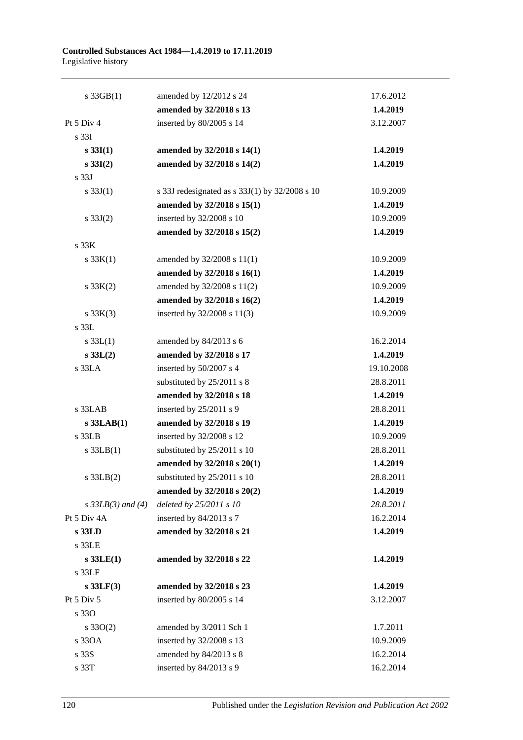| $s \cdot 33GB(1)$   | amended by 12/2012 s 24                        | 17.6.2012  |
|---------------------|------------------------------------------------|------------|
|                     | amended by 32/2018 s 13                        | 1.4.2019   |
| Pt 5 Div 4          | inserted by 80/2005 s 14                       | 3.12.2007  |
| s 33I               |                                                |            |
| $s \, 33I(1)$       | amended by 32/2018 s 14(1)                     | 1.4.2019   |
| $s \, 33I(2)$       | amended by 32/2018 s 14(2)                     | 1.4.2019   |
| s 33J               |                                                |            |
| s $33J(1)$          | s 33J redesignated as s 33J(1) by 32/2008 s 10 | 10.9.2009  |
|                     | amended by 32/2018 s 15(1)                     | 1.4.2019   |
| s $33J(2)$          | inserted by 32/2008 s 10                       | 10.9.2009  |
|                     | amended by 32/2018 s 15(2)                     | 1.4.2019   |
| s 33K               |                                                |            |
| s $33K(1)$          | amended by 32/2008 s 11(1)                     | 10.9.2009  |
|                     | amended by 32/2018 s 16(1)                     | 1.4.2019   |
| $s \, 33K(2)$       | amended by 32/2008 s 11(2)                     | 10.9.2009  |
|                     | amended by 32/2018 s 16(2)                     | 1.4.2019   |
| $s \, 33K(3)$       | inserted by 32/2008 s 11(3)                    | 10.9.2009  |
| s 33L               |                                                |            |
| s $33L(1)$          | amended by 84/2013 s 6                         | 16.2.2014  |
| s 33L(2)            | amended by 32/2018 s 17                        | 1.4.2019   |
| s 33LA              | inserted by 50/2007 s 4                        | 19.10.2008 |
|                     | substituted by 25/2011 s 8                     | 28.8.2011  |
|                     | amended by 32/2018 s 18                        | 1.4.2019   |
| s 33LAB             | inserted by 25/2011 s 9                        | 28.8.2011  |
| $s$ 33LAB $(1)$     | amended by 32/2018 s 19                        | 1.4.2019   |
| s 33LB              | inserted by 32/2008 s 12                       | 10.9.2009  |
| $s$ 33LB $(1)$      | substituted by 25/2011 s 10                    | 28.8.2011  |
|                     | amended by 32/2018 s 20(1)                     | 1.4.2019   |
| $s$ 33LB $(2)$      | substituted by 25/2011 s 10                    | 28.8.2011  |
|                     | amended by 32/2018 s 20(2)                     | 1.4.2019   |
| $s$ 33LB(3) and (4) | deleted by 25/2011 s 10                        | 28.8.2011  |
| Pt 5 Div 4A         | inserted by 84/2013 s 7                        | 16.2.2014  |
| s 33LD              | amended by 32/2018 s 21                        | 1.4.2019   |
| s 33LE              |                                                |            |
| $s$ 33LE(1)         | amended by 32/2018 s 22                        | 1.4.2019   |
| s 33LF              |                                                |            |
| $s$ 33LF(3)         | amended by 32/2018 s 23                        | 1.4.2019   |
| Pt 5 Div 5          | inserted by 80/2005 s 14                       | 3.12.2007  |
| s 330               |                                                |            |
| $s \, 33O(2)$       | amended by 3/2011 Sch 1                        | 1.7.2011   |
| s 330A              | inserted by 32/2008 s 13                       | 10.9.2009  |
| s 33S               | amended by 84/2013 s 8                         | 16.2.2014  |
| s 33T               | inserted by 84/2013 s 9                        | 16.2.2014  |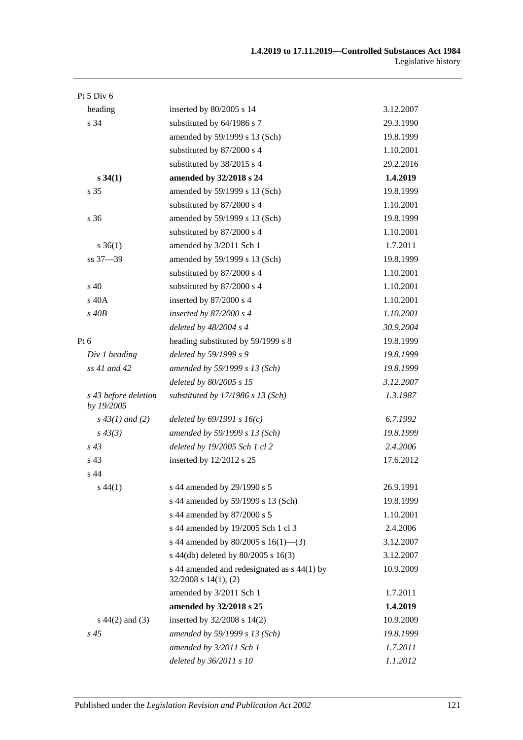| Pt 5 Div 6                         |                                                                          |           |
|------------------------------------|--------------------------------------------------------------------------|-----------|
| heading                            | inserted by 80/2005 s 14                                                 | 3.12.2007 |
| s 34                               | substituted by 64/1986 s 7                                               | 29.3.1990 |
|                                    | amended by 59/1999 s 13 (Sch)                                            | 19.8.1999 |
|                                    | substituted by 87/2000 s 4                                               | 1.10.2001 |
|                                    | substituted by 38/2015 s 4                                               | 29.2.2016 |
| s 34(1)                            | amended by 32/2018 s 24                                                  | 1.4.2019  |
| s 35                               | amended by 59/1999 s 13 (Sch)                                            | 19.8.1999 |
|                                    | substituted by 87/2000 s 4                                               | 1.10.2001 |
| s 36                               | amended by 59/1999 s 13 (Sch)                                            | 19.8.1999 |
|                                    | substituted by 87/2000 s 4                                               | 1.10.2001 |
| $s \, 36(1)$                       | amended by 3/2011 Sch 1                                                  | 1.7.2011  |
| ss 37-39                           | amended by 59/1999 s 13 (Sch)                                            | 19.8.1999 |
|                                    | substituted by 87/2000 s 4                                               | 1.10.2001 |
| s 40                               | substituted by 87/2000 s 4                                               | 1.10.2001 |
| s 40A                              | inserted by 87/2000 s 4                                                  | 1.10.2001 |
| $s$ 40 $B$                         | inserted by $87/2000 s 4$                                                | 1.10.2001 |
|                                    | deleted by 48/2004 s 4                                                   | 30.9.2004 |
| $Pt\ 6$                            | heading substituted by 59/1999 s 8                                       | 19.8.1999 |
| Div 1 heading                      | deleted by 59/1999 s 9                                                   | 19.8.1999 |
| ss 41 and 42                       | amended by 59/1999 s 13 (Sch)                                            | 19.8.1999 |
|                                    | deleted by 80/2005 s 15                                                  | 3.12.2007 |
| s 43 before deletion<br>by 19/2005 | substituted by $17/1986$ s $13$ (Sch)                                    | 1.3.1987  |
| $s\,43(1)$ and (2)                 | deleted by $69/1991 s 16(c)$                                             | 6.7.1992  |
| $s\,43(3)$                         | amended by 59/1999 s 13 (Sch)                                            | 19.8.1999 |
| $s\,43$                            | deleted by 19/2005 Sch 1 cl 2                                            | 2.4.2006  |
| s <sub>43</sub>                    | inserted by 12/2012 s 25                                                 | 17.6.2012 |
| s 44                               |                                                                          |           |
| $s\,44(1)$                         | s 44 amended by 29/1990 s 5                                              | 26.9.1991 |
|                                    | s 44 amended by 59/1999 s 13 (Sch)                                       | 19.8.1999 |
|                                    | s 44 amended by 87/2000 s 5                                              | 1.10.2001 |
|                                    | s 44 amended by 19/2005 Sch 1 cl 3                                       | 2.4.2006  |
|                                    | s 44 amended by 80/2005 s $16(1)$ —(3)                                   | 3.12.2007 |
|                                    | s 44(db) deleted by 80/2005 s 16(3)                                      | 3.12.2007 |
|                                    | s 44 amended and redesignated as s 44(1) by<br>$32/2008$ s $14(1)$ , (2) | 10.9.2009 |
|                                    | amended by 3/2011 Sch 1                                                  | 1.7.2011  |
|                                    | amended by 32/2018 s 25                                                  | 1.4.2019  |
| $s\ 44(2)$ and (3)                 | inserted by 32/2008 s 14(2)                                              | 10.9.2009 |
| $s\,45$                            | amended by 59/1999 s 13 (Sch)                                            | 19.8.1999 |
|                                    | amended by 3/2011 Sch 1                                                  | 1.7.2011  |
|                                    | deleted by $36/2011 s 10$                                                | 1.1.2012  |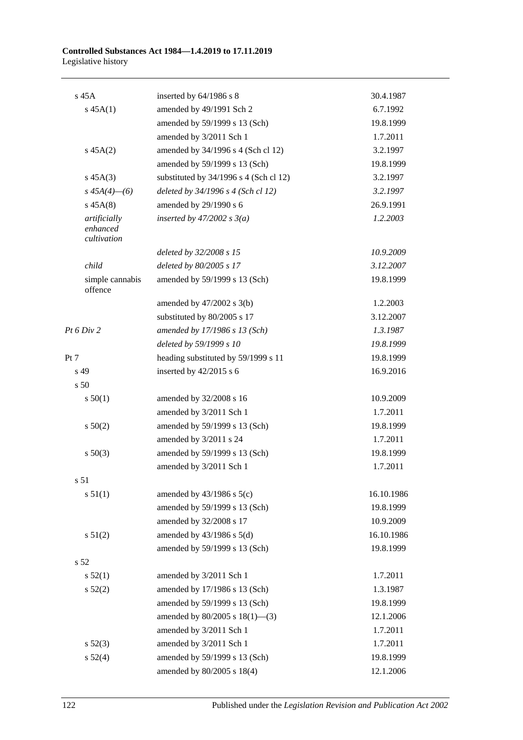| s 45A                                   | inserted by $64/1986$ s 8              | 30.4.1987  |
|-----------------------------------------|----------------------------------------|------------|
| $s\,45A(1)$                             | amended by 49/1991 Sch 2               | 6.7.1992   |
|                                         | amended by 59/1999 s 13 (Sch)          | 19.8.1999  |
|                                         | amended by 3/2011 Sch 1                | 1.7.2011   |
| $s\,45A(2)$                             | amended by 34/1996 s 4 (Sch cl 12)     | 3.2.1997   |
|                                         | amended by 59/1999 s 13 (Sch)          | 19.8.1999  |
| $s\,45A(3)$                             | substituted by 34/1996 s 4 (Sch cl 12) | 3.2.1997   |
| $s\,45A(4)$ - (6)                       | deleted by $34/1996$ s 4 (Sch cl 12)   | 3.2.1997   |
| $s\,45A(8)$                             | amended by 29/1990 s 6                 | 26.9.1991  |
| artificially<br>enhanced<br>cultivation | inserted by $47/2002$ s $3(a)$         | 1.2.2003   |
|                                         | deleted by 32/2008 s 15                | 10.9.2009  |
| child                                   | deleted by 80/2005 s 17                | 3.12.2007  |
| simple cannabis<br>offence              | amended by 59/1999 s 13 (Sch)          | 19.8.1999  |
|                                         | amended by $47/2002$ s $3(b)$          | 1.2.2003   |
|                                         | substituted by 80/2005 s 17            | 3.12.2007  |
| Pt 6 Div 2                              | amended by 17/1986 s 13 (Sch)          | 1.3.1987   |
|                                         | deleted by 59/1999 s 10                | 19.8.1999  |
| Pt 7                                    | heading substituted by 59/1999 s 11    | 19.8.1999  |
| s 49                                    | inserted by 42/2015 s 6                | 16.9.2016  |
| s 50                                    |                                        |            |
| s 50(1)                                 | amended by 32/2008 s 16                | 10.9.2009  |
|                                         | amended by 3/2011 Sch 1                | 1.7.2011   |
| s 50(2)                                 | amended by 59/1999 s 13 (Sch)          | 19.8.1999  |
|                                         | amended by 3/2011 s 24                 | 1.7.2011   |
| $s\ 50(3)$                              | amended by 59/1999 s 13 (Sch)          | 19.8.1999  |
|                                         | amended by 3/2011 Sch 1                | 1.7.2011   |
| s 51                                    |                                        |            |
| s 51(1)                                 | amended by $43/1986$ s $5(c)$          | 16.10.1986 |
|                                         | amended by 59/1999 s 13 (Sch)          | 19.8.1999  |
|                                         | amended by 32/2008 s 17                | 10.9.2009  |
| s 51(2)                                 | amended by $43/1986$ s $5(d)$          | 16.10.1986 |
|                                         | amended by 59/1999 s 13 (Sch)          | 19.8.1999  |
| s <sub>52</sub>                         |                                        |            |
| s 52(1)                                 | amended by 3/2011 Sch 1                | 1.7.2011   |
| s 52(2)                                 | amended by 17/1986 s 13 (Sch)          | 1.3.1987   |
|                                         | amended by 59/1999 s 13 (Sch)          | 19.8.1999  |
|                                         | amended by $80/2005$ s $18(1)$ —(3)    | 12.1.2006  |
|                                         | amended by 3/2011 Sch 1                | 1.7.2011   |
| s 52(3)                                 | amended by 3/2011 Sch 1                | 1.7.2011   |
| s 52(4)                                 | amended by 59/1999 s 13 (Sch)          | 19.8.1999  |
|                                         | amended by 80/2005 s 18(4)             | 12.1.2006  |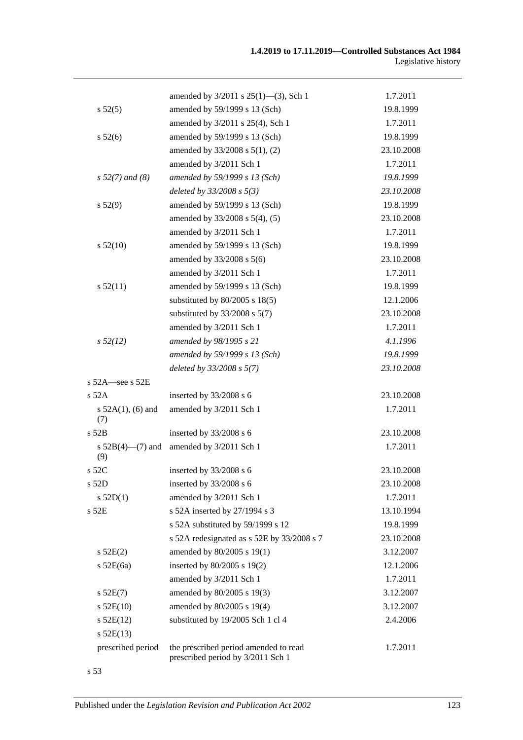|                               | amended by $3/2011$ s $25(1)$ —(3), Sch 1                                  | 1.7.2011   |
|-------------------------------|----------------------------------------------------------------------------|------------|
| $s\,52(5)$                    | amended by 59/1999 s 13 (Sch)                                              | 19.8.1999  |
|                               | amended by 3/2011 s 25(4), Sch 1                                           | 1.7.2011   |
| s 52(6)                       | amended by 59/1999 s 13 (Sch)                                              | 19.8.1999  |
|                               | amended by 33/2008 s 5(1), (2)                                             | 23.10.2008 |
|                               | amended by 3/2011 Sch 1                                                    | 1.7.2011   |
| $s 52(7)$ and (8)             | amended by 59/1999 s 13 (Sch)                                              | 19.8.1999  |
|                               | deleted by $33/2008$ s $5(3)$                                              | 23.10.2008 |
| s 52(9)                       | amended by 59/1999 s 13 (Sch)                                              | 19.8.1999  |
|                               | amended by 33/2008 s 5(4), (5)                                             | 23.10.2008 |
|                               | amended by 3/2011 Sch 1                                                    | 1.7.2011   |
| s 52(10)                      | amended by 59/1999 s 13 (Sch)                                              | 19.8.1999  |
|                               | amended by 33/2008 s 5(6)                                                  | 23.10.2008 |
|                               | amended by 3/2011 Sch 1                                                    | 1.7.2011   |
| s 52(11)                      | amended by 59/1999 s 13 (Sch)                                              | 19.8.1999  |
|                               | substituted by $80/2005$ s $18(5)$                                         | 12.1.2006  |
|                               | substituted by $33/2008$ s $5(7)$                                          | 23.10.2008 |
|                               | amended by 3/2011 Sch 1                                                    | 1.7.2011   |
| $s\,52(12)$                   | amended by 98/1995 s 21                                                    | 4.1.1996   |
|                               | amended by 59/1999 s 13 (Sch)                                              | 19.8.1999  |
|                               | deleted by 33/2008 s 5(7)                                                  | 23.10.2008 |
| s $52A$ -see s $52E$          |                                                                            |            |
| s 52A                         | inserted by 33/2008 s 6                                                    | 23.10.2008 |
| s $52A(1)$ , (6) and<br>(7)   | amended by 3/2011 Sch 1                                                    | 1.7.2011   |
| $s$ 52 $B$                    | inserted by 33/2008 s 6                                                    | 23.10.2008 |
| s $52B(4)$ — $(7)$ and<br>(9) | amended by 3/2011 Sch 1                                                    | 1.7.2011   |
| s 52C                         | inserted by 33/2008 s 6                                                    | 23.10.2008 |
| s 52D                         | inserted by 33/2008 s 6                                                    | 23.10.2008 |
| $s$ 52D(1)                    | amended by 3/2011 Sch 1                                                    | 1.7.2011   |
| s 52E                         | s 52A inserted by 27/1994 s 3                                              | 13.10.1994 |
|                               | s 52A substituted by 59/1999 s 12                                          | 19.8.1999  |
|                               | s 52A redesignated as s 52E by 33/2008 s 7                                 | 23.10.2008 |
| $s$ 52E(2)                    | amended by 80/2005 s 19(1)                                                 | 3.12.2007  |
| $s$ 52E(6a)                   | inserted by 80/2005 s 19(2)                                                | 12.1.2006  |
|                               | amended by 3/2011 Sch 1                                                    | 1.7.2011   |
| $s$ 52E(7)                    | amended by 80/2005 s 19(3)                                                 | 3.12.2007  |
| $s$ 52E(10)                   | amended by 80/2005 s 19(4)                                                 | 3.12.2007  |
| $s$ 52E(12)                   | substituted by 19/2005 Sch 1 cl 4                                          | 2.4.2006   |
| $s$ 52E(13)                   |                                                                            |            |
| prescribed period             | the prescribed period amended to read<br>prescribed period by 3/2011 Sch 1 | 1.7.2011   |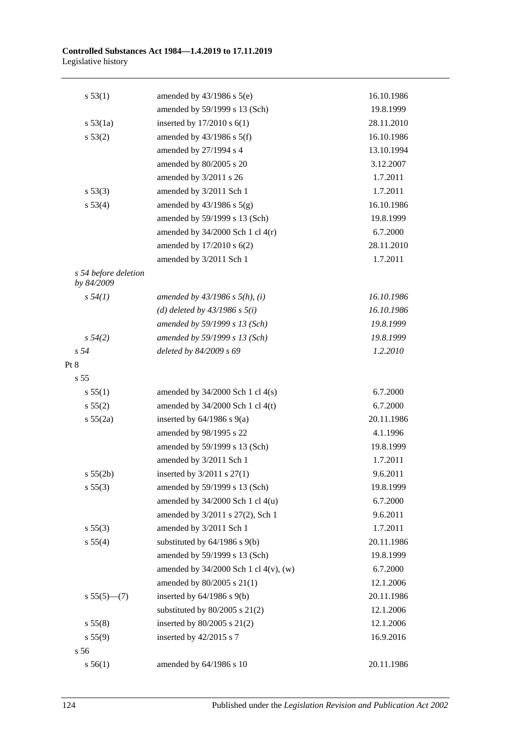| s 53(1)                            | amended by $43/1986$ s $5(e)$              | 16.10.1986 |
|------------------------------------|--------------------------------------------|------------|
|                                    | amended by 59/1999 s 13 (Sch)              | 19.8.1999  |
| s 53(1a)                           | inserted by $17/2010$ s $6(1)$             | 28.11.2010 |
| s 53(2)                            | amended by $43/1986$ s $5(f)$              | 16.10.1986 |
|                                    | amended by 27/1994 s 4                     | 13.10.1994 |
|                                    | amended by 80/2005 s 20                    | 3.12.2007  |
|                                    | amended by 3/2011 s 26                     | 1.7.2011   |
| s 53(3)                            | amended by 3/2011 Sch 1                    | 1.7.2011   |
| s 53(4)                            | amended by $43/1986$ s $5(g)$              | 16.10.1986 |
|                                    | amended by 59/1999 s 13 (Sch)              | 19.8.1999  |
|                                    | amended by $34/2000$ Sch 1 cl $4(r)$       | 6.7.2000   |
|                                    | amended by 17/2010 s 6(2)                  | 28.11.2010 |
|                                    | amended by 3/2011 Sch 1                    | 1.7.2011   |
| s 54 before deletion<br>by 84/2009 |                                            |            |
| s 54(1)                            | amended by $43/1986$ s $5(h)$ , (i)        | 16.10.1986 |
|                                    | (d) deleted by $43/1986$ s $5(i)$          | 16.10.1986 |
|                                    | amended by 59/1999 s 13 (Sch)              | 19.8.1999  |
| s 54(2)                            | amended by 59/1999 s 13 (Sch)              | 19.8.1999  |
| s <sub>54</sub>                    | deleted by 84/2009 s 69                    | 1.2.2010   |
| Pt 8                               |                                            |            |
| s <sub>55</sub>                    |                                            |            |
| s 55(1)                            | amended by $34/2000$ Sch 1 cl $4(s)$       | 6.7.2000   |
| s 55(2)                            | amended by $34/2000$ Sch 1 cl 4(t)         | 6.7.2000   |
| s 55(2a)                           | inserted by $64/1986$ s $9(a)$             | 20.11.1986 |
|                                    | amended by 98/1995 s 22                    | 4.1.1996   |
|                                    | amended by 59/1999 s 13 (Sch)              | 19.8.1999  |
|                                    | amended by 3/2011 Sch 1                    | 1.7.2011   |
| s 55(2b)                           | inserted by $3/2011$ s $27(1)$             | 9.6.2011   |
| s 55(3)                            | amended by 59/1999 s 13 (Sch)              | 19.8.1999  |
|                                    | amended by $34/2000$ Sch 1 cl $4(u)$       | 6.7.2000   |
|                                    | amended by 3/2011 s 27(2), Sch 1           | 9.6.2011   |
| s 55(3)                            | amended by 3/2011 Sch 1                    | 1.7.2011   |
| s 55(4)                            | substituted by $64/1986$ s $9(b)$          | 20.11.1986 |
|                                    | amended by 59/1999 s 13 (Sch)              | 19.8.1999  |
|                                    | amended by $34/2000$ Sch 1 cl $4(v)$ , (w) | 6.7.2000   |
|                                    | amended by 80/2005 s 21(1)                 | 12.1.2006  |
| $s 55(5)$ (7)                      | inserted by $64/1986$ s $9(b)$             | 20.11.1986 |
|                                    | substituted by $80/2005$ s $21(2)$         | 12.1.2006  |
| s 55(8)                            | inserted by $80/2005$ s $21(2)$            | 12.1.2006  |
| s 55(9)                            | inserted by $42/2015$ s 7                  | 16.9.2016  |
| s 56                               |                                            |            |
| s 56(1)                            | amended by 64/1986 s 10                    | 20.11.1986 |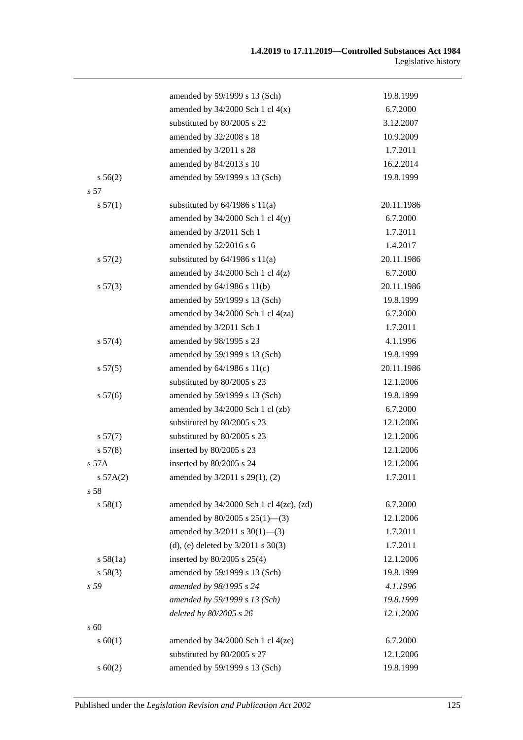| amended by 59/1999 s 13 (Sch)<br>amended by $34/2000$ Sch 1 cl $4(x)$<br>substituted by 80/2005 s 22<br>amended by 32/2008 s 18<br>amended by 3/2011 s 28<br>amended by 84/2013 s 10<br>amended by 59/1999 s 13 (Sch)<br>s 56(2)<br>s 57<br>s 57(1)<br>substituted by $64/1986$ s $11(a)$<br>amended by $34/2000$ Sch 1 cl $4(y)$<br>amended by 3/2011 Sch 1<br>amended by 52/2016 s 6<br>substituted by $64/1986$ s $11(a)$<br>s 57(2)<br>amended by $34/2000$ Sch 1 cl $4(z)$ | 19.8.1999<br>6.7.2000<br>3.12.2007<br>10.9.2009<br>1.7.2011<br>16.2.2014<br>19.8.1999<br>20.11.1986<br>6.7.2000<br>1.7.2011<br>1.4.2017<br>20.11.1986<br>6.7.2000<br>20.11.1986<br>19.8.1999<br>6.7.2000 |
|---------------------------------------------------------------------------------------------------------------------------------------------------------------------------------------------------------------------------------------------------------------------------------------------------------------------------------------------------------------------------------------------------------------------------------------------------------------------------------|----------------------------------------------------------------------------------------------------------------------------------------------------------------------------------------------------------|
|                                                                                                                                                                                                                                                                                                                                                                                                                                                                                 |                                                                                                                                                                                                          |
|                                                                                                                                                                                                                                                                                                                                                                                                                                                                                 |                                                                                                                                                                                                          |
|                                                                                                                                                                                                                                                                                                                                                                                                                                                                                 |                                                                                                                                                                                                          |
|                                                                                                                                                                                                                                                                                                                                                                                                                                                                                 |                                                                                                                                                                                                          |
|                                                                                                                                                                                                                                                                                                                                                                                                                                                                                 |                                                                                                                                                                                                          |
|                                                                                                                                                                                                                                                                                                                                                                                                                                                                                 |                                                                                                                                                                                                          |
|                                                                                                                                                                                                                                                                                                                                                                                                                                                                                 |                                                                                                                                                                                                          |
|                                                                                                                                                                                                                                                                                                                                                                                                                                                                                 |                                                                                                                                                                                                          |
|                                                                                                                                                                                                                                                                                                                                                                                                                                                                                 |                                                                                                                                                                                                          |
|                                                                                                                                                                                                                                                                                                                                                                                                                                                                                 |                                                                                                                                                                                                          |
|                                                                                                                                                                                                                                                                                                                                                                                                                                                                                 |                                                                                                                                                                                                          |
|                                                                                                                                                                                                                                                                                                                                                                                                                                                                                 |                                                                                                                                                                                                          |
|                                                                                                                                                                                                                                                                                                                                                                                                                                                                                 |                                                                                                                                                                                                          |
|                                                                                                                                                                                                                                                                                                                                                                                                                                                                                 |                                                                                                                                                                                                          |
| amended by 64/1986 s 11(b)<br>s 57(3)                                                                                                                                                                                                                                                                                                                                                                                                                                           |                                                                                                                                                                                                          |
| amended by 59/1999 s 13 (Sch)                                                                                                                                                                                                                                                                                                                                                                                                                                                   |                                                                                                                                                                                                          |
| amended by 34/2000 Sch 1 cl 4(za)                                                                                                                                                                                                                                                                                                                                                                                                                                               |                                                                                                                                                                                                          |
| amended by 3/2011 Sch 1                                                                                                                                                                                                                                                                                                                                                                                                                                                         | 1.7.2011                                                                                                                                                                                                 |
| amended by 98/1995 s 23<br>s 57(4)                                                                                                                                                                                                                                                                                                                                                                                                                                              | 4.1.1996                                                                                                                                                                                                 |
| amended by 59/1999 s 13 (Sch)                                                                                                                                                                                                                                                                                                                                                                                                                                                   | 19.8.1999                                                                                                                                                                                                |
| amended by $64/1986$ s $11(c)$<br>s 57(5)                                                                                                                                                                                                                                                                                                                                                                                                                                       | 20.11.1986                                                                                                                                                                                               |
| substituted by 80/2005 s 23                                                                                                                                                                                                                                                                                                                                                                                                                                                     | 12.1.2006                                                                                                                                                                                                |
| amended by 59/1999 s 13 (Sch)<br>s 57(6)                                                                                                                                                                                                                                                                                                                                                                                                                                        | 19.8.1999                                                                                                                                                                                                |
| amended by 34/2000 Sch 1 cl (zb)                                                                                                                                                                                                                                                                                                                                                                                                                                                | 6.7.2000                                                                                                                                                                                                 |
| substituted by 80/2005 s 23                                                                                                                                                                                                                                                                                                                                                                                                                                                     | 12.1.2006                                                                                                                                                                                                |
| s 57(7)<br>substituted by 80/2005 s 23                                                                                                                                                                                                                                                                                                                                                                                                                                          | 12.1.2006                                                                                                                                                                                                |
| inserted by 80/2005 s 23<br>s 57(8)                                                                                                                                                                                                                                                                                                                                                                                                                                             | 12.1.2006                                                                                                                                                                                                |
| s 57A<br>inserted by 80/2005 s 24                                                                                                                                                                                                                                                                                                                                                                                                                                               | 12.1.2006                                                                                                                                                                                                |
| amended by 3/2011 s 29(1), (2)<br>s $57A(2)$                                                                                                                                                                                                                                                                                                                                                                                                                                    | 1.7.2011                                                                                                                                                                                                 |
| s 58                                                                                                                                                                                                                                                                                                                                                                                                                                                                            |                                                                                                                                                                                                          |
| s 58(1)<br>amended by 34/2000 Sch 1 cl 4(zc), (zd)                                                                                                                                                                                                                                                                                                                                                                                                                              | 6.7.2000                                                                                                                                                                                                 |
| amended by $80/2005$ s $25(1)$ —(3)                                                                                                                                                                                                                                                                                                                                                                                                                                             | 12.1.2006                                                                                                                                                                                                |
| amended by $3/2011$ s $30(1)$ —(3)                                                                                                                                                                                                                                                                                                                                                                                                                                              | 1.7.2011                                                                                                                                                                                                 |
| (d), (e) deleted by $3/2011$ s $30(3)$                                                                                                                                                                                                                                                                                                                                                                                                                                          | 1.7.2011                                                                                                                                                                                                 |
| inserted by $80/2005$ s $25(4)$<br>s 58(1a)                                                                                                                                                                                                                                                                                                                                                                                                                                     | 12.1.2006                                                                                                                                                                                                |
| s 58(3)<br>amended by 59/1999 s 13 (Sch)                                                                                                                                                                                                                                                                                                                                                                                                                                        | 19.8.1999                                                                                                                                                                                                |
| amended by 98/1995 s 24<br>s 59                                                                                                                                                                                                                                                                                                                                                                                                                                                 | 4.1.1996                                                                                                                                                                                                 |
| amended by 59/1999 s 13 (Sch)                                                                                                                                                                                                                                                                                                                                                                                                                                                   | 19.8.1999                                                                                                                                                                                                |
| deleted by 80/2005 s 26                                                                                                                                                                                                                                                                                                                                                                                                                                                         | 12.1.2006                                                                                                                                                                                                |
| s 60                                                                                                                                                                                                                                                                                                                                                                                                                                                                            |                                                                                                                                                                                                          |
| s 60(1)<br>amended by $34/2000$ Sch 1 cl $4(ze)$                                                                                                                                                                                                                                                                                                                                                                                                                                | 6.7.2000                                                                                                                                                                                                 |
| substituted by 80/2005 s 27                                                                                                                                                                                                                                                                                                                                                                                                                                                     | 12.1.2006                                                                                                                                                                                                |
| amended by 59/1999 s 13 (Sch)<br>s 60(2)                                                                                                                                                                                                                                                                                                                                                                                                                                        | 19.8.1999                                                                                                                                                                                                |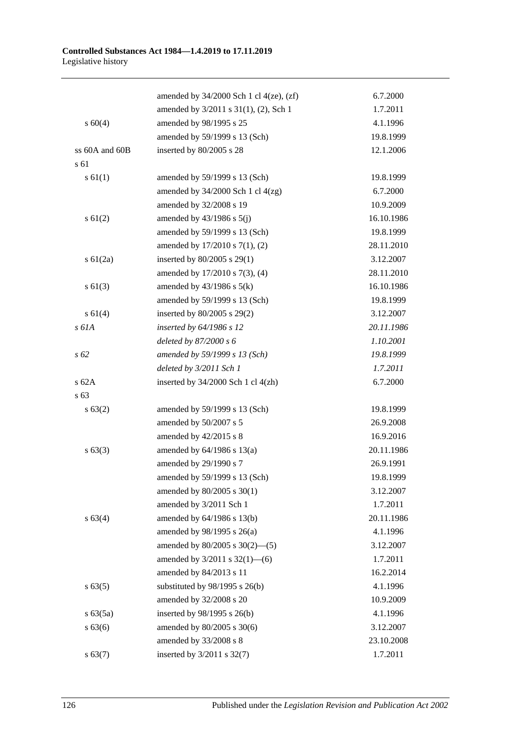|                | amended by $34/2000$ Sch 1 cl $4(ze)$ , $(zf)$ | 6.7.2000   |
|----------------|------------------------------------------------|------------|
|                | amended by 3/2011 s 31(1), (2), Sch 1          | 1.7.2011   |
| $s\ 60(4)$     | amended by 98/1995 s 25                        | 4.1.1996   |
|                | amended by 59/1999 s 13 (Sch)                  | 19.8.1999  |
| ss 60A and 60B | inserted by 80/2005 s 28                       | 12.1.2006  |
| s 61           |                                                |            |
| s 61(1)        | amended by 59/1999 s 13 (Sch)                  | 19.8.1999  |
|                | amended by $34/2000$ Sch 1 cl $4(zg)$          | 6.7.2000   |
|                | amended by 32/2008 s 19                        | 10.9.2009  |
| $s \ 61(2)$    | amended by $43/1986$ s $5(j)$                  | 16.10.1986 |
|                | amended by 59/1999 s 13 (Sch)                  | 19.8.1999  |
|                | amended by 17/2010 s 7(1), (2)                 | 28.11.2010 |
| $s \ 61(2a)$   | inserted by 80/2005 s 29(1)                    | 3.12.2007  |
|                | amended by 17/2010 s 7(3), (4)                 | 28.11.2010 |
| $s \ 61(3)$    | amended by $43/1986$ s $5(k)$                  | 16.10.1986 |
|                | amended by 59/1999 s 13 (Sch)                  | 19.8.1999  |
| s 61(4)        | inserted by 80/2005 s 29(2)                    | 3.12.2007  |
| s 61A          | inserted by $64/1986$ s 12                     | 20.11.1986 |
|                | deleted by $87/2000 s 6$                       | 1.10.2001  |
| $s\,62$        | amended by 59/1999 s 13 (Sch)                  | 19.8.1999  |
|                | deleted by 3/2011 Sch 1                        | 1.7.2011   |
| s62A           | inserted by $34/2000$ Sch 1 cl $4(zh)$         | 6.7.2000   |
| s 63           |                                                |            |
| s 63(2)        | amended by 59/1999 s 13 (Sch)                  | 19.8.1999  |
|                | amended by 50/2007 s 5                         | 26.9.2008  |
|                | amended by 42/2015 s 8                         | 16.9.2016  |
| $s\,63(3)$     | amended by $64/1986$ s $13(a)$                 | 20.11.1986 |
|                | amended by 29/1990 s 7                         | 26.9.1991  |
|                | amended by 59/1999 s 13 (Sch)                  | 19.8.1999  |
|                | amended by 80/2005 s 30(1)                     | 3.12.2007  |
|                | amended by 3/2011 Sch 1                        | 1.7.2011   |
| s 63(4)        | amended by 64/1986 s 13(b)                     | 20.11.1986 |
|                | amended by 98/1995 s 26(a)                     | 4.1.1996   |
|                | amended by $80/2005$ s $30(2)$ —(5)            | 3.12.2007  |
|                | amended by $3/2011$ s $32(1)$ —(6)             | 1.7.2011   |
|                | amended by 84/2013 s 11                        | 16.2.2014  |
| s 63(5)        | substituted by $98/1995$ s $26(b)$             | 4.1.1996   |
|                | amended by 32/2008 s 20                        | 10.9.2009  |
| $s\ 63(5a)$    | inserted by $98/1995$ s $26(b)$                | 4.1.1996   |
| s 63(6)        | amended by 80/2005 s 30(6)                     | 3.12.2007  |
|                | amended by 33/2008 s 8                         | 23.10.2008 |
| s 63(7)        | inserted by 3/2011 s 32(7)                     | 1.7.2011   |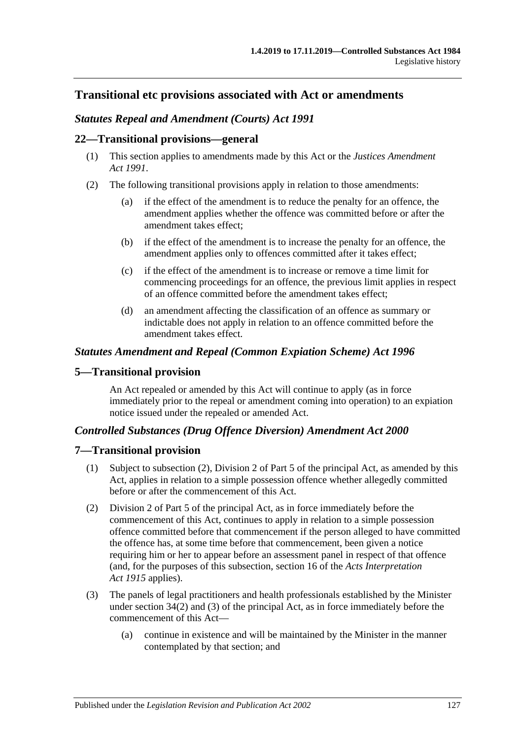## **Transitional etc provisions associated with Act or amendments**

#### *Statutes Repeal and Amendment (Courts) Act 1991*

#### **22—Transitional provisions—general**

- (1) This section applies to amendments made by this Act or the *[Justices Amendment](http://www.legislation.sa.gov.au/index.aspx?action=legref&type=act&legtitle=Justices%20Amendment%20Act%201991)  Act [1991](http://www.legislation.sa.gov.au/index.aspx?action=legref&type=act&legtitle=Justices%20Amendment%20Act%201991)*.
- (2) The following transitional provisions apply in relation to those amendments:
	- (a) if the effect of the amendment is to reduce the penalty for an offence, the amendment applies whether the offence was committed before or after the amendment takes effect;
	- (b) if the effect of the amendment is to increase the penalty for an offence, the amendment applies only to offences committed after it takes effect;
	- (c) if the effect of the amendment is to increase or remove a time limit for commencing proceedings for an offence, the previous limit applies in respect of an offence committed before the amendment takes effect;
	- (d) an amendment affecting the classification of an offence as summary or indictable does not apply in relation to an offence committed before the amendment takes effect.

#### *Statutes Amendment and Repeal (Common Expiation Scheme) Act 1996*

#### **5—Transitional provision**

An Act repealed or amended by this Act will continue to apply (as in force immediately prior to the repeal or amendment coming into operation) to an expiation notice issued under the repealed or amended Act.

#### *Controlled Substances (Drug Offence Diversion) Amendment Act 2000*

#### **7—Transitional provision**

- (1) Subject to subsection (2), Division 2 of Part 5 of the principal Act, as amended by this Act, applies in relation to a simple possession offence whether allegedly committed before or after the commencement of this Act.
- (2) Division 2 of Part 5 of the principal Act, as in force immediately before the commencement of this Act, continues to apply in relation to a simple possession offence committed before that commencement if the person alleged to have committed the offence has, at some time before that commencement, been given a notice requiring him or her to appear before an assessment panel in respect of that offence (and, for the purposes of this subsection, section 16 of the *[Acts Interpretation](http://www.legislation.sa.gov.au/index.aspx?action=legref&type=act&legtitle=Acts%20Interpretation%20Act%201915)  Act [1915](http://www.legislation.sa.gov.au/index.aspx?action=legref&type=act&legtitle=Acts%20Interpretation%20Act%201915)* applies).
- (3) The panels of legal practitioners and health professionals established by the Minister under section 34(2) and (3) of the principal Act, as in force immediately before the commencement of this Act—
	- (a) continue in existence and will be maintained by the Minister in the manner contemplated by that section; and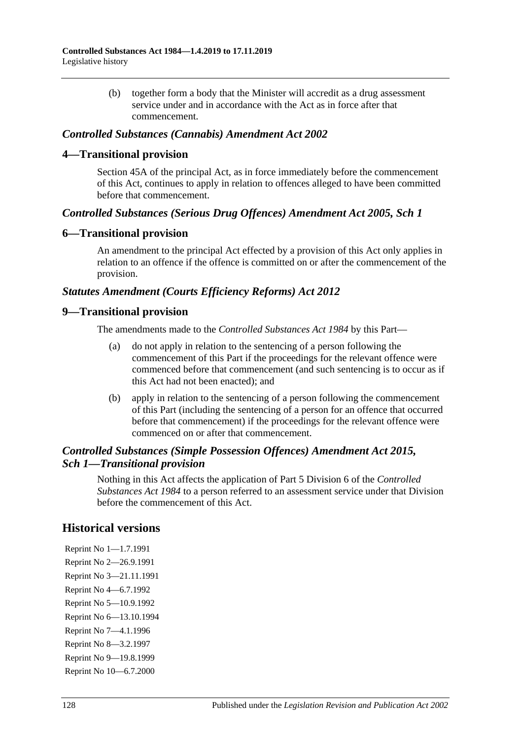(b) together form a body that the Minister will accredit as a drug assessment service under and in accordance with the Act as in force after that commencement.

#### *Controlled Substances (Cannabis) Amendment Act 2002*

#### **4—Transitional provision**

Section 45A of the principal Act, as in force immediately before the commencement of this Act, continues to apply in relation to offences alleged to have been committed before that commencement.

#### *Controlled Substances (Serious Drug Offences) Amendment Act 2005, Sch 1*

#### **6—Transitional provision**

An amendment to the principal Act effected by a provision of this Act only applies in relation to an offence if the offence is committed on or after the commencement of the provision.

#### *Statutes Amendment (Courts Efficiency Reforms) Act 2012*

#### **9—Transitional provision**

The amendments made to the *[Controlled Substances Act](http://www.legislation.sa.gov.au/index.aspx?action=legref&type=act&legtitle=Controlled%20Substances%20Act%201984) 1984* by this Part—

- (a) do not apply in relation to the sentencing of a person following the commencement of this Part if the proceedings for the relevant offence were commenced before that commencement (and such sentencing is to occur as if this Act had not been enacted); and
- (b) apply in relation to the sentencing of a person following the commencement of this Part (including the sentencing of a person for an offence that occurred before that commencement) if the proceedings for the relevant offence were commenced on or after that commencement.

### *Controlled Substances (Simple Possession Offences) Amendment Act 2015, Sch 1—Transitional provision*

Nothing in this Act affects the application of Part 5 Division 6 of the *[Controlled](http://www.legislation.sa.gov.au/index.aspx?action=legref&type=act&legtitle=Controlled%20Substances%20Act%201984)  [Substances Act](http://www.legislation.sa.gov.au/index.aspx?action=legref&type=act&legtitle=Controlled%20Substances%20Act%201984) 1984* to a person referred to an assessment service under that Division before the commencement of this Act.

## **Historical versions**

Reprint No 1—1.7.1991 Reprint No 2—26.9.1991 Reprint No 3—21.11.1991 Reprint No 4—6.7.1992 Reprint No 5—10.9.1992 Reprint No 6—13.10.1994 Reprint No 7—4.1.1996 Reprint No 8—3.2.1997 Reprint No 9—19.8.1999 Reprint No 10—6.7.2000